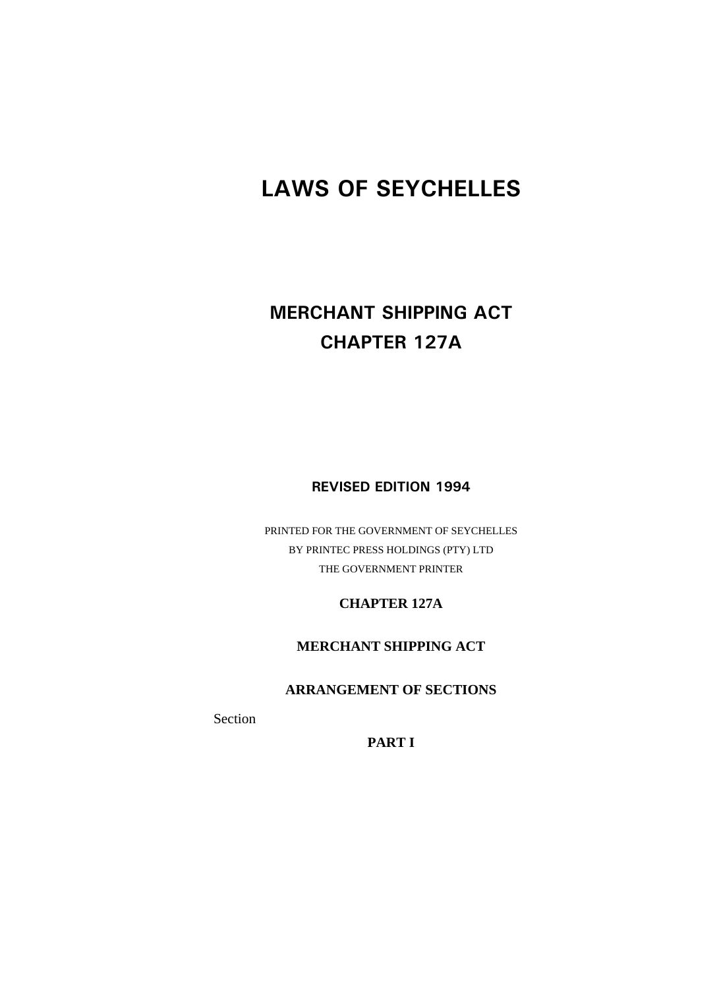# **LAWS OF SEYCHELLES**

# **MERCHANT SHIPPING ACT CHAPTER 127A**

**REVISED EDITION 1994**

PRINTED FOR THE GOVERNMENT OF SEYCHELLES BY PRINTEC PRESS HOLDINGS (PTY) LTD THE GOVERNMENT PRINTER

**CHAPTER 127A** 

**MERCHANT SHIPPING ACT** 

**ARRANGEMENT OF SECTIONS** 

Section

**PART I**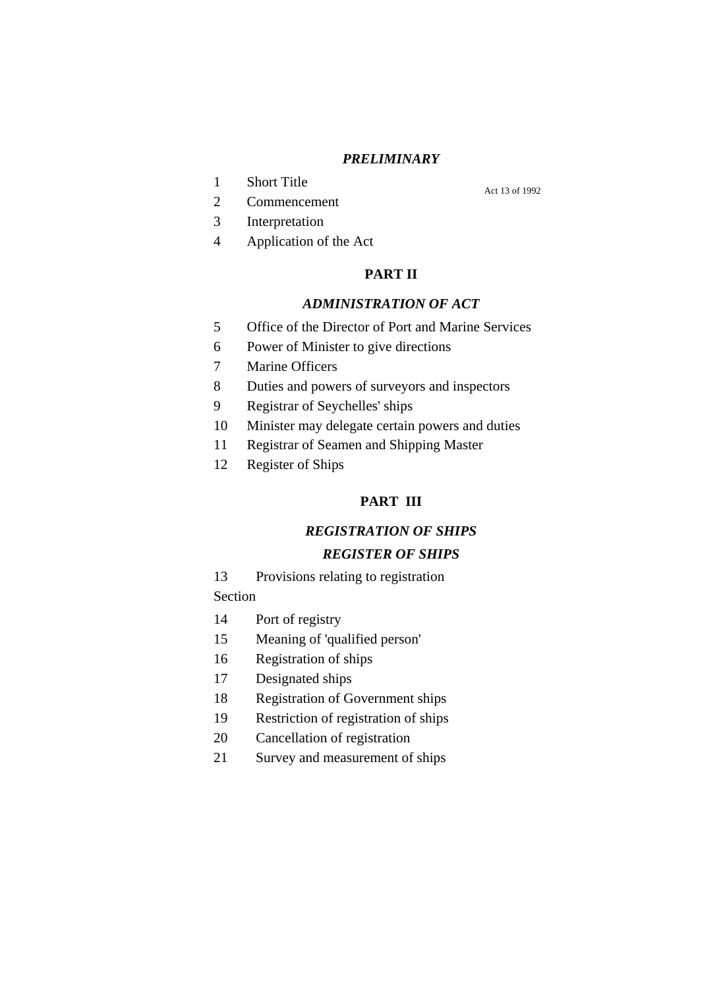#### *PRELIMINARY*

1 Short Title

Act 13 of 1992

- 2 Commencement 3 Interpretation
- 
- 4 Application of the Act

#### **PART II**

### *ADMINISTRATION OF ACT*

- 5 Office of the Director of Port and Marine Services
- 6 Power of Minister to give directions
- 7 Marine Officers
- 8 Duties and powers of surveyors and inspectors
- 9 Registrar of Seychelles' ships
- 10 Minister may delegate certain powers and duties
- 11 Registrar of Seamen and Shipping Master
- 12 Register of Ships

#### **PART III**

#### *REGISTRATION OF SHIPS*

#### *REGISTER OF SHIPS*

- 13 Provisions relating to registration Section
- 
- 14 Port of registry
- 15 Meaning of 'qualified person'
- 16 Registration of ships
- 17 Designated ships
- 18 Registration of Government ships
- 19 Restriction of registration of ships
- 20 Cancellation of registration
- 21 Survey and measurement of ships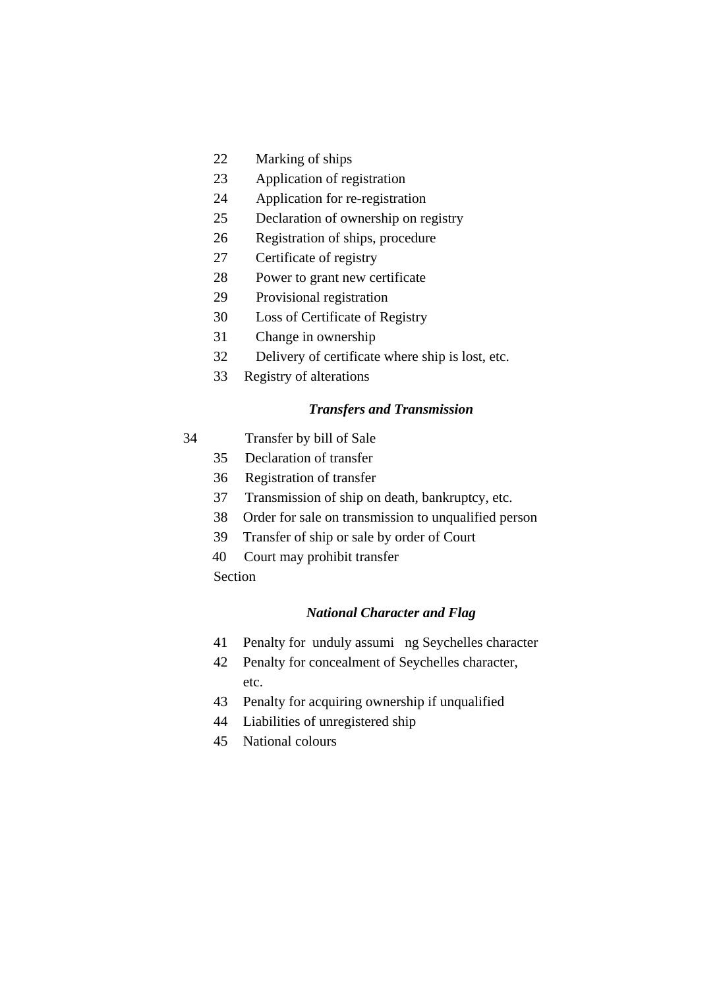- 22 Marking of ships
- 23 Application of registration
- 24 Application for re-registration
- 25 Declaration of ownership on registry
- 26 Registration of ships, procedure
- 27 Certificate of registry
- 28 Power to grant new certificate
- 29 Provisional registration
- 30 Loss of Certificate of Registry
- 31 Change in ownership
- 32 Delivery of certificate where ship is lost, etc.
- 33 Registry of alterations

#### *Transfers and Transmission*

- 34 Transfer by bill of Sale
	- 35 Declaration of transfer
	- 36 Registration of transfer
	- 37 Transmission of ship on death, bankruptcy, etc.
	- 38 Order for sale on transmission to unqualified person
	- 39 Transfer of ship or sale by order of Court
	- 40 Court may prohibit transfer
	- **Section**

#### *National Character and Flag*

- 41 Penalty for unduly assumi ng Seychelles character
- 42 Penalty for concealment of Seychelles character, etc.
- 43 Penalty for acquiring ownership if unqualified
- 44 Liabilities of unregistered ship
- 45 National colours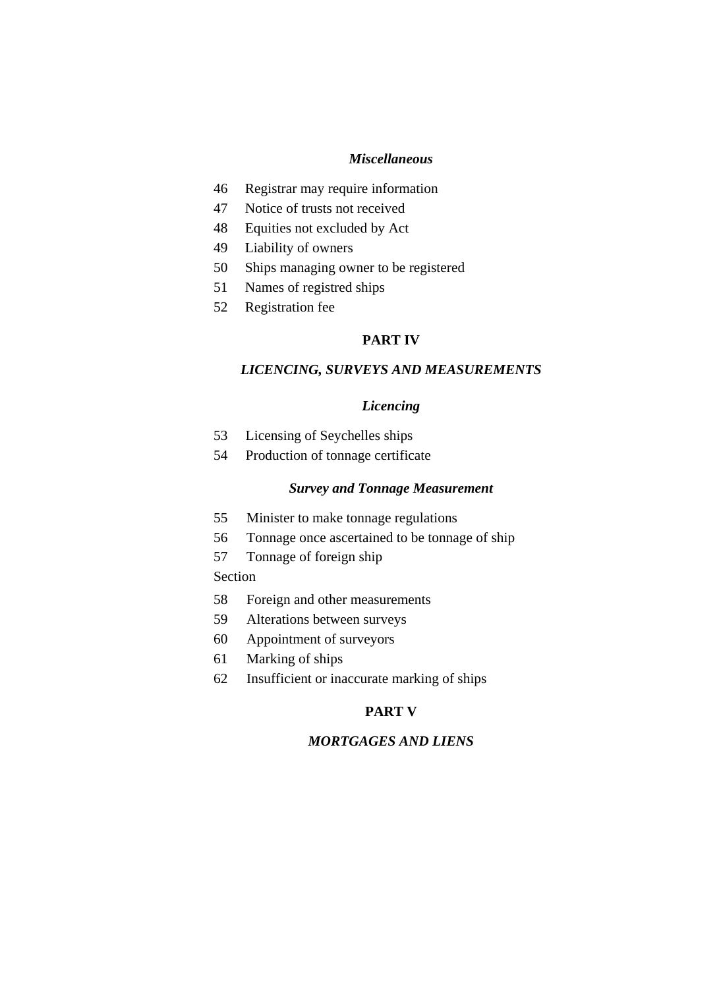#### *Miscellaneous*

- 46 Registrar may require information
- 47 Notice of trusts not received
- 48 Equities not excluded by Act
- 49 Liability of owners
- 50 Ships managing owner to be registered
- 51 Names of registred ships
- 52 Registration fee

#### **PART IV**

#### *LICENCING, SURVEYS AND MEASUREMENTS*

#### *Licencing*

- 53 Licensing of Seychelles ships
- 54 Production of tonnage certificate

#### *Survey and Tonnage Measurement*

- 55 Minister to make tonnage regulations
- 56 Tonnage once ascertained to be tonnage of ship
- 57 Tonnage of foreign ship

#### Section

- 58 Foreign and other measurements
- 59 Alterations between surveys
- 60 Appointment of surveyors
- 61 Marking of ships
- 62 Insufficient or inaccurate marking of ships

#### **PART V**

#### *MORTGAGES AND LIENS*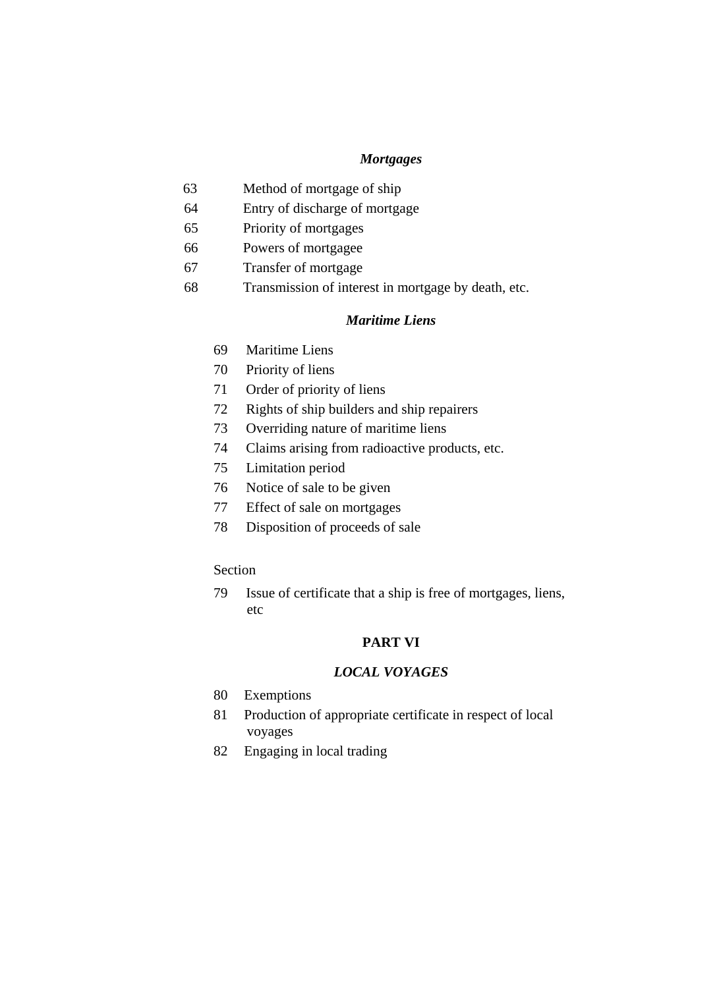#### *Mortgages*

- 63 Method of mortgage of ship
- 64 Entry of discharge of mortgage
- 65 Priority of mortgages
- 66 Powers of mortgagee
- 67 Transfer of mortgage
- 68 Transmission of interest in mortgage by death, etc.

#### *Maritime Liens*

- 69 Maritime Liens
- 70 Priority of liens
- 71 Order of priority of liens
- 72 Rights of ship builders and ship repairers
- 73 Overriding nature of maritime liens
- 74 Claims arising from radioactive products, etc.
- 75 Limitation period
- 76 Notice of sale to be given
- 77 Effect of sale on mortgages
- 78 Disposition of proceeds of sale

#### Section

79 Issue of certificate that a ship is free of mortgages, liens, etc

#### **PART VI**

#### *LOCAL VOYAGES*

- 80 Exemptions
- 81 Production of appropriate certificate in respect of local voyages
- 82 Engaging in local trading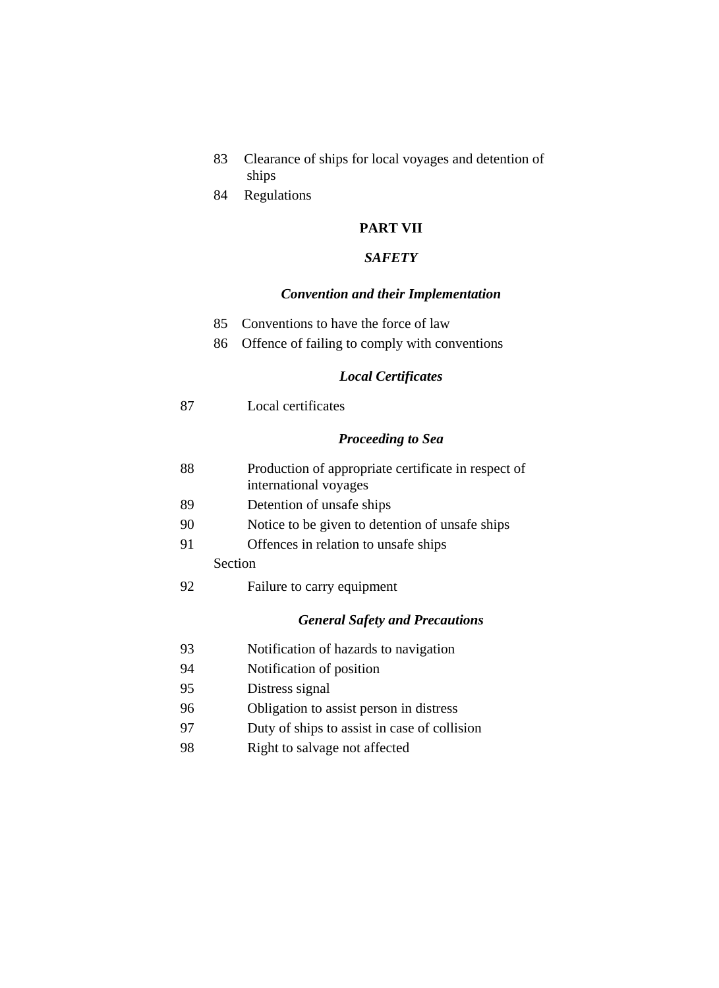- 83 Clearance of ships for local voyages and detention of ships
- 84 Regulations

#### **PART VII**

#### *SAFETY*

#### *Convention and their Implementation*

- 85 Conventions to have the force of law
- 86 Offence of failing to comply with conventions

#### *Local Certificates*

| -87 | Local certificates |
|-----|--------------------|
|     |                    |

#### *Proceeding to Sea*

| 88 | Production of appropriate certificate in respect of |
|----|-----------------------------------------------------|
|    | international voyages                               |

- 89 Detention of unsafe ships
- 90 Notice to be given to detention of unsafe ships
- 91 Offences in relation to unsafe ships

## Section

92 Failure to carry equipment

#### *General Safety and Precautions*

- 93 Notification of hazards to navigation
- 94 Notification of position
- 95 Distress signal
- 96 Obligation to assist person in distress
- 97 Duty of ships to assist in case of collision
- 98 Right to salvage not affected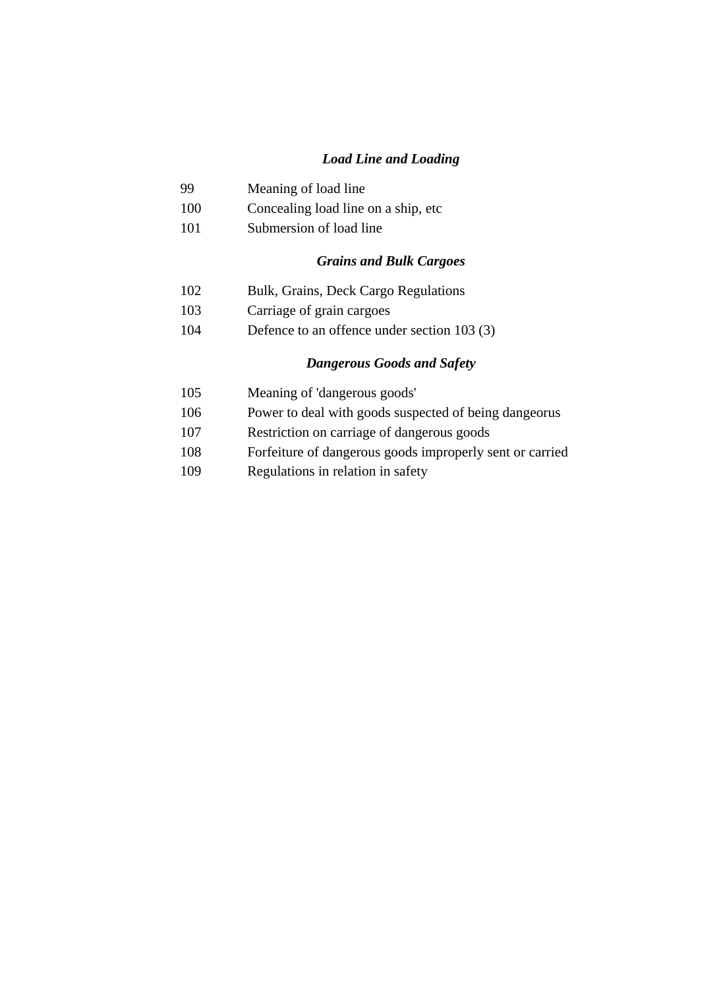#### *Load Line and Loading*

## 99 Meaning of load line

- 100 Concealing load line on a ship, etc
- 101 Submersion of load line

#### *Grains and Bulk Cargoes*

- 102 Bulk, Grains, Deck Cargo Regulations
- 103 Carriage of grain cargoes
- 104 Defence to an offence under section 103 (3)

#### *Dangerous Goods and Safety*

- 105 Meaning of 'dangerous goods'
- 106 Power to deal with goods suspected of being dangeorus
- 107 Restriction on carriage of dangerous goods
- 108 Forfeiture of dangerous goods improperly sent or carried
- 109 Regulations in relation in safety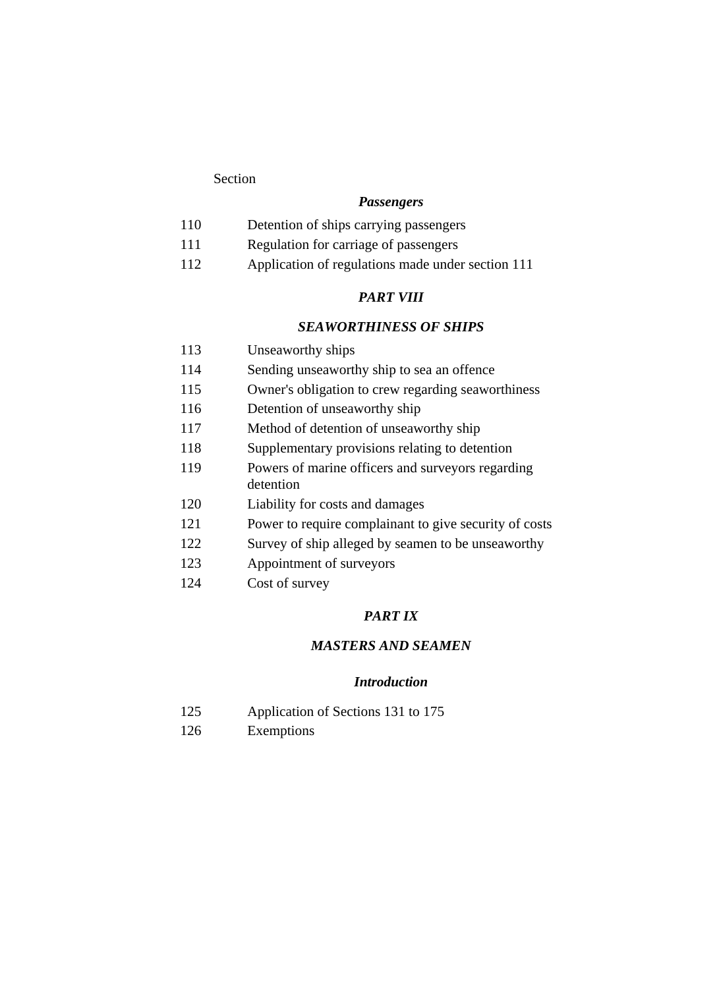#### *Passengers*

- 110 Detention of ships carrying passengers
- 111 Regulation for carriage of passengers
- 112 Application of regulations made under section 111

#### *PART VIII*

#### *SEAWORTHINESS OF SHIPS*

- 113 Unseaworthy ships
- 114 Sending unseaworthy ship to sea an offence
- 115 Owner's obligation to crew regarding seaworthiness
- 116 Detention of unseaworthy ship
- 117 Method of detention of unseaworthy ship
- 118 Supplementary provisions relating to detention
- 119 Powers of marine officers and surveyors regarding detention
- 120 Liability for costs and damages
- 121 Power to require complainant to give security of costs
- 122 Survey of ship alleged by seamen to be unseaworthy
- 123 Appointment of surveyors
- 124 Cost of survey

#### *PART IX*

#### *MASTERS AND SEAMEN*

#### *Introduction*

- 125 Application of Sections 131 to 175
- 126 Exemptions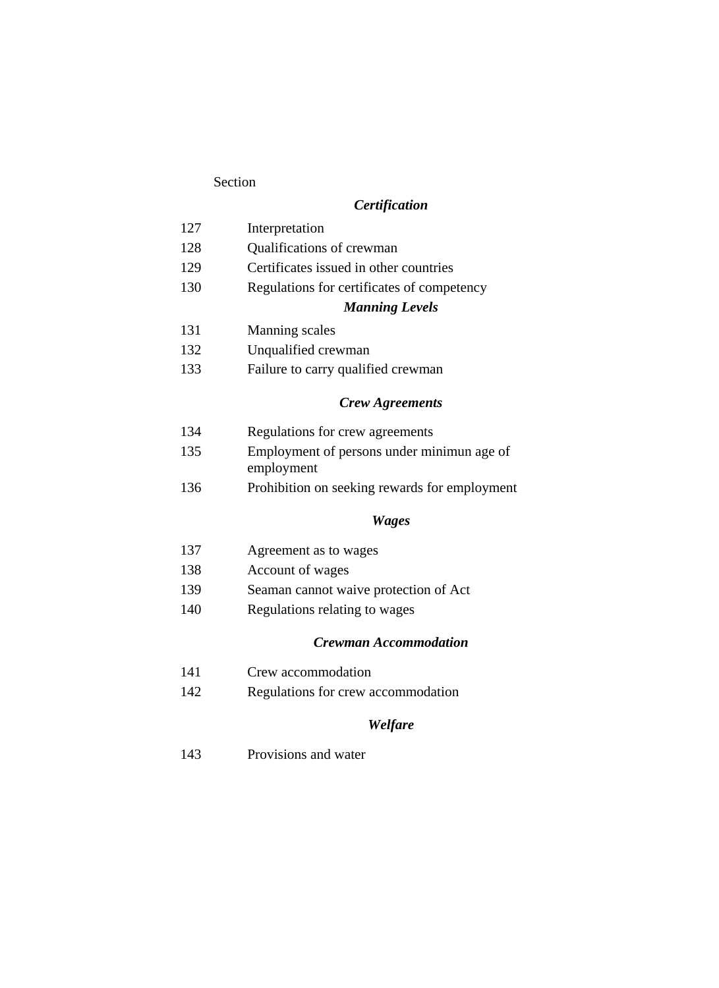## *Certification*

| 127 | Interpretation                                           |
|-----|----------------------------------------------------------|
| 128 | Qualifications of crewman                                |
| 129 | Certificates issued in other countries                   |
| 130 | Regulations for certificates of competency               |
|     | <b>Manning Levels</b>                                    |
| 131 | <b>Manning scales</b>                                    |
| 132 | Unqualified crewman                                      |
| 133 | Failure to carry qualified crewman                       |
|     | <b>Crew Agreements</b>                                   |
| 134 | Regulations for crew agreements                          |
| 135 | Employment of persons under minimun age of<br>employment |
| 136 | Prohibition on seeking rewards for employment            |
|     | <b>Wages</b>                                             |
| 137 | Agreement as to wages                                    |
| 138 | Account of wages                                         |
| 139 | Seaman cannot waive protection of Act                    |
|     |                                                          |

140 Regulations relating to wages

## *Crewman Accommodation*

|  | 141 |  | Crew accommodation |
|--|-----|--|--------------------|
|--|-----|--|--------------------|

142 Regulations for crew accommodation

## *Welfare*

143 Provisions and water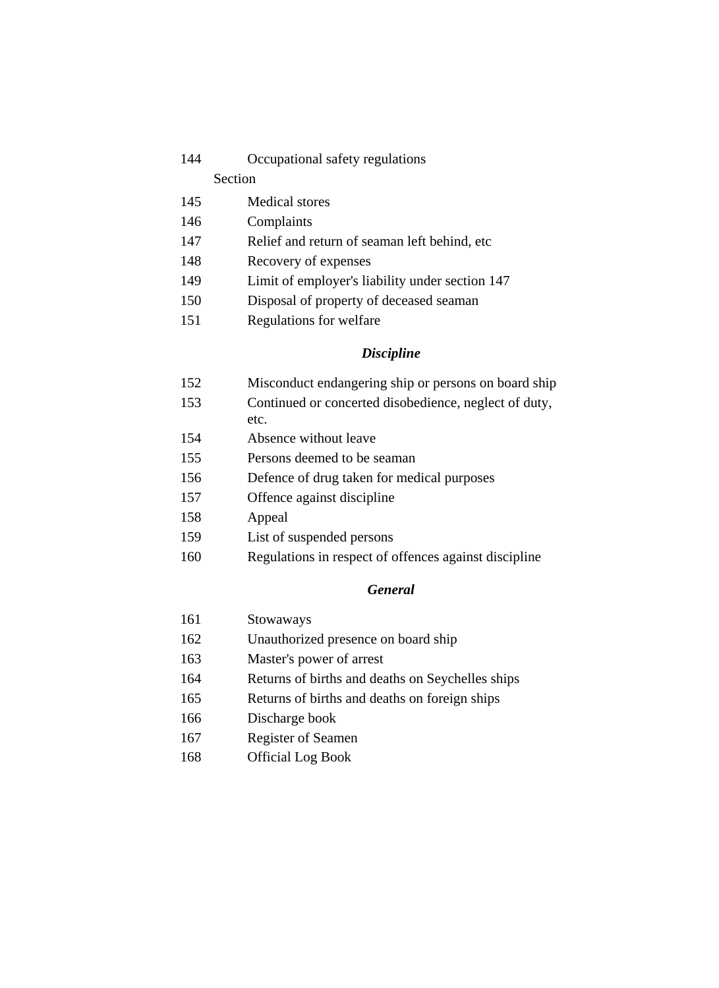144 Occupational safety regulations

#### Section

- 145 Medical stores
- 146 Complaints
- 147 Relief and return of seaman left behind, etc
- 148 Recovery of expenses
- 149 Limit of employer's liability under section 147
- 150 Disposal of property of deceased seaman
- 151 Regulations for welfare

#### *Discipline*

- 152 Misconduct endangering ship or persons on board ship
- 153 Continued or concerted disobedience, neglect of duty, etc.
- 154 Absence without leave
- 155 Persons deemed to be seaman
- 156 Defence of drug taken for medical purposes
- 157 Offence against discipline
- 158 Appeal
- 159 List of suspended persons
- 160 Regulations in respect of offences against discipline

#### *General*

- 161 Stowaways
- 162 Unauthorized presence on board ship
- 163 Master's power of arrest
- 164 Returns of births and deaths on Seychelles ships
- 165 Returns of births and deaths on foreign ships
- 166 Discharge book
- 167 Register of Seamen
- 168 Official Log Book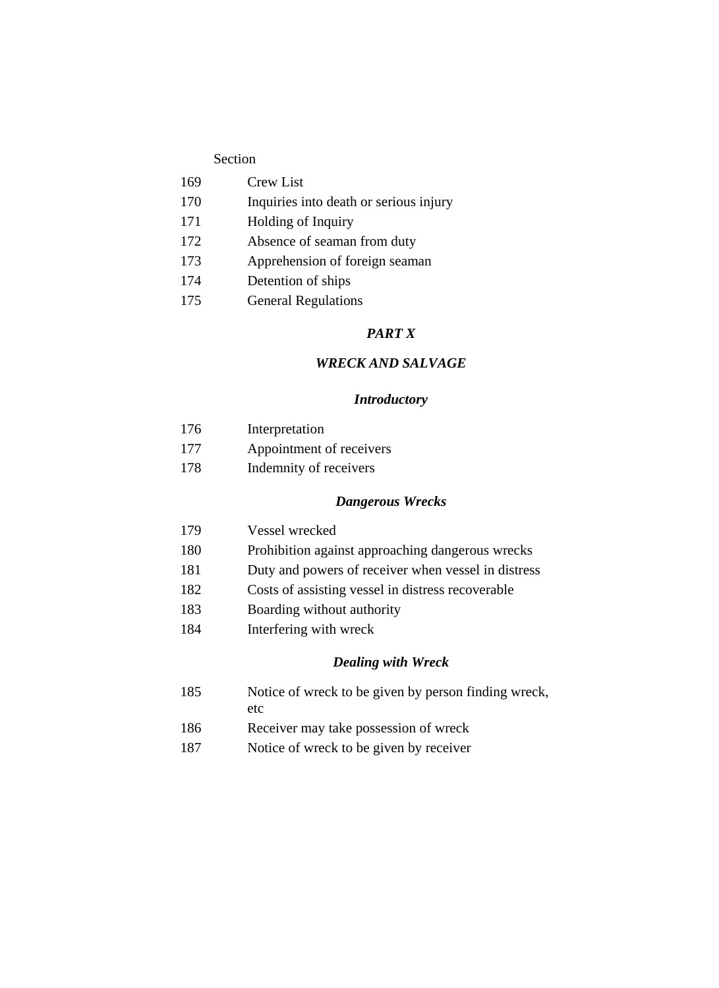- 169 Crew List
- 170 Inquiries into death or serious injury
- 171 Holding of Inquiry
- 172 Absence of seaman from duty
- 173 Apprehension of foreign seaman
- 174 Detention of ships
- 175 General Regulations

#### *PART X*

#### *WRECK AND SALVAGE*

#### *Introductory*

| 176 | Interpretation           |
|-----|--------------------------|
| 177 | Appointment of receivers |
| 178 | Indemnity of receivers   |

#### *Dangerous Wrecks*

- 179 Vessel wrecked
- 180 Prohibition against approaching dangerous wrecks
- 181 Duty and powers of receiver when vessel in distress
- 182 Costs of assisting vessel in distress recoverable
- 183 Boarding without authority
- 184 Interfering with wreck

#### *Dealing with Wreck*

- 185 Notice of wreck to be given by person finding wreck, etc
- 186 Receiver may take possession of wreck
- 187 Notice of wreck to be given by receiver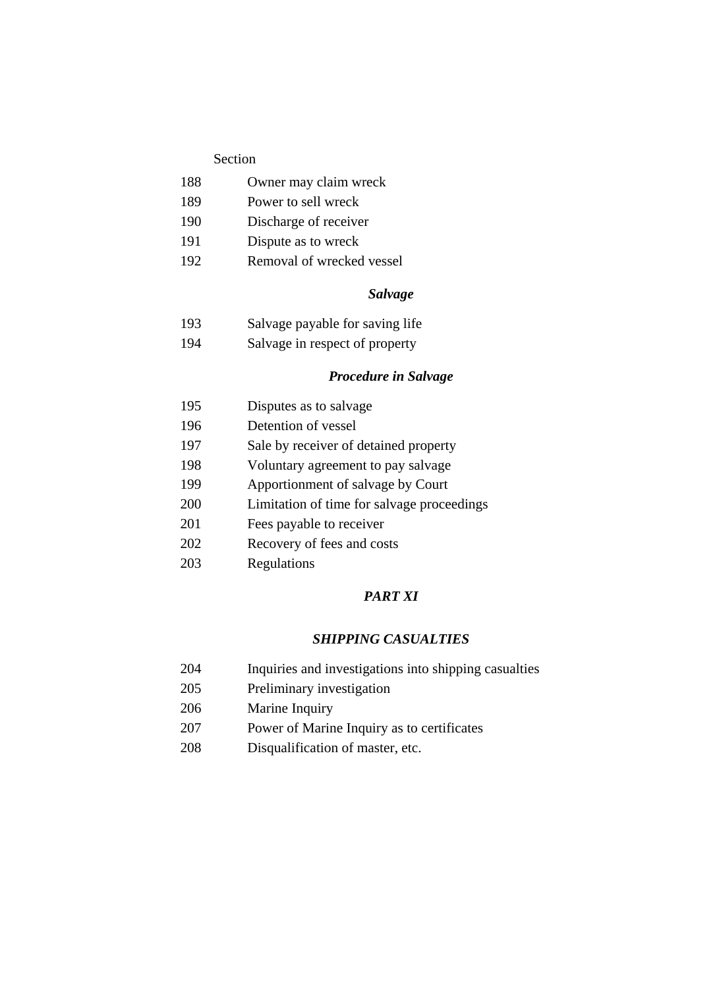- 188 Owner may claim wreck
- 189 Power to sell wreck
- 190 Discharge of receiver
- 191 Dispute as to wreck
- 192 Removal of wrecked vessel

#### *Salvage*

- 193 Salvage payable for saving life
- 194 Salvage in respect of property

#### *Procedure in Salvage*

- 195 Disputes as to salvage 196 Detention of vessel 197 Sale by receiver of detained property 198 Voluntary agreement to pay salvage
- 199 Apportionment of salvage by Court
- 
- 200 Limitation of time for salvage proceedings
- 201 Fees payable to receiver
- 202 Recovery of fees and costs
- 203 Regulations

#### *PART XI*

#### *SHIPPING CASUALTIES*

- 204 Inquiries and investigations into shipping casualties
- 205 Preliminary investigation
- 206 Marine Inquiry
- 207 Power of Marine Inquiry as to certificates
- 208 Disqualification of master, etc.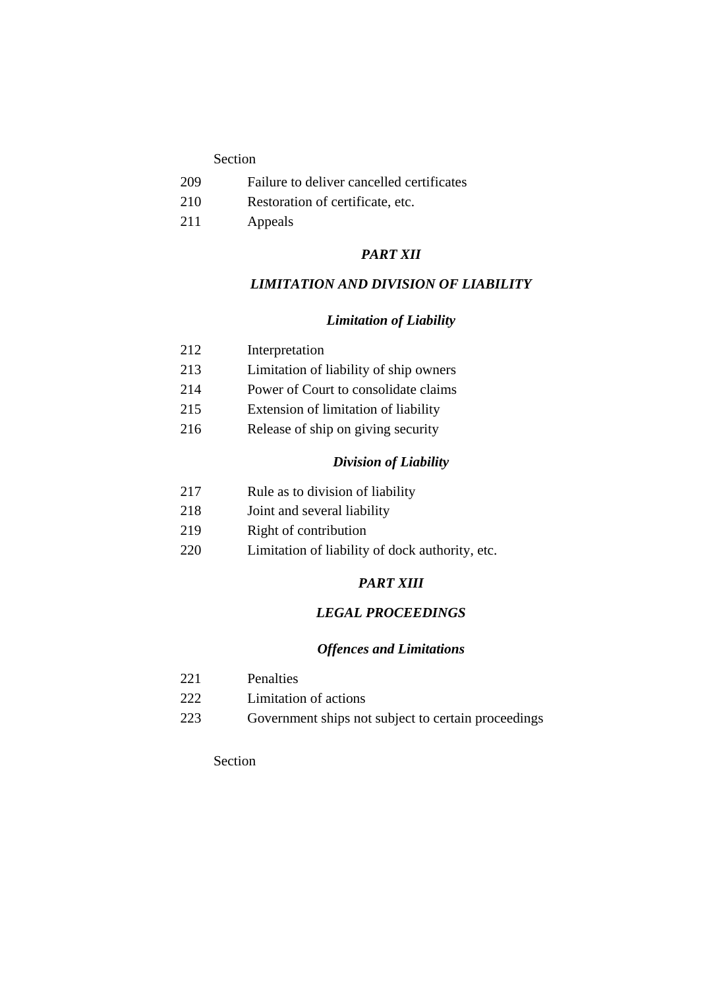- 209 Failure to deliver cancelled certificates
- 210 Restoration of certificate, etc.
- 211 Appeals

#### *PART XII*

#### *LIMITATION AND DIVISION OF LIABILITY*

#### *Limitation of Liability*

- 213 Limitation of liability of ship owners
- 214 Power of Court to consolidate claims
- 215 Extension of limitation of liability
- 216 Release of ship on giving security

#### *Division of Liability*

- 217 Rule as to division of liability
- 218 Joint and several liability
- 219 Right of contribution
- 220 Limitation of liability of dock authority, etc.

#### *PART XIII*

#### *LEGAL PROCEEDINGS*

#### *Offences and Limitations*

- 221 Penalties
- 222 Limitation of actions
- 223 Government ships not subject to certain proceedings

#### Section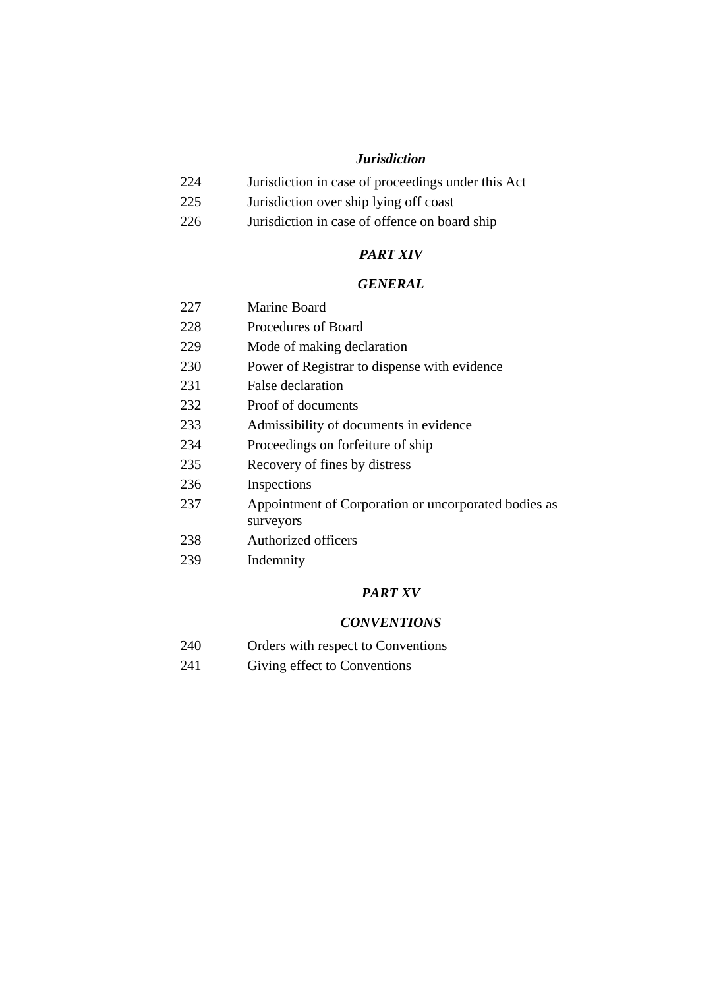#### *Jurisdiction*

- 224 Jurisdiction in case of proceedings under this Act
- 225 Jurisdiction over ship lying off coast
- 226 Jurisdiction in case of offence on board ship

#### *PART XIV*

#### *GENERAL*

- 227 Marine Board
- 228 Procedures of Board
- 229 Mode of making declaration
- 230 Power of Registrar to dispense with evidence
- 231 False declaration
- 232 Proof of documents
- 233 Admissibility of documents in evidence
- 234 Proceedings on forfeiture of ship
- 235 Recovery of fines by distress
- 236 Inspections
- 237 Appointment of Corporation or uncorporated bodies as surveyors
- 238 Authorized officers
- 239 Indemnity

#### *PART XV*

#### *CONVENTIONS*

- 240 Orders with respect to Conventions
- 241 Giving effect to Conventions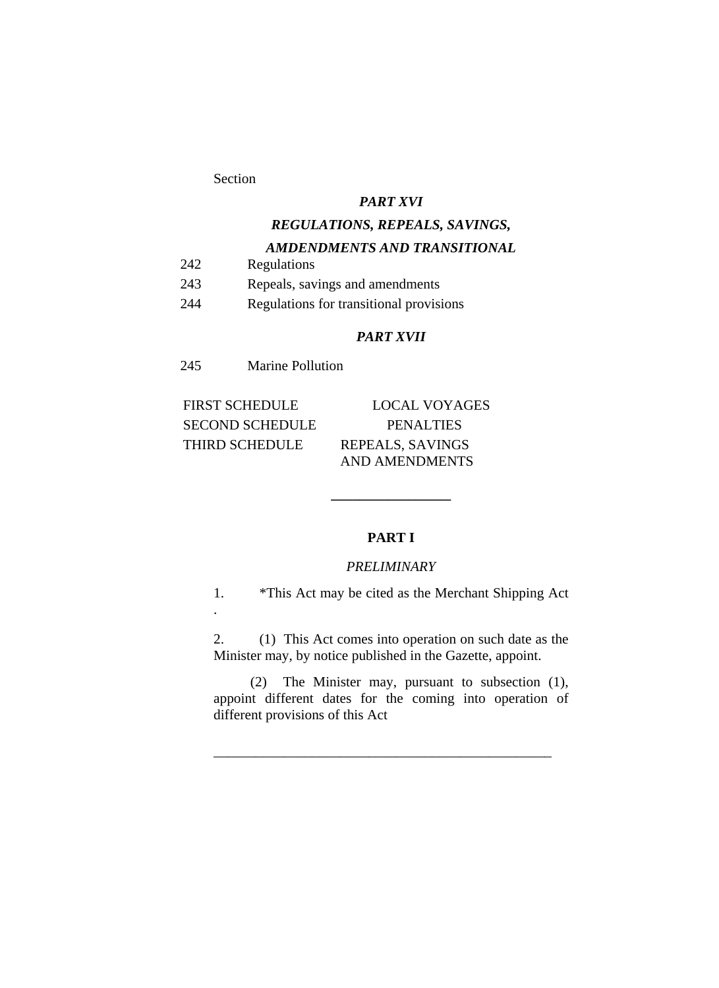#### *PART XVI*

## *REGULATIONS, REPEALS, SAVINGS,*

#### *AMDENDMENTS AND TRANSITIONAL*

- 242 Regulations
- 243 Repeals, savings and amendments
- 244 Regulations for transitional provisions

#### *PART XVII*

245 Marine Pollution

FIRST SCHEDULE LOCAL VOYAGES SECOND SCHEDULE PENALTIES THIRD SCHEDULE REPEALS, SAVINGS

AND AMENDMENTS

#### **PART I**

**\_\_\_\_\_\_\_\_\_\_\_\_\_\_\_\_\_** 

#### *PRELIMINARY*

1. \*This Act may be cited as the Merchant Shipping Act .

2. (1) This Act comes into operation on such date as the Minister may, by notice published in the Gazette, appoint.

 (2) The Minister may, pursuant to subsection (1), appoint different dates for the coming into operation of different provisions of this Act

*\_\_\_\_\_\_\_\_\_\_\_\_\_\_\_\_\_\_\_\_\_\_\_\_\_\_\_\_\_\_\_\_\_\_\_\_\_\_\_\_\_\_\_\_\_\_\_\_*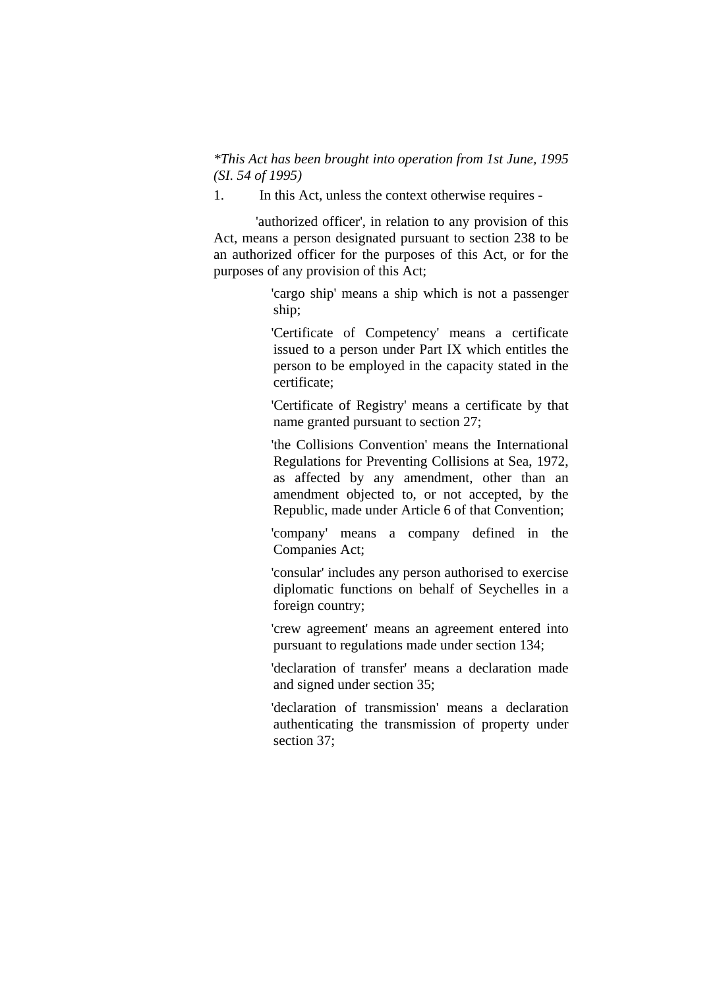*\*This Act has been brought into operation from 1st June, 1995 (SI. 54 of 1995)* 

1. In this Act, unless the context otherwise requires -

 'authorized officer', in relation to any provision of this Act, means a person designated pursuant to section 238 to be an authorized officer for the purposes of this Act, or for the purposes of any provision of this Act;

> 'cargo ship' means a ship which is not a passenger ship;

> 'Certificate of Competency' means a certificate issued to a person under Part IX which entitles the person to be employed in the capacity stated in the certificate;

> 'Certificate of Registry' means a certificate by that name granted pursuant to section 27;

> 'the Collisions Convention' means the International Regulations for Preventing Collisions at Sea, 1972, as affected by any amendment, other than an amendment objected to, or not accepted, by the Republic, made under Article 6 of that Convention;

> 'company' means a company defined in the Companies Act;

> 'consular' includes any person authorised to exercise diplomatic functions on behalf of Seychelles in a foreign country;

> 'crew agreement' means an agreement entered into pursuant to regulations made under section 134;

> 'declaration of transfer' means a declaration made and signed under section 35;

> 'declaration of transmission' means a declaration authenticating the transmission of property under section 37;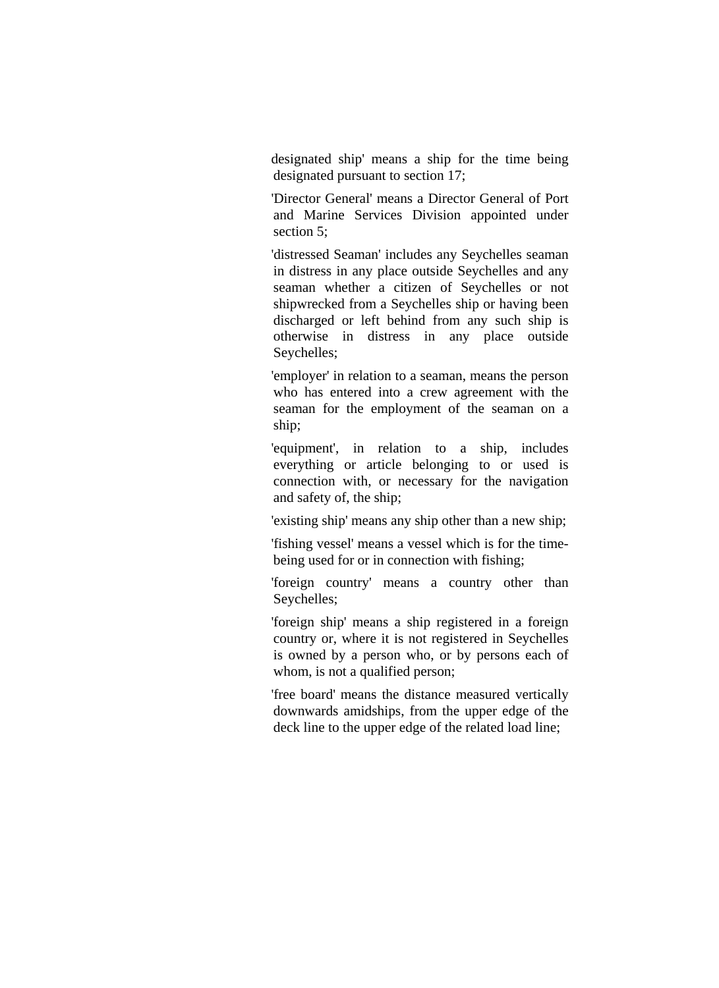designated ship' means a ship for the time being designated pursuant to section 17;

 'Director General' means a Director General of Port and Marine Services Division appointed under section 5:

 'distressed Seaman' includes any Seychelles seaman in distress in any place outside Seychelles and any seaman whether a citizen of Seychelles or not shipwrecked from a Seychelles ship or having been discharged or left behind from any such ship is otherwise in distress in any place outside Seychelles;

 'employer' in relation to a seaman, means the person who has entered into a crew agreement with the seaman for the employment of the seaman on a ship;

 'equipment', in relation to a ship, includes everything or article belonging to or used is connection with, or necessary for the navigation and safety of, the ship;

'existing ship' means any ship other than a new ship;

 'fishing vessel' means a vessel which is for the timebeing used for or in connection with fishing;

 'foreign country' means a country other than Seychelles;

 'foreign ship' means a ship registered in a foreign country or, where it is not registered in Seychelles is owned by a person who, or by persons each of whom, is not a qualified person;

 'free board' means the distance measured vertically downwards amidships, from the upper edge of the deck line to the upper edge of the related load line;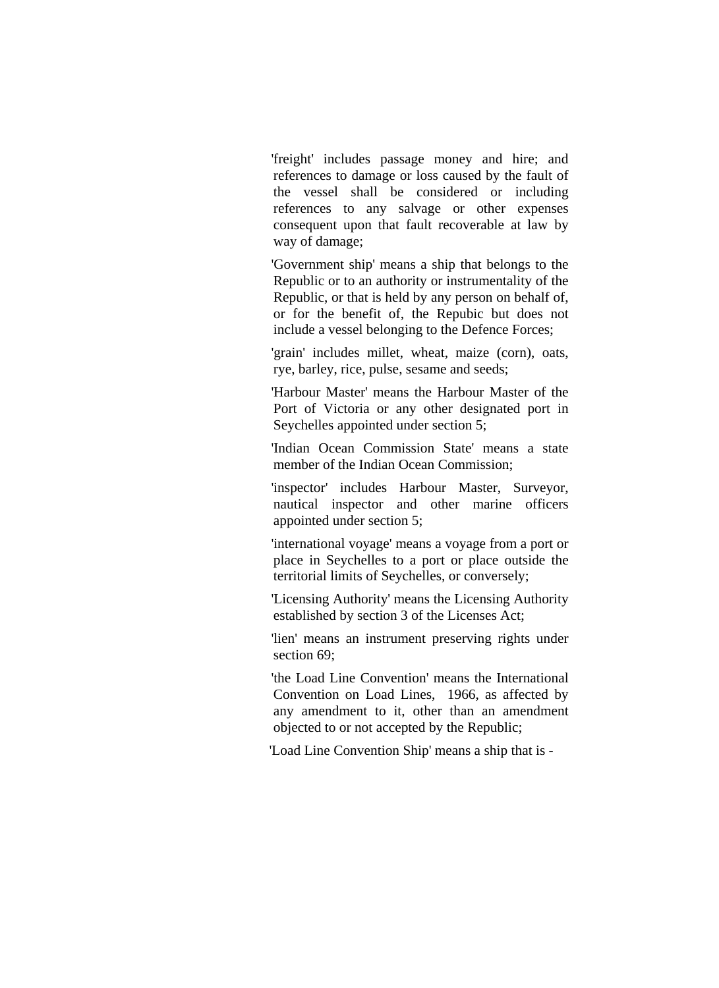'freight' includes passage money and hire; and references to damage or loss caused by the fault of the vessel shall be considered or including references to any salvage or other expenses consequent upon that fault recoverable at law by way of damage;

 'Government ship' means a ship that belongs to the Republic or to an authority or instrumentality of the Republic, or that is held by any person on behalf of, or for the benefit of, the Repubic but does not include a vessel belonging to the Defence Forces;

 'grain' includes millet, wheat, maize (corn), oats, rye, barley, rice, pulse, sesame and seeds;

 'Harbour Master' means the Harbour Master of the Port of Victoria or any other designated port in Seychelles appointed under section 5;

 'Indian Ocean Commission State' means a state member of the Indian Ocean Commission;

 'inspector' includes Harbour Master, Surveyor, nautical inspector and other marine officers appointed under section 5;

 'international voyage' means a voyage from a port or place in Seychelles to a port or place outside the territorial limits of Seychelles, or conversely;

 'Licensing Authority' means the Licensing Authority established by section 3 of the Licenses Act;

 'lien' means an instrument preserving rights under section 69:

 'the Load Line Convention' means the International Convention on Load Lines, 1966, as affected by any amendment to it, other than an amendment objected to or not accepted by the Republic;

'Load Line Convention Ship' means a ship that is -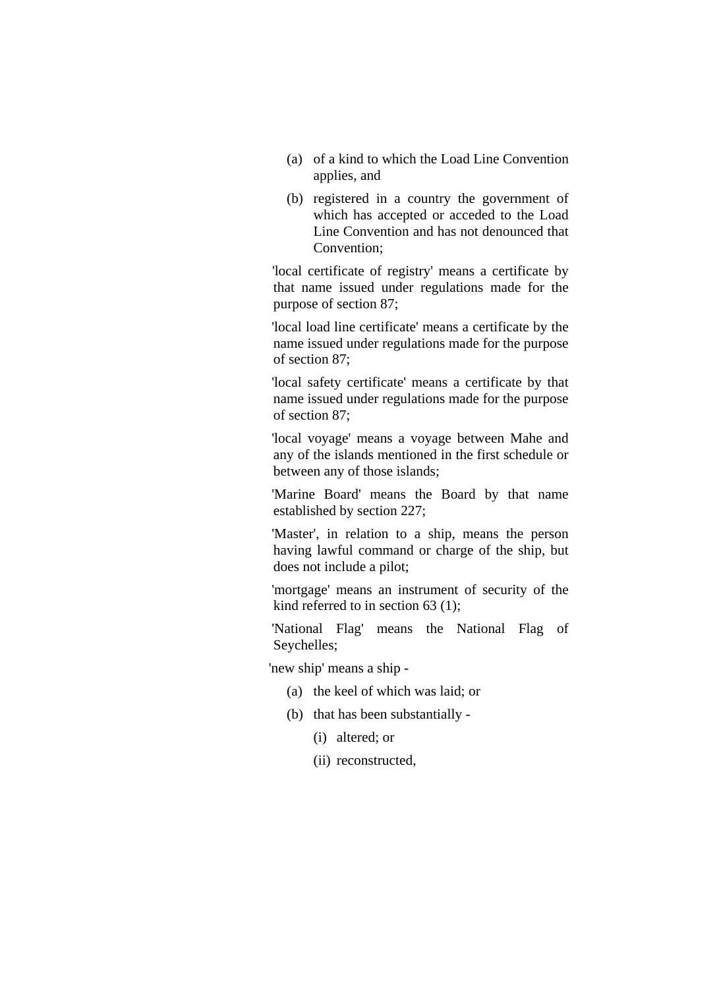- (a) of a kind to which the Load Line Convention applies, and
- (b) registered in a country the government of which has accepted or acceded to the Load Line Convention and has not denounced that Convention;

 'local certificate of registry' means a certificate by that name issued under regulations made for the purpose of section 87;

 'local load line certificate' means a certificate by the name issued under regulations made for the purpose of section 87;

 'local safety certificate' means a certificate by that name issued under regulations made for the purpose of section 87;

 'local voyage' means a voyage between Mahe and any of the islands mentioned in the first schedule or between any of those islands;

 'Marine Board' means the Board by that name established by section 227;

 'Master', in relation to a ship, means the person having lawful command or charge of the ship, but does not include a pilot;

 'mortgage' means an instrument of security of the kind referred to in section 63 (1);

 'National Flag' means the National Flag of Seychelles;

'new ship' means a ship -

- (a) the keel of which was laid; or
- (b) that has been substantially
	- (i) altered; or
	- (ii) reconstructed,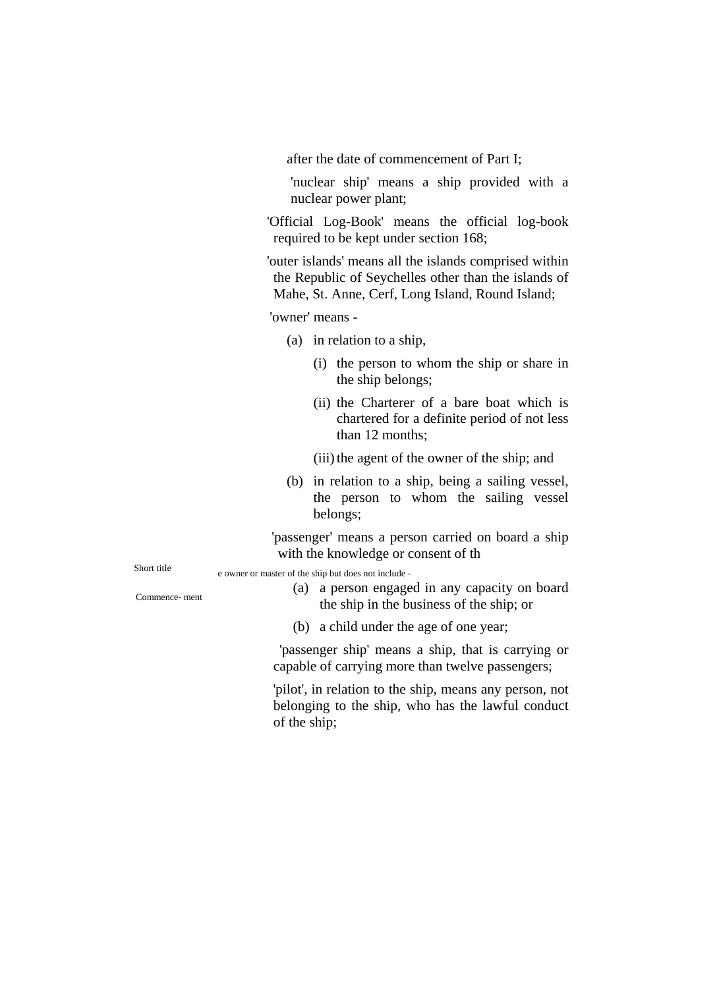after the date of commencement of Part I;

'nuclear ship' means a ship provided with a nuclear power plant;

'Official Log-Book' means the official log-book required to be kept under section 168;

'outer islands' means all the islands comprised within the Republic of Seychelles other than the islands of Mahe, St. Anne, Cerf, Long Island, Round Island;

'owner' means -

- (a) in relation to a ship,
	- (i) the person to whom the ship or share in the ship belongs;
	- (ii) the Charterer of a bare boat which is chartered for a definite period of not less than 12 months;
	- (iii) the agent of the owner of the ship; and
- (b) in relation to a ship, being a sailing vessel, the person to whom the sailing vessel belongs;

'passenger' means a person carried on board a ship with the knowledge or consent of th

Short title e owner or master of the ship but does not include -

- (a) a person engaged in any capacity on board the ship in the business of the ship; or Commence- ment
	- (b) a child under the age of one year;

'passenger ship' means a ship, that is carrying or capable of carrying more than twelve passengers;

'pilot', in relation to the ship, means any person, not belonging to the ship, who has the lawful conduct of the ship;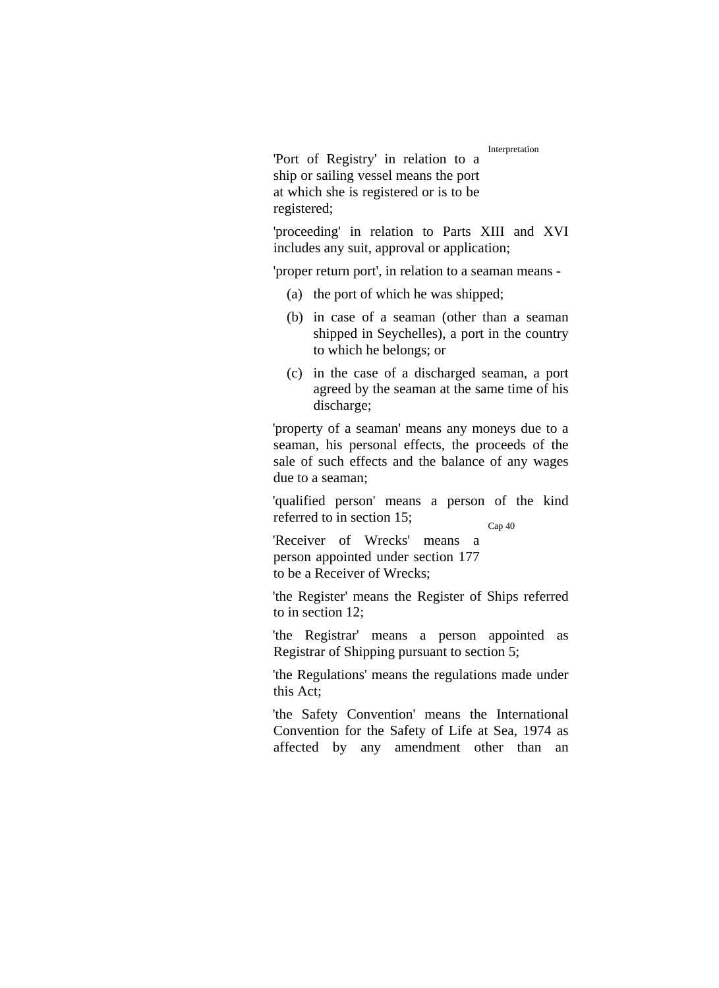Interpretation

'Port of Registry' in relation to a ship or sailing vessel means the port at which she is registered or is to be registered;

'proceeding' in relation to Parts XIII and XVI includes any suit, approval or application;

'proper return port', in relation to a seaman means -

- (a) the port of which he was shipped;
- (b) in case of a seaman (other than a seaman shipped in Seychelles), a port in the country to which he belongs; or
- (c) in the case of a discharged seaman, a port agreed by the seaman at the same time of his discharge:

'property of a seaman' means any moneys due to a seaman, his personal effects, the proceeds of the sale of such effects and the balance of any wages due to a seaman;

'qualified person' means a person of the kind referred to in section 15;

Cap 40

'Receiver of Wrecks' means a person appointed under section 177 to be a Receiver of Wrecks;

'the Register' means the Register of Ships referred to in section 12;

'the Registrar' means a person appointed as Registrar of Shipping pursuant to section 5;

'the Regulations' means the regulations made under this Act;

'the Safety Convention' means the International Convention for the Safety of Life at Sea, 1974 as affected by any amendment other than an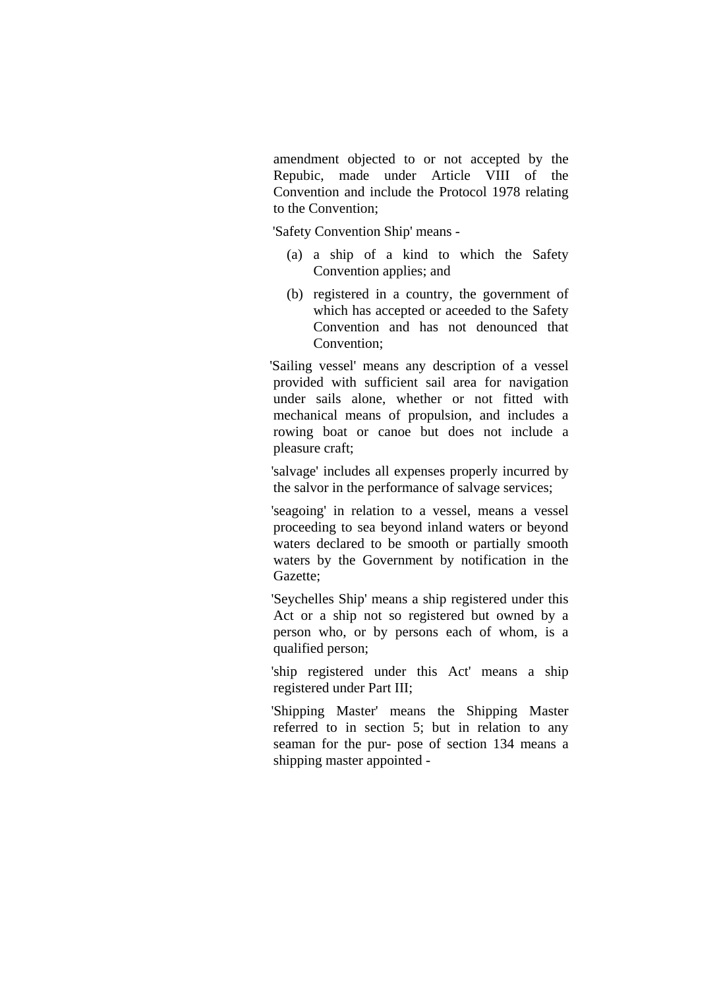amendment objected to or not accepted by the Repubic, made under Article VIII of the Convention and include the Protocol 1978 relating to the Convention;

'Safety Convention Ship' means -

- (a) a ship of a kind to which the Safety Convention applies; and
- (b) registered in a country, the government of which has accepted or aceeded to the Safety Convention and has not denounced that Convention:

 'Sailing vessel' means any description of a vessel provided with sufficient sail area for navigation under sails alone, whether or not fitted with mechanical means of propulsion, and includes a rowing boat or canoe but does not include a pleasure craft;

 'salvage' includes all expenses properly incurred by the salvor in the performance of salvage services;

 'seagoing' in relation to a vessel, means a vessel proceeding to sea beyond inland waters or beyond waters declared to be smooth or partially smooth waters by the Government by notification in the Gazette;

 'Seychelles Ship' means a ship registered under this Act or a ship not so registered but owned by a person who, or by persons each of whom, is a qualified person;

 'ship registered under this Act' means a ship registered under Part III;

 'Shipping Master' means the Shipping Master referred to in section 5; but in relation to any seaman for the pur- pose of section 134 means a shipping master appointed -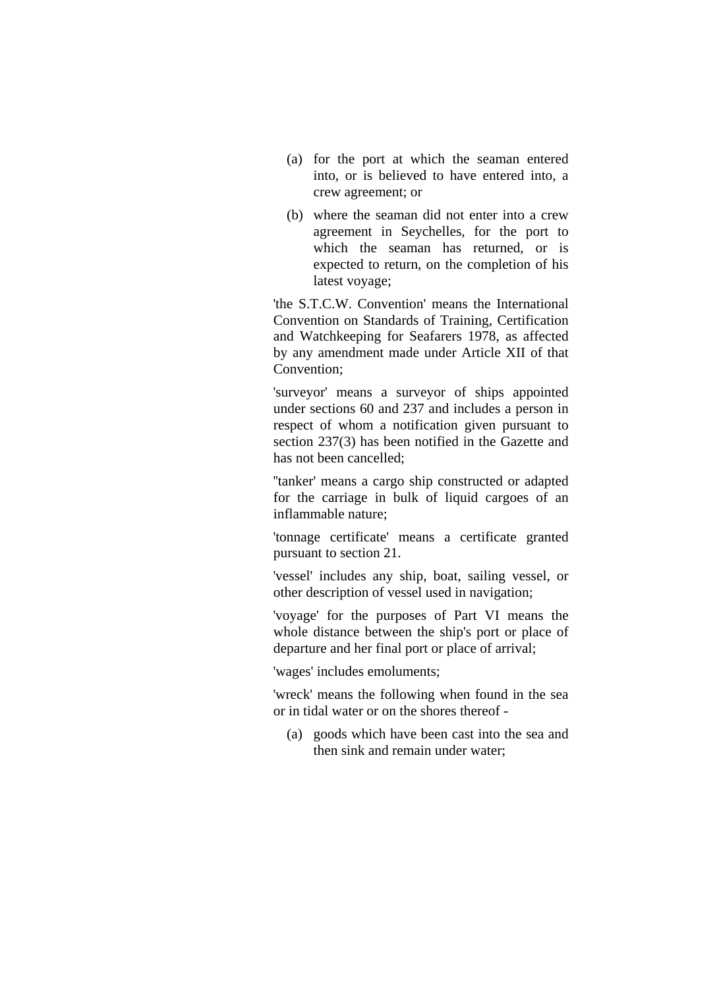- (a) for the port at which the seaman entered into, or is believed to have entered into, a crew agreement; or
- (b) where the seaman did not enter into a crew agreement in Seychelles, for the port to which the seaman has returned, or is expected to return, on the completion of his latest voyage;

 'the S.T.C.W. Convention' means the International Convention on Standards of Training, Certification and Watchkeeping for Seafarers 1978, as affected by any amendment made under Article XII of that Convention;

 'surveyor' means a surveyor of ships appointed under sections 60 and 237 and includes a person in respect of whom a notification given pursuant to section 237(3) has been notified in the Gazette and has not been cancelled;

 ''tanker' means a cargo ship constructed or adapted for the carriage in bulk of liquid cargoes of an inflammable nature;

 'tonnage certificate' means a certificate granted pursuant to section 21.

 'vessel' includes any ship, boat, sailing vessel, or other description of vessel used in navigation;

 'voyage' for the purposes of Part VI means the whole distance between the ship's port or place of departure and her final port or place of arrival;

'wages' includes emoluments;

 'wreck' means the following when found in the sea or in tidal water or on the shores thereof -

(a) goods which have been cast into the sea and then sink and remain under water;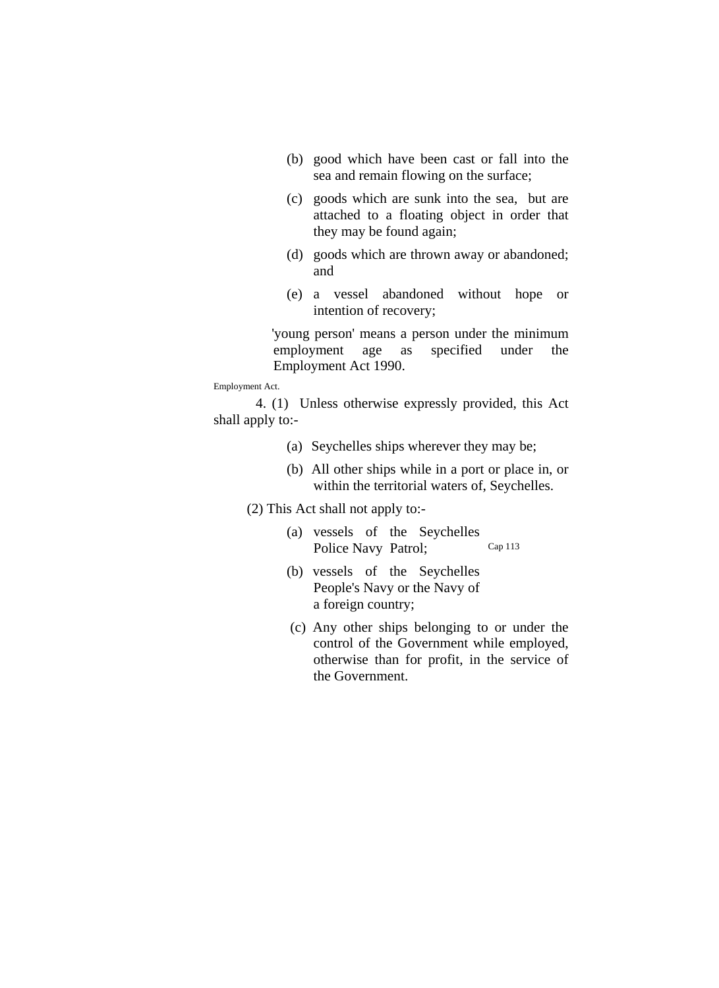- (b) good which have been cast or fall into the sea and remain flowing on the surface;
- (c) goods which are sunk into the sea, but are attached to a floating object in order that they may be found again;
- (d) goods which are thrown away or abandoned; and
- (e) a vessel abandoned without hope or intention of recovery;

'young person' means a person under the minimum employment age as specified under the Employment Act 1990.

Employment Act.

4. (1) Unless otherwise expressly provided, this Act shall apply to:-

- (a) Seychelles ships wherever they may be;
- (b) All other ships while in a port or place in, or within the territorial waters of, Seychelles.

(2) This Act shall not apply to:-

- (a) vessels of the Seychelles Police Navy Patrol; Cap 113
- (b) vessels of the Seychelles People's Navy or the Navy of a foreign country;
- (c) Any other ships belonging to or under the control of the Government while employed, otherwise than for profit, in the service of the Government.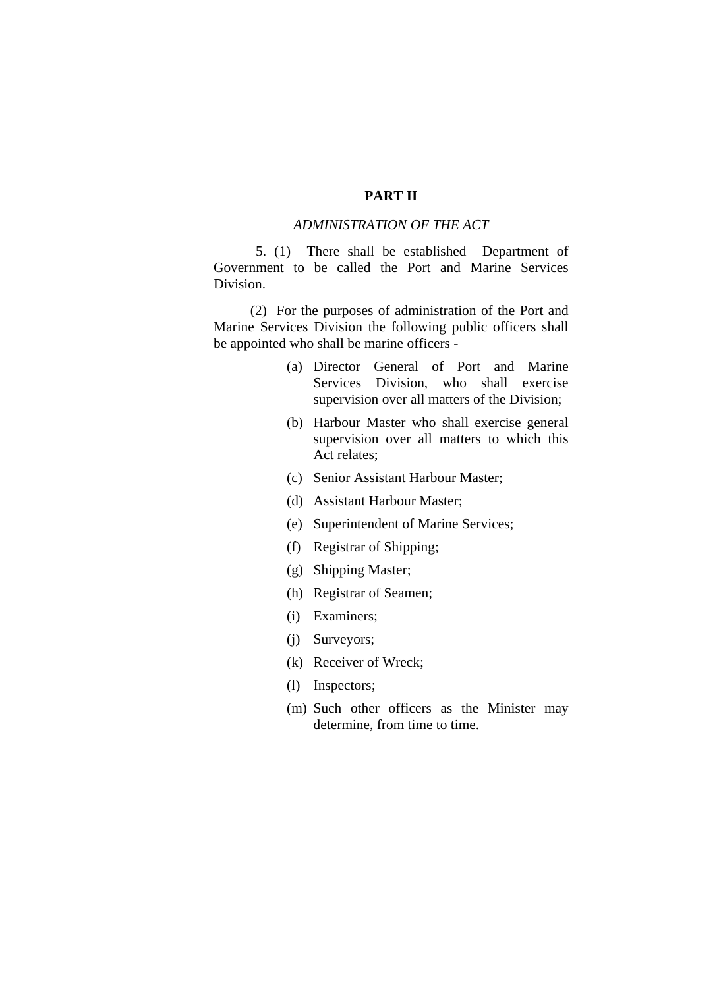#### **PART II**

#### *ADMINISTRATION OF THE ACT*

 5. (1) There shall be established Department of Government to be called the Port and Marine Services Division.

 (2) For the purposes of administration of the Port and Marine Services Division the following public officers shall be appointed who shall be marine officers -

- (a) Director General of Port and Marine Services Division, who shall exercise supervision over all matters of the Division;
- (b) Harbour Master who shall exercise general supervision over all matters to which this Act relates;
- (c) Senior Assistant Harbour Master;
- (d) Assistant Harbour Master;
- (e) Superintendent of Marine Services;
- (f) Registrar of Shipping;
- (g) Shipping Master;
- (h) Registrar of Seamen;
- (i) Examiners;
- (j) Surveyors;
- (k) Receiver of Wreck;
- (l) Inspectors;
- (m) Such other officers as the Minister may determine, from time to time.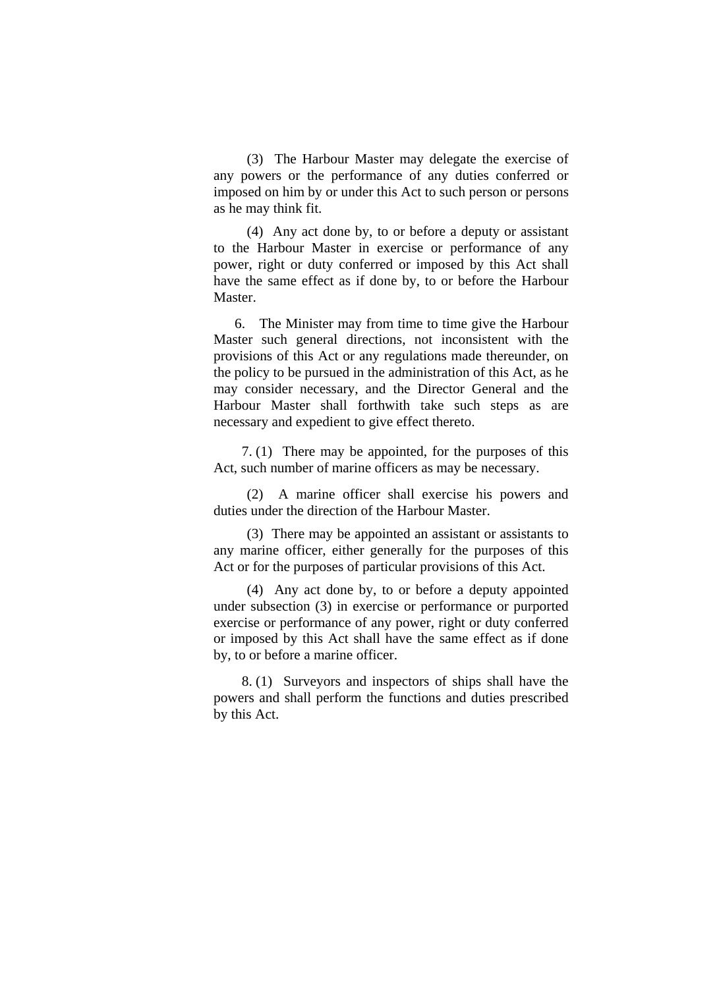(3) The Harbour Master may delegate the exercise of any powers or the performance of any duties conferred or imposed on him by or under this Act to such person or persons as he may think fit.

(4) Any act done by, to or before a deputy or assistant to the Harbour Master in exercise or performance of any power, right or duty conferred or imposed by this Act shall have the same effect as if done by, to or before the Harbour Master.

 6. The Minister may from time to time give the Harbour Master such general directions, not inconsistent with the provisions of this Act or any regulations made thereunder, on the policy to be pursued in the administration of this Act, as he may consider necessary, and the Director General and the Harbour Master shall forthwith take such steps as are necessary and expedient to give effect thereto.

 7. (1) There may be appointed, for the purposes of this Act, such number of marine officers as may be necessary.

(2) A marine officer shall exercise his powers and duties under the direction of the Harbour Master.

(3) There may be appointed an assistant or assistants to any marine officer, either generally for the purposes of this Act or for the purposes of particular provisions of this Act.

(4) Any act done by, to or before a deputy appointed under subsection (3) in exercise or performance or purported exercise or performance of any power, right or duty conferred or imposed by this Act shall have the same effect as if done by, to or before a marine officer.

 8. (1) Surveyors and inspectors of ships shall have the powers and shall perform the functions and duties prescribed by this Act.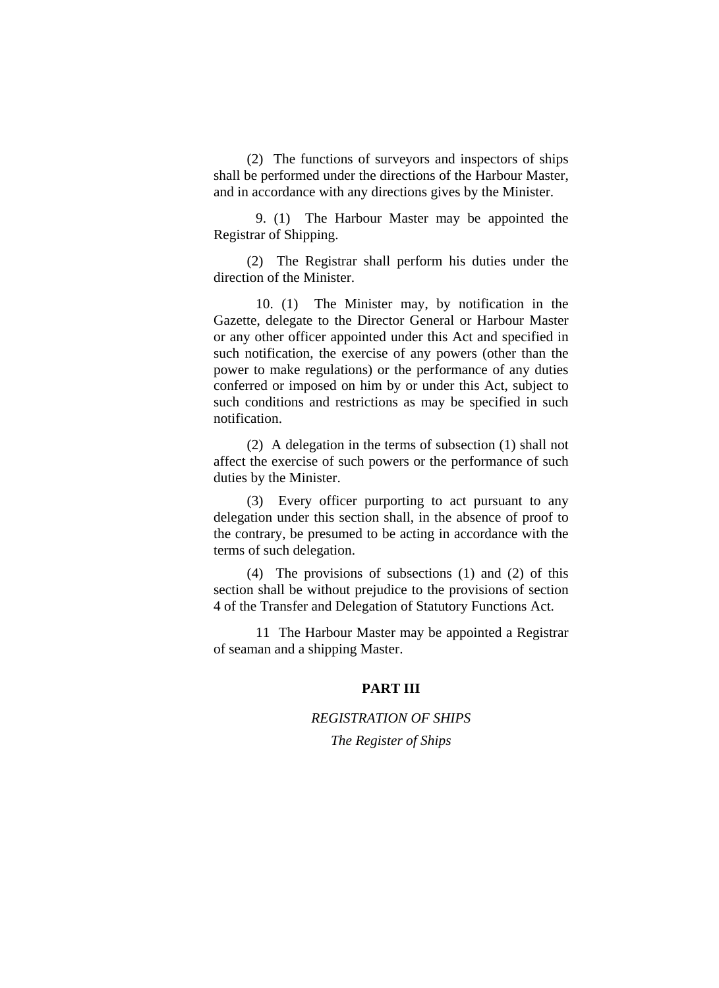(2) The functions of surveyors and inspectors of ships shall be performed under the directions of the Harbour Master, and in accordance with any directions gives by the Minister.

 9. (1) The Harbour Master may be appointed the Registrar of Shipping.

(2) The Registrar shall perform his duties under the direction of the Minister.

 10. (1) The Minister may, by notification in the Gazette, delegate to the Director General or Harbour Master or any other officer appointed under this Act and specified in such notification, the exercise of any powers (other than the power to make regulations) or the performance of any duties conferred or imposed on him by or under this Act, subject to such conditions and restrictions as may be specified in such notification.

(2) A delegation in the terms of subsection (1) shall not affect the exercise of such powers or the performance of such duties by the Minister.

(3) Every officer purporting to act pursuant to any delegation under this section shall, in the absence of proof to the contrary, be presumed to be acting in accordance with the terms of such delegation.

(4) The provisions of subsections (1) and (2) of this section shall be without prejudice to the provisions of section 4 of the Transfer and Delegation of Statutory Functions Act.

 11 The Harbour Master may be appointed a Registrar of seaman and a shipping Master.

#### **PART III**

# *REGISTRATION OF SHIPS*

*The Register of Ships*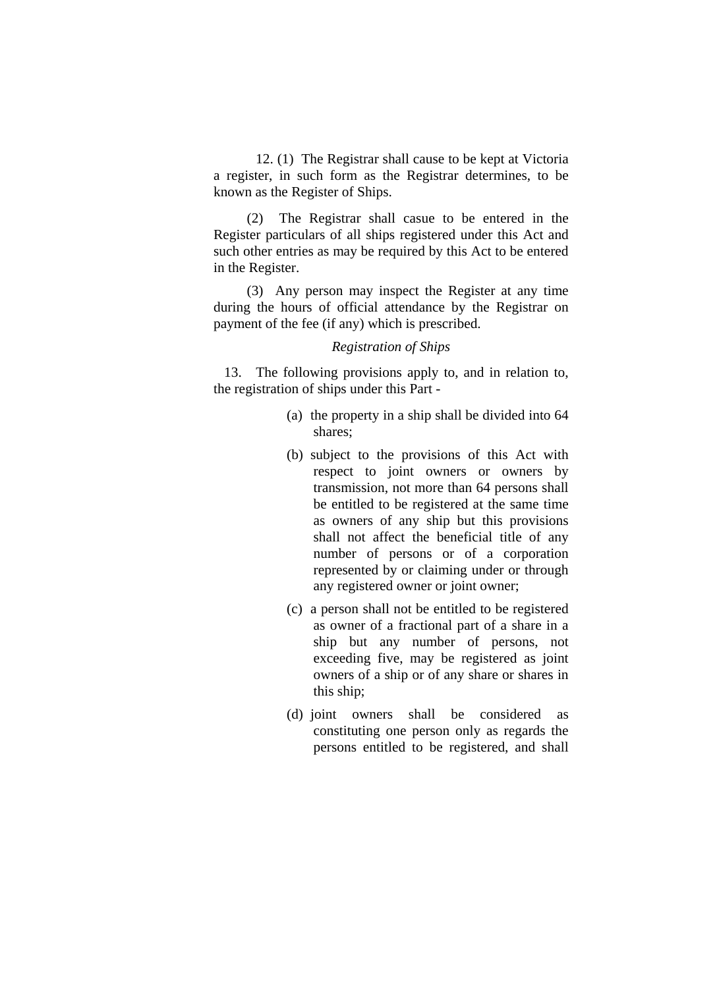12. (1) The Registrar shall cause to be kept at Victoria a register, in such form as the Registrar determines, to be known as the Register of Ships.

(2) The Registrar shall casue to be entered in the Register particulars of all ships registered under this Act and such other entries as may be required by this Act to be entered in the Register.

(3) Any person may inspect the Register at any time during the hours of official attendance by the Registrar on payment of the fee (if any) which is prescribed.

#### *Registration of Ships*

 13. The following provisions apply to, and in relation to, the registration of ships under this Part -

- (a) the property in a ship shall be divided into 64 shares;
- (b) subject to the provisions of this Act with respect to joint owners or owners by transmission, not more than 64 persons shall be entitled to be registered at the same time as owners of any ship but this provisions shall not affect the beneficial title of any number of persons or of a corporation represented by or claiming under or through any registered owner or joint owner;
- (c) a person shall not be entitled to be registered as owner of a fractional part of a share in a ship but any number of persons, not exceeding five, may be registered as joint owners of a ship or of any share or shares in this ship;
- (d) joint owners shall be considered as constituting one person only as regards the persons entitled to be registered, and shall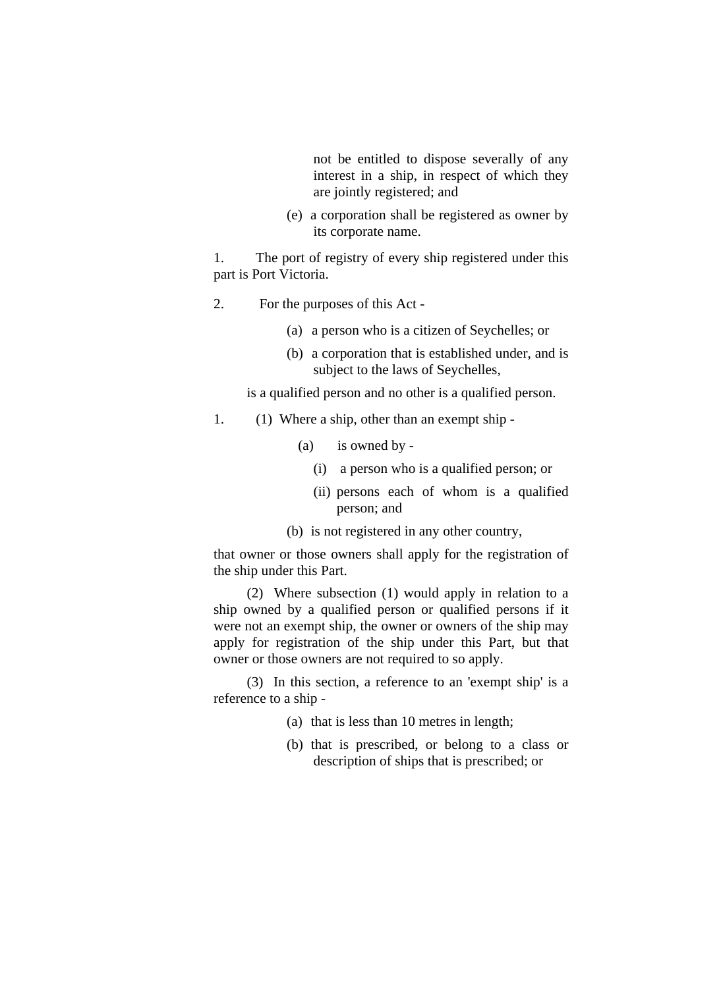not be entitled to dispose severally of any interest in a ship, in respect of which they are jointly registered; and

(e) a corporation shall be registered as owner by its corporate name.

1. The port of registry of every ship registered under this part is Port Victoria.

- 2. For the purposes of this Act
	- (a) a person who is a citizen of Seychelles; or
	- (b) a corporation that is established under, and is subject to the laws of Seychelles,

is a qualified person and no other is a qualified person.

- 1. (1) Where a ship, other than an exempt ship
	- (a) is owned by
		- (i) a person who is a qualified person; or
		- (ii) persons each of whom is a qualified person; and
	- (b) is not registered in any other country,

that owner or those owners shall apply for the registration of the ship under this Part.

(2) Where subsection (1) would apply in relation to a ship owned by a qualified person or qualified persons if it were not an exempt ship, the owner or owners of the ship may apply for registration of the ship under this Part, but that owner or those owners are not required to so apply.

(3) In this section, a reference to an 'exempt ship' is a reference to a ship -

- (a) that is less than 10 metres in length;
- (b) that is prescribed, or belong to a class or description of ships that is prescribed; or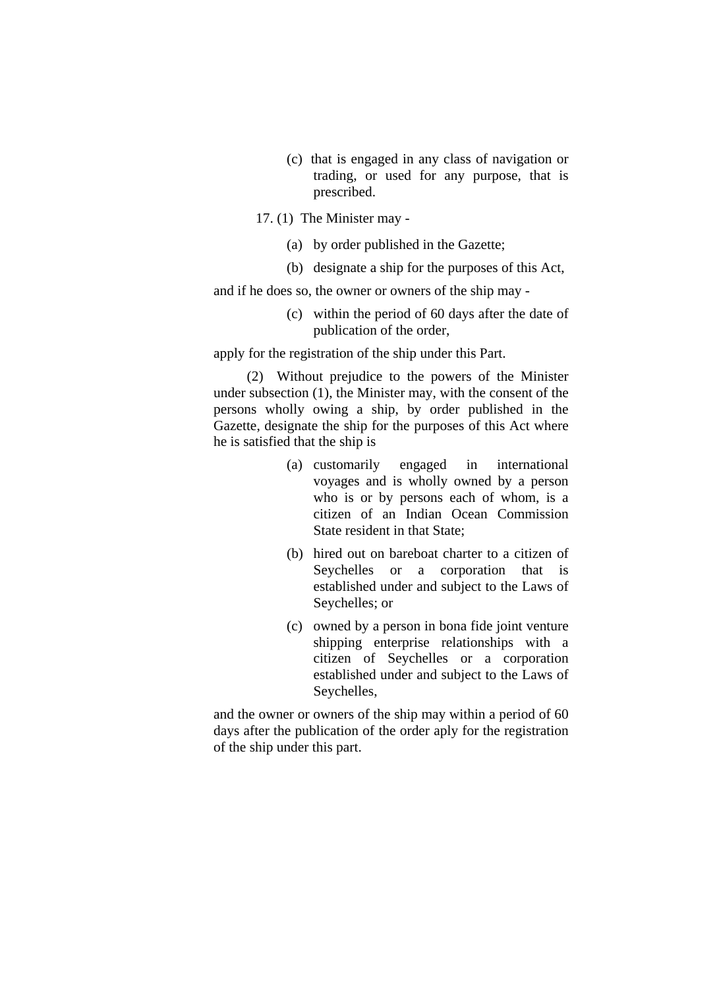- (c) that is engaged in any class of navigation or trading, or used for any purpose, that is prescribed.
- 17. (1) The Minister may
	- (a) by order published in the Gazette;
	- (b) designate a ship for the purposes of this Act,

and if he does so, the owner or owners of the ship may -

(c) within the period of 60 days after the date of publication of the order,

apply for the registration of the ship under this Part.

(2) Without prejudice to the powers of the Minister under subsection (1), the Minister may, with the consent of the persons wholly owing a ship, by order published in the Gazette, designate the ship for the purposes of this Act where he is satisfied that the ship is

- (a) customarily engaged in international voyages and is wholly owned by a person who is or by persons each of whom, is a citizen of an Indian Ocean Commission State resident in that State;
- (b) hired out on bareboat charter to a citizen of Seychelles or a corporation that is established under and subject to the Laws of Seychelles; or
- (c) owned by a person in bona fide joint venture shipping enterprise relationships with a citizen of Seychelles or a corporation established under and subject to the Laws of Seychelles,

and the owner or owners of the ship may within a period of 60 days after the publication of the order aply for the registration of the ship under this part.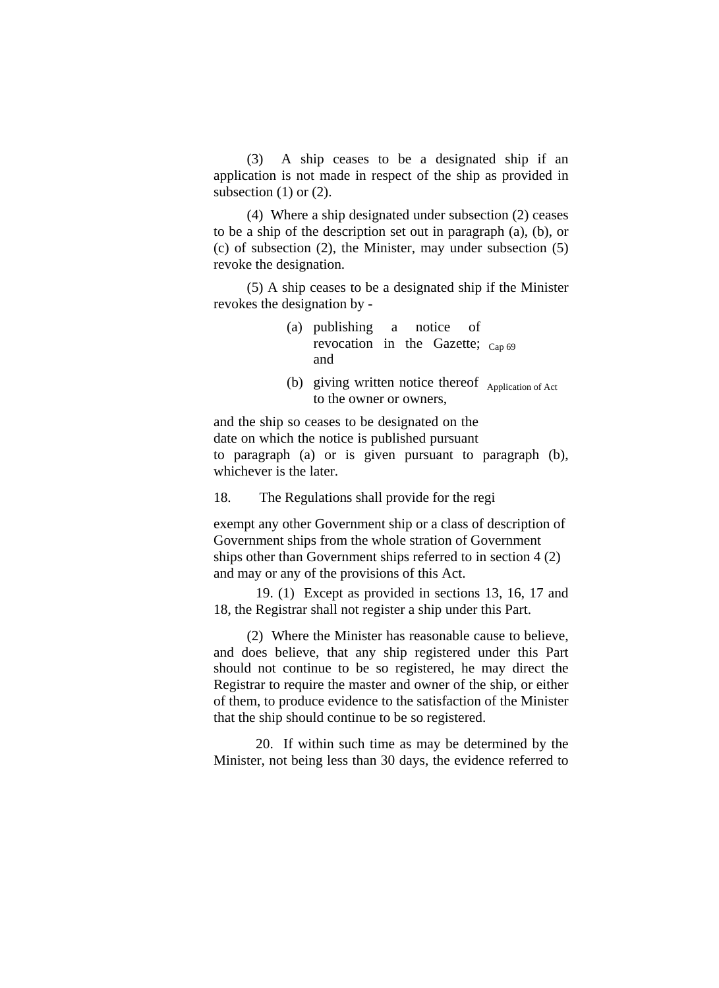(3) A ship ceases to be a designated ship if an application is not made in respect of the ship as provided in subsection  $(1)$  or  $(2)$ .

(4) Where a ship designated under subsection (2) ceases to be a ship of the description set out in paragraph (a), (b), or (c) of subsection (2), the Minister, may under subsection (5) revoke the designation.

(5) A ship ceases to be a designated ship if the Minister revokes the designation by -

- (a) publishing a notice of revocation in the Gazette;  $_{Cap 69}$ and
- (b) giving written notice thereof  $\Delta$ <sub>Application of Act</sub> to the owner or owners,

and the ship so ceases to be designated on the date on which the notice is published pursuant to paragraph (a) or is given pursuant to paragraph (b), whichever is the later.

18. The Regulations shall provide for the regi

exempt any other Government ship or a class of description of Government ships from the whole stration of Government ships other than Government ships referred to in section 4 (2) and may or any of the provisions of this Act.

19. (1) Except as provided in sections 13, 16, 17 and 18, the Registrar shall not register a ship under this Part.

(2) Where the Minister has reasonable cause to believe, and does believe, that any ship registered under this Part should not continue to be so registered, he may direct the Registrar to require the master and owner of the ship, or either of them, to produce evidence to the satisfaction of the Minister that the ship should continue to be so registered.

20. If within such time as may be determined by the Minister, not being less than 30 days, the evidence referred to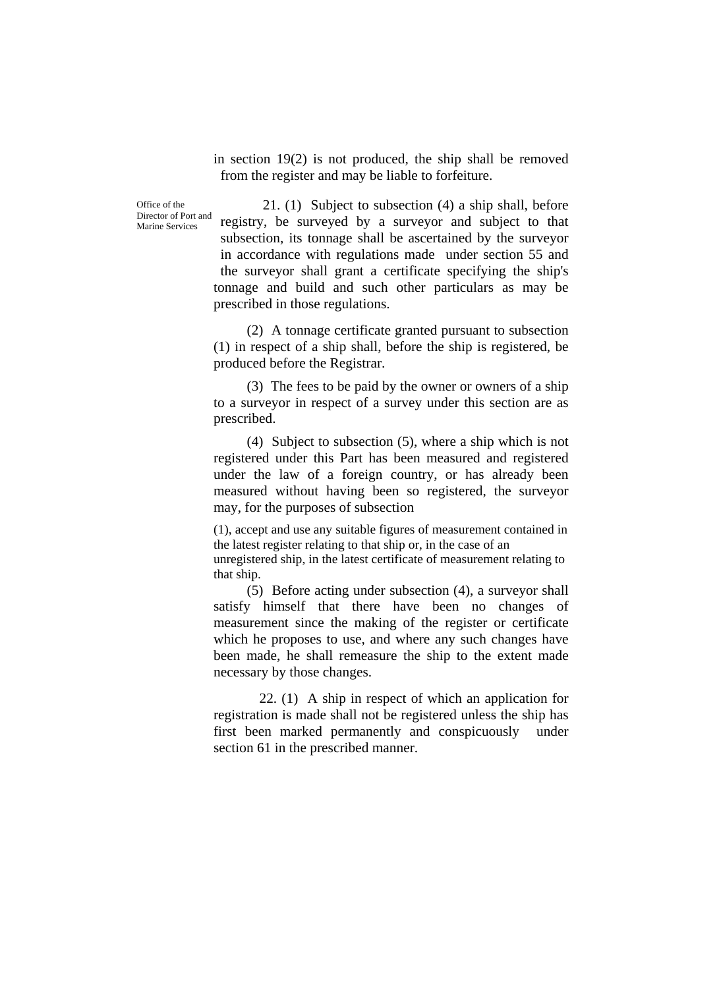in section 19(2) is not produced, the ship shall be removed from the register and may be liable to forfeiture.

Office of the Director of Port and Marine Services

21. (1) Subject to subsection (4) a ship shall, before registry, be surveyed by a surveyor and subject to that subsection, its tonnage shall be ascertained by the surveyor in accordance with regulations made under section 55 and the surveyor shall grant a certificate specifying the ship's tonnage and build and such other particulars as may be prescribed in those regulations.

(2) A tonnage certificate granted pursuant to subsection (1) in respect of a ship shall, before the ship is registered, be produced before the Registrar.

(3) The fees to be paid by the owner or owners of a ship to a surveyor in respect of a survey under this section are as prescribed.

(4) Subject to subsection (5), where a ship which is not registered under this Part has been measured and registered under the law of a foreign country, or has already been measured without having been so registered, the surveyor may, for the purposes of subsection

(1), accept and use any suitable figures of measurement contained in the latest register relating to that ship or, in the case of an

unregistered ship, in the latest certificate of measurement relating to that ship.

(5) Before acting under subsection (4), a surveyor shall satisfy himself that there have been no changes of measurement since the making of the register or certificate which he proposes to use, and where any such changes have been made, he shall remeasure the ship to the extent made necessary by those changes.

22. (1) A ship in respect of which an application for registration is made shall not be registered unless the ship has first been marked permanently and conspicuously under section 61 in the prescribed manner.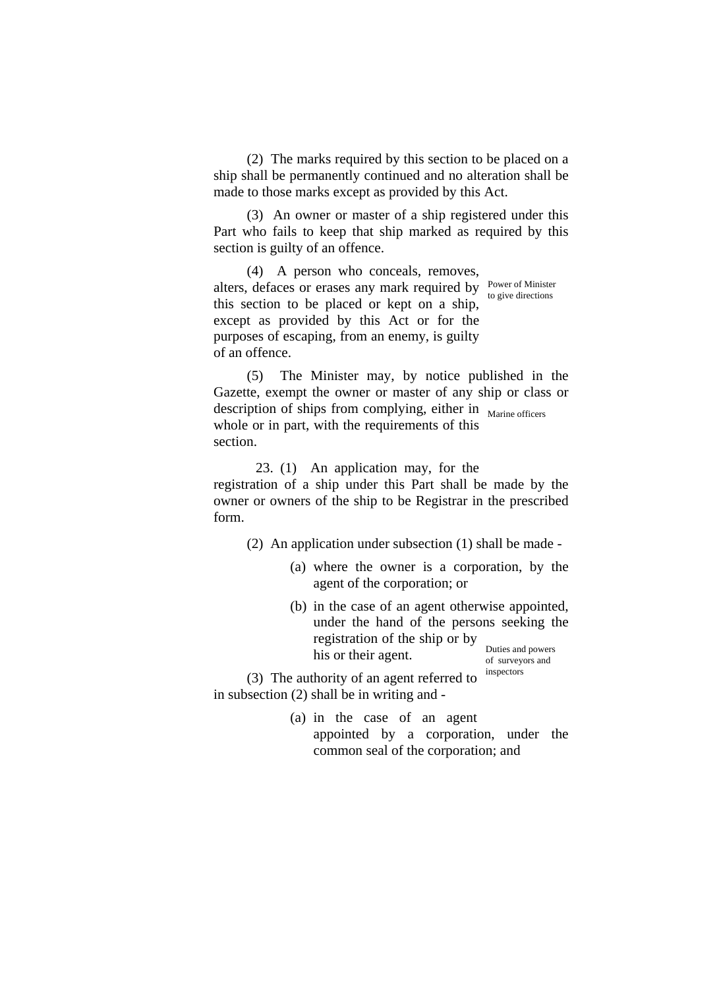(2) The marks required by this section to be placed on a ship shall be permanently continued and no alteration shall be made to those marks except as provided by this Act.

(3) An owner or master of a ship registered under this Part who fails to keep that ship marked as required by this section is guilty of an offence.

(4) A person who conceals, removes, alters, defaces or erases any mark required by Power of Minister this section to be placed or kept on a ship, except as provided by this Act or for the purposes of escaping, from an enemy, is guilty of an offence. to give directions

(5) The Minister may, by notice published in the Gazette, exempt the owner or master of any ship or class or description of ships from complying, either in Marine officers whole or in part, with the requirements of this section.

23. (1) An application may, for the registration of a ship under this Part shall be made by the owner or owners of the ship to be Registrar in the prescribed form.

(2) An application under subsection (1) shall be made -

- (a) where the owner is a corporation, by the agent of the corporation; or
- (b) in the case of an agent otherwise appointed, under the hand of the persons seeking the registration of the ship or by his or their agent. of surveyors and

 $(3)$  The authority of an agent referred to  $\frac{1}{2}$  inspectors in subsection (2) shall be in writing and -

> (a) in the case of an agent appointed by a corporation, under the common seal of the corporation; and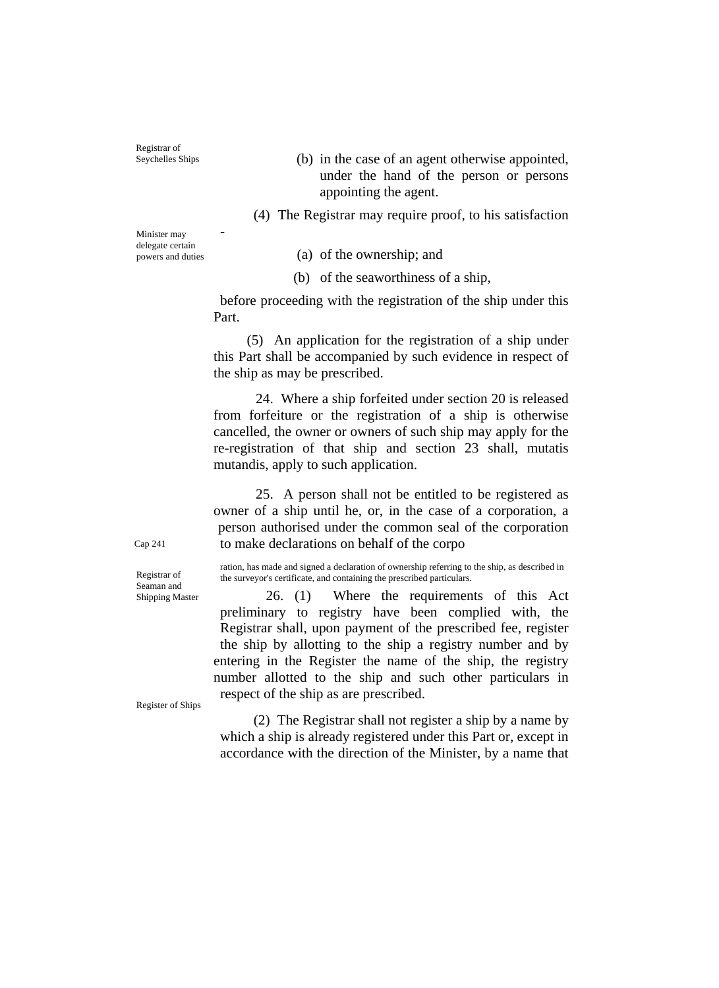Registrar of<br>Seychelles Ships

 $(b)$  in the case of an agent otherwise appointed, under the hand of the person or persons appointing the agent.

(4) The Registrar may require proof, to his satisfaction

Minister may<br>delegate certain

powers and duties (a) of the ownership; and

(b) of the seaworthiness of a ship,

before proceeding with the registration of the ship under this Part.

(5) An application for the registration of a ship under this Part shall be accompanied by such evidence in respect of the ship as may be prescribed.

24. Where a ship forfeited under section 20 is released from forfeiture or the registration of a ship is otherwise cancelled, the owner or owners of such ship may apply for the re-registration of that ship and section 23 shall, mutatis mutandis, apply to such application.

25. A person shall not be entitled to be registered as owner of a ship until he, or, in the case of a corporation, a person authorised under the common seal of the corporation Cap 241 to make declarations on behalf of the corpo

ration, has made and signed a declaration of ownership referring to the ship, as described in Registrar of the surveyor's certificate, and containing the prescribed particulars.

> $26.$  (1) Where the requirements of this Act preliminary to registry have been complied with, the Registrar shall, upon payment of the prescribed fee, register the ship by allotting to the ship a registry number and by entering in the Register the name of the ship, the registry number allotted to the ship and such other particulars in respect of the ship as are prescribed.

Register of Ships

(2) The Registrar shall not register a ship by a name by which a ship is already registered under this Part or, except in accordance with the direction of the Minister, by a name that

Seaman and<br>Shipping Master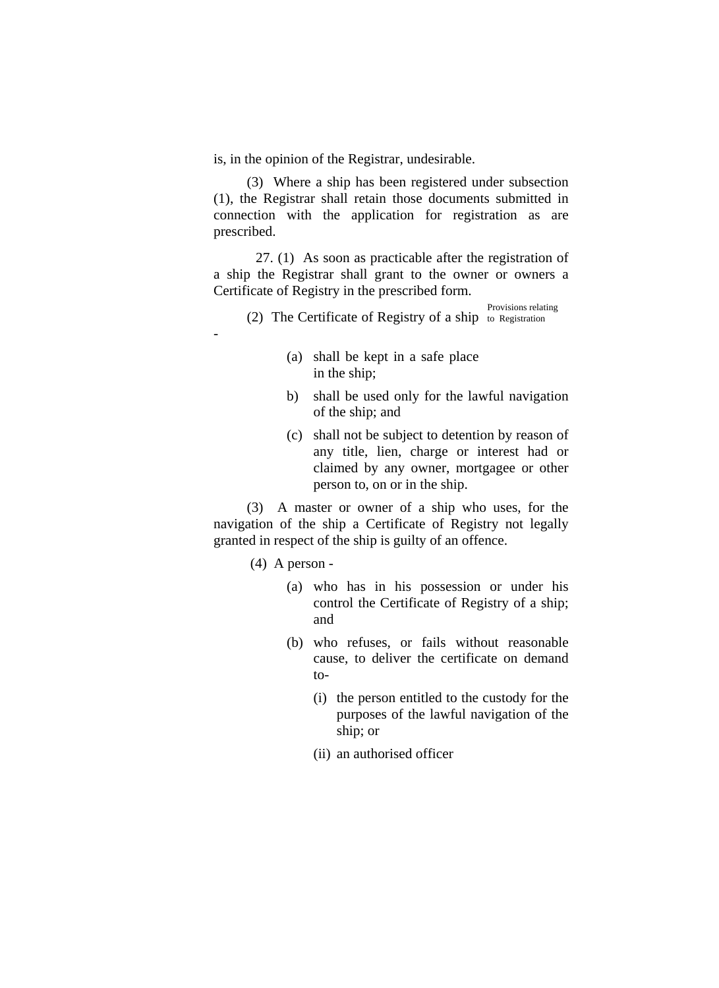is, in the opinion of the Registrar, undesirable.

(3) Where a ship has been registered under subsection (1), the Registrar shall retain those documents submitted in connection with the application for registration as are prescribed.

27. (1) As soon as practicable after the registration of a ship the Registrar shall grant to the owner or owners a Certificate of Registry in the prescribed form.

Provisions relating (2) The Certificate of Registry of a ship to Registration

- (a) shall be kept in a safe place in the ship;
- b) shall be used only for the lawful navigation of the ship; and
- (c) shall not be subject to detention by reason of any title, lien, charge or interest had or claimed by any owner, mortgagee or other person to, on or in the ship.

(3) A master or owner of a ship who uses, for the navigation of the ship a Certificate of Registry not legally granted in respect of the ship is guilty of an offence.

(4) A person -

-

- (a) who has in his possession or under his control the Certificate of Registry of a ship; and
- (b) who refuses, or fails without reasonable cause, to deliver the certificate on demand to-
	- (i) the person entitled to the custody for the purposes of the lawful navigation of the ship; or
	- (ii) an authorised officer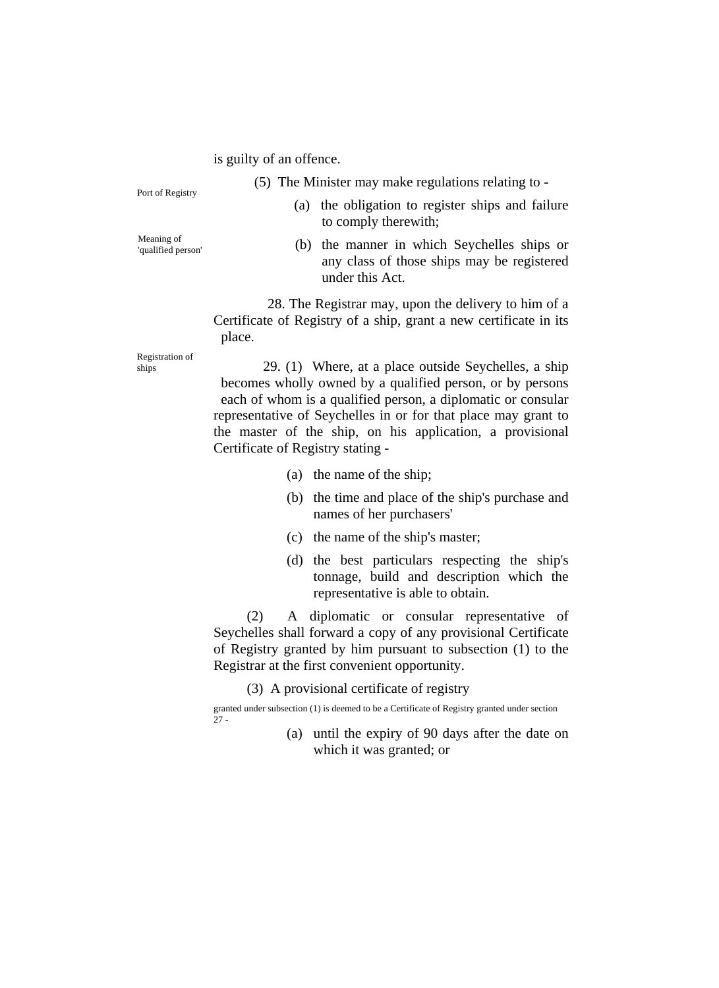#### is guilty of an offence.

- (5) The Minister may make regulations relating to Port of Registry
- 
- (a) the obligation to register ships and failure to comply therewith;
- Meaning of<br>'qualified person'
- (b) the manner in which Seychelles ships or any class of those ships may be registered under this Act.

28. The Registrar may, upon the delivery to him of a Certificate of Registry of a ship, grant a new certificate in its place.

Registration of

 $29. (1)$  Where, at a place outside Seychelles, a ship becomes wholly owned by a qualified person, or by persons each of whom is a qualified person, a diplomatic or consular representative of Seychelles in or for that place may grant to the master of the ship, on his application, a provisional Certificate of Registry stating -

- (a) the name of the ship;
- (b) the time and place of the ship's purchase and names of her purchasers'
- (c) the name of the ship's master;
- (d) the best particulars respecting the ship's tonnage, build and description which the representative is able to obtain.

(2) A diplomatic or consular representative of Seychelles shall forward a copy of any provisional Certificate of Registry granted by him pursuant to subsection (1) to the Registrar at the first convenient opportunity.

(3) A provisional certificate of registry

(a) until the expiry of 90 days after the date on which it was granted; or

granted under subsection (1) is deemed to be a Certificate of Registry granted under section  $\overline{2}7$  -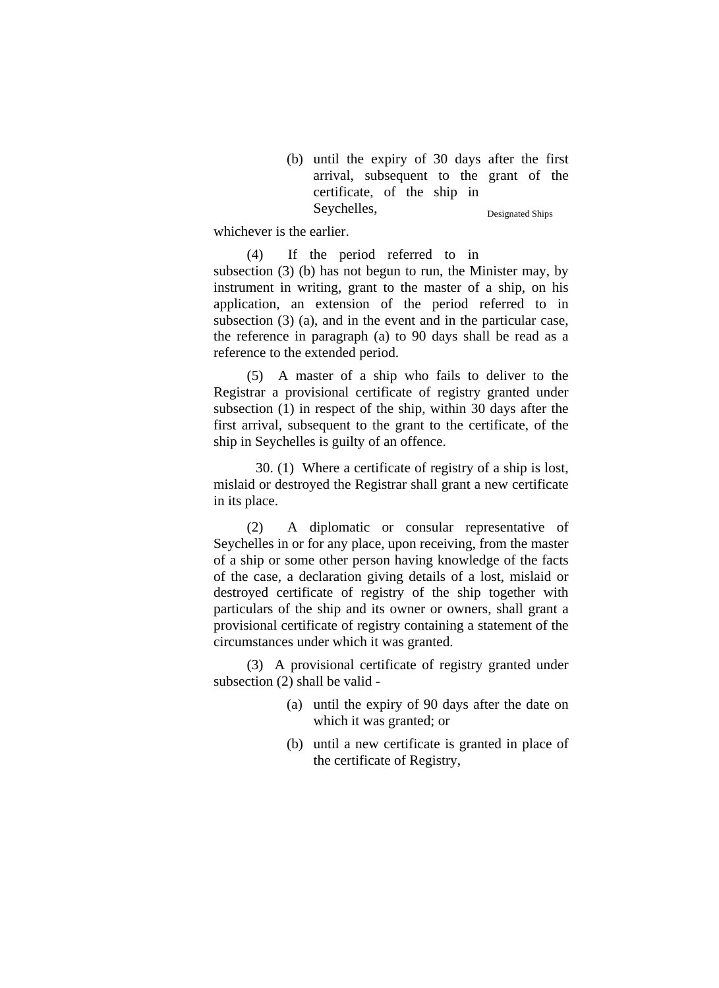(b) until the expiry of 30 days after the first arrival, subsequent to the grant of the certificate, of the ship in Seychelles, Designated Ships

whichever is the earlier.

(4) If the period referred to in subsection (3) (b) has not begun to run, the Minister may, by instrument in writing, grant to the master of a ship, on his application, an extension of the period referred to in subsection (3) (a), and in the event and in the particular case, the reference in paragraph (a) to 90 days shall be read as a reference to the extended period.

(5) A master of a ship who fails to deliver to the Registrar a provisional certificate of registry granted under subsection (1) in respect of the ship, within 30 days after the first arrival, subsequent to the grant to the certificate, of the ship in Seychelles is guilty of an offence.

30. (1) Where a certificate of registry of a ship is lost, mislaid or destroyed the Registrar shall grant a new certificate in its place.

(2) A diplomatic or consular representative of Seychelles in or for any place, upon receiving, from the master of a ship or some other person having knowledge of the facts of the case, a declaration giving details of a lost, mislaid or destroyed certificate of registry of the ship together with particulars of the ship and its owner or owners, shall grant a provisional certificate of registry containing a statement of the circumstances under which it was granted.

(3) A provisional certificate of registry granted under subsection (2) shall be valid -

- (a) until the expiry of 90 days after the date on which it was granted; or
- (b) until a new certificate is granted in place of the certificate of Registry,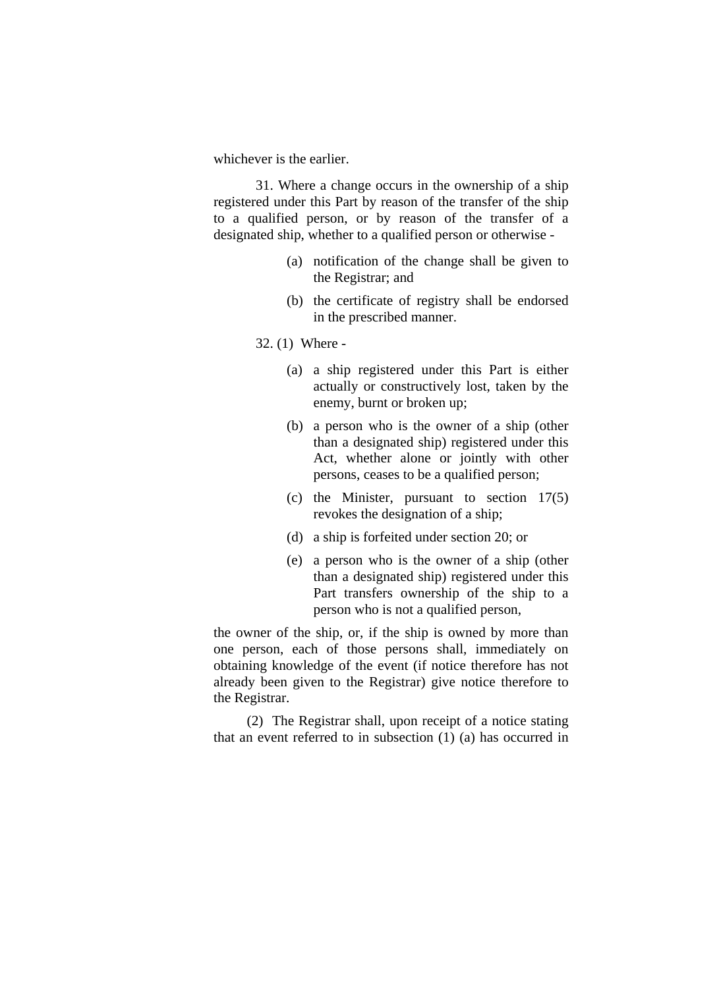whichever is the earlier.

 31. Where a change occurs in the ownership of a ship registered under this Part by reason of the transfer of the ship to a qualified person, or by reason of the transfer of a designated ship, whether to a qualified person or otherwise -

- (a) notification of the change shall be given to the Registrar; and
- (b) the certificate of registry shall be endorsed in the prescribed manner.
- 32. (1) Where
	- (a) a ship registered under this Part is either actually or constructively lost, taken by the enemy, burnt or broken up;
	- (b) a person who is the owner of a ship (other than a designated ship) registered under this Act, whether alone or jointly with other persons, ceases to be a qualified person;
	- (c) the Minister, pursuant to section 17(5) revokes the designation of a ship;
	- (d) a ship is forfeited under section 20; or
	- (e) a person who is the owner of a ship (other than a designated ship) registered under this Part transfers ownership of the ship to a person who is not a qualified person,

the owner of the ship, or, if the ship is owned by more than one person, each of those persons shall, immediately on obtaining knowledge of the event (if notice therefore has not already been given to the Registrar) give notice therefore to the Registrar.

(2) The Registrar shall, upon receipt of a notice stating that an event referred to in subsection (1) (a) has occurred in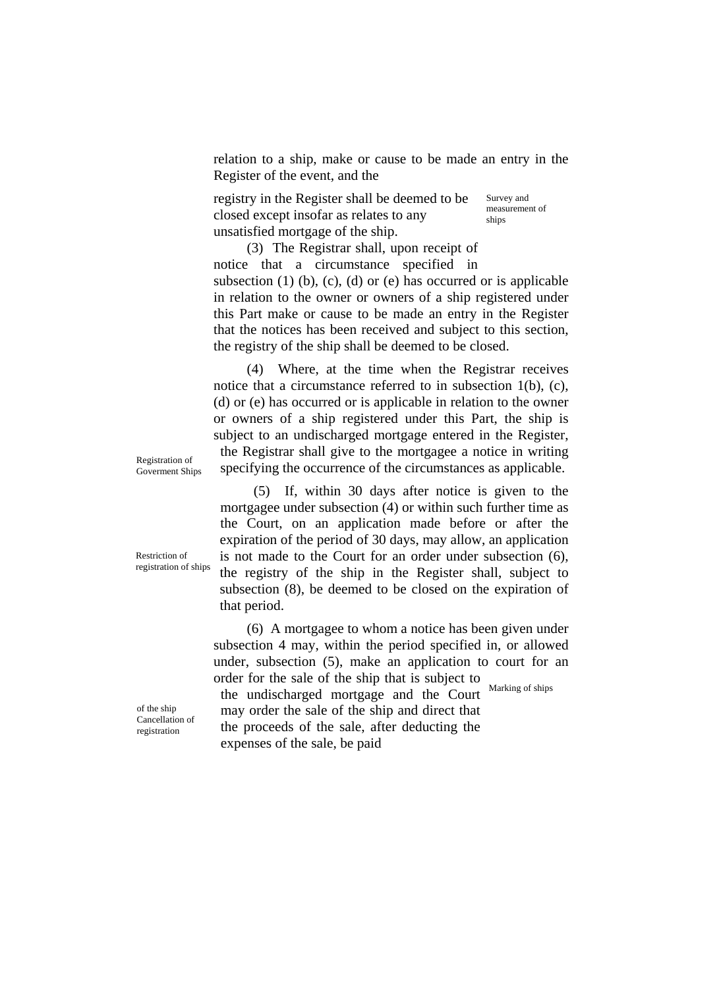relation to a ship, make or cause to be made an entry in the Register of the event, and the

registry in the Register shall be deemed to be closed except insofar as relates to any unsatisfied mortgage of the ship. Survey and measurement of ships

(3) The Registrar shall, upon receipt of notice that a circumstance specified in subsection  $(1)$   $(b)$ ,  $(c)$ ,  $(d)$  or  $(e)$  has occurred or is applicable in relation to the owner or owners of a ship registered under this Part make or cause to be made an entry in the Register that the notices has been received and subject to this section, the registry of the ship shall be deemed to be closed.

(4) Where, at the time when the Registrar receives notice that a circumstance referred to in subsection 1(b), (c), (d) or (e) has occurred or is applicable in relation to the owner or owners of a ship registered under this Part, the ship is subject to an undischarged mortgage entered in the Register, the Registrar shall give to the mortgagee a notice in writing Registration of<br>Government Shins specifying the occurrence of the circumstances as applicable.

Goverment Ships

Restriction of registration of ships

(5) If, within 30 days after notice is given to the mortgagee under subsection (4) or within such further time as the Court, on an application made before or after the expiration of the period of 30 days, may allow, an application is not made to the Court for an order under subsection (6), the registry of the ship in the Register shall, subject to subsection (8), be deemed to be closed on the expiration of that period.

(6) A mortgagee to whom a notice has been given under subsection 4 may, within the period specified in, or allowed under, subsection (5), make an application to court for an order for the sale of the ship that is subject to

Marking of ships

of the ship Cancellation of registration

the undischarged mortgage and the Court may order the sale of the ship and direct that the proceeds of the sale, after deducting the expenses of the sale, be paid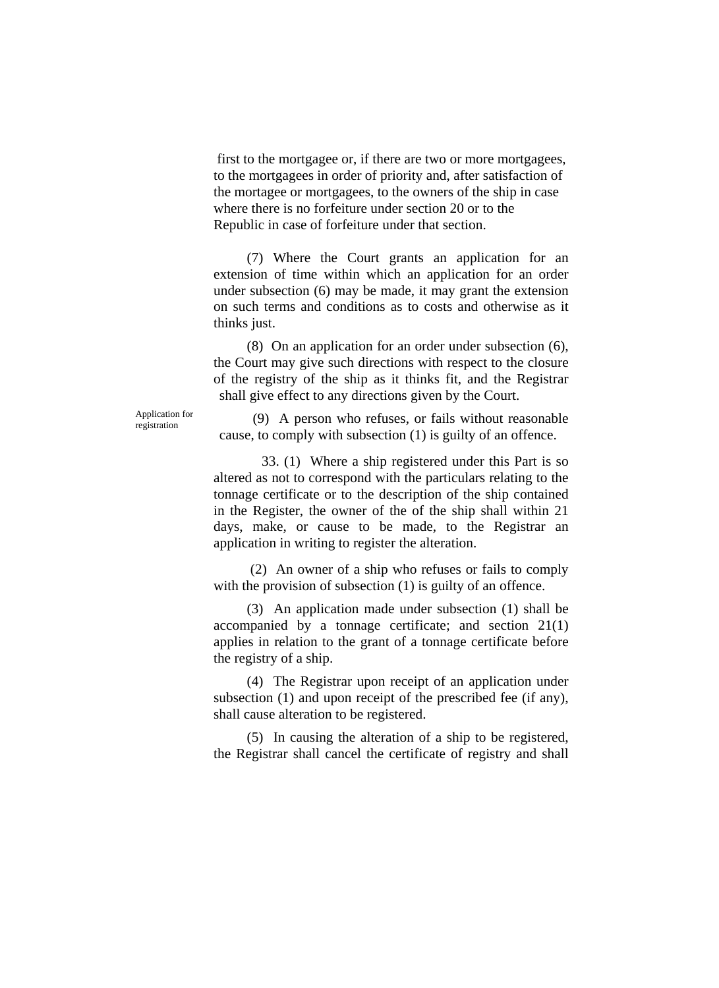first to the mortgagee or, if there are two or more mortgagees, to the mortgagees in order of priority and, after satisfaction of the mortagee or mortgagees, to the owners of the ship in case where there is no forfeiture under section 20 or to the Republic in case of forfeiture under that section.

(7) Where the Court grants an application for an extension of time within which an application for an order under subsection (6) may be made, it may grant the extension on such terms and conditions as to costs and otherwise as it thinks just.

(8) On an application for an order under subsection (6), the Court may give such directions with respect to the closure of the registry of the ship as it thinks fit, and the Registrar shall give effect to any directions given by the Court.

Application for

Application for (9) A person who refuses, or fails without reasonable cause, to comply with subsection (1) is guilty of an offence.

> 33. (1) Where a ship registered under this Part is so altered as not to correspond with the particulars relating to the tonnage certificate or to the description of the ship contained in the Register, the owner of the of the ship shall within 21 days, make, or cause to be made, to the Registrar an application in writing to register the alteration.

> (2) An owner of a ship who refuses or fails to comply with the provision of subsection (1) is guilty of an offence.

> (3) An application made under subsection (1) shall be accompanied by a tonnage certificate; and section 21(1) applies in relation to the grant of a tonnage certificate before the registry of a ship.

> (4) The Registrar upon receipt of an application under subsection (1) and upon receipt of the prescribed fee (if any), shall cause alteration to be registered.

> (5) In causing the alteration of a ship to be registered, the Registrar shall cancel the certificate of registry and shall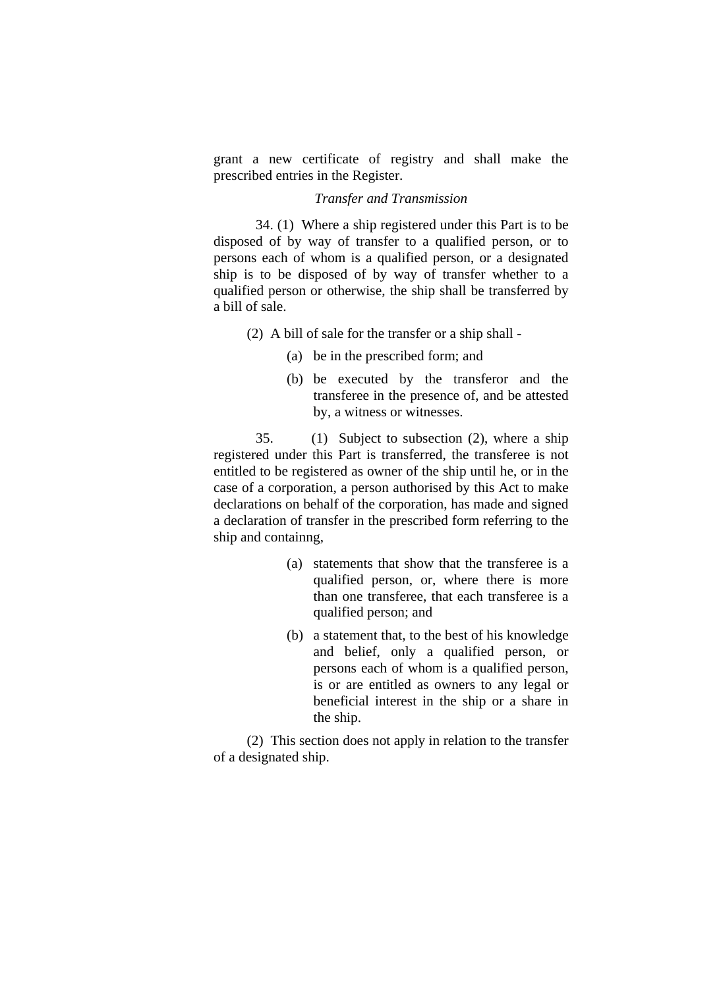grant a new certificate of registry and shall make the prescribed entries in the Register.

# *Transfer and Transmission*

 34. (1) Where a ship registered under this Part is to be disposed of by way of transfer to a qualified person, or to persons each of whom is a qualified person, or a designated ship is to be disposed of by way of transfer whether to a qualified person or otherwise, the ship shall be transferred by a bill of sale.

(2) A bill of sale for the transfer or a ship shall -

- (a) be in the prescribed form; and
- (b) be executed by the transferor and the transferee in the presence of, and be attested by, a witness or witnesses.

 35. (1) Subject to subsection (2), where a ship registered under this Part is transferred, the transferee is not entitled to be registered as owner of the ship until he, or in the case of a corporation, a person authorised by this Act to make declarations on behalf of the corporation, has made and signed a declaration of transfer in the prescribed form referring to the ship and containng,

- (a) statements that show that the transferee is a qualified person, or, where there is more than one transferee, that each transferee is a qualified person; and
- (b) a statement that, to the best of his knowledge and belief, only a qualified person, or persons each of whom is a qualified person, is or are entitled as owners to any legal or beneficial interest in the ship or a share in the ship.

(2) This section does not apply in relation to the transfer of a designated ship.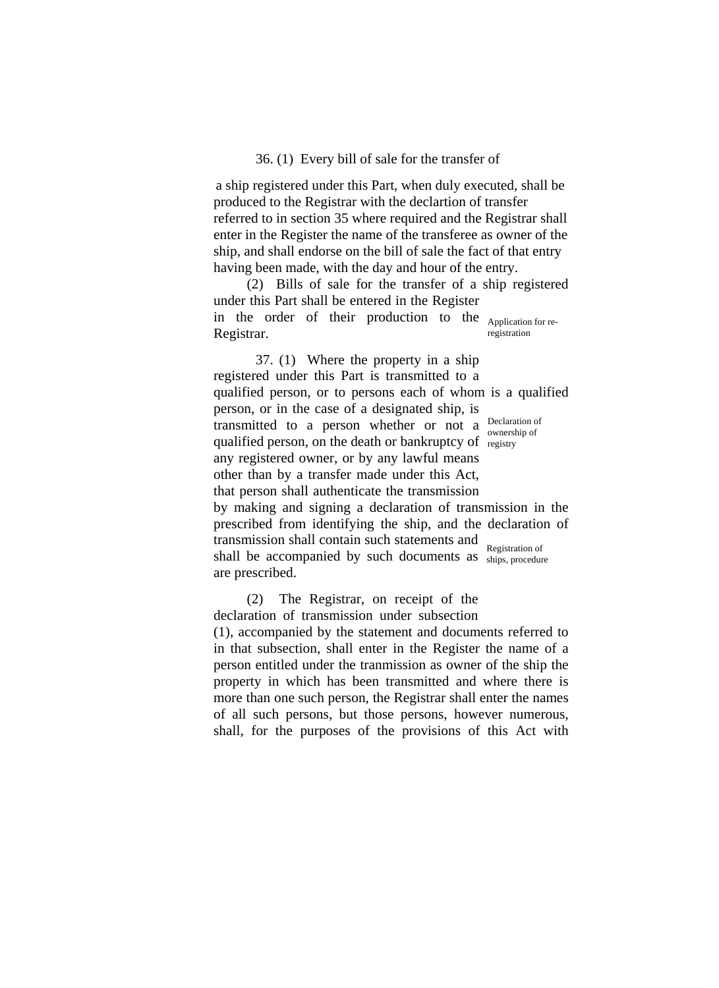#### 36. (1) Every bill of sale for the transfer of

a ship registered under this Part, when duly executed, shall be produced to the Registrar with the declartion of transfer referred to in section 35 where required and the Registrar shall enter in the Register the name of the transferee as owner of the ship, and shall endorse on the bill of sale the fact of that entry having been made, with the day and hour of the entry.

(2) Bills of sale for the transfer of a ship registered under this Part shall be entered in the Register in the order of their production to the Application for re-Registrar. registration

37. (1) Where the property in a ship registered under this Part is transmitted to a qualified person, or to persons each of whom is a qualified person, or in the case of a designated ship, is transmitted to a person whether or not a  $\frac{\text{Declaration of}}{\text{curashing of}}$ qualified person, on the death or bankruptcy of registry any registered owner, or by any lawful means other than by a transfer made under this Act, that person shall authenticate the transmission by making and signing a declaration of transmission in the prescribed from identifying the ship, and the declaration of transmission shall contain such statements and Registration of ownership of

shall be accompanied by such documents as ships, procedure are prescribed.

(2) The Registrar, on receipt of the declaration of transmission under subsection

(1), accompanied by the statement and documents referred to in that subsection, shall enter in the Register the name of a person entitled under the tranmission as owner of the ship the property in which has been transmitted and where there is more than one such person, the Registrar shall enter the names of all such persons, but those persons, however numerous, shall, for the purposes of the provisions of this Act with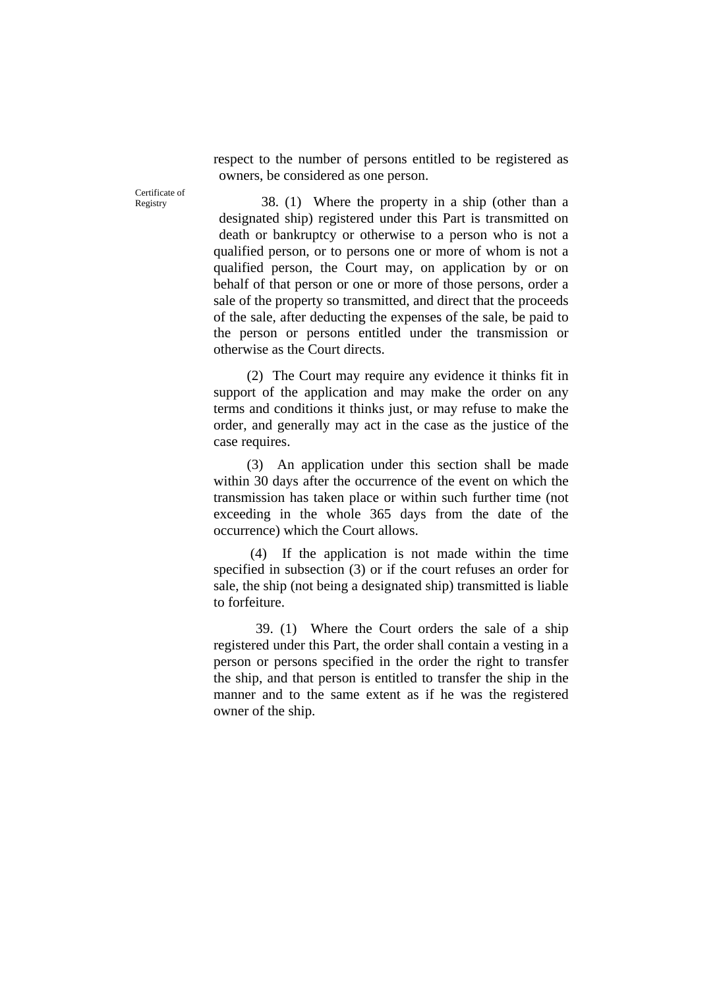respect to the number of persons entitled to be registered as owners, be considered as one person.

Registry  $38. (1)$  Where the property in a ship (other than a designated ship) registered under this Part is transmitted on death or bankruptcy or otherwise to a person who is not a qualified person, or to persons one or more of whom is not a qualified person, the Court may, on application by or on behalf of that person or one or more of those persons, order a sale of the property so transmitted, and direct that the proceeds of the sale, after deducting the expenses of the sale, be paid to the person or persons entitled under the transmission or otherwise as the Court directs.

> (2) The Court may require any evidence it thinks fit in support of the application and may make the order on any terms and conditions it thinks just, or may refuse to make the order, and generally may act in the case as the justice of the case requires.

> (3) An application under this section shall be made within 30 days after the occurrence of the event on which the transmission has taken place or within such further time (not exceeding in the whole 365 days from the date of the occurrence) which the Court allows.

> (4) If the application is not made within the time specified in subsection (3) or if the court refuses an order for sale, the ship (not being a designated ship) transmitted is liable to forfeiture.

> 39. (1) Where the Court orders the sale of a ship registered under this Part, the order shall contain a vesting in a person or persons specified in the order the right to transfer the ship, and that person is entitled to transfer the ship in the manner and to the same extent as if he was the registered owner of the ship.

Certificate of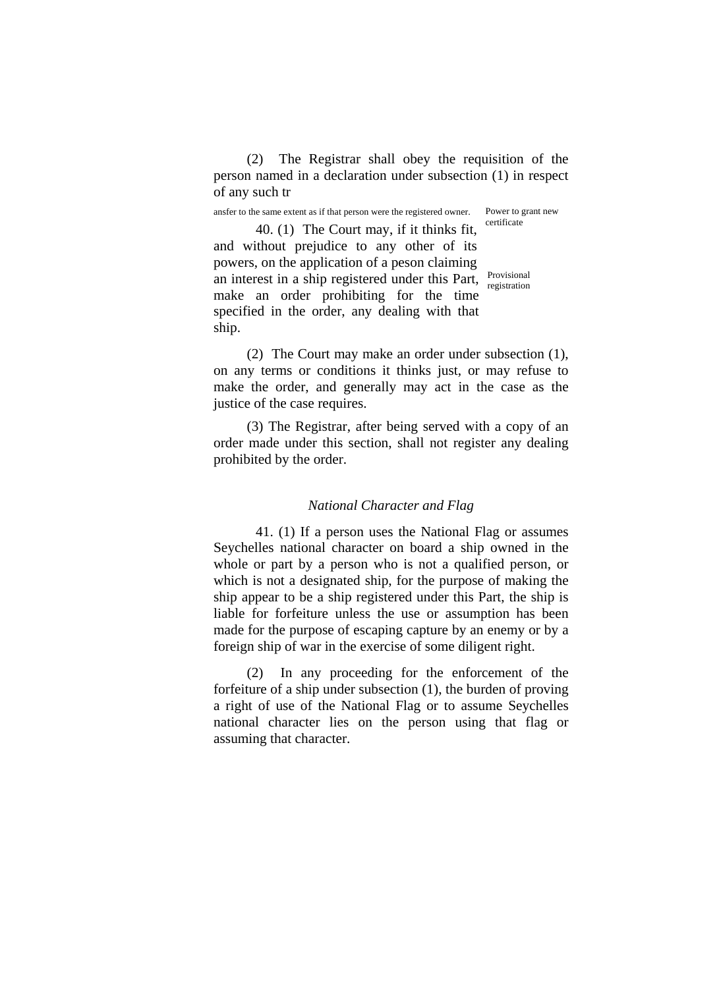(2) The Registrar shall obey the requisition of the person named in a declaration under subsection (1) in respect of any such tr

ansfer to the same extent as if that person were the registered owner.

Power to grant new certificate

40. (1) The Court may, if it thinks fit, and without prejudice to any other of its powers, on the application of a peson claiming an interest in a ship registered under this Part, make an order prohibiting for the time specified in the order, any dealing with that ship.

Provisional registration

(2) The Court may make an order under subsection (1), on any terms or conditions it thinks just, or may refuse to make the order, and generally may act in the case as the justice of the case requires.

(3) The Registrar, after being served with a copy of an order made under this section, shall not register any dealing prohibited by the order.

# *National Character and Flag*

41. (1) If a person uses the National Flag or assumes Seychelles national character on board a ship owned in the whole or part by a person who is not a qualified person, or which is not a designated ship, for the purpose of making the ship appear to be a ship registered under this Part, the ship is liable for forfeiture unless the use or assumption has been made for the purpose of escaping capture by an enemy or by a foreign ship of war in the exercise of some diligent right.

(2) In any proceeding for the enforcement of the forfeiture of a ship under subsection (1), the burden of proving a right of use of the National Flag or to assume Seychelles national character lies on the person using that flag or assuming that character.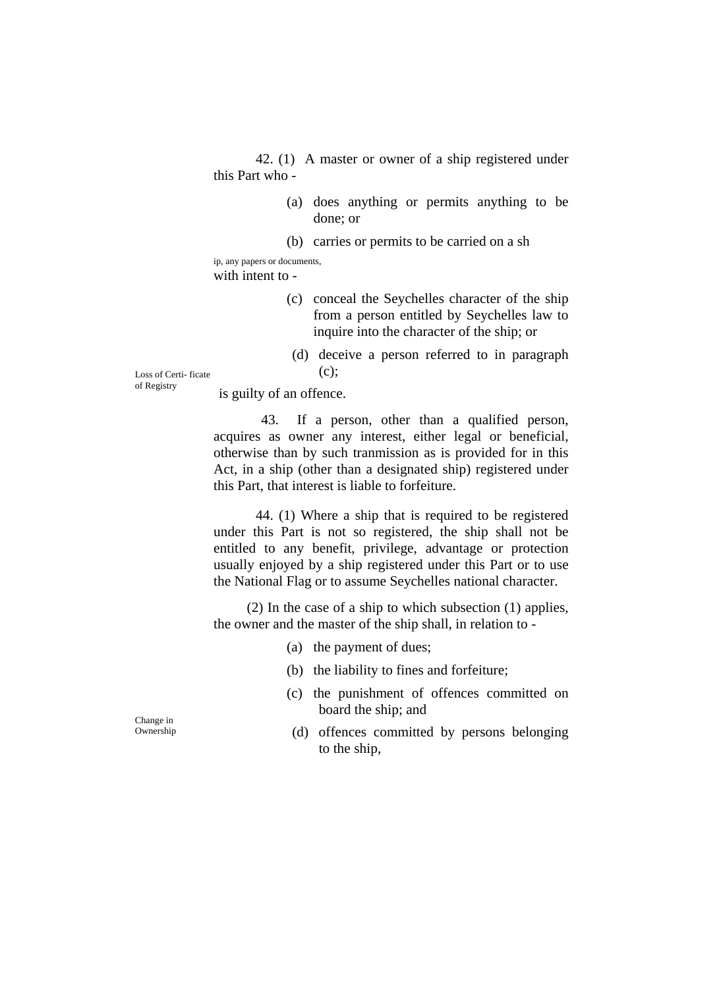42. (1) A master or owner of a ship registered under this Part who -

> (a) does anything or permits anything to be done; or

(b) carries or permits to be carried on a sh

ip, any papers or documents, with intent to -

- (c) conceal the Seychelles character of the ship from a person entitled by Seychelles law to inquire into the character of the ship; or
- (d) deceive a person referred to in paragraph

Loss of Certi- ficate  $(c)$ ; of Registry

is guilty of an offence.

43. If a person, other than a qualified person, acquires as owner any interest, either legal or beneficial, otherwise than by such tranmission as is provided for in this Act, in a ship (other than a designated ship) registered under this Part, that interest is liable to forfeiture.

44. (1) Where a ship that is required to be registered under this Part is not so registered, the ship shall not be entitled to any benefit, privilege, advantage or protection usually enjoyed by a ship registered under this Part or to use the National Flag or to assume Seychelles national character.

(2) In the case of a ship to which subsection (1) applies, the owner and the master of the ship shall, in relation to -

- (a) the payment of dues;
- (b) the liability to fines and forfeiture;
- (c) the punishment of offences committed on board the ship; and<br>  $\frac{1}{2}$  board the ship; and<br>  $\frac{1}{2}$  offences committed
	- (d) offences committed by persons belonging to the ship,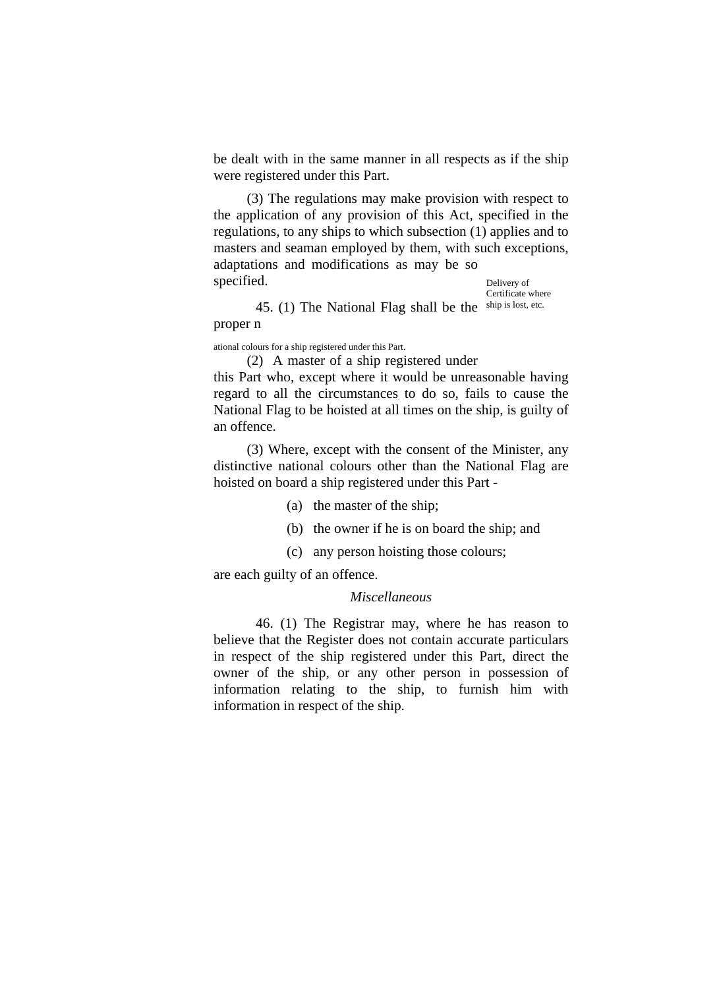be dealt with in the same manner in all respects as if the ship were registered under this Part.

(3) The regulations may make provision with respect to the application of any provision of this Act, specified in the regulations, to any ships to which subsection (1) applies and to masters and seaman employed by them, with such exceptions, adaptations and modifications as may be so specified. Delivery of

Certificate where 45. (1) The National Flag shall be the  $\frac{\text{ship is lost, etc.}}{\text{dots}}$ proper n

ational colours for a ship registered under this Part.

(2) A master of a ship registered under

this Part who, except where it would be unreasonable having regard to all the circumstances to do so, fails to cause the National Flag to be hoisted at all times on the ship, is guilty of an offence.

(3) Where, except with the consent of the Minister, any distinctive national colours other than the National Flag are hoisted on board a ship registered under this Part -

- (a) the master of the ship;
- (b) the owner if he is on board the ship; and
- (c) any person hoisting those colours;

are each guilty of an offence.

# *Miscellaneous*

46. (1) The Registrar may, where he has reason to believe that the Register does not contain accurate particulars in respect of the ship registered under this Part, direct the owner of the ship, or any other person in possession of information relating to the ship, to furnish him with information in respect of the ship.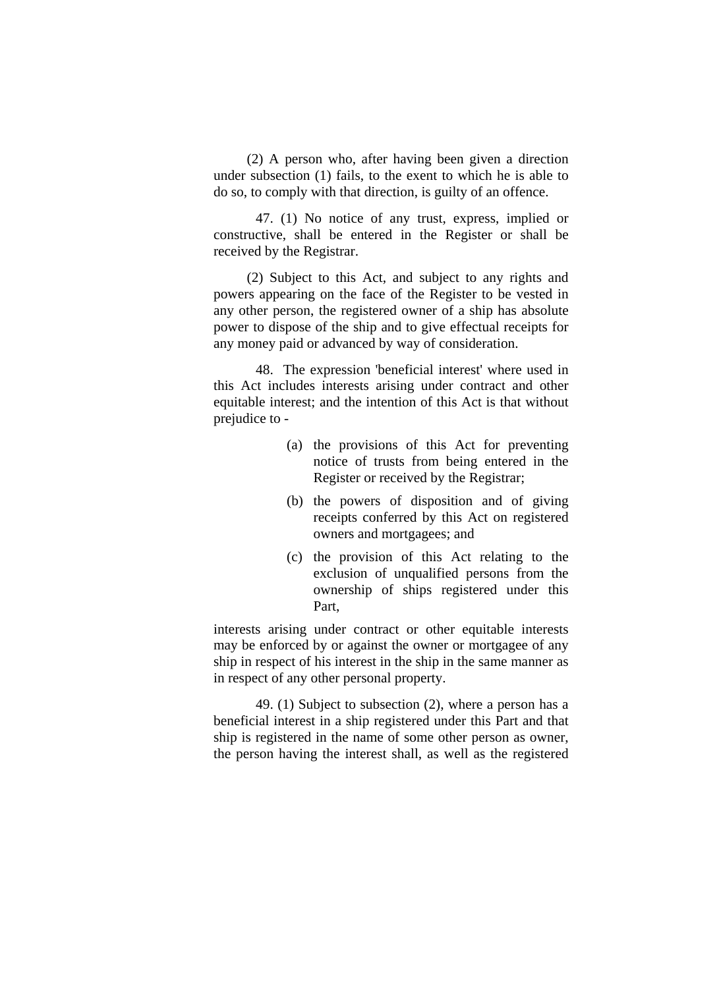(2) A person who, after having been given a direction under subsection (1) fails, to the exent to which he is able to do so, to comply with that direction, is guilty of an offence.

 47. (1) No notice of any trust, express, implied or constructive, shall be entered in the Register or shall be received by the Registrar.

(2) Subject to this Act, and subject to any rights and powers appearing on the face of the Register to be vested in any other person, the registered owner of a ship has absolute power to dispose of the ship and to give effectual receipts for any money paid or advanced by way of consideration.

 48. The expression 'beneficial interest' where used in this Act includes interests arising under contract and other equitable interest; and the intention of this Act is that without prejudice to -

- (a) the provisions of this Act for preventing notice of trusts from being entered in the Register or received by the Registrar;
- (b) the powers of disposition and of giving receipts conferred by this Act on registered owners and mortgagees; and
- (c) the provision of this Act relating to the exclusion of unqualified persons from the ownership of ships registered under this Part,

interests arising under contract or other equitable interests may be enforced by or against the owner or mortgagee of any ship in respect of his interest in the ship in the same manner as in respect of any other personal property.

 49. (1) Subject to subsection (2), where a person has a beneficial interest in a ship registered under this Part and that ship is registered in the name of some other person as owner, the person having the interest shall, as well as the registered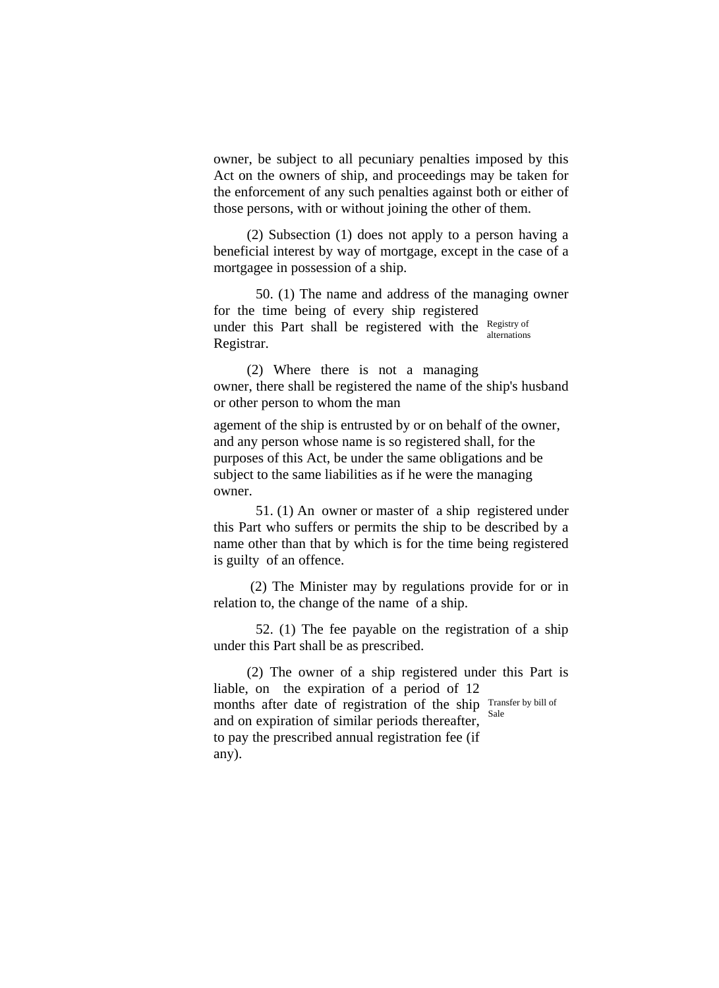owner, be subject to all pecuniary penalties imposed by this Act on the owners of ship, and proceedings may be taken for the enforcement of any such penalties against both or either of those persons, with or without joining the other of them.

(2) Subsection (1) does not apply to a person having a beneficial interest by way of mortgage, except in the case of a mortgagee in possession of a ship.

50. (1) The name and address of the managing owner for the time being of every ship registered under this Part shall be registered with the  $\frac{Registry of}{Hamed}$ Registrar. alternations

(2) Where there is not a managing owner, there shall be registered the name of the ship's husband or other person to whom the man

agement of the ship is entrusted by or on behalf of the owner, and any person whose name is so registered shall, for the purposes of this Act, be under the same obligations and be subject to the same liabilities as if he were the managing owner.

51. (1) An owner or master of a ship registered under this Part who suffers or permits the ship to be described by a name other than that by which is for the time being registered is guilty of an offence.

(2) The Minister may by regulations provide for or in relation to, the change of the name of a ship.

52. (1) The fee payable on the registration of a ship under this Part shall be as prescribed.

(2) The owner of a ship registered under this Part is liable, on the expiration of a period of 12 months after date of registration of the ship Transfer by bill of and on expiration of similar periods thereafter, to pay the prescribed annual registration fee (if any). Sale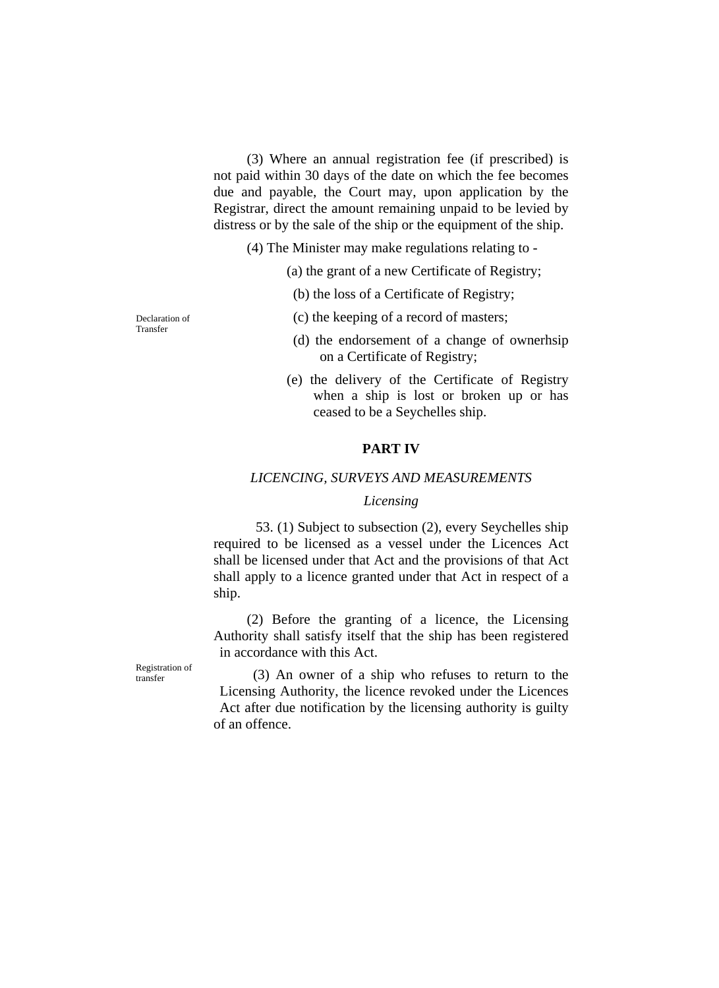(3) Where an annual registration fee (if prescribed) is not paid within 30 days of the date on which the fee becomes due and payable, the Court may, upon application by the Registrar, direct the amount remaining unpaid to be levied by distress or by the sale of the ship or the equipment of the ship.

(4) The Minister may make regulations relating to -

(a) the grant of a new Certificate of Registry;

(b) the loss of a Certificate of Registry;

Declaration of (c) the keeping of a record of masters;

- (d) the endorsement of a change of ownerhsip on a Certificate of Registry;
- (e) the delivery of the Certificate of Registry when a ship is lost or broken up or has ceased to be a Seychelles ship.

#### **PART IV**

### *LICENCING, SURVEYS AND MEASUREMENTS*

# *Licensing*

53. (1) Subject to subsection (2), every Seychelles ship required to be licensed as a vessel under the Licences Act shall be licensed under that Act and the provisions of that Act shall apply to a licence granted under that Act in respect of a ship.

(2) Before the granting of a licence, the Licensing Authority shall satisfy itself that the ship has been registered in accordance with this Act.

 $t_{\text{transfer}}$  (3) An owner of a ship who refuses to return to the Licensing Authority, the licence revoked under the Licences Act after due notification by the licensing authority is guilty of an offence.

Transfer

Registration of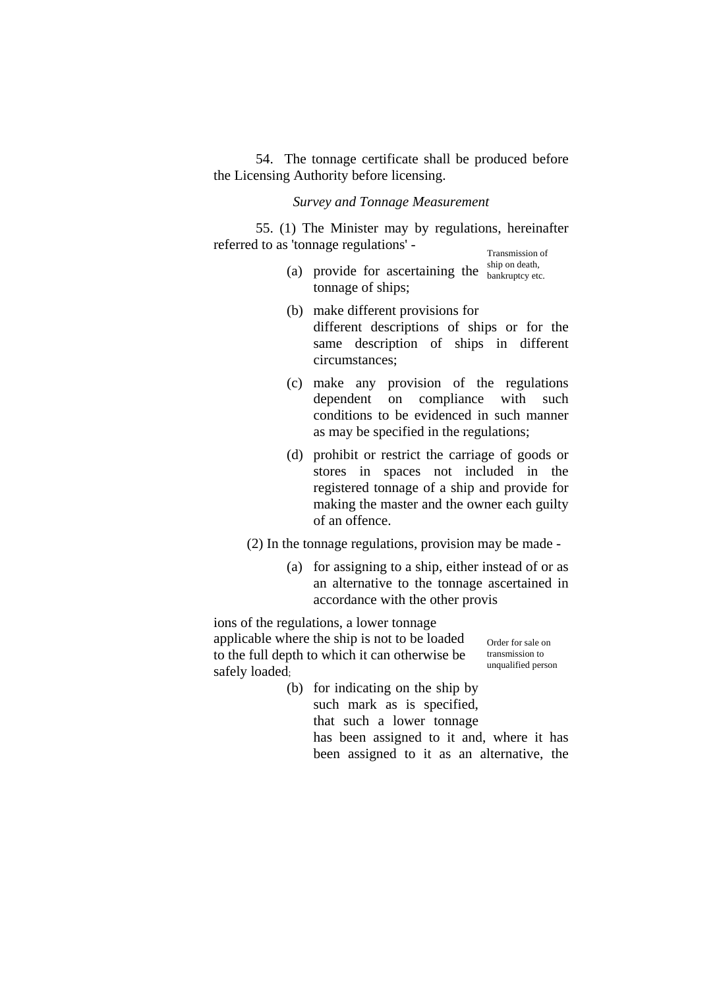54. The tonnage certificate shall be produced before the Licensing Authority before licensing.

# *Survey and Tonnage Measurement*

55. (1) The Minister may by regulations, hereinafter referred to as 'tonnage regulations' -<br>Transmission of<br>the on-death,

- (a) provide for ascertaining the  $\frac{\text{ship on death}}{\text{bankruptcy etc.}}$ tonnage of ships;
- (b) make different provisions for different descriptions of ships or for the same description of ships in different circumstances;
- (c) make any provision of the regulations dependent on compliance with such conditions to be evidenced in such manner as may be specified in the regulations;
- (d) prohibit or restrict the carriage of goods or stores in spaces not included in the registered tonnage of a ship and provide for making the master and the owner each guilty of an offence.

(2) In the tonnage regulations, provision may be made -

(a) for assigning to a ship, either instead of or as an alternative to the tonnage ascertained in accordance with the other provis

ions of the regulations, a lower tonnage applicable where the ship is not to be loaded to the full depth to which it can otherwise be safely loaded;

Order for sale on transmission to unqualified person

(b) for indicating on the ship by such mark as is specified, that such a lower tonnage has been assigned to it and, where it has been assigned to it as an alternative, the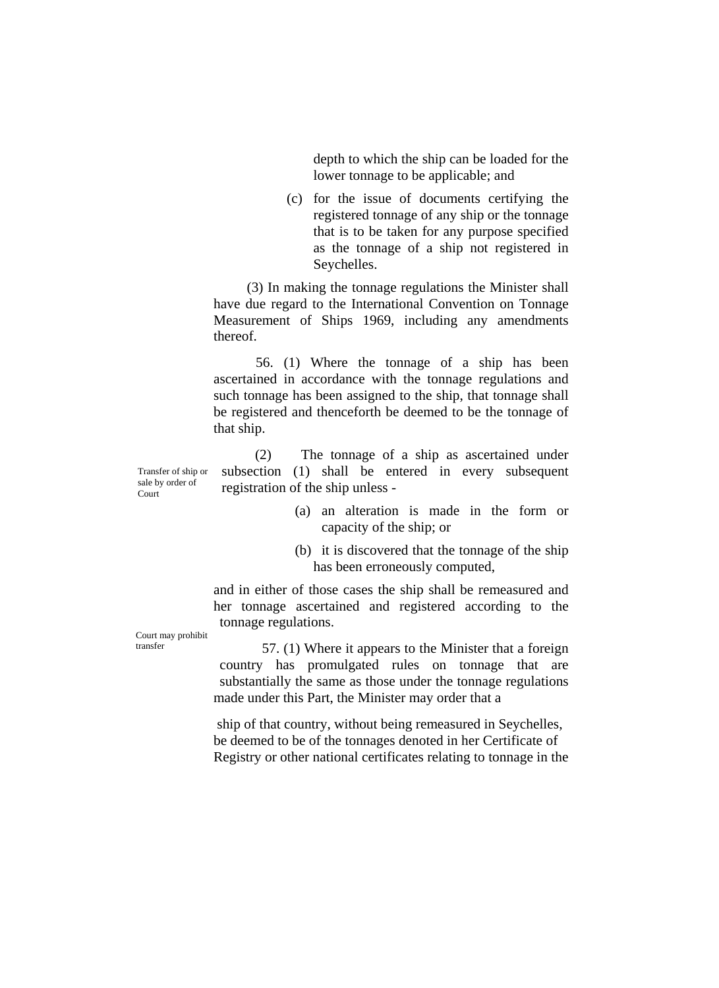depth to which the ship can be loaded for the lower tonnage to be applicable; and

(c) for the issue of documents certifying the registered tonnage of any ship or the tonnage that is to be taken for any purpose specified as the tonnage of a ship not registered in Seychelles.

(3) In making the tonnage regulations the Minister shall have due regard to the International Convention on Tonnage Measurement of Ships 1969, including any amendments thereof.

56. (1) Where the tonnage of a ship has been ascertained in accordance with the tonnage regulations and such tonnage has been assigned to the ship, that tonnage shall be registered and thenceforth be deemed to be the tonnage of that ship.

sale by order of **Court** 

(2) The tonnage of a ship as ascertained under subsection (1) shall be entered in every subsequent registration of the ship unless -

- (a) an alteration is made in the form or capacity of the ship; or
- (b) it is discovered that the tonnage of the ship has been erroneously computed,

and in either of those cases the ship shall be remeasured and her tonnage ascertained and registered according to the tonnage regulations.

Court may prohibit

transfer 57. (1) Where it appears to the Minister that a foreign country has promulgated rules on tonnage that are substantially the same as those under the tonnage regulations made under this Part, the Minister may order that a

> ship of that country, without being remeasured in Seychelles, be deemed to be of the tonnages denoted in her Certificate of Registry or other national certificates relating to tonnage in the

Transfer of ship or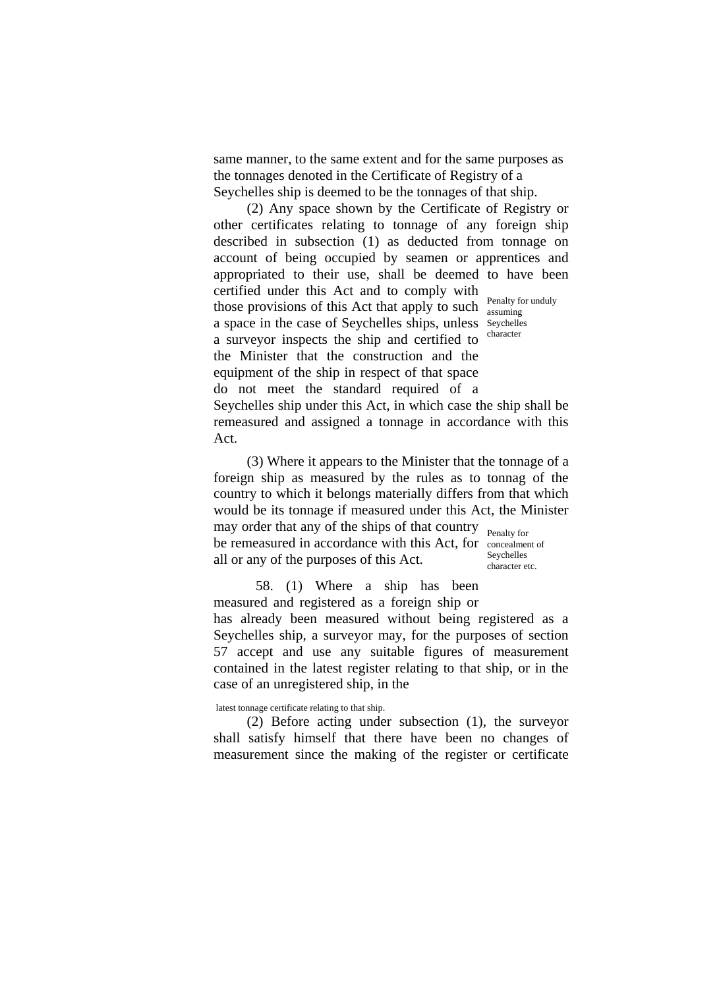same manner, to the same extent and for the same purposes as the tonnages denoted in the Certificate of Registry of a Seychelles ship is deemed to be the tonnages of that ship.

(2) Any space shown by the Certificate of Registry or other certificates relating to tonnage of any foreign ship described in subsection (1) as deducted from tonnage on account of being occupied by seamen or apprentices and appropriated to their use, shall be deemed to have been certified under this Act and to comply with those provisions of this Act that apply to such  $\frac{\text{Penalty}}{\text{assuming}}$ a space in the case of Seychelles ships, unless Seychelles a surveyor inspects the ship and certified to the Minister that the construction and the equipment of the ship in respect of that space do not meet the standard required of a assuming character

Seychelles ship under this Act, in which case the ship shall be remeasured and assigned a tonnage in accordance with this Act.

(3) Where it appears to the Minister that the tonnage of a foreign ship as measured by the rules as to tonnag of the country to which it belongs materially differs from that which would be its tonnage if measured under this Act, the Minister may order that any of the ships of that country Penalty for

be remeasured in accordance with this Act, for concealment of all or any of the purposes of this Act.

Seychelles character etc.

58. (1) Where a ship has been measured and registered as a foreign ship or has already been measured without being registered as a Seychelles ship, a surveyor may, for the purposes of section 57 accept and use any suitable figures of measurement contained in the latest register relating to that ship, or in the case of an unregistered ship, in the

latest tonnage certificate relating to that ship.

(2) Before acting under subsection (1), the surveyor shall satisfy himself that there have been no changes of measurement since the making of the register or certificate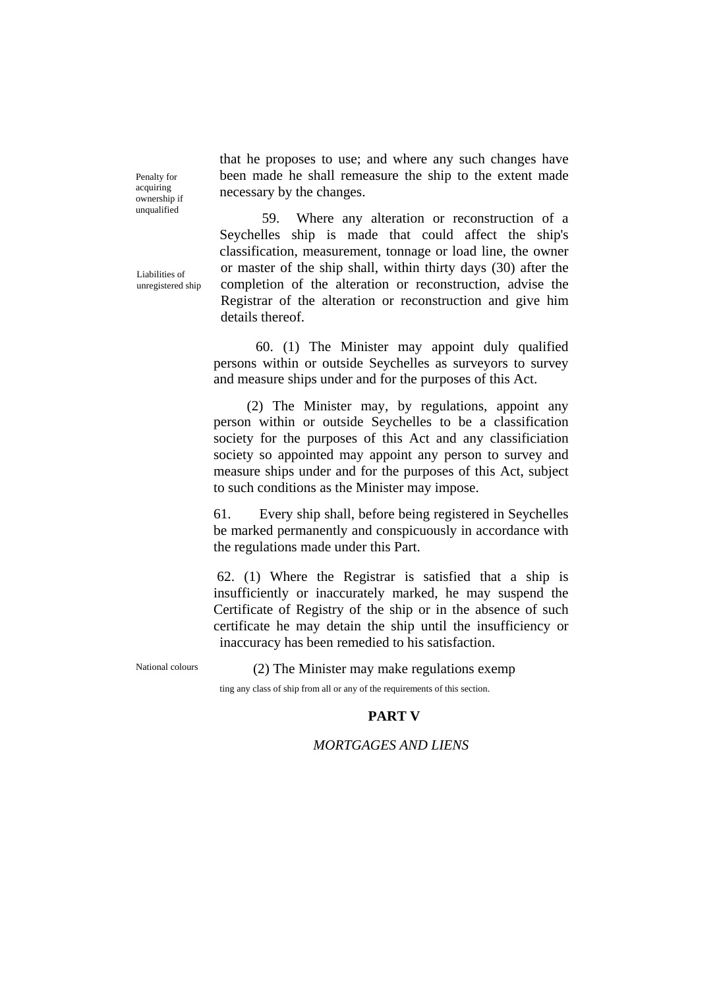that he proposes to use; and where any such changes have been made he shall remeasure the ship to the extent made necessary by the changes.

59. Where any alteration or reconstruction of a Seychelles ship is made that could affect the ship's classification, measurement, tonnage or load line, the owner or master of the ship shall, within thirty days (30) after the completion of the alteration or reconstruction, advise the Registrar of the alteration or reconstruction and give him details thereof

60. (1) The Minister may appoint duly qualified persons within or outside Seychelles as surveyors to survey and measure ships under and for the purposes of this Act.

(2) The Minister may, by regulations, appoint any person within or outside Seychelles to be a classification society for the purposes of this Act and any classificiation society so appointed may appoint any person to survey and measure ships under and for the purposes of this Act, subject to such conditions as the Minister may impose.

61. Every ship shall, before being registered in Seychelles be marked permanently and conspicuously in accordance with the regulations made under this Part.

62. (1) Where the Registrar is satisfied that a ship is insufficiently or inaccurately marked, he may suspend the Certificate of Registry of the ship or in the absence of such certificate he may detain the ship until the insufficiency or inaccuracy has been remedied to his satisfaction.

National colours (2) The Minister may make regulations exemp

ting any class of ship from all or any of the requirements of this section.

# **PART V**

# *MORTGAGES AND LIENS*

Penalty for acquiring ownership if unqualified

Liabilities of unregistered ship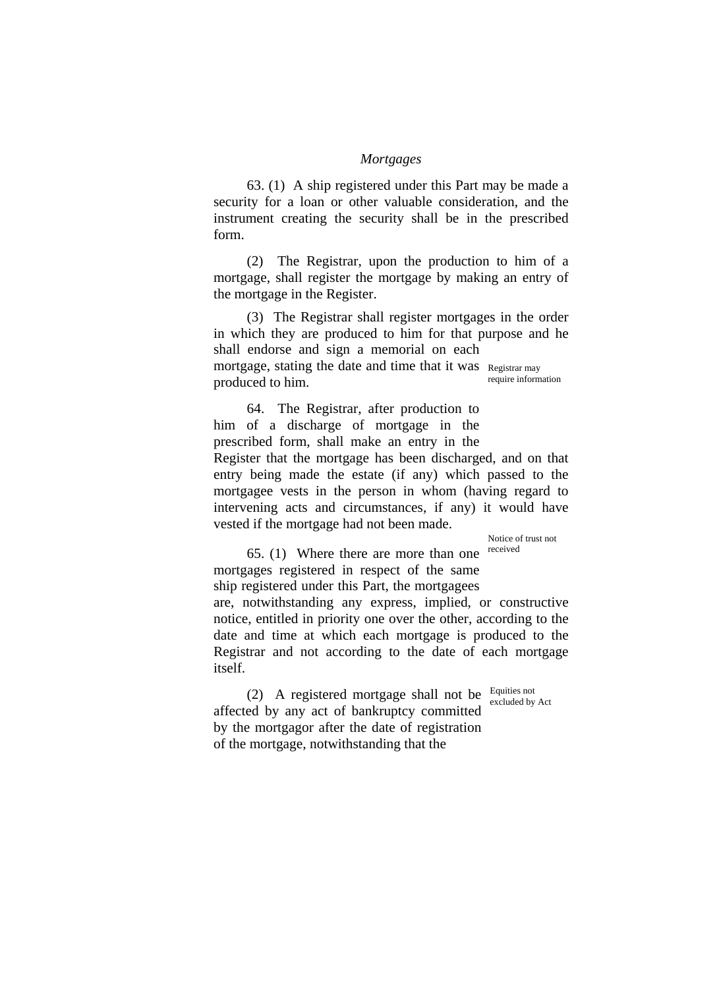#### *Mortgages*

63. (1) A ship registered under this Part may be made a security for a loan or other valuable consideration, and the instrument creating the security shall be in the prescribed form.

(2) The Registrar, upon the production to him of a mortgage, shall register the mortgage by making an entry of the mortgage in the Register.

(3) The Registrar shall register mortgages in the order in which they are produced to him for that purpose and he shall endorse and sign a memorial on each mortgage, stating the date and time that it was Registrar may produced to him. require information

64. The Registrar, after production to him of a discharge of mortgage in the prescribed form, shall make an entry in the Register that the mortgage has been discharged, and on that entry being made the estate (if any) which passed to the mortgagee vests in the person in whom (having regard to intervening acts and circumstances, if any) it would have vested if the mortgage had not been made.

Notice of trust not

 $65. (1)$  Where there are more than one received mortgages registered in respect of the same ship registered under this Part, the mortgagees are, notwithstanding any express, implied, or constructive notice, entitled in priority one over the other, according to the date and time at which each mortgage is produced to the Registrar and not according to the date of each mortgage itself.

(2) A registered mortgage shall not be  $\frac{Equities not}}{excluded by Act}$ affected by any act of bankruptcy committed by the mortgagor after the date of registration of the mortgage, notwithstanding that the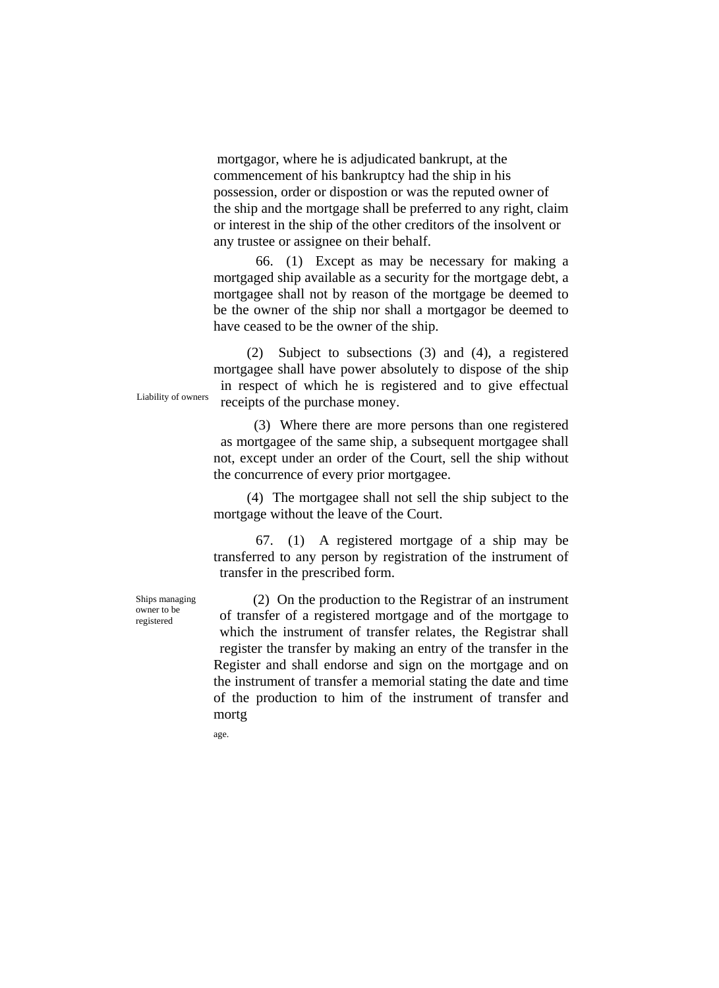mortgagor, where he is adjudicated bankrupt, at the commencement of his bankruptcy had the ship in his possession, order or dispostion or was the reputed owner of the ship and the mortgage shall be preferred to any right, claim or interest in the ship of the other creditors of the insolvent or any trustee or assignee on their behalf.

66. (1) Except as may be necessary for making a mortgaged ship available as a security for the mortgage debt, a mortgagee shall not by reason of the mortgage be deemed to be the owner of the ship nor shall a mortgagor be deemed to have ceased to be the owner of the ship.

(2) Subject to subsections (3) and (4), a registered mortgagee shall have power absolutely to dispose of the ship in respect of which he is registered and to give effectual Liability of owners receipts of the purchase money.

> (3) Where there are more persons than one registered as mortgagee of the same ship, a subsequent mortgagee shall not, except under an order of the Court, sell the ship without the concurrence of every prior mortgagee.

> (4) The mortgagee shall not sell the ship subject to the mortgage without the leave of the Court.

> 67. (1) A registered mortgage of a ship may be transferred to any person by registration of the instrument of transfer in the prescribed form.

Ships managing owner to be registered

(2) On the production to the Registrar of an instrument of transfer of a registered mortgage and of the mortgage to which the instrument of transfer relates, the Registrar shall register the transfer by making an entry of the transfer in the Register and shall endorse and sign on the mortgage and on the instrument of transfer a memorial stating the date and time of the production to him of the instrument of transfer and mortg

age.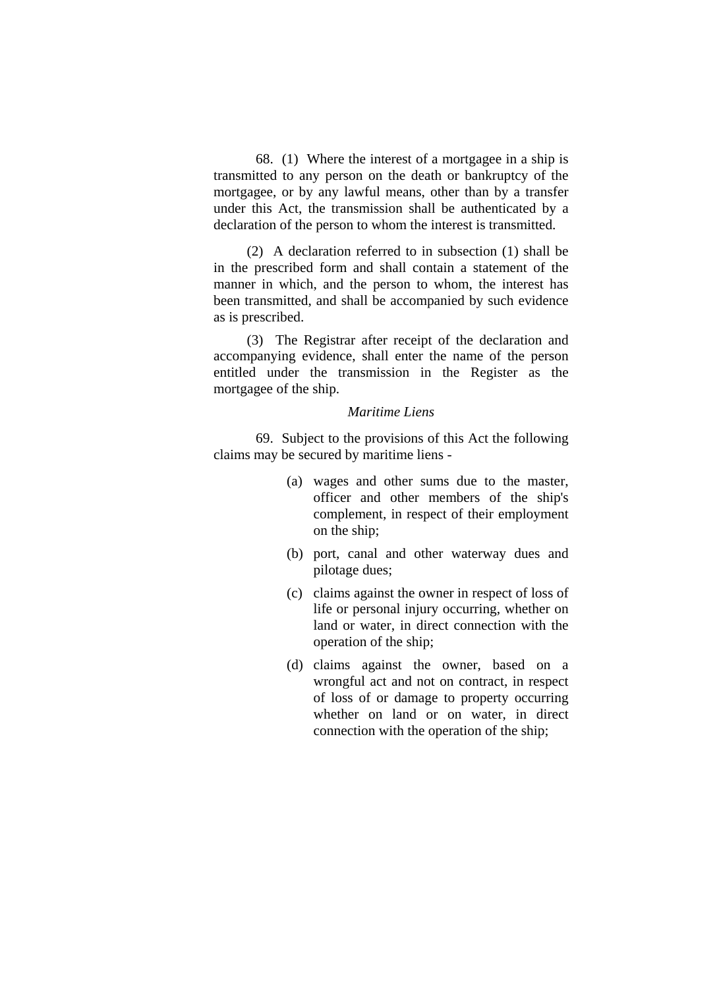68. (1) Where the interest of a mortgagee in a ship is transmitted to any person on the death or bankruptcy of the mortgagee, or by any lawful means, other than by a transfer under this Act, the transmission shall be authenticated by a declaration of the person to whom the interest is transmitted.

(2) A declaration referred to in subsection (1) shall be in the prescribed form and shall contain a statement of the manner in which, and the person to whom, the interest has been transmitted, and shall be accompanied by such evidence as is prescribed.

(3) The Registrar after receipt of the declaration and accompanying evidence, shall enter the name of the person entitled under the transmission in the Register as the mortgagee of the ship.

### *Maritime Liens*

 69. Subject to the provisions of this Act the following claims may be secured by maritime liens -

- (a) wages and other sums due to the master, officer and other members of the ship's complement, in respect of their employment on the ship;
- (b) port, canal and other waterway dues and pilotage dues;
- (c) claims against the owner in respect of loss of life or personal injury occurring, whether on land or water, in direct connection with the operation of the ship;
- (d) claims against the owner, based on a wrongful act and not on contract, in respect of loss of or damage to property occurring whether on land or on water, in direct connection with the operation of the ship;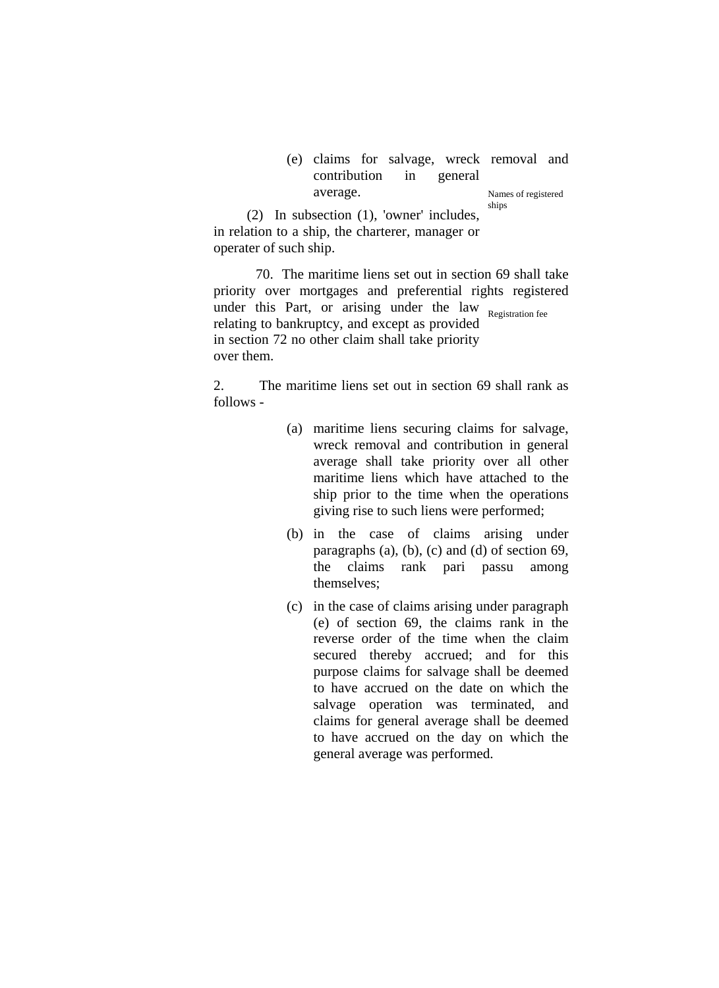### (e) claims for salvage, wreck removal and contribution in general average. Names of registered ships

(2) In subsection (1), 'owner' includes, in relation to a ship, the charterer, manager or operater of such ship.

70. The maritime liens set out in section 69 shall take priority over mortgages and preferential rights registered under this Part, or arising under the law Registration fee relating to bankruptcy, and except as provided in section 72 no other claim shall take priority over them.

2. The maritime liens set out in section 69 shall rank as follows -

- (a) maritime liens securing claims for salvage, wreck removal and contribution in general average shall take priority over all other maritime liens which have attached to the ship prior to the time when the operations giving rise to such liens were performed;
- (b) in the case of claims arising under paragraphs (a), (b), (c) and (d) of section 69, the claims rank pari passu among themselves;
- (c) in the case of claims arising under paragraph (e) of section 69, the claims rank in the reverse order of the time when the claim secured thereby accrued; and for this purpose claims for salvage shall be deemed to have accrued on the date on which the salvage operation was terminated, and claims for general average shall be deemed to have accrued on the day on which the general average was performed.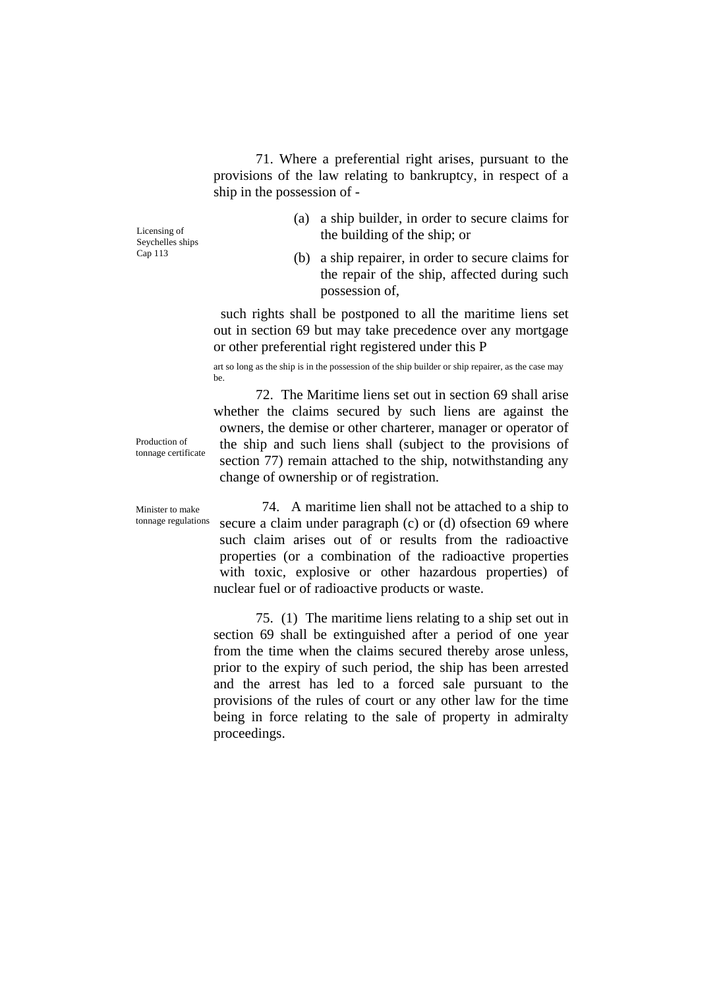71. Where a preferential right arises, pursuant to the provisions of the law relating to bankruptcy, in respect of a ship in the possession of -

Seychelles ships

- (a) a ship builder, in order to secure claims for  $\frac{1}{2}$  the building of the ship; or
- Cap 113 (b) a ship repairer, in order to secure claims for the repair of the ship, affected during such possession of,

such rights shall be postponed to all the maritime liens set out in section 69 but may take precedence over any mortgage or other preferential right registered under this P

art so long as the ship is in the possession of the ship builder or ship repairer, as the case may be.

72. The Maritime liens set out in section 69 shall arise whether the claims secured by such liens are against the owners, the demise or other charterer, manager or operator of the ship and such liens shall (subject to the provisions of section 77) remain attached to the ship, notwithstanding any change of ownership or of registration.

Production of tonnage certificate

Minister to make tonnage regulations

74. A maritime lien shall not be attached to a ship to secure a claim under paragraph (c) or (d) of section 69 where such claim arises out of or results from the radioactive properties (or a combination of the radioactive properties with toxic, explosive or other hazardous properties) of nuclear fuel or of radioactive products or waste.

75. (1) The maritime liens relating to a ship set out in section 69 shall be extinguished after a period of one year from the time when the claims secured thereby arose unless, prior to the expiry of such period, the ship has been arrested and the arrest has led to a forced sale pursuant to the provisions of the rules of court or any other law for the time being in force relating to the sale of property in admiralty proceedings.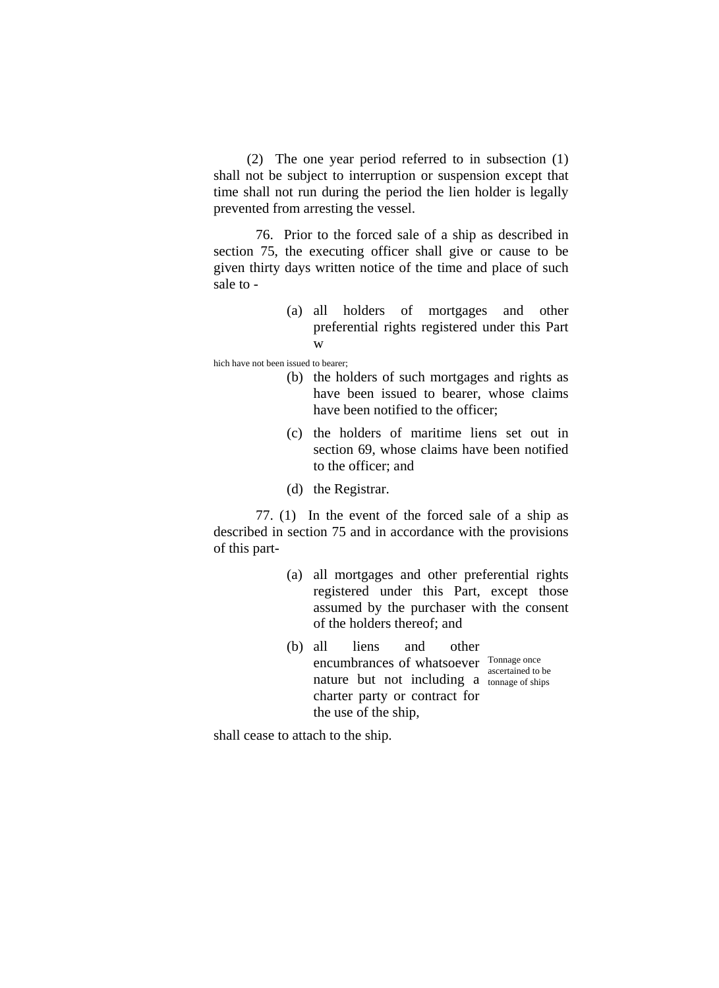(2) The one year period referred to in subsection (1) shall not be subject to interruption or suspension except that time shall not run during the period the lien holder is legally prevented from arresting the vessel.

76. Prior to the forced sale of a ship as described in section 75, the executing officer shall give or cause to be given thirty days written notice of the time and place of such sale to -

> (a) all holders of mortgages and other preferential rights registered under this Part w

hich have not been issued to bearer;

- (b) the holders of such mortgages and rights as have been issued to bearer, whose claims have been notified to the officer;
- (c) the holders of maritime liens set out in section 69, whose claims have been notified to the officer; and
- (d) the Registrar.

77. (1) In the event of the forced sale of a ship as described in section 75 and in accordance with the provisions of this part-

- (a) all mortgages and other preferential rights registered under this Part, except those assumed by the purchaser with the consent of the holders thereof; and
- (b) all liens and other encumbrances of whatsoever Tonnage once nature but not including a  $_{\text{tonnage of ships}}$ charter party or contract for the use of the ship, ascertained to be

shall cease to attach to the ship.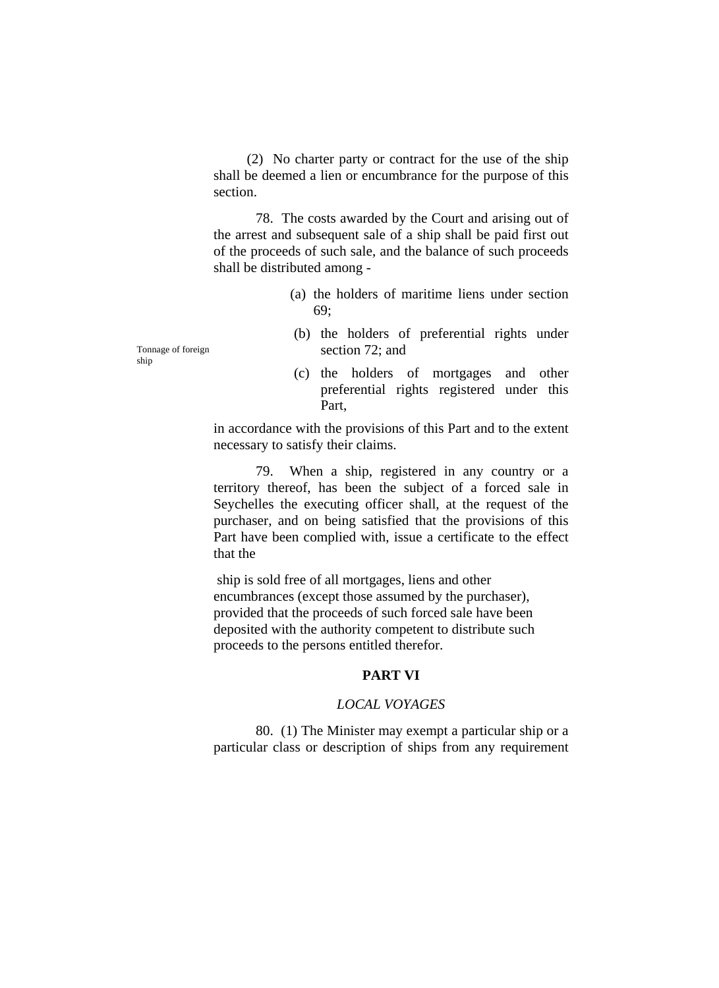(2) No charter party or contract for the use of the ship shall be deemed a lien or encumbrance for the purpose of this section.

78. The costs awarded by the Court and arising out of the arrest and subsequent sale of a ship shall be paid first out of the proceeds of such sale, and the balance of such proceeds shall be distributed among -

- (a) the holders of maritime liens under section 69;
- (b) the holders of preferential rights under Tonnage of foreign section 72; and
	- (c) the holders of mortgages and other preferential rights registered under this Part,

in accordance with the provisions of this Part and to the extent necessary to satisfy their claims.

79. When a ship, registered in any country or a territory thereof, has been the subject of a forced sale in Seychelles the executing officer shall, at the request of the purchaser, and on being satisfied that the provisions of this Part have been complied with, issue a certificate to the effect that the

 ship is sold free of all mortgages, liens and other encumbrances (except those assumed by the purchaser), provided that the proceeds of such forced sale have been deposited with the authority competent to distribute such proceeds to the persons entitled therefor.

# **PART VI**

#### *LOCAL VOYAGES*

80. (1) The Minister may exempt a particular ship or a particular class or description of ships from any requirement

ship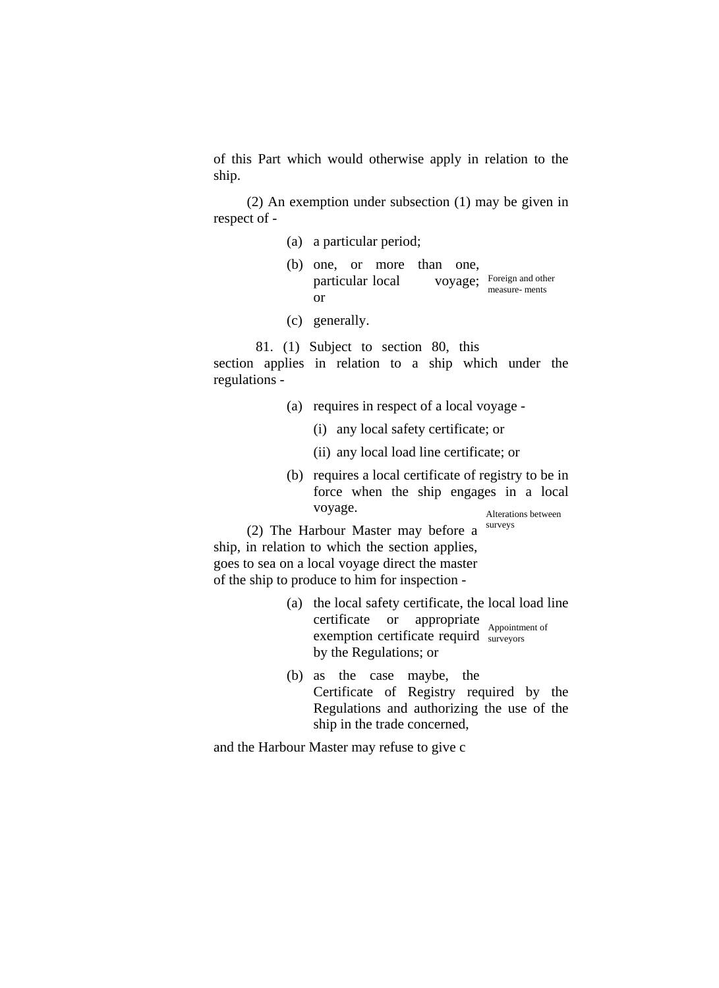of this Part which would otherwise apply in relation to the ship.

(2) An exemption under subsection (1) may be given in respect of -

- (a) a particular period;
- (b) one, or more than one, particular local or VOYage; Foreign and other measure- ments
- (c) generally.

81. (1) Subject to section 80, this

section applies in relation to a ship which under the regulations -

- (a) requires in respect of a local voyage
	- (i) any local safety certificate; or
	- (ii) any local load line certificate; or
- (b) requires a local certificate of registry to be in force when the ship engages in a local voyage. Manual Alterations between

(2) The Harbour Master may before a  $\frac{\text{surveys}}{\text{surveys}}$ ship, in relation to which the section applies, goes to sea on a local voyage direct the master of the ship to produce to him for inspection -

- (a) the local safety certificate, the local load line certificate or appropriate exemption certificate requird surveyors by the Regulations; or surveyors
- (b) as the case maybe, the Certificate of Registry required by the Regulations and authorizing the use of the ship in the trade concerned,

and the Harbour Master may refuse to give c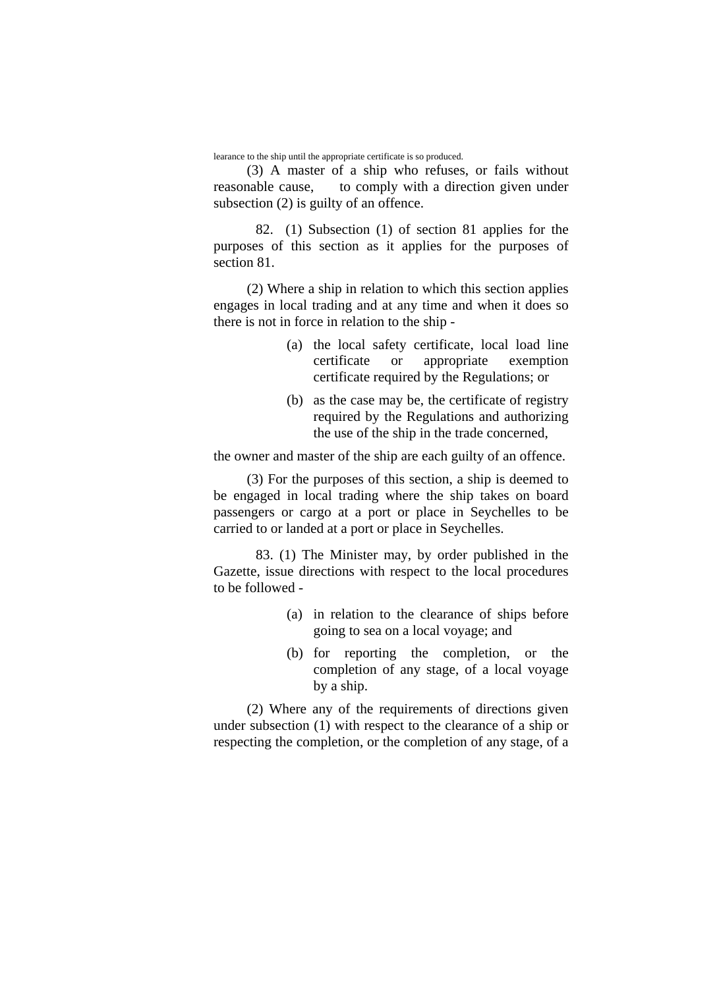learance to the ship until the appropriate certificate is so produced.

(3) A master of a ship who refuses, or fails without reasonable cause, to comply with a direction given under subsection (2) is guilty of an offence.

 82. (1) Subsection (1) of section 81 applies for the purposes of this section as it applies for the purposes of section 81.

(2) Where a ship in relation to which this section applies engages in local trading and at any time and when it does so there is not in force in relation to the ship -

- (a) the local safety certificate, local load line certificate or appropriate exemption certificate required by the Regulations; or
- (b) as the case may be, the certificate of registry required by the Regulations and authorizing the use of the ship in the trade concerned,

the owner and master of the ship are each guilty of an offence.

(3) For the purposes of this section, a ship is deemed to be engaged in local trading where the ship takes on board passengers or cargo at a port or place in Seychelles to be carried to or landed at a port or place in Seychelles.

 83. (1) The Minister may, by order published in the Gazette, issue directions with respect to the local procedures to be followed -

- (a) in relation to the clearance of ships before going to sea on a local voyage; and
- (b) for reporting the completion, or the completion of any stage, of a local voyage by a ship.

(2) Where any of the requirements of directions given under subsection (1) with respect to the clearance of a ship or respecting the completion, or the completion of any stage, of a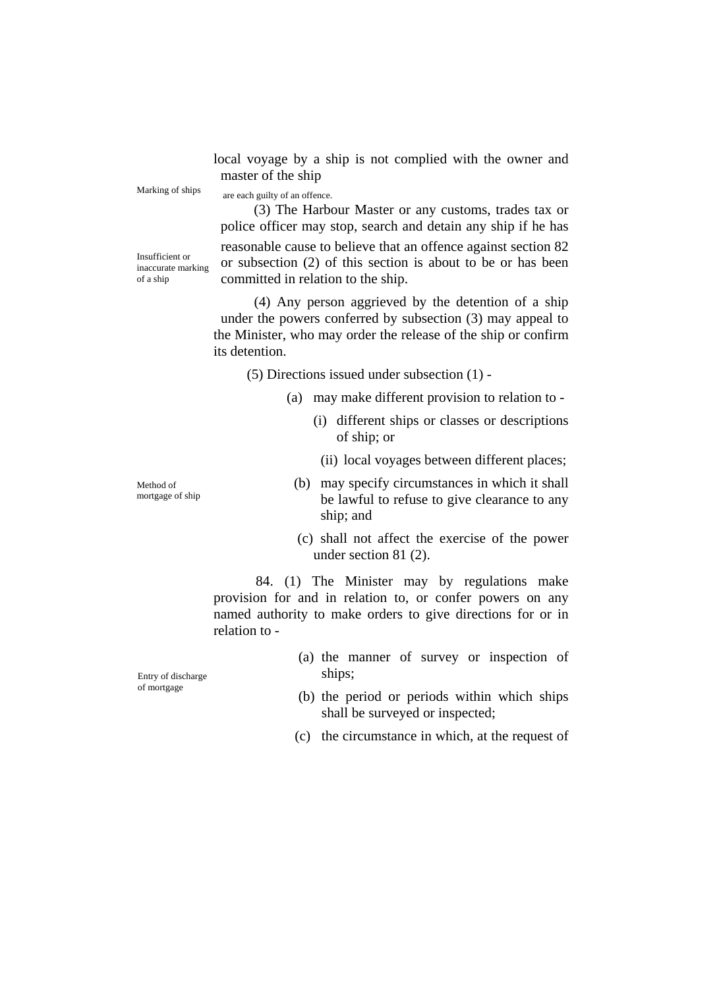local voyage by a ship is not complied with the owner and master of the ship

Marking of ships are each guilty of an offence.

(3) The Harbour Master or any customs, trades tax or police officer may stop, search and detain any ship if he has reasonable cause to believe that an offence against section 82 or subsection (2) of this section is about to be or has been committed in relation to the ship.

Insufficient or inaccurate marking of a ship

> (4) Any person aggrieved by the detention of a ship under the powers conferred by subsection (3) may appeal to the Minister, who may order the release of the ship or confirm its detention.

(5) Directions issued under subsection (1) -

- (a) may make different provision to relation to
	- (i) different ships or classes or descriptions of ship; or
		- (ii) local voyages between different places;
- (b) may specify circumstances in which it shall be lawful to refuse to give clearance to any ship; and
- (c) shall not affect the exercise of the power under section 81 (2).

84. (1) The Minister may by regulations make provision for and in relation to, or confer powers on any named authority to make orders to give directions for or in relation to -

(a) the manner of survey or inspection of Entry of discharge ships;

of mortgage

- (b) the period or periods within which ships shall be surveyed or inspected;
- (c) the circumstance in which, at the request of

Method of mortgage of ship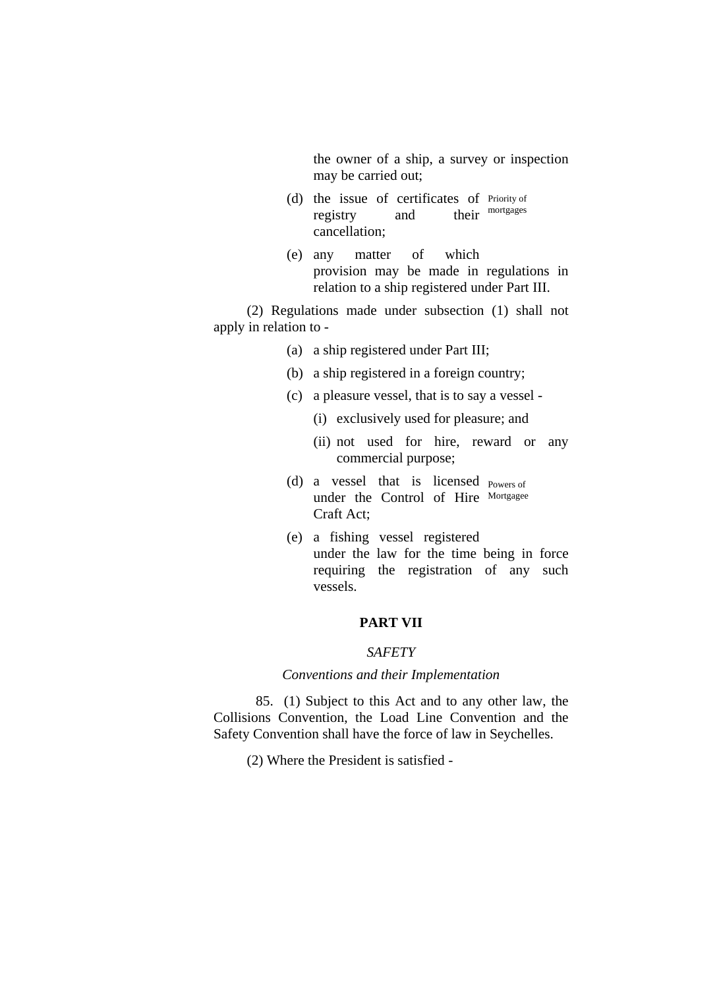the owner of a ship, a survey or inspection may be carried out;

- (d) the issue of certificates of Priority of registry and cancellation; their mortgages
- (e) any matter of which provision may be made in regulations in relation to a ship registered under Part III.

(2) Regulations made under subsection (1) shall not apply in relation to -

- (a) a ship registered under Part III;
- (b) a ship registered in a foreign country;
- (c) a pleasure vessel, that is to say a vessel
	- (i) exclusively used for pleasure; and
	- (ii) not used for hire, reward or any commercial purpose;
- (d) a vessel that is licensed Powers of under the Control of Hire Mortgagee Craft Act;
- (e) a fishing vessel registered under the law for the time being in force requiring the registration of any such vessels.

# **PART VII**

# *SAFETY*

# *Conventions and their Implementation*

85. (1) Subject to this Act and to any other law, the Collisions Convention, the Load Line Convention and the Safety Convention shall have the force of law in Seychelles.

(2) Where the President is satisfied -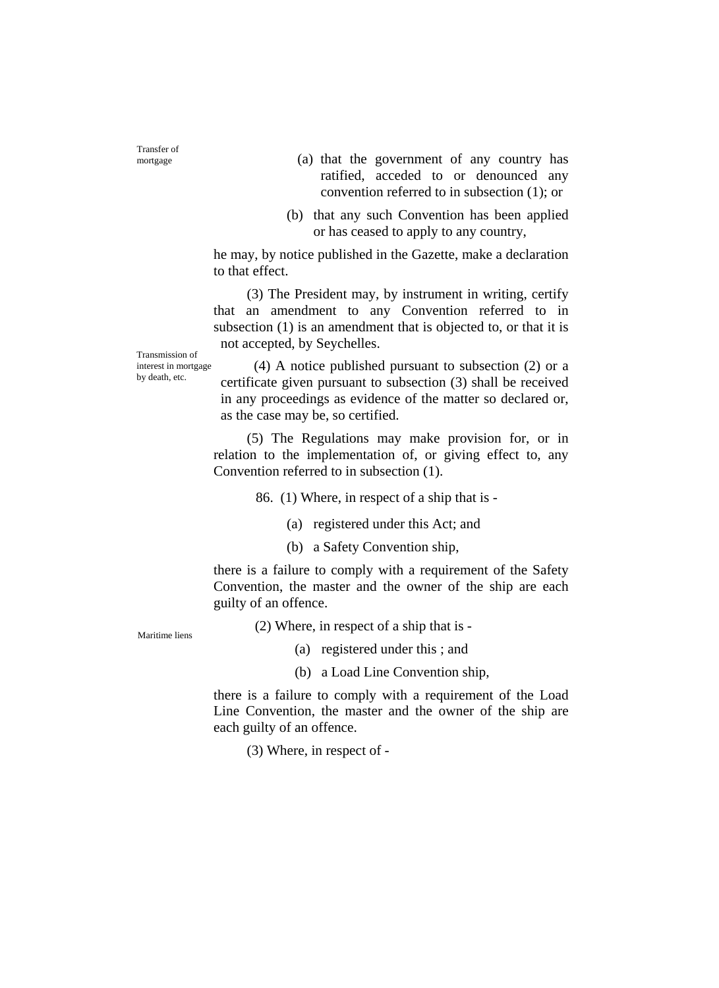Transfer of

- mortgage (a) that the government of any country has ratified, acceded to or denounced any convention referred to in subsection (1); or
	- (b) that any such Convention has been applied or has ceased to apply to any country,

he may, by notice published in the Gazette, make a declaration to that effect.

(3) The President may, by instrument in writing, certify that an amendment to any Convention referred to in subsection (1) is an amendment that is objected to, or that it is not accepted, by Seychelles.

Transmission of interest in mortgage by death, etc.

(4) A notice published pursuant to subsection (2) or a certificate given pursuant to subsection (3) shall be received in any proceedings as evidence of the matter so declared or, as the case may be, so certified.

(5) The Regulations may make provision for, or in relation to the implementation of, or giving effect to, any Convention referred to in subsection (1).

86. (1) Where, in respect of a ship that is -

(a) registered under this Act; and

(b) a Safety Convention ship,

there is a failure to comply with a requirement of the Safety Convention, the master and the owner of the ship are each guilty of an offence.

(2) Where, in respect of a ship that is - Maritime liens

- (a) registered under this ; and
- (b) a Load Line Convention ship,

there is a failure to comply with a requirement of the Load Line Convention, the master and the owner of the ship are each guilty of an offence.

(3) Where, in respect of -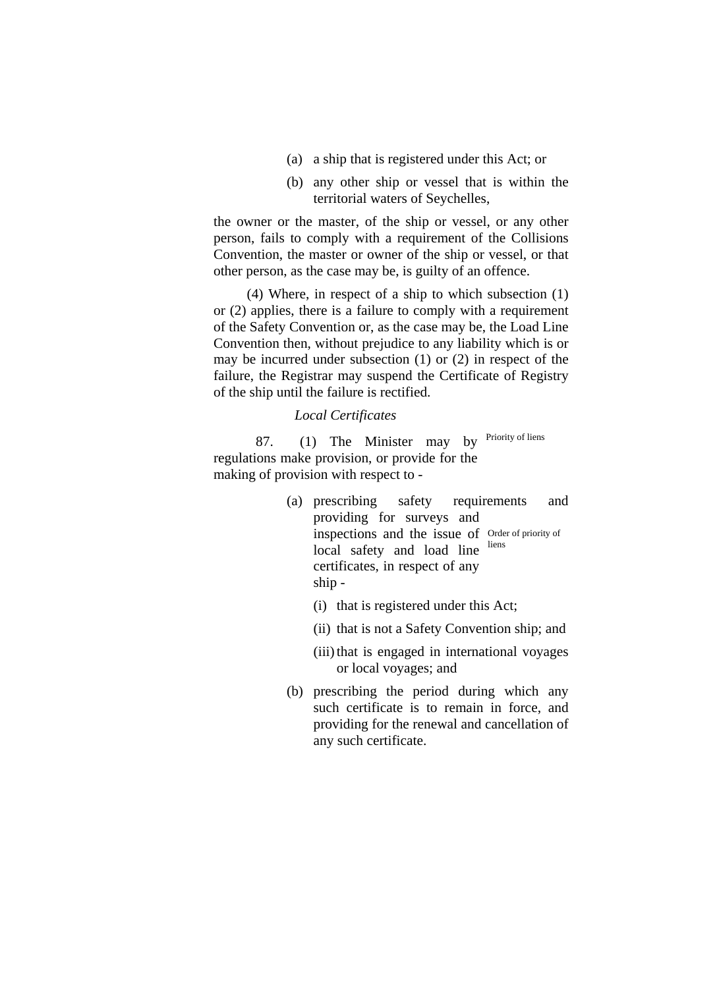- (a) a ship that is registered under this Act; or
- (b) any other ship or vessel that is within the territorial waters of Seychelles,

the owner or the master, of the ship or vessel, or any other person, fails to comply with a requirement of the Collisions Convention, the master or owner of the ship or vessel, or that other person, as the case may be, is guilty of an offence.

(4) Where, in respect of a ship to which subsection (1) or (2) applies, there is a failure to comply with a requirement of the Safety Convention or, as the case may be, the Load Line Convention then, without prejudice to any liability which is or may be incurred under subsection (1) or (2) in respect of the failure, the Registrar may suspend the Certificate of Registry of the ship until the failure is rectified.

# *Local Certificates*

87.  $(1)$  The Minister may by Priority of liens regulations make provision, or provide for the making of provision with respect to -

- (a) prescribing safety requirements and providing for surveys and inspections and the issue of Order of priority of local safety and load line certificates, in respect of any ship liens
	- (i) that is registered under this Act;
	- (ii) that is not a Safety Convention ship; and
	- (iii) that is engaged in international voyages or local voyages; and
- (b) prescribing the period during which any such certificate is to remain in force, and providing for the renewal and cancellation of any such certificate.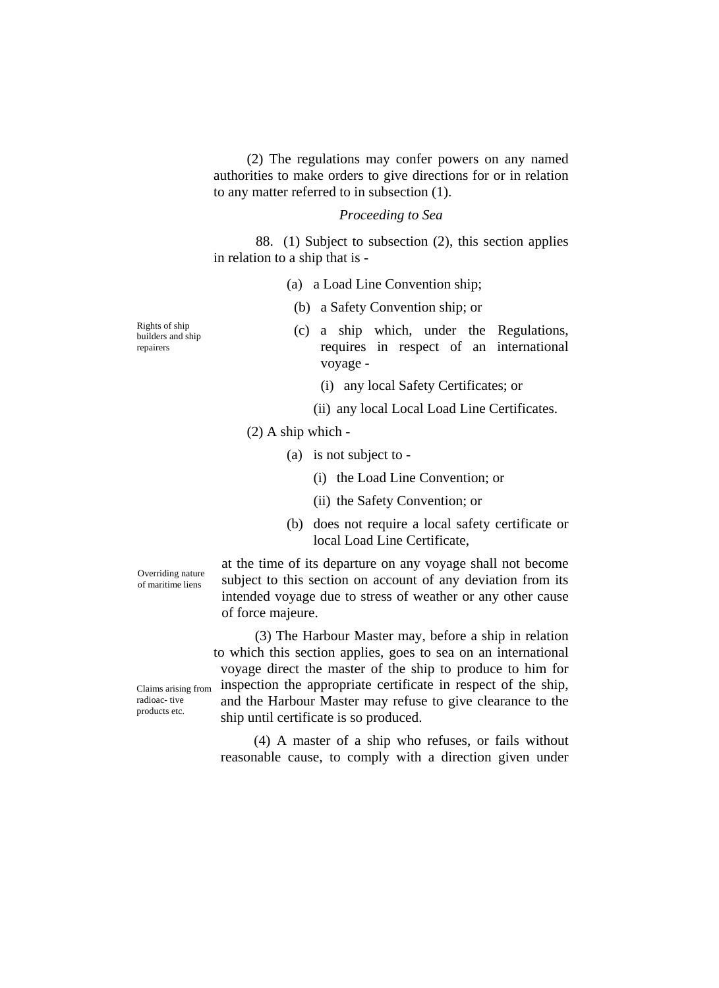(2) The regulations may confer powers on any named authorities to make orders to give directions for or in relation to any matter referred to in subsection (1).

### *Proceeding to Sea*

88. (1) Subject to subsection (2), this section applies in relation to a ship that is -

(a) a Load Line Convention ship;

(b) a Safety Convention ship; or

- (c) a ship which, under the Regulations, requires in respect of an international voyage -
	- (i) any local Safety Certificates; or
	- (ii) any local Local Load Line Certificates.

(2) A ship which -

(a) is not subject to -

- (i) the Load Line Convention; or
- (ii) the Safety Convention; or
- (b) does not require a local safety certificate or local Load Line Certificate,

at the time of its departure on any voyage shall not become subject to this section on account of any deviation from its intended voyage due to stress of weather or any other cause of force majeure.

(3) The Harbour Master may, before a ship in relation to which this section applies, goes to sea on an international voyage direct the master of the ship to produce to him for inspection the appropriate certificate in respect of the ship, and the Harbour Master may refuse to give clearance to the ship until certificate is so produced.

(4) A master of a ship who refuses, or fails without reasonable cause, to comply with a direction given under

Rights of ship builders and ship repairers

Overriding nature of maritime liens

Claims arising from radioac- tive products etc.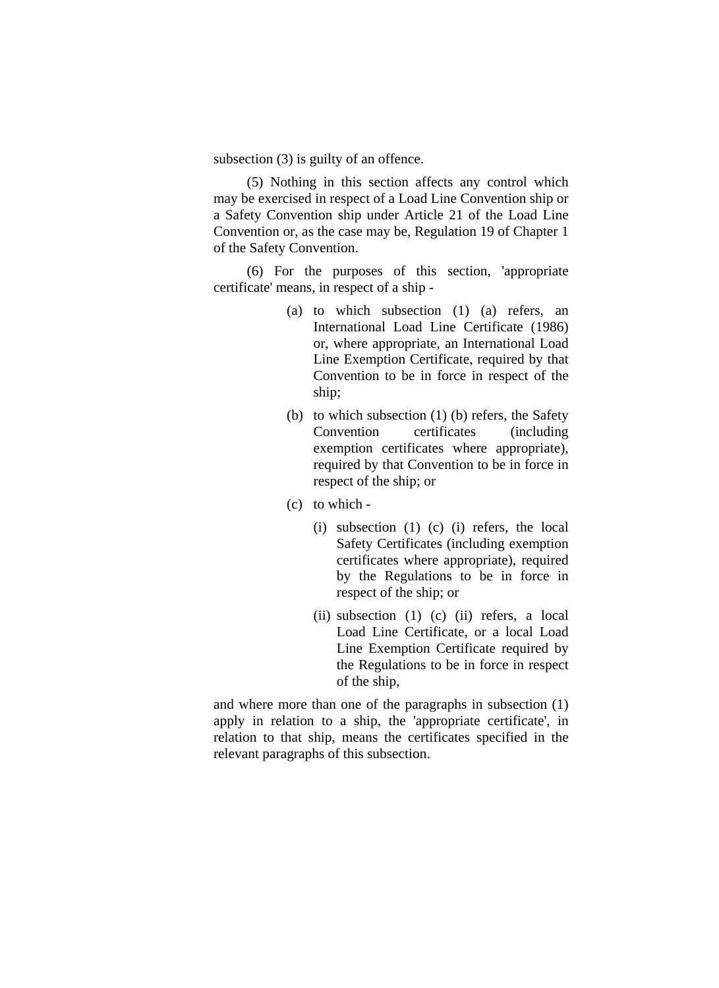subsection (3) is guilty of an offence.

(5) Nothing in this section affects any control which may be exercised in respect of a Load Line Convention ship or a Safety Convention ship under Article 21 of the Load Line Convention or, as the case may be, Regulation 19 of Chapter 1 of the Safety Convention.

(6) For the purposes of this section, 'appropriate certificate' means, in respect of a ship -

- (a) to which subsection (1) (a) refers, an International Load Line Certificate (1986) or, where appropriate, an International Load Line Exemption Certificate, required by that Convention to be in force in respect of the ship;
- (b) to which subsection (1) (b) refers, the Safety Convention certificates (including exemption certificates where appropriate), required by that Convention to be in force in respect of the ship; or
- (c) to which
	- (i) subsection (1) (c) (i) refers, the local Safety Certificates (including exemption certificates where appropriate), required by the Regulations to be in force in respect of the ship; or
	- (ii) subsection (1) (c) (ii) refers, a local Load Line Certificate, or a local Load Line Exemption Certificate required by the Regulations to be in force in respect of the ship,

and where more than one of the paragraphs in subsection (1) apply in relation to a ship, the 'appropriate certificate', in relation to that ship, means the certificates specified in the relevant paragraphs of this subsection.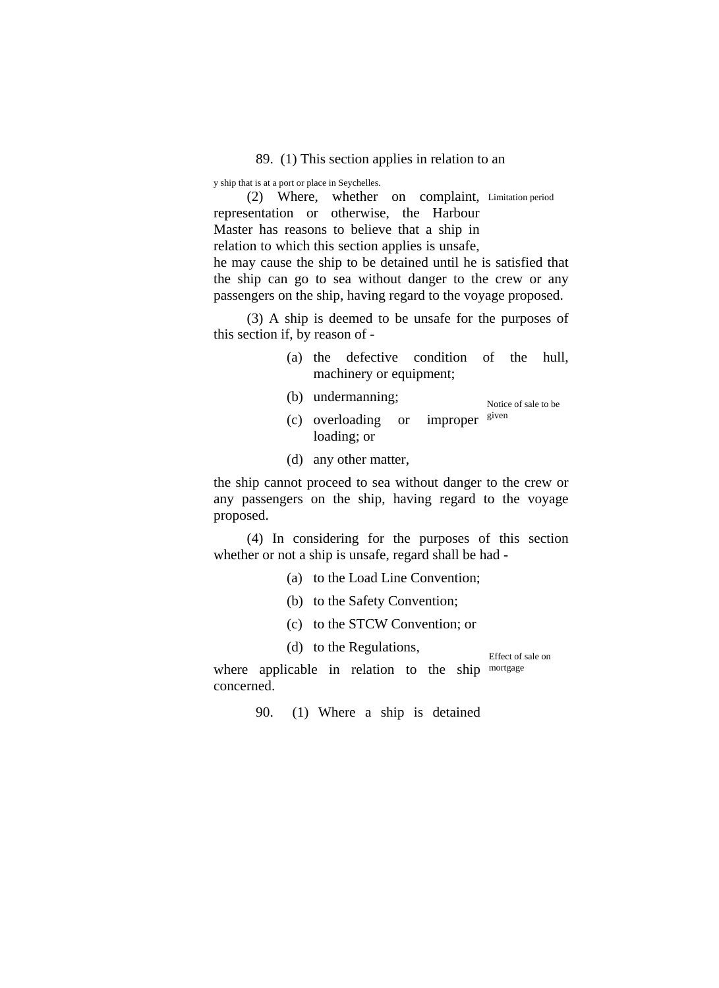89. (1) This section applies in relation to an

y ship that is at a port or place in Seychelles.

(2) Where, whether on complaint, Limitation period representation or otherwise, the Harbour Master has reasons to believe that a ship in relation to which this section applies is unsafe, he may cause the ship to be detained until he is satisfied that the ship can go to sea without danger to the crew or any passengers on the ship, having regard to the voyage proposed.

(3) A ship is deemed to be unsafe for the purposes of this section if, by reason of -

- (a) the defective condition of the hull, machinery or equipment;
- (b) undermanning; Notice of sale to be
- (c) overloading or improper loading; or given
- (d) any other matter,

the ship cannot proceed to sea without danger to the crew or any passengers on the ship, having regard to the voyage proposed.

(4) In considering for the purposes of this section whether or not a ship is unsafe, regard shall be had -

- (a) to the Load Line Convention;
- (b) to the Safety Convention;
- (c) to the STCW Convention; or
- (d) to the Regulations,

Effect of sale on

where applicable in relation to the ship mortgage concerned.

90. (1) Where a ship is detained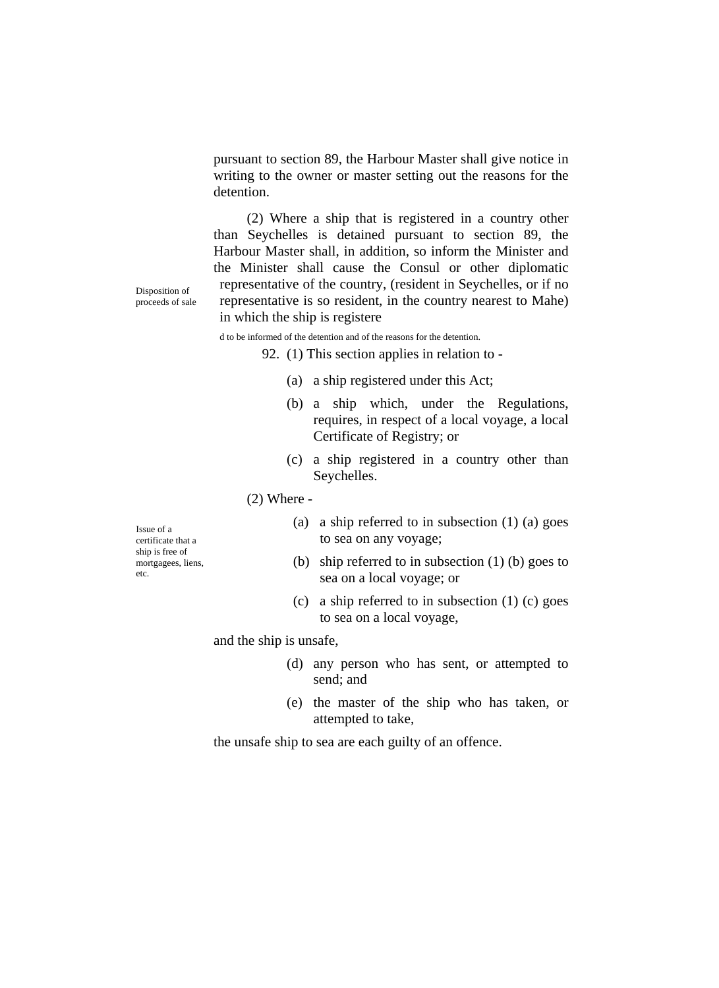pursuant to section 89, the Harbour Master shall give notice in writing to the owner or master setting out the reasons for the detention.

(2) Where a ship that is registered in a country other than Seychelles is detained pursuant to section 89, the Harbour Master shall, in addition, so inform the Minister and the Minister shall cause the Consul or other diplomatic representative of the country, (resident in Seychelles, or if no representative is so resident, in the country nearest to Mahe) in which the ship is registere

d to be informed of the detention and of the reasons for the detention.

92. (1) This section applies in relation to -

- (a) a ship registered under this Act;
- (b) a ship which, under the Regulations, requires, in respect of a local voyage, a local Certificate of Registry; or
- (c) a ship registered in a country other than Seychelles.

(2) Where -

- (a) a ship referred to in subsection (1) (a) goes to sea on any voyage;
- (b) ship referred to in subsection (1) (b) goes to sea on a local voyage; or
- (c) a ship referred to in subsection (1) (c) goes to sea on a local voyage,

and the ship is unsafe,

- (d) any person who has sent, or attempted to send; and
- (e) the master of the ship who has taken, or attempted to take,

the unsafe ship to sea are each guilty of an offence.

Disposition of proceeds of sale

Issue of a certificate that a ship is free of mortgagees, liens, etc.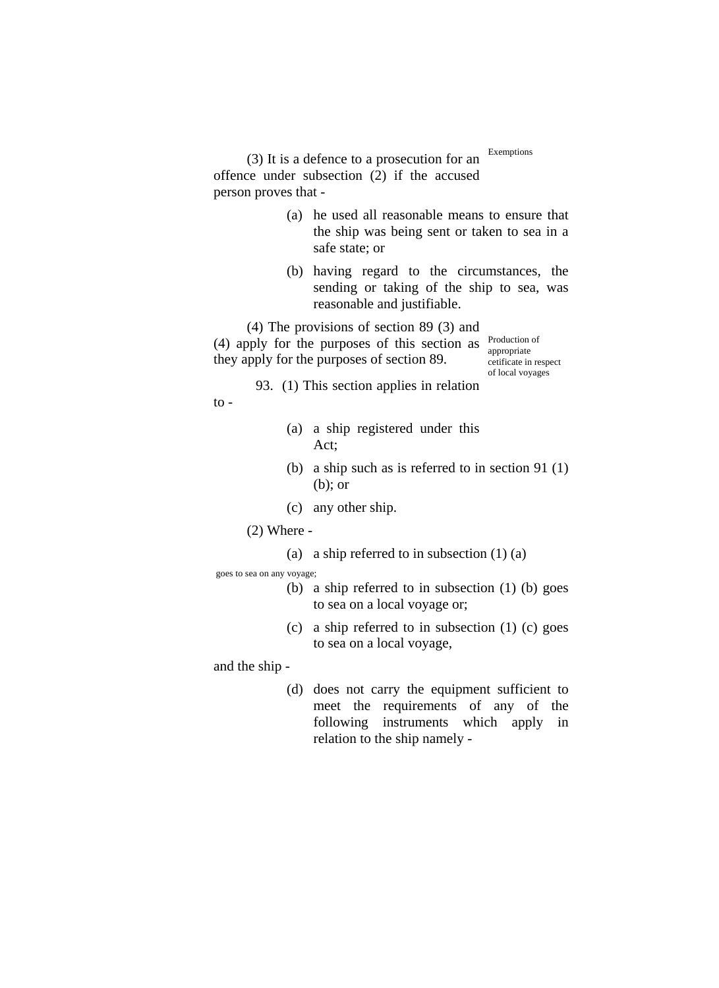$(3)$  It is a defence to a prosecution for an <sup>Exemptions</sup> offence under subsection (2) if the accused person proves that -

- (a) he used all reasonable means to ensure that the ship was being sent or taken to sea in a safe state; or
- (b) having regard to the circumstances, the sending or taking of the ship to sea, was reasonable and justifiable.

(4) The provisions of section 89 (3) and  $(4)$  apply for the purposes of this section as  $\frac{\text{Production of}}{\text{measurement}}$ they apply for the purposes of section 89.

appropriate cetificate in respect of local voyages

- 93. (1) This section applies in relation
- to -
- (a) a ship registered under this Act;
- (b) a ship such as is referred to in section 91 (1) (b); or
- (c) any other ship.
- (2) Where
	- (a) a ship referred to in subsection (1) (a)

goes to sea on any voyage;

- (b) a ship referred to in subsection (1) (b) goes to sea on a local voyage or;
- (c) a ship referred to in subsection (1) (c) goes to sea on a local voyage,

and the ship -

(d) does not carry the equipment sufficient to meet the requirements of any of the following instruments which apply in relation to the ship namely -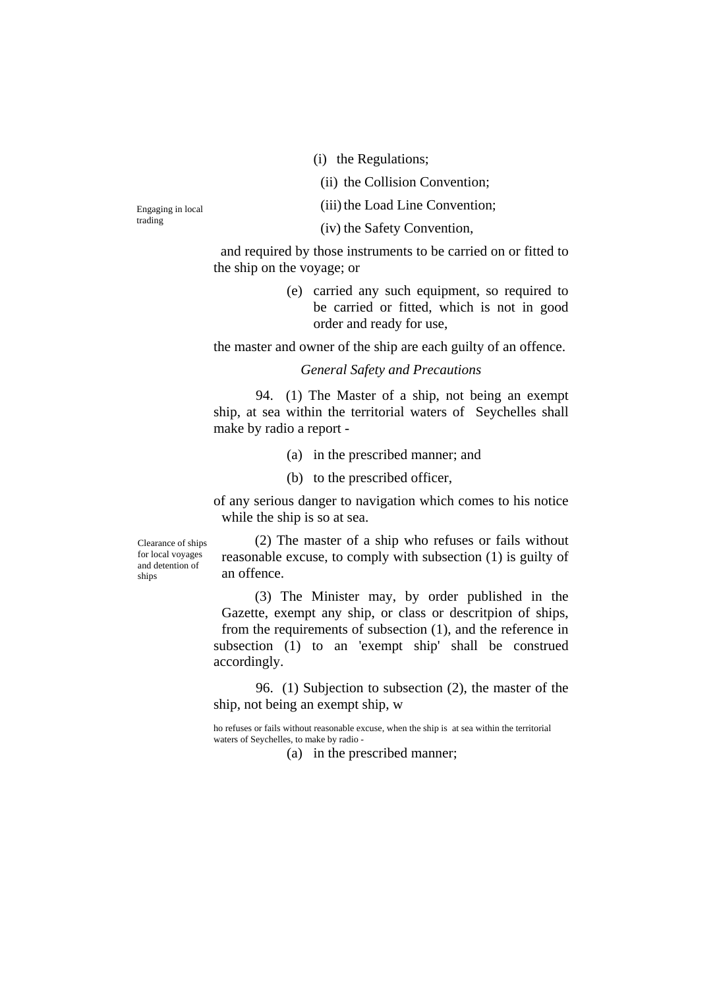(i) the Regulations;

(ii) the Collision Convention;

Engaging in local (iii) the Load Line Convention;

trading (iv) the Safety Convention,

and required by those instruments to be carried on or fitted to the ship on the voyage; or

> (e) carried any such equipment, so required to be carried or fitted, which is not in good order and ready for use,

the master and owner of the ship are each guilty of an offence.

### *General Safety and Precautions*

94. (1) The Master of a ship, not being an exempt ship, at sea within the territorial waters of Seychelles shall make by radio a report -

(a) in the prescribed manner; and

(b) to the prescribed officer,

of any serious danger to navigation which comes to his notice while the ship is so at sea.

Clearance of ships for local voyages and detention of ships

(2) The master of a ship who refuses or fails without reasonable excuse, to comply with subsection (1) is guilty of an offence.

(3) The Minister may, by order published in the Gazette, exempt any ship, or class or descritpion of ships, from the requirements of subsection (1), and the reference in subsection (1) to an 'exempt ship' shall be construed accordingly.

96. (1) Subjection to subsection (2), the master of the ship, not being an exempt ship, w

ho refuses or fails without reasonable excuse, when the ship is at sea within the territorial waters of Seychelles, to make by radio -

(a) in the prescribed manner;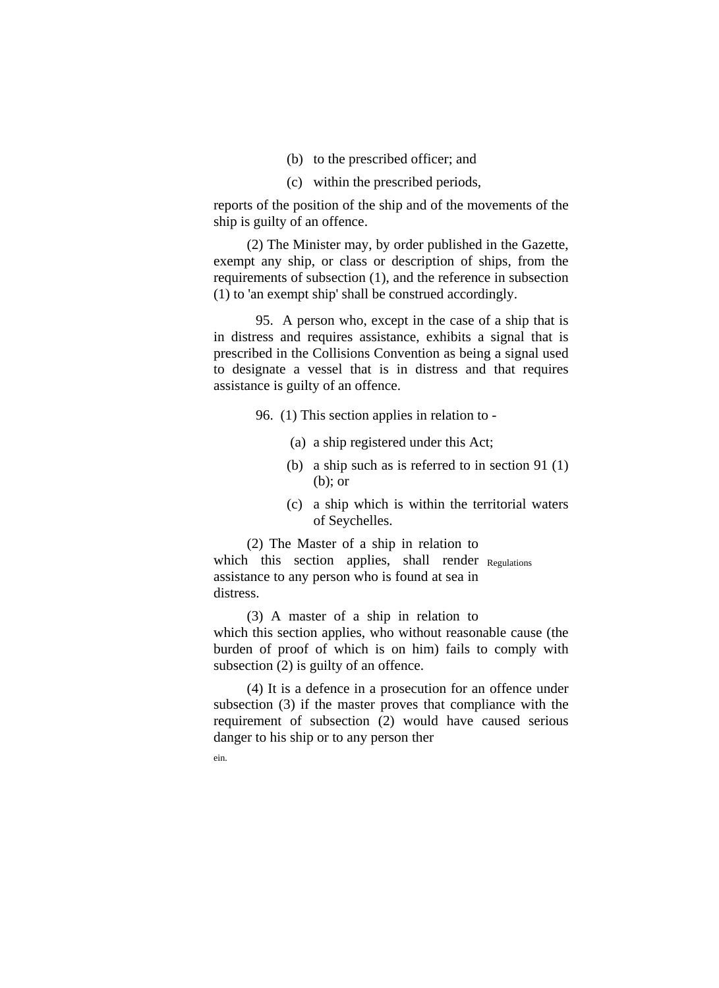- (b) to the prescribed officer; and
- (c) within the prescribed periods,

reports of the position of the ship and of the movements of the ship is guilty of an offence.

(2) The Minister may, by order published in the Gazette, exempt any ship, or class or description of ships, from the requirements of subsection (1), and the reference in subsection (1) to 'an exempt ship' shall be construed accordingly.

95. A person who, except in the case of a ship that is in distress and requires assistance, exhibits a signal that is prescribed in the Collisions Convention as being a signal used to designate a vessel that is in distress and that requires assistance is guilty of an offence.

96. (1) This section applies in relation to -

- (a) a ship registered under this Act;
- (b) a ship such as is referred to in section 91 (1) (b); or
- (c) a ship which is within the territorial waters of Seychelles.

(2) The Master of a ship in relation to which this section applies, shall render Regulations assistance to any person who is found at sea in distress.

(3) A master of a ship in relation to which this section applies, who without reasonable cause (the burden of proof of which is on him) fails to comply with subsection (2) is guilty of an offence.

(4) It is a defence in a prosecution for an offence under subsection (3) if the master proves that compliance with the requirement of subsection (2) would have caused serious danger to his ship or to any person ther

ein.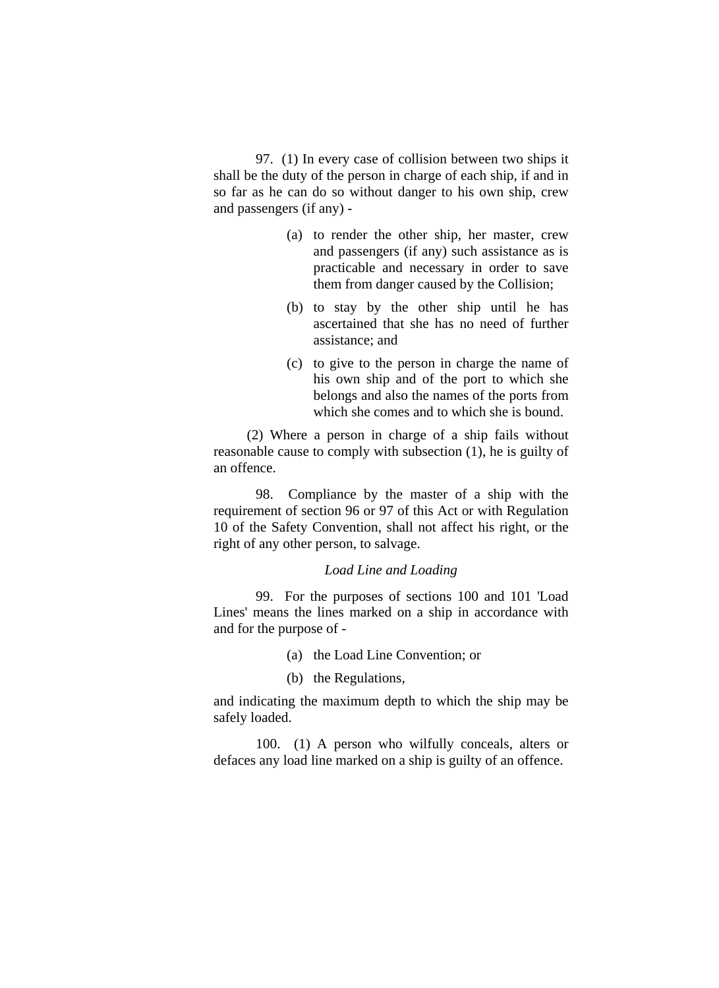97. (1) In every case of collision between two ships it shall be the duty of the person in charge of each ship, if and in so far as he can do so without danger to his own ship, crew and passengers (if any) -

- (a) to render the other ship, her master, crew and passengers (if any) such assistance as is practicable and necessary in order to save them from danger caused by the Collision;
- (b) to stay by the other ship until he has ascertained that she has no need of further assistance; and
- (c) to give to the person in charge the name of his own ship and of the port to which she belongs and also the names of the ports from which she comes and to which she is bound.

(2) Where a person in charge of a ship fails without reasonable cause to comply with subsection (1), he is guilty of an offence.

 98. Compliance by the master of a ship with the requirement of section 96 or 97 of this Act or with Regulation 10 of the Safety Convention, shall not affect his right, or the right of any other person, to salvage.

# *Load Line and Loading*

 99. For the purposes of sections 100 and 101 'Load Lines' means the lines marked on a ship in accordance with and for the purpose of -

- (a) the Load Line Convention; or
- (b) the Regulations,

and indicating the maximum depth to which the ship may be safely loaded.

 100. (1) A person who wilfully conceals, alters or defaces any load line marked on a ship is guilty of an offence.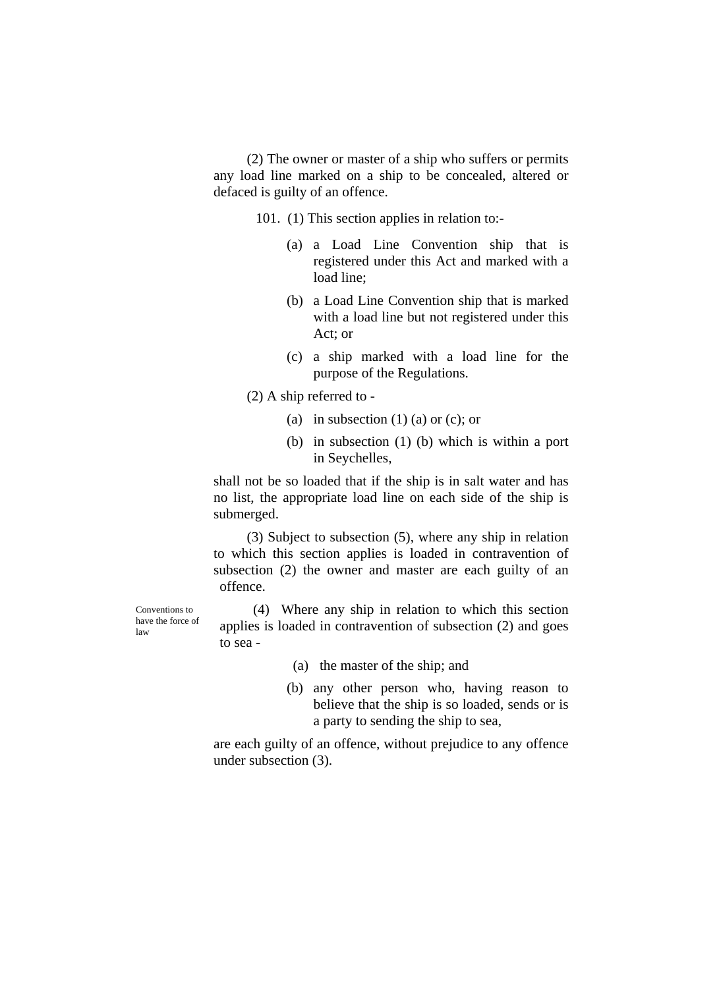(2) The owner or master of a ship who suffers or permits any load line marked on a ship to be concealed, altered or defaced is guilty of an offence.

101. (1) This section applies in relation to:-

- (a) a Load Line Convention ship that is registered under this Act and marked with a load line;
- (b) a Load Line Convention ship that is marked with a load line but not registered under this Act; or
- (c) a ship marked with a load line for the purpose of the Regulations.

(2) A ship referred to -

- (a) in subsection  $(1)$  (a) or (c); or
- (b) in subsection (1) (b) which is within a port in Seychelles,

shall not be so loaded that if the ship is in salt water and has no list, the appropriate load line on each side of the ship is submerged.

(3) Subject to subsection (5), where any ship in relation to which this section applies is loaded in contravention of subsection (2) the owner and master are each guilty of an offence.

(4) Where any ship in relation to which this section applies is loaded in contravention of subsection (2) and goes to sea -

- (a) the master of the ship; and
- (b) any other person who, having reason to believe that the ship is so loaded, sends or is a party to sending the ship to sea,

are each guilty of an offence, without prejudice to any offence under subsection (3).

Conventions to have the force of law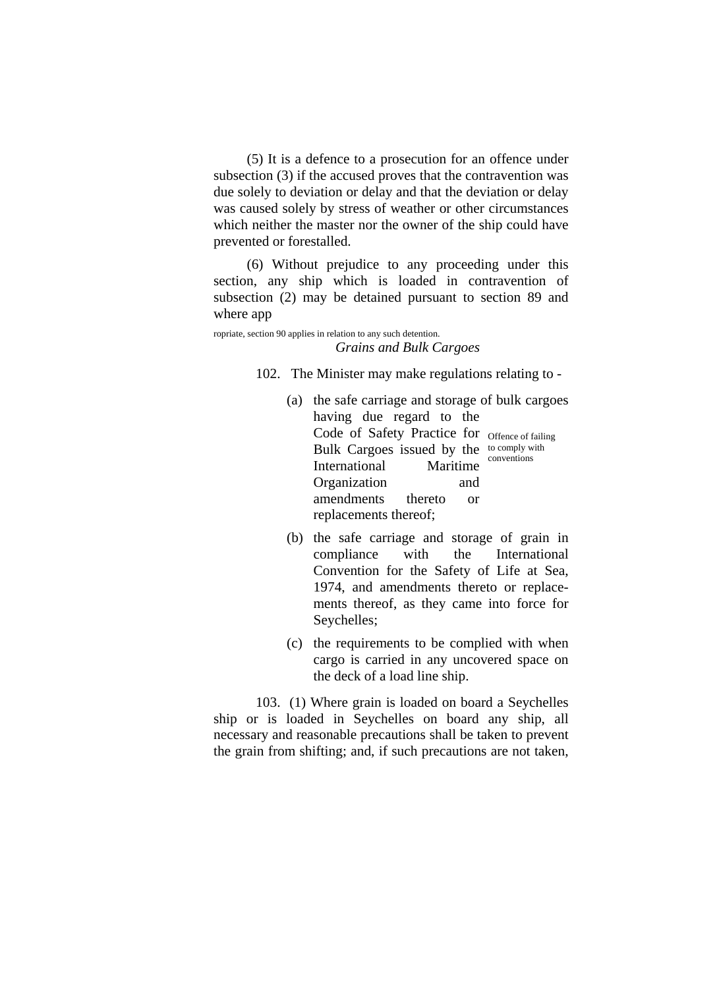(5) It is a defence to a prosecution for an offence under subsection (3) if the accused proves that the contravention was due solely to deviation or delay and that the deviation or delay was caused solely by stress of weather or other circumstances which neither the master nor the owner of the ship could have prevented or forestalled.

(6) Without prejudice to any proceeding under this section, any ship which is loaded in contravention of subsection (2) may be detained pursuant to section 89 and where app

#### ropriate, section 90 applies in relation to any such detention. *Grains and Bulk Cargoes*

102. The Minister may make regulations relating to -

- (a) the safe carriage and storage of bulk cargoes having due regard to the Code of Safety Practice for Offence of failing Bulk Cargoes issued by the <sup>to comply with</sup> International Maritime Organization and amendments thereto or replacements thereof; conventions
- (b) the safe carriage and storage of grain in compliance with the International Convention for the Safety of Life at Sea, 1974, and amendments thereto or replacements thereof, as they came into force for Seychelles;
- (c) the requirements to be complied with when cargo is carried in any uncovered space on the deck of a load line ship.

103. (1) Where grain is loaded on board a Seychelles ship or is loaded in Seychelles on board any ship, all necessary and reasonable precautions shall be taken to prevent the grain from shifting; and, if such precautions are not taken,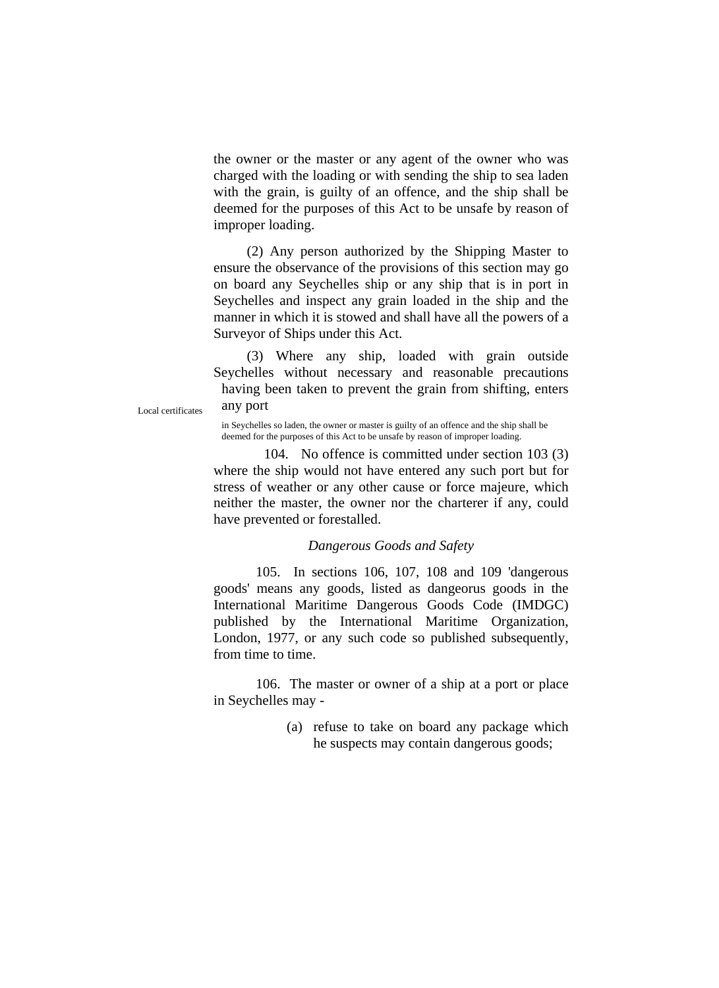the owner or the master or any agent of the owner who was charged with the loading or with sending the ship to sea laden with the grain, is guilty of an offence, and the ship shall be deemed for the purposes of this Act to be unsafe by reason of improper loading.

(2) Any person authorized by the Shipping Master to ensure the observance of the provisions of this section may go on board any Seychelles ship or any ship that is in port in Seychelles and inspect any grain loaded in the ship and the manner in which it is stowed and shall have all the powers of a Surveyor of Ships under this Act.

(3) Where any ship, loaded with grain outside Seychelles without necessary and reasonable precautions having been taken to prevent the grain from shifting, enters Local certificates any port

in Seychelles so laden, the owner or master is guilty of an offence and the ship shall be deemed for the purposes of this Act to be unsafe by reason of improper loading.

104. No offence is committed under section 103 (3) where the ship would not have entered any such port but for stress of weather or any other cause or force majeure, which neither the master, the owner nor the charterer if any, could have prevented or forestalled.

# *Dangerous Goods and Safety*

105. In sections 106, 107, 108 and 109 'dangerous goods' means any goods, listed as dangeorus goods in the International Maritime Dangerous Goods Code (IMDGC) published by the International Maritime Organization, London, 1977, or any such code so published subsequently, from time to time.

106. The master or owner of a ship at a port or place in Seychelles may -

> (a) refuse to take on board any package which he suspects may contain dangerous goods;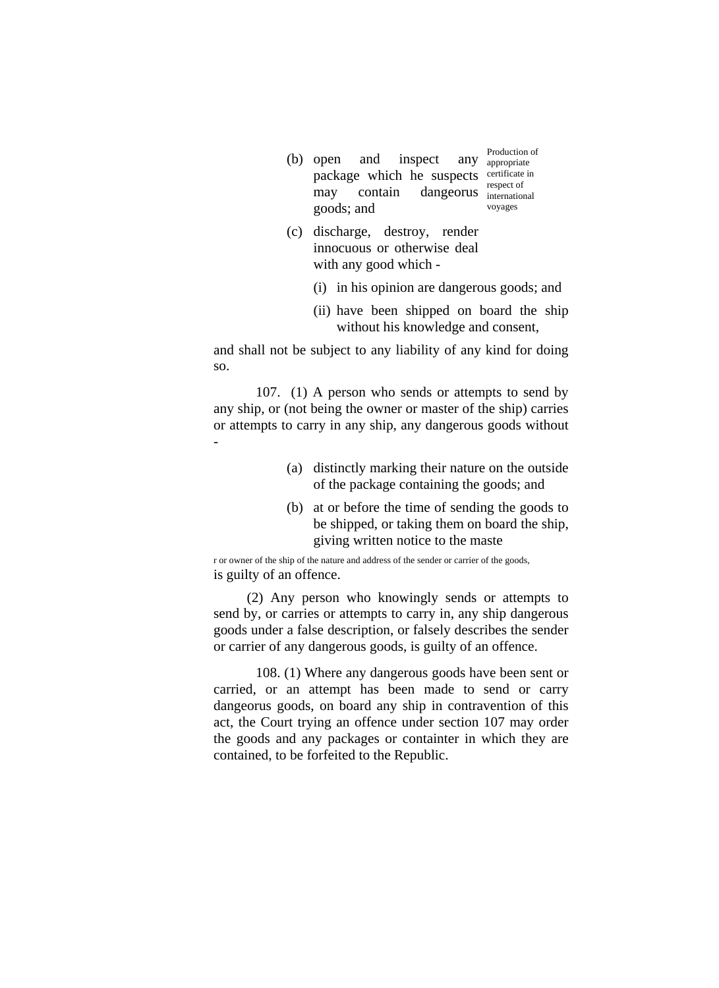- $(b)$  open and inspect package which he suspects certificate in may contain dangeorus international goods; and Production of any appropriate respect of voyages
- (c) discharge, destroy, render innocuous or otherwise deal with any good which -
	- (i) in his opinion are dangerous goods; and
	- (ii) have been shipped on board the ship without his knowledge and consent,

and shall not be subject to any liability of any kind for doing so.

107. (1) A person who sends or attempts to send by any ship, or (not being the owner or master of the ship) carries or attempts to carry in any ship, any dangerous goods without -

- (a) distinctly marking their nature on the outside of the package containing the goods; and
- (b) at or before the time of sending the goods to be shipped, or taking them on board the ship, giving written notice to the maste

r or owner of the ship of the nature and address of the sender or carrier of the goods, is guilty of an offence.

(2) Any person who knowingly sends or attempts to send by, or carries or attempts to carry in, any ship dangerous goods under a false description, or falsely describes the sender or carrier of any dangerous goods, is guilty of an offence.

108. (1) Where any dangerous goods have been sent or carried, or an attempt has been made to send or carry dangeorus goods, on board any ship in contravention of this act, the Court trying an offence under section 107 may order the goods and any packages or containter in which they are contained, to be forfeited to the Republic.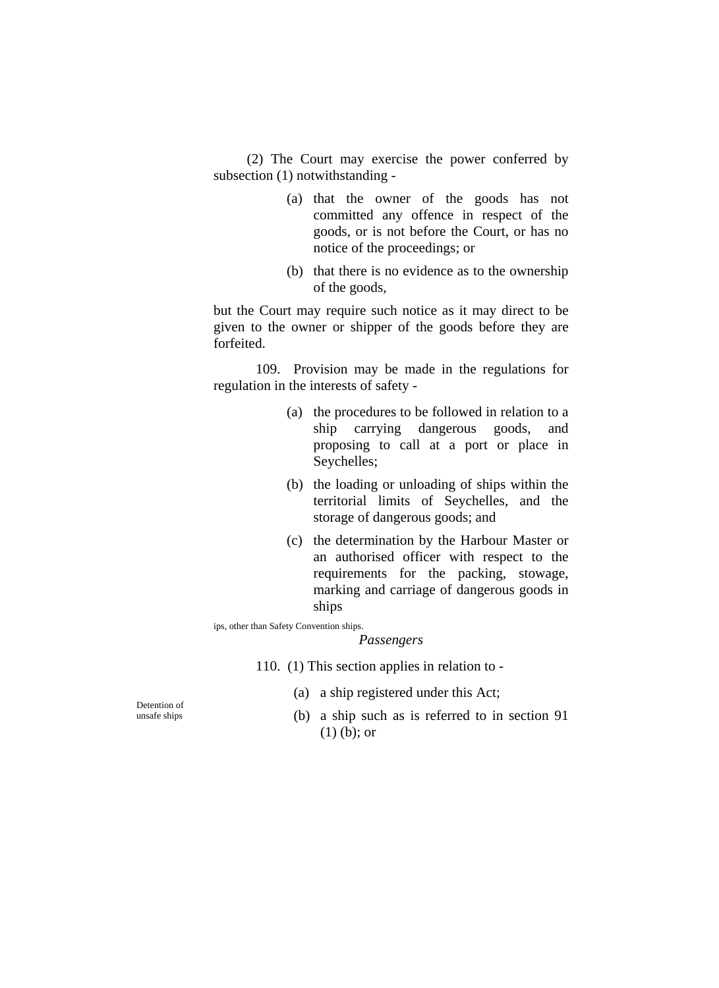(2) The Court may exercise the power conferred by subsection (1) notwithstanding -

- (a) that the owner of the goods has not committed any offence in respect of the goods, or is not before the Court, or has no notice of the proceedings; or
- (b) that there is no evidence as to the ownership of the goods,

but the Court may require such notice as it may direct to be given to the owner or shipper of the goods before they are forfeited.

109. Provision may be made in the regulations for regulation in the interests of safety -

- (a) the procedures to be followed in relation to a ship carrying dangerous goods, and proposing to call at a port or place in Seychelles;
- (b) the loading or unloading of ships within the territorial limits of Seychelles, and the storage of dangerous goods; and
- (c) the determination by the Harbour Master or an authorised officer with respect to the requirements for the packing, stowage, marking and carriage of dangerous goods in ships

ips, other than Safety Convention ships.

#### *Passengers*

110. (1) This section applies in relation to -

- (a) a ship registered under this Act;
- unsafe ships (b) a ship such as is referred to in section 91 (1) (b); or

Detention of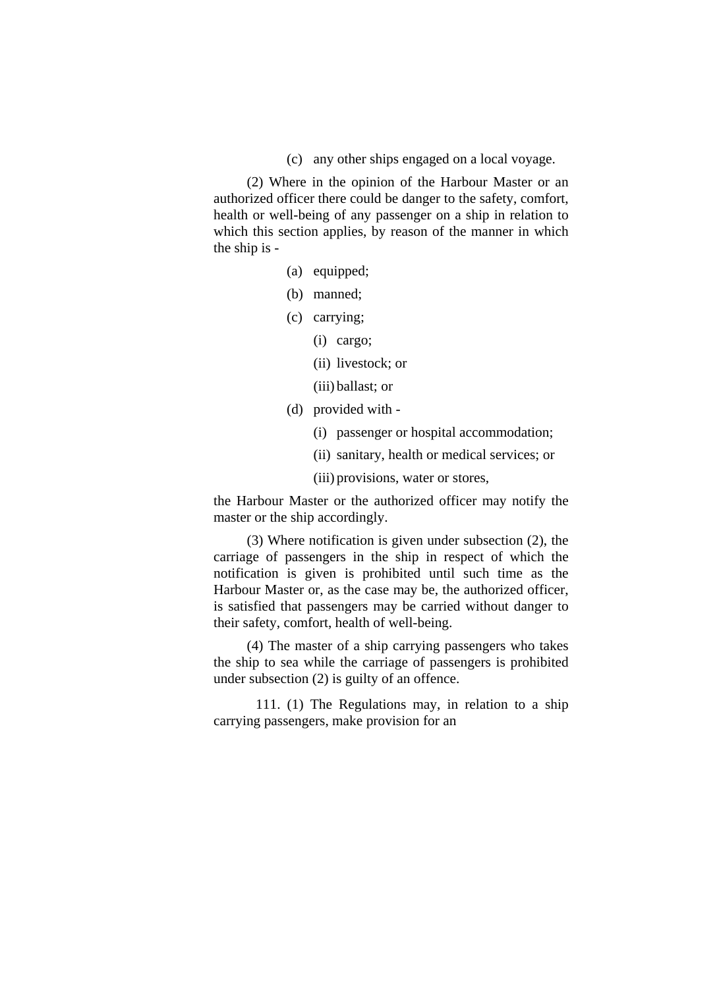(c) any other ships engaged on a local voyage.

(2) Where in the opinion of the Harbour Master or an authorized officer there could be danger to the safety, comfort, health or well-being of any passenger on a ship in relation to which this section applies, by reason of the manner in which the ship is -

- (a) equipped;
- (b) manned;
- (c) carrying;
	- (i) cargo;
	- (ii) livestock; or
	- (iii) ballast; or
- (d) provided with
	- (i) passenger or hospital accommodation;
	- (ii) sanitary, health or medical services; or
	- (iii) provisions, water or stores,

the Harbour Master or the authorized officer may notify the master or the ship accordingly.

(3) Where notification is given under subsection (2), the carriage of passengers in the ship in respect of which the notification is given is prohibited until such time as the Harbour Master or, as the case may be, the authorized officer, is satisfied that passengers may be carried without danger to their safety, comfort, health of well-being.

(4) The master of a ship carrying passengers who takes the ship to sea while the carriage of passengers is prohibited under subsection (2) is guilty of an offence.

 111. (1) The Regulations may, in relation to a ship carrying passengers, make provision for an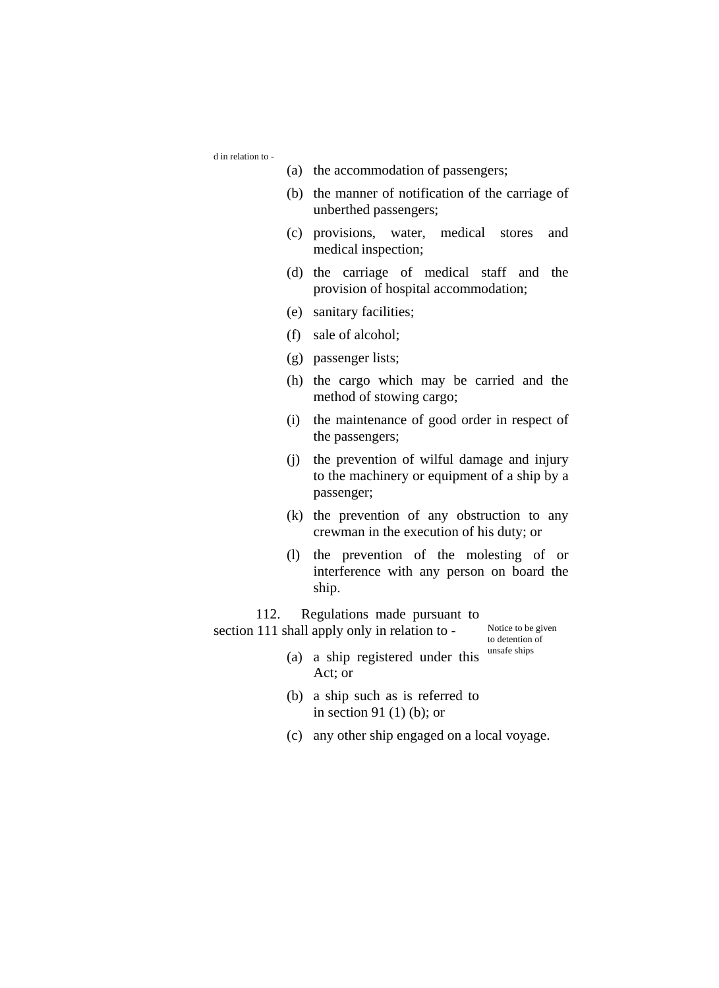d in relation to -

- (a) the accommodation of passengers;
- (b) the manner of notification of the carriage of unberthed passengers;
- (c) provisions, water, medical stores and medical inspection;
- (d) the carriage of medical staff and the provision of hospital accommodation;
- (e) sanitary facilities;
- (f) sale of alcohol;
- (g) passenger lists;
- (h) the cargo which may be carried and the method of stowing cargo;
- (i) the maintenance of good order in respect of the passengers;
- (j) the prevention of wilful damage and injury to the machinery or equipment of a ship by a passenger;
- (k) the prevention of any obstruction to any crewman in the execution of his duty; or
- (l) the prevention of the molesting of or interference with any person on board the ship.

112. Regulations made pursuant to section 111 shall apply only in relation to - Notice to be given

to detention of

- (a) a ship registered under this  $^{unsafe\ ships}$ Act; or
- (b) a ship such as is referred to in section 91 (1) (b); or
- (c) any other ship engaged on a local voyage.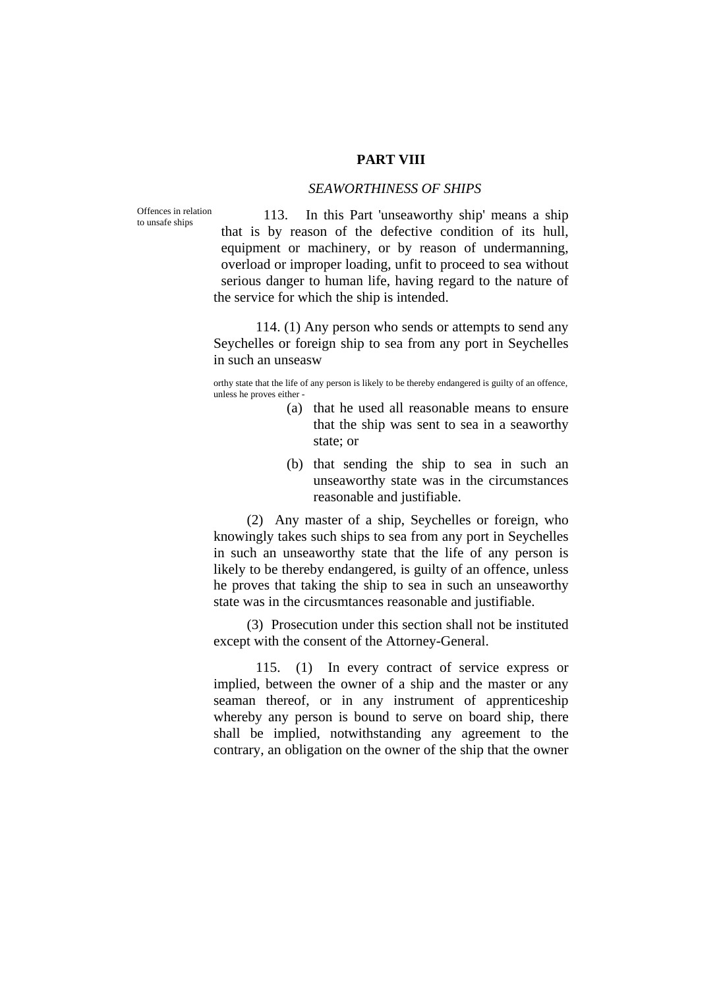# **PART VIII**

# *SEAWORTHINESS OF SHIPS*

Offences in relation to unsafe ships

113. In this Part 'unseaworthy ship' means a ship that is by reason of the defective condition of its hull, equipment or machinery, or by reason of undermanning, overload or improper loading, unfit to proceed to sea without serious danger to human life, having regard to the nature of the service for which the ship is intended.

114. (1) Any person who sends or attempts to send any Seychelles or foreign ship to sea from any port in Seychelles in such an unseasw

orthy state that the life of any person is likely to be thereby endangered is guilty of an offence, unless he proves either -

- (a) that he used all reasonable means to ensure that the ship was sent to sea in a seaworthy state; or
- (b) that sending the ship to sea in such an unseaworthy state was in the circumstances reasonable and justifiable.

(2) Any master of a ship, Seychelles or foreign, who knowingly takes such ships to sea from any port in Seychelles in such an unseaworthy state that the life of any person is likely to be thereby endangered, is guilty of an offence, unless he proves that taking the ship to sea in such an unseaworthy state was in the circusmtances reasonable and justifiable.

(3) Prosecution under this section shall not be instituted except with the consent of the Attorney-General.

115. (1) In every contract of service express or implied, between the owner of a ship and the master or any seaman thereof, or in any instrument of apprenticeship whereby any person is bound to serve on board ship, there shall be implied, notwithstanding any agreement to the contrary, an obligation on the owner of the ship that the owner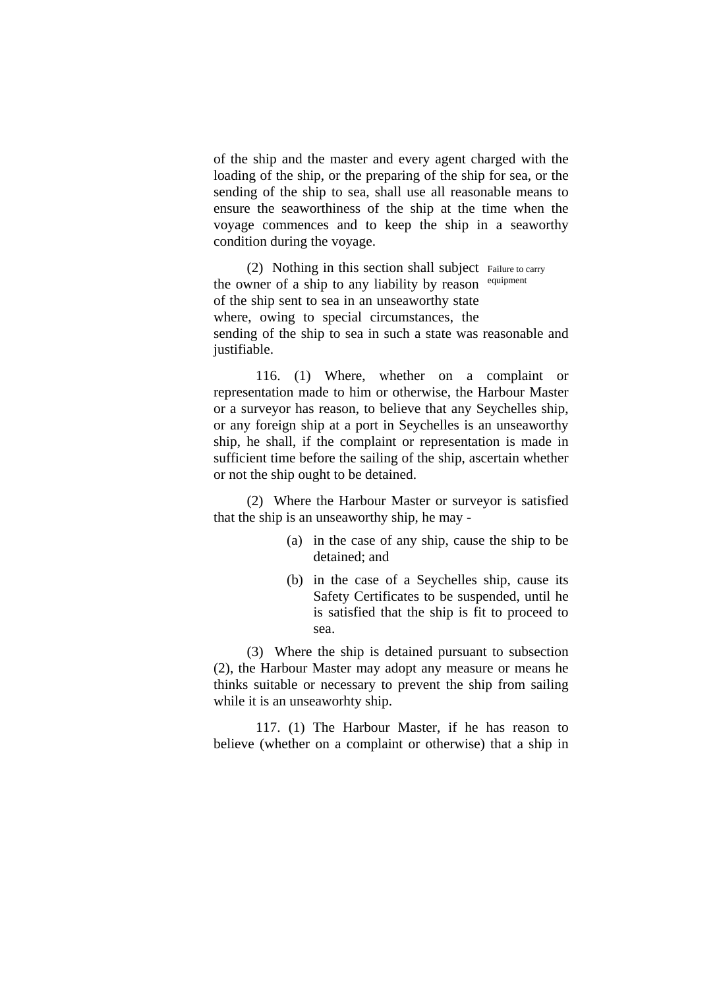of the ship and the master and every agent charged with the loading of the ship, or the preparing of the ship for sea, or the sending of the ship to sea, shall use all reasonable means to ensure the seaworthiness of the ship at the time when the voyage commences and to keep the ship in a seaworthy condition during the voyage.

(2) Nothing in this section shall subject Failure to carry the owner of a ship to any liability by reason of the ship sent to sea in an unseaworthy state where, owing to special circumstances, the sending of the ship to sea in such a state was reasonable and justifiable. equipment

116. (1) Where, whether on a complaint or representation made to him or otherwise, the Harbour Master or a surveyor has reason, to believe that any Seychelles ship, or any foreign ship at a port in Seychelles is an unseaworthy ship, he shall, if the complaint or representation is made in sufficient time before the sailing of the ship, ascertain whether or not the ship ought to be detained.

(2) Where the Harbour Master or surveyor is satisfied that the ship is an unseaworthy ship, he may -

- (a) in the case of any ship, cause the ship to be detained; and
- (b) in the case of a Seychelles ship, cause its Safety Certificates to be suspended, until he is satisfied that the ship is fit to proceed to sea.

(3) Where the ship is detained pursuant to subsection (2), the Harbour Master may adopt any measure or means he thinks suitable or necessary to prevent the ship from sailing while it is an unseaworhty ship.

117. (1) The Harbour Master, if he has reason to believe (whether on a complaint or otherwise) that a ship in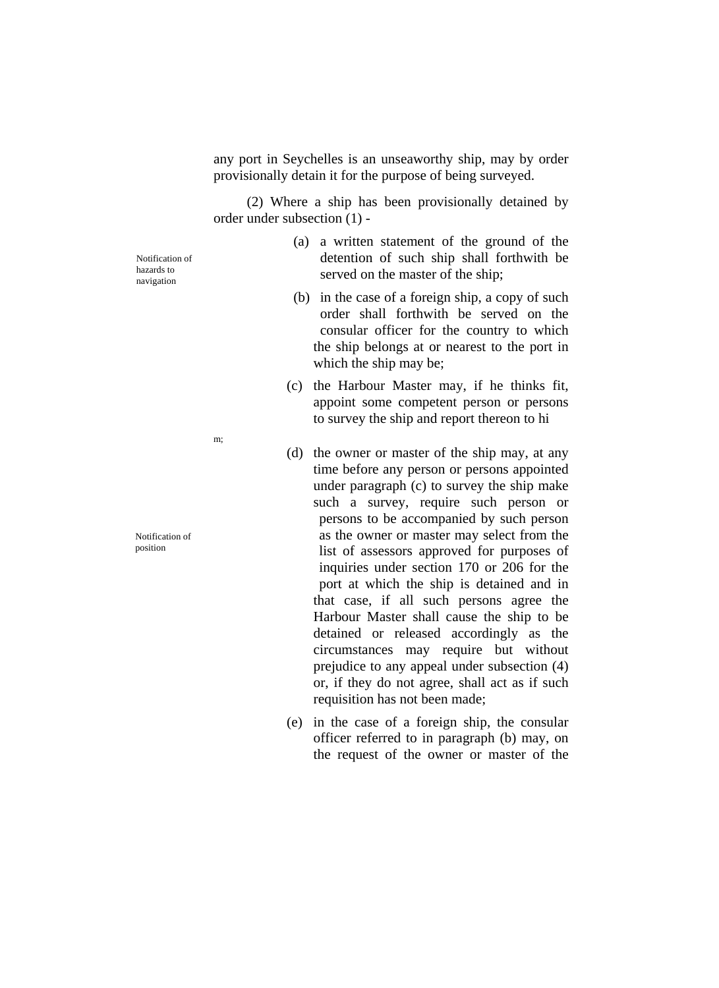any port in Seychelles is an unseaworthy ship, may by order provisionally detain it for the purpose of being surveyed.

(2) Where a ship has been provisionally detained by order under subsection (1) -

Notification of hazards to navigation

- (a) a written statement of the ground of the detention of such ship shall forthwith be served on the master of the ship;
- (b) in the case of a foreign ship, a copy of such order shall forthwith be served on the consular officer for the country to which the ship belongs at or nearest to the port in which the ship may be;
- (c) the Harbour Master may, if he thinks fit, appoint some competent person or persons to survey the ship and report thereon to hi
- (d) the owner or master of the ship may, at any time before any person or persons appointed under paragraph (c) to survey the ship make such a survey, require such person or persons to be accompanied by such person as the owner or master may select from the list of assessors approved for purposes of inquiries under section 170 or 206 for the port at which the ship is detained and in that case, if all such persons agree the Harbour Master shall cause the ship to be detained or released accordingly as the circumstances may require but without prejudice to any appeal under subsection (4) or, if they do not agree, shall act as if such requisition has not been made;
- (e) in the case of a foreign ship, the consular officer referred to in paragraph (b) may, on the request of the owner or master of the

m;

Notification of position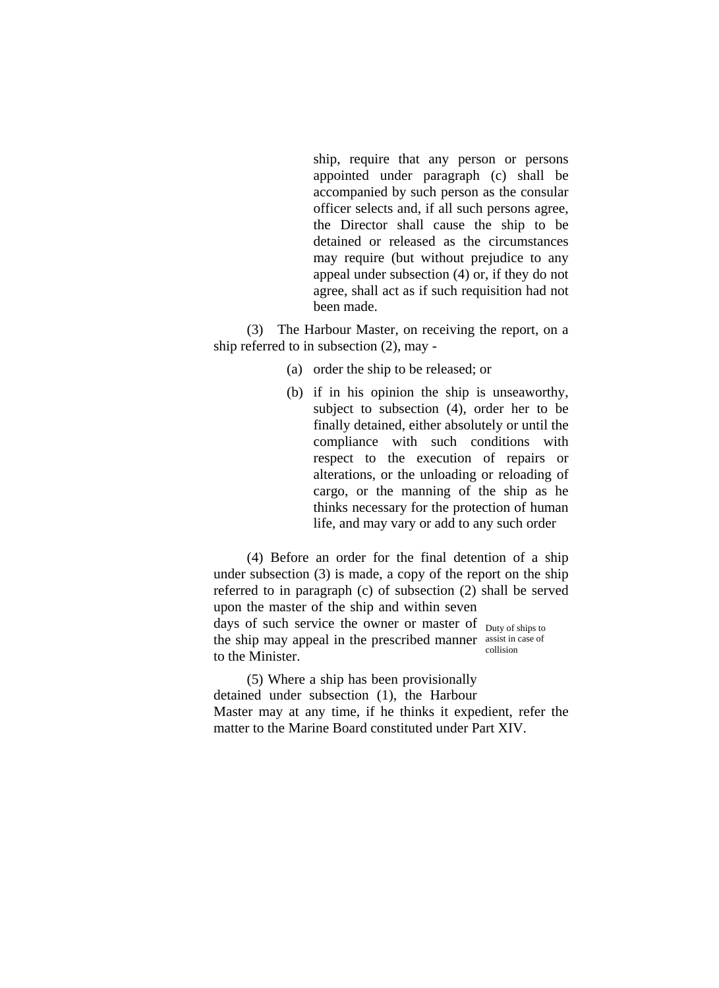ship, require that any person or persons appointed under paragraph (c) shall be accompanied by such person as the consular officer selects and, if all such persons agree, the Director shall cause the ship to be detained or released as the circumstances may require (but without prejudice to any appeal under subsection (4) or, if they do not agree, shall act as if such requisition had not been made.

(3) The Harbour Master, on receiving the report, on a ship referred to in subsection (2), may -

- (a) order the ship to be released; or
- (b) if in his opinion the ship is unseaworthy, subject to subsection (4), order her to be finally detained, either absolutely or until the compliance with such conditions with respect to the execution of repairs or alterations, or the unloading or reloading of cargo, or the manning of the ship as he thinks necessary for the protection of human life, and may vary or add to any such order

(4) Before an order for the final detention of a ship under subsection (3) is made, a copy of the report on the ship referred to in paragraph (c) of subsection (2) shall be served upon the master of the ship and within seven days of such service the owner or master of Duty of ships to the ship may appeal in the prescribed manner assist in case of to the Minister. collision

(5) Where a ship has been provisionally detained under subsection (1), the Harbour Master may at any time, if he thinks it expedient, refer the matter to the Marine Board constituted under Part XIV.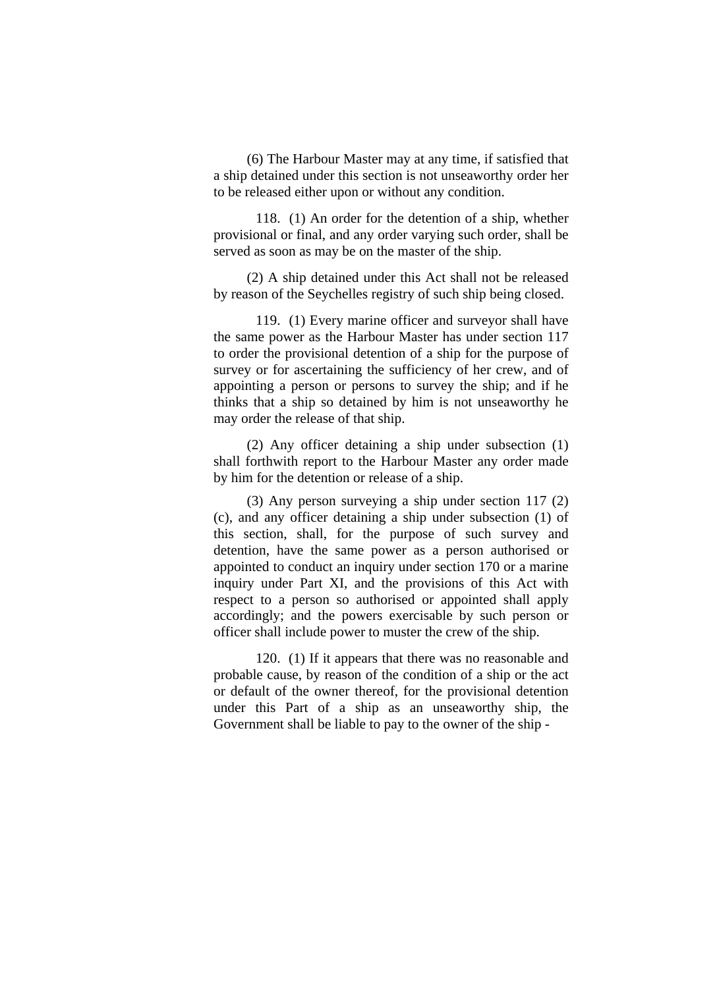(6) The Harbour Master may at any time, if satisfied that a ship detained under this section is not unseaworthy order her to be released either upon or without any condition.

 118. (1) An order for the detention of a ship, whether provisional or final, and any order varying such order, shall be served as soon as may be on the master of the ship.

(2) A ship detained under this Act shall not be released by reason of the Seychelles registry of such ship being closed.

 119. (1) Every marine officer and surveyor shall have the same power as the Harbour Master has under section 117 to order the provisional detention of a ship for the purpose of survey or for ascertaining the sufficiency of her crew, and of appointing a person or persons to survey the ship; and if he thinks that a ship so detained by him is not unseaworthy he may order the release of that ship.

(2) Any officer detaining a ship under subsection (1) shall forthwith report to the Harbour Master any order made by him for the detention or release of a ship.

(3) Any person surveying a ship under section 117 (2) (c), and any officer detaining a ship under subsection (1) of this section, shall, for the purpose of such survey and detention, have the same power as a person authorised or appointed to conduct an inquiry under section 170 or a marine inquiry under Part XI, and the provisions of this Act with respect to a person so authorised or appointed shall apply accordingly; and the powers exercisable by such person or officer shall include power to muster the crew of the ship.

 120. (1) If it appears that there was no reasonable and probable cause, by reason of the condition of a ship or the act or default of the owner thereof, for the provisional detention under this Part of a ship as an unseaworthy ship, the Government shall be liable to pay to the owner of the ship -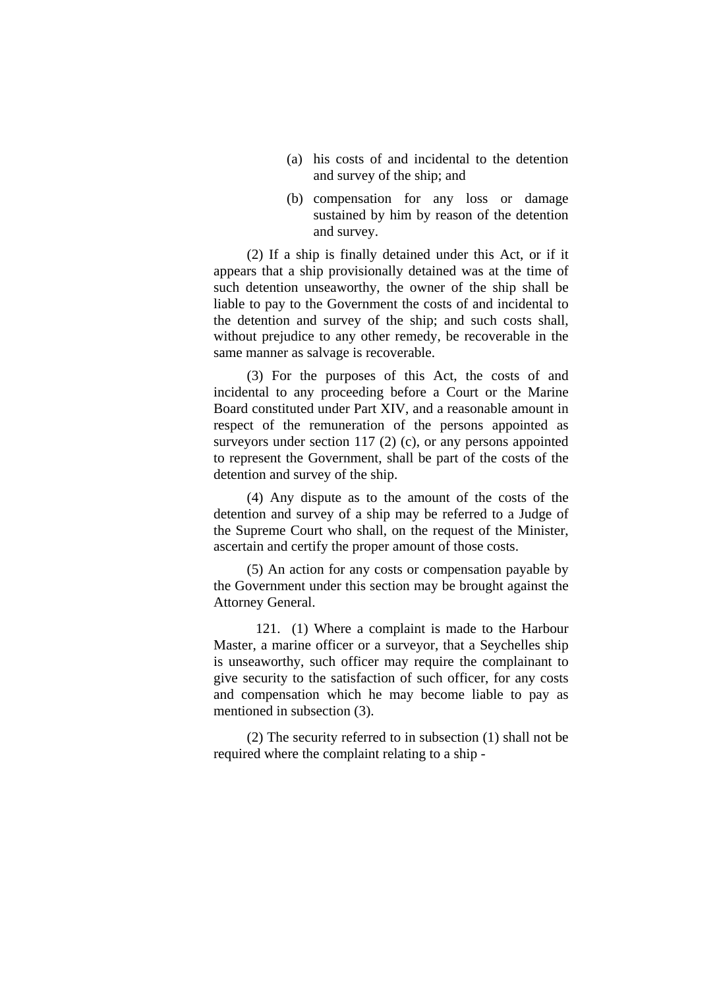- (a) his costs of and incidental to the detention and survey of the ship; and
- (b) compensation for any loss or damage sustained by him by reason of the detention and survey.

(2) If a ship is finally detained under this Act, or if it appears that a ship provisionally detained was at the time of such detention unseaworthy, the owner of the ship shall be liable to pay to the Government the costs of and incidental to the detention and survey of the ship; and such costs shall, without prejudice to any other remedy, be recoverable in the same manner as salvage is recoverable.

(3) For the purposes of this Act, the costs of and incidental to any proceeding before a Court or the Marine Board constituted under Part XIV, and a reasonable amount in respect of the remuneration of the persons appointed as surveyors under section 117 (2) (c), or any persons appointed to represent the Government, shall be part of the costs of the detention and survey of the ship.

(4) Any dispute as to the amount of the costs of the detention and survey of a ship may be referred to a Judge of the Supreme Court who shall, on the request of the Minister, ascertain and certify the proper amount of those costs.

(5) An action for any costs or compensation payable by the Government under this section may be brought against the Attorney General.

 121. (1) Where a complaint is made to the Harbour Master, a marine officer or a surveyor, that a Seychelles ship is unseaworthy, such officer may require the complainant to give security to the satisfaction of such officer, for any costs and compensation which he may become liable to pay as mentioned in subsection (3).

(2) The security referred to in subsection (1) shall not be required where the complaint relating to a ship -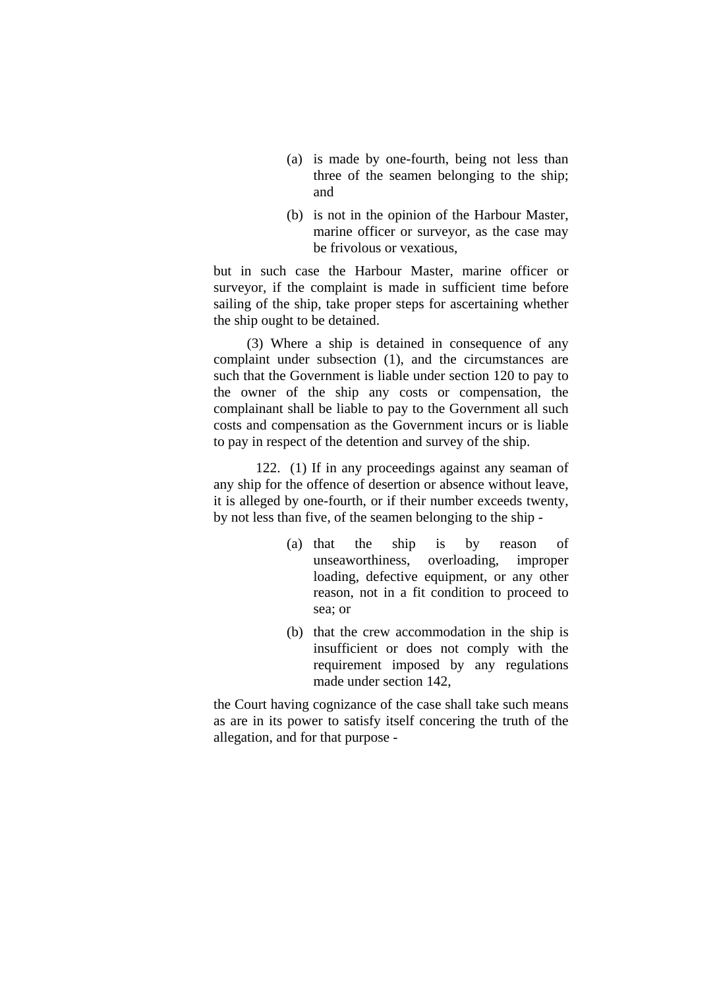- (a) is made by one-fourth, being not less than three of the seamen belonging to the ship; and
- (b) is not in the opinion of the Harbour Master, marine officer or surveyor, as the case may be frivolous or vexatious,

but in such case the Harbour Master, marine officer or surveyor, if the complaint is made in sufficient time before sailing of the ship, take proper steps for ascertaining whether the ship ought to be detained.

(3) Where a ship is detained in consequence of any complaint under subsection (1), and the circumstances are such that the Government is liable under section 120 to pay to the owner of the ship any costs or compensation, the complainant shall be liable to pay to the Government all such costs and compensation as the Government incurs or is liable to pay in respect of the detention and survey of the ship.

 122. (1) If in any proceedings against any seaman of any ship for the offence of desertion or absence without leave, it is alleged by one-fourth, or if their number exceeds twenty, by not less than five, of the seamen belonging to the ship -

- (a) that the ship is by reason of unseaworthiness, overloading, improper loading, defective equipment, or any other reason, not in a fit condition to proceed to sea; or
- (b) that the crew accommodation in the ship is insufficient or does not comply with the requirement imposed by any regulations made under section 142,

the Court having cognizance of the case shall take such means as are in its power to satisfy itself concering the truth of the allegation, and for that purpose -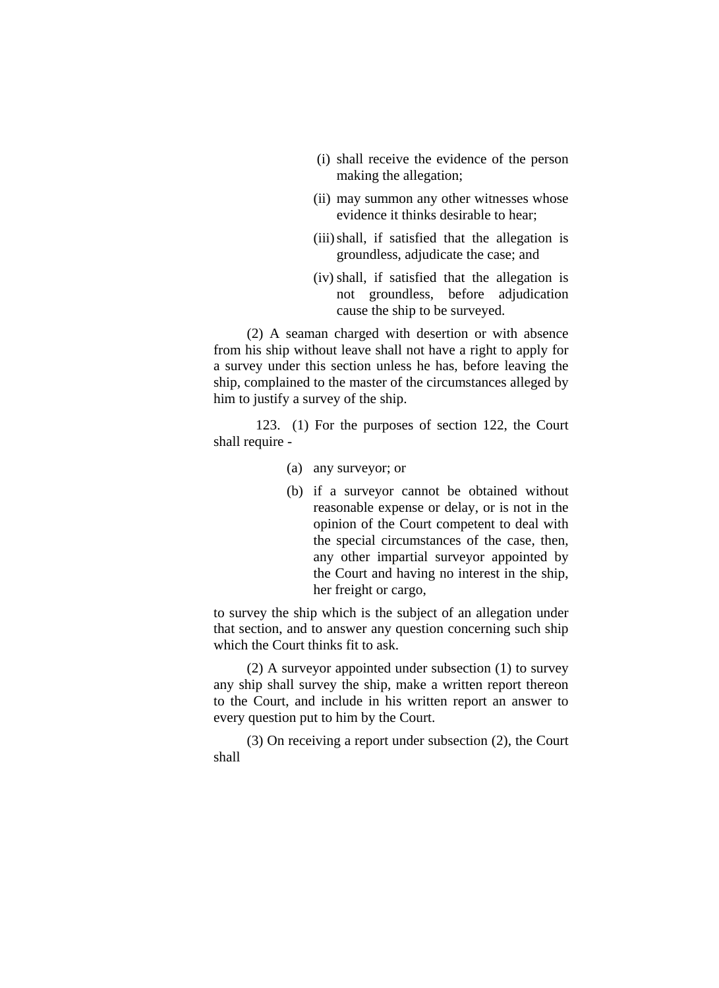- (i) shall receive the evidence of the person making the allegation;
- (ii) may summon any other witnesses whose evidence it thinks desirable to hear;
- (iii) shall, if satisfied that the allegation is groundless, adjudicate the case; and
- (iv) shall, if satisfied that the allegation is not groundless, before adjudication cause the ship to be surveyed.

(2) A seaman charged with desertion or with absence from his ship without leave shall not have a right to apply for a survey under this section unless he has, before leaving the ship, complained to the master of the circumstances alleged by him to justify a survey of the ship.

 123. (1) For the purposes of section 122, the Court shall require -

- (a) any surveyor; or
- (b) if a surveyor cannot be obtained without reasonable expense or delay, or is not in the opinion of the Court competent to deal with the special circumstances of the case, then, any other impartial surveyor appointed by the Court and having no interest in the ship, her freight or cargo,

to survey the ship which is the subject of an allegation under that section, and to answer any question concerning such ship which the Court thinks fit to ask.

(2) A surveyor appointed under subsection (1) to survey any ship shall survey the ship, make a written report thereon to the Court, and include in his written report an answer to every question put to him by the Court.

(3) On receiving a report under subsection (2), the Court shall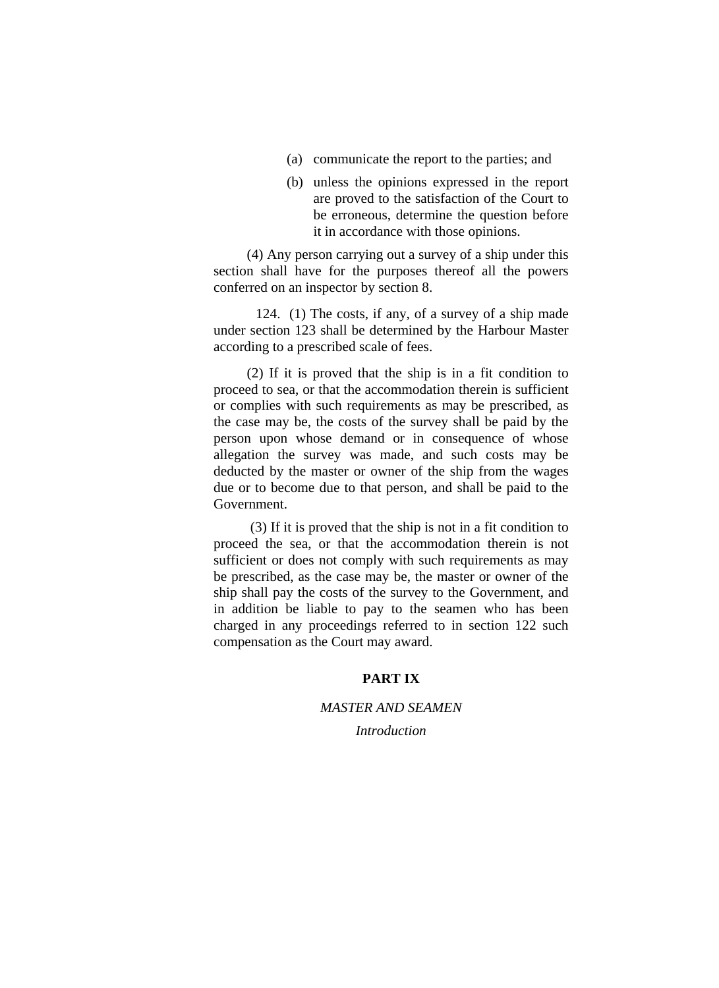- (a) communicate the report to the parties; and
- (b) unless the opinions expressed in the report are proved to the satisfaction of the Court to be erroneous, determine the question before it in accordance with those opinions.

(4) Any person carrying out a survey of a ship under this section shall have for the purposes thereof all the powers conferred on an inspector by section 8.

 124. (1) The costs, if any, of a survey of a ship made under section 123 shall be determined by the Harbour Master according to a prescribed scale of fees.

(2) If it is proved that the ship is in a fit condition to proceed to sea, or that the accommodation therein is sufficient or complies with such requirements as may be prescribed, as the case may be, the costs of the survey shall be paid by the person upon whose demand or in consequence of whose allegation the survey was made, and such costs may be deducted by the master or owner of the ship from the wages due or to become due to that person, and shall be paid to the Government.

 (3) If it is proved that the ship is not in a fit condition to proceed the sea, or that the accommodation therein is not sufficient or does not comply with such requirements as may be prescribed, as the case may be, the master or owner of the ship shall pay the costs of the survey to the Government, and in addition be liable to pay to the seamen who has been charged in any proceedings referred to in section 122 such compensation as the Court may award.

# **PART IX**

### *MASTER AND SEAMEN*

*Introduction*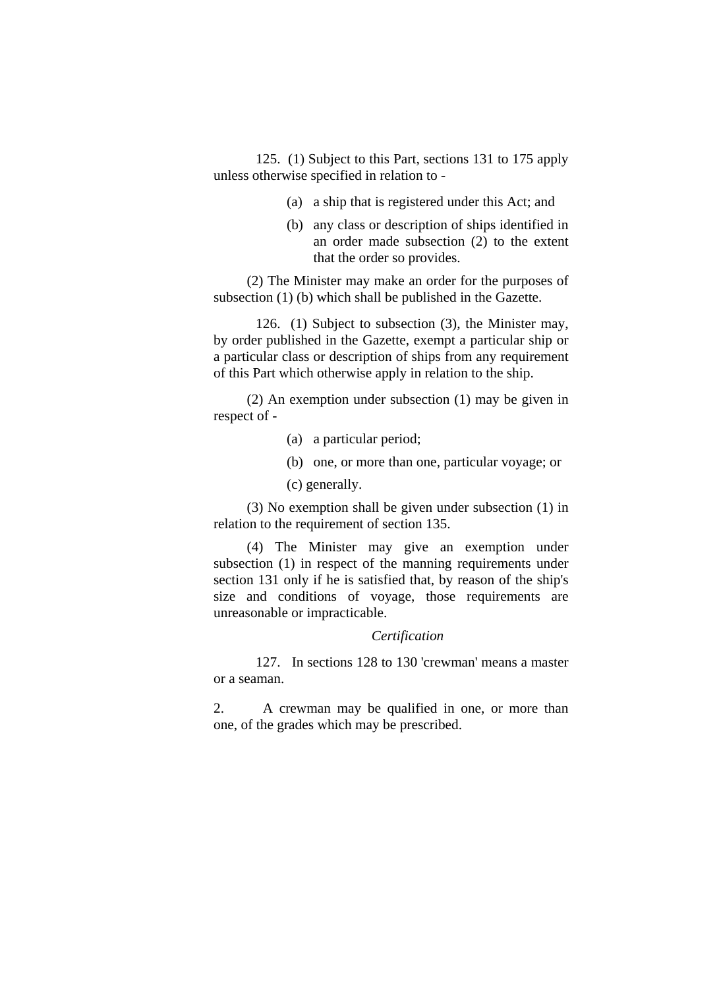125. (1) Subject to this Part, sections 131 to 175 apply unless otherwise specified in relation to -

- (a) a ship that is registered under this Act; and
- (b) any class or description of ships identified in an order made subsection (2) to the extent that the order so provides.

(2) The Minister may make an order for the purposes of subsection (1) (b) which shall be published in the Gazette.

 126. (1) Subject to subsection (3), the Minister may, by order published in the Gazette, exempt a particular ship or a particular class or description of ships from any requirement of this Part which otherwise apply in relation to the ship.

(2) An exemption under subsection (1) may be given in respect of -

- (a) a particular period;
- (b) one, or more than one, particular voyage; or
- (c) generally.

(3) No exemption shall be given under subsection (1) in relation to the requirement of section 135.

(4) The Minister may give an exemption under subsection (1) in respect of the manning requirements under section 131 only if he is satisfied that, by reason of the ship's size and conditions of voyage, those requirements are unreasonable or impracticable.

# *Certification*

 127. In sections 128 to 130 'crewman' means a master or a seaman.

2. A crewman may be qualified in one, or more than one, of the grades which may be prescribed.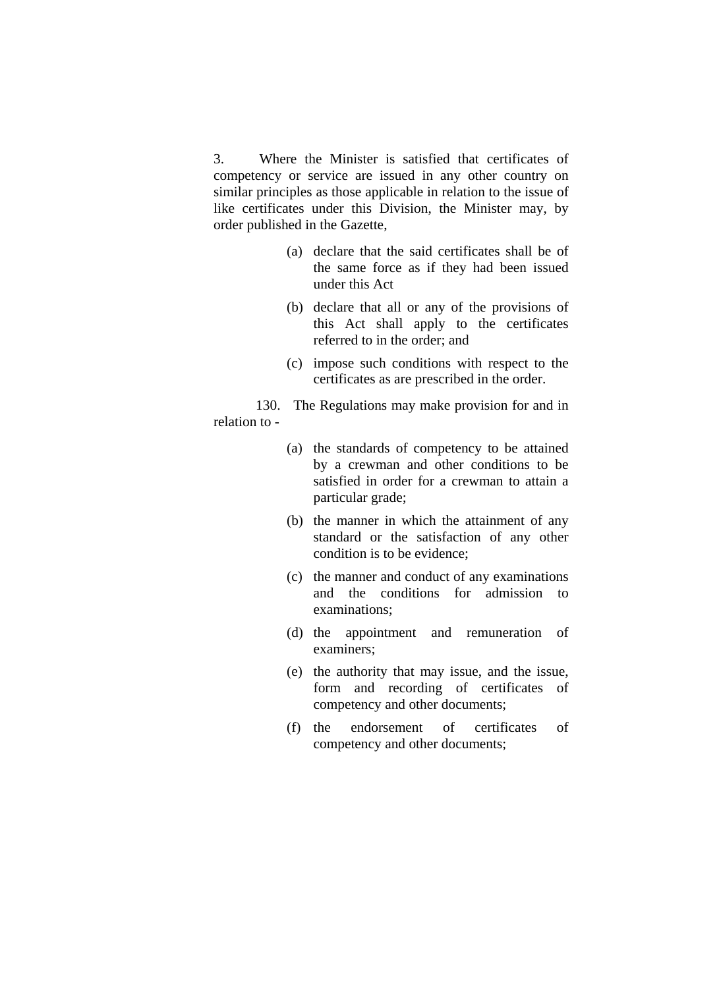3. Where the Minister is satisfied that certificates of competency or service are issued in any other country on similar principles as those applicable in relation to the issue of like certificates under this Division, the Minister may, by order published in the Gazette,

- (a) declare that the said certificates shall be of the same force as if they had been issued under this Act
- (b) declare that all or any of the provisions of this Act shall apply to the certificates referred to in the order; and
- (c) impose such conditions with respect to the certificates as are prescribed in the order.

 130. The Regulations may make provision for and in relation to -

- (a) the standards of competency to be attained by a crewman and other conditions to be satisfied in order for a crewman to attain a particular grade;
- (b) the manner in which the attainment of any standard or the satisfaction of any other condition is to be evidence;
- (c) the manner and conduct of any examinations and the conditions for admission to examinations;
- (d) the appointment and remuneration of examiners;
- (e) the authority that may issue, and the issue, form and recording of certificates of competency and other documents;
- (f) the endorsement of certificates of competency and other documents;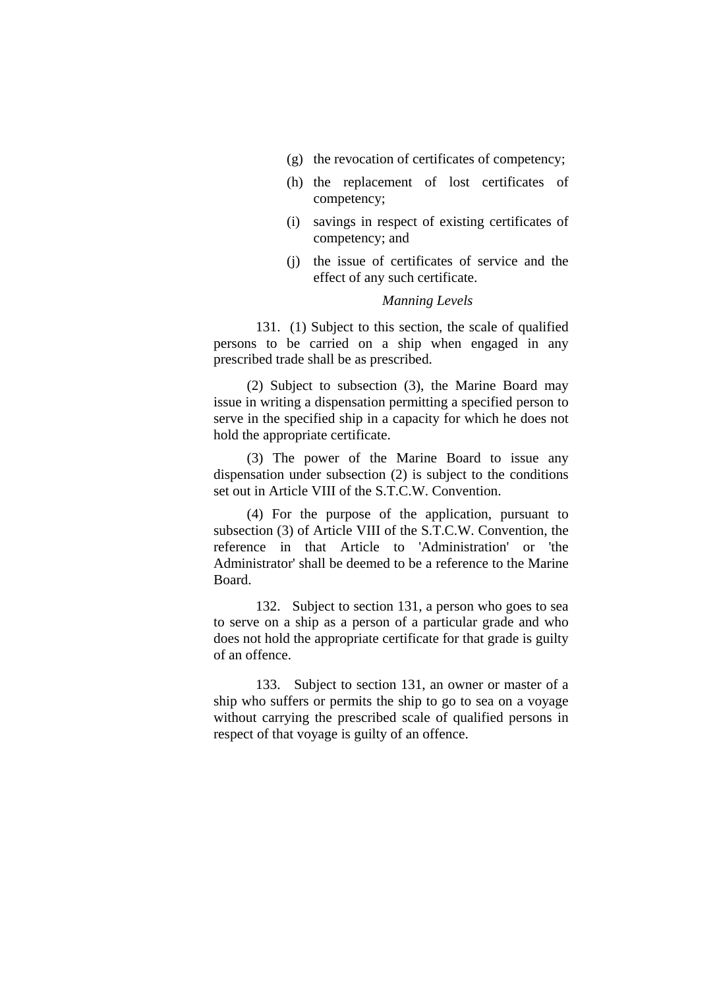- (g) the revocation of certificates of competency;
- (h) the replacement of lost certificates of competency;
- (i) savings in respect of existing certificates of competency; and
- (j) the issue of certificates of service and the effect of any such certificate.

#### *Manning Levels*

 131. (1) Subject to this section, the scale of qualified persons to be carried on a ship when engaged in any prescribed trade shall be as prescribed.

(2) Subject to subsection (3), the Marine Board may issue in writing a dispensation permitting a specified person to serve in the specified ship in a capacity for which he does not hold the appropriate certificate.

(3) The power of the Marine Board to issue any dispensation under subsection (2) is subject to the conditions set out in Article VIII of the S.T.C.W. Convention.

(4) For the purpose of the application, pursuant to subsection (3) of Article VIII of the S.T.C.W. Convention, the reference in that Article to 'Administration' or 'the Administrator' shall be deemed to be a reference to the Marine Board.

 132. Subject to section 131, a person who goes to sea to serve on a ship as a person of a particular grade and who does not hold the appropriate certificate for that grade is guilty of an offence.

 133. Subject to section 131, an owner or master of a ship who suffers or permits the ship to go to sea on a voyage without carrying the prescribed scale of qualified persons in respect of that voyage is guilty of an offence.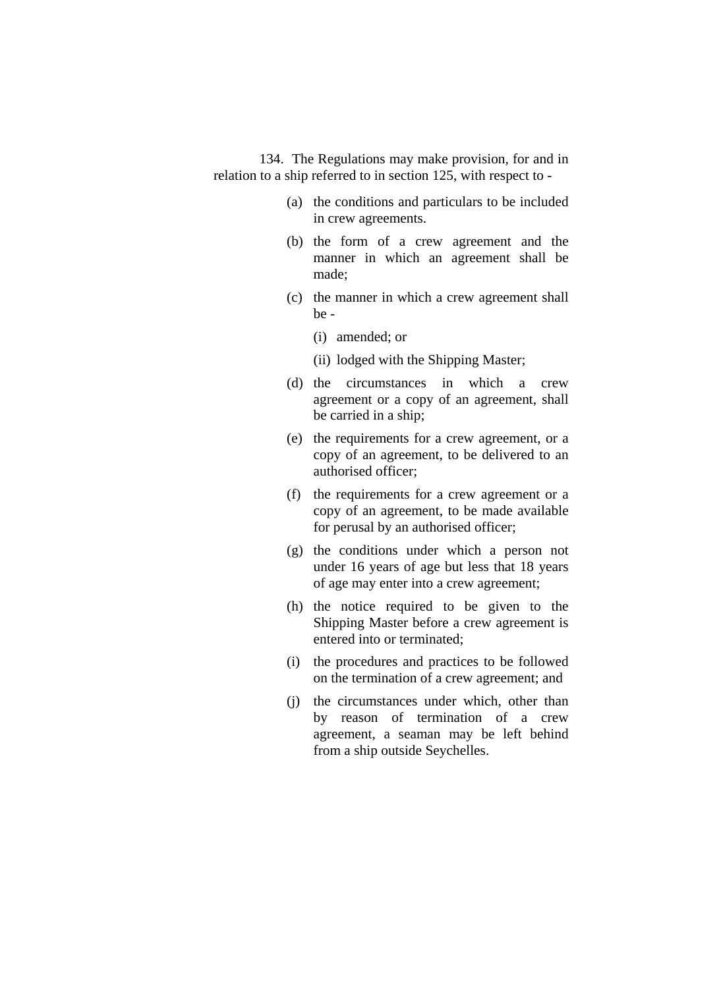134. The Regulations may make provision, for and in relation to a ship referred to in section 125, with respect to -

- (a) the conditions and particulars to be included in crew agreements.
- (b) the form of a crew agreement and the manner in which an agreement shall be made;
- (c) the manner in which a crew agreement shall be -
	- (i) amended; or
	- (ii) lodged with the Shipping Master;
- (d) the circumstances in which a crew agreement or a copy of an agreement, shall be carried in a ship;
- (e) the requirements for a crew agreement, or a copy of an agreement, to be delivered to an authorised officer;
- (f) the requirements for a crew agreement or a copy of an agreement, to be made available for perusal by an authorised officer;
- (g) the conditions under which a person not under 16 years of age but less that 18 years of age may enter into a crew agreement;
- (h) the notice required to be given to the Shipping Master before a crew agreement is entered into or terminated;
- (i) the procedures and practices to be followed on the termination of a crew agreement; and
- (j) the circumstances under which, other than by reason of termination of a crew agreement, a seaman may be left behind from a ship outside Seychelles.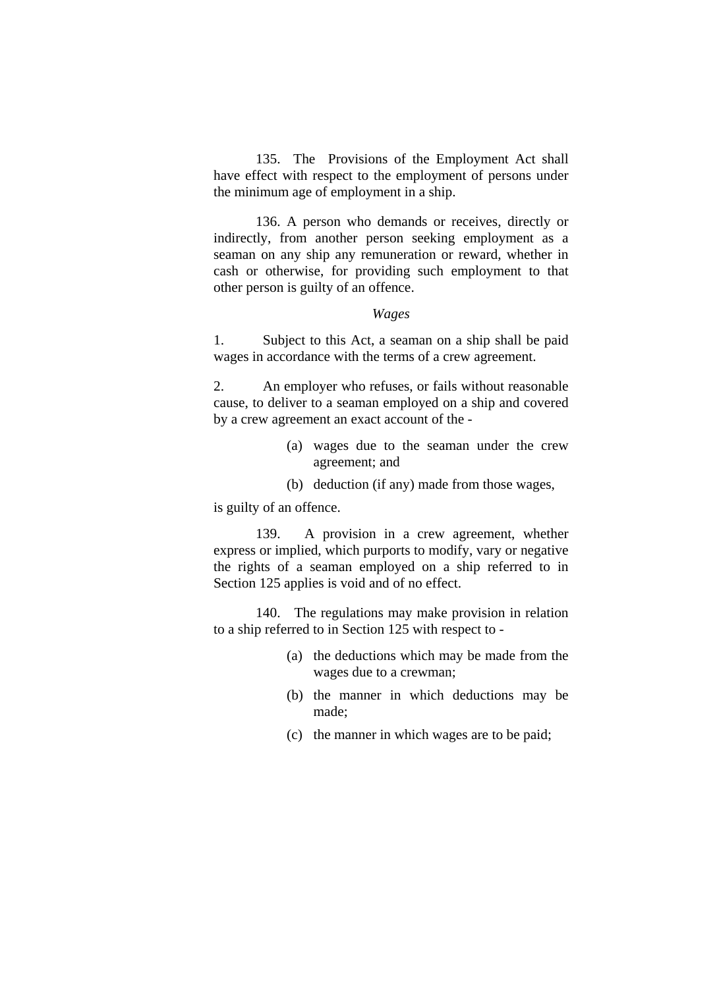135. The Provisions of the Employment Act shall have effect with respect to the employment of persons under the minimum age of employment in a ship.

 136. A person who demands or receives, directly or indirectly, from another person seeking employment as a seaman on any ship any remuneration or reward, whether in cash or otherwise, for providing such employment to that other person is guilty of an offence.

# *Wages*

1. Subject to this Act, a seaman on a ship shall be paid wages in accordance with the terms of a crew agreement.

2. An employer who refuses, or fails without reasonable cause, to deliver to a seaman employed on a ship and covered by a crew agreement an exact account of the -

- (a) wages due to the seaman under the crew agreement; and
- (b) deduction (if any) made from those wages,

is guilty of an offence.

 139. A provision in a crew agreement, whether express or implied, which purports to modify, vary or negative the rights of a seaman employed on a ship referred to in Section 125 applies is void and of no effect.

 140. The regulations may make provision in relation to a ship referred to in Section 125 with respect to -

- (a) the deductions which may be made from the wages due to a crewman;
- (b) the manner in which deductions may be made;
- (c) the manner in which wages are to be paid;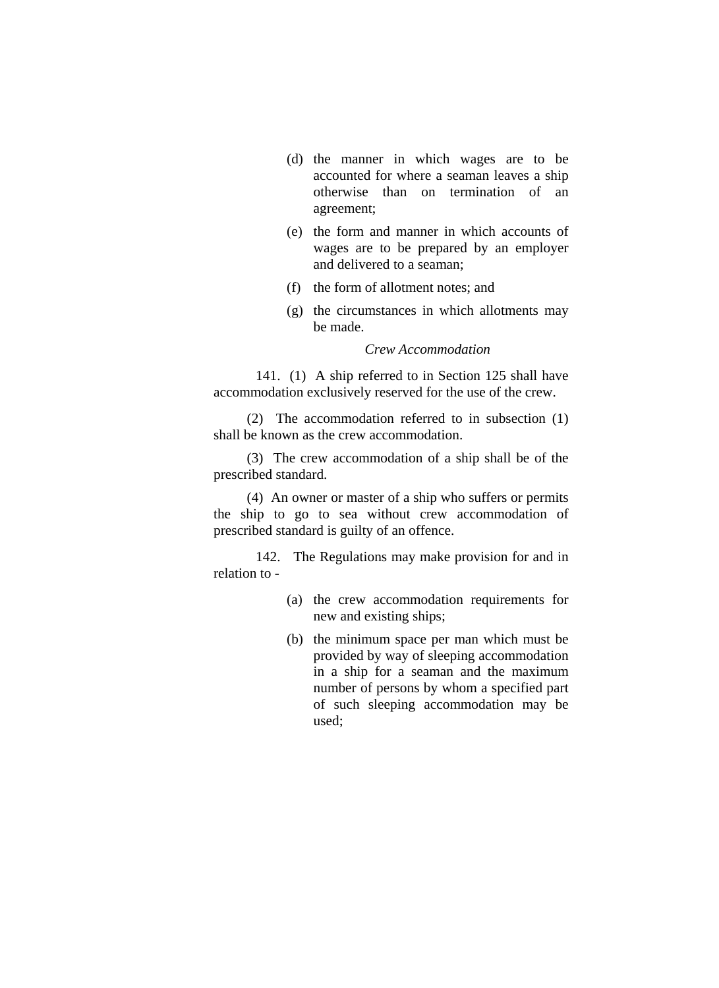- (d) the manner in which wages are to be accounted for where a seaman leaves a ship otherwise than on termination of an agreement;
- (e) the form and manner in which accounts of wages are to be prepared by an employer and delivered to a seaman;
- (f) the form of allotment notes; and
- (g) the circumstances in which allotments may be made.

## *Crew Accommodation*

 141. (1) A ship referred to in Section 125 shall have accommodation exclusively reserved for the use of the crew.

(2) The accommodation referred to in subsection (1) shall be known as the crew accommodation.

(3) The crew accommodation of a ship shall be of the prescribed standard.

(4) An owner or master of a ship who suffers or permits the ship to go to sea without crew accommodation of prescribed standard is guilty of an offence.

 142. The Regulations may make provision for and in relation to -

- (a) the crew accommodation requirements for new and existing ships;
- (b) the minimum space per man which must be provided by way of sleeping accommodation in a ship for a seaman and the maximum number of persons by whom a specified part of such sleeping accommodation may be used;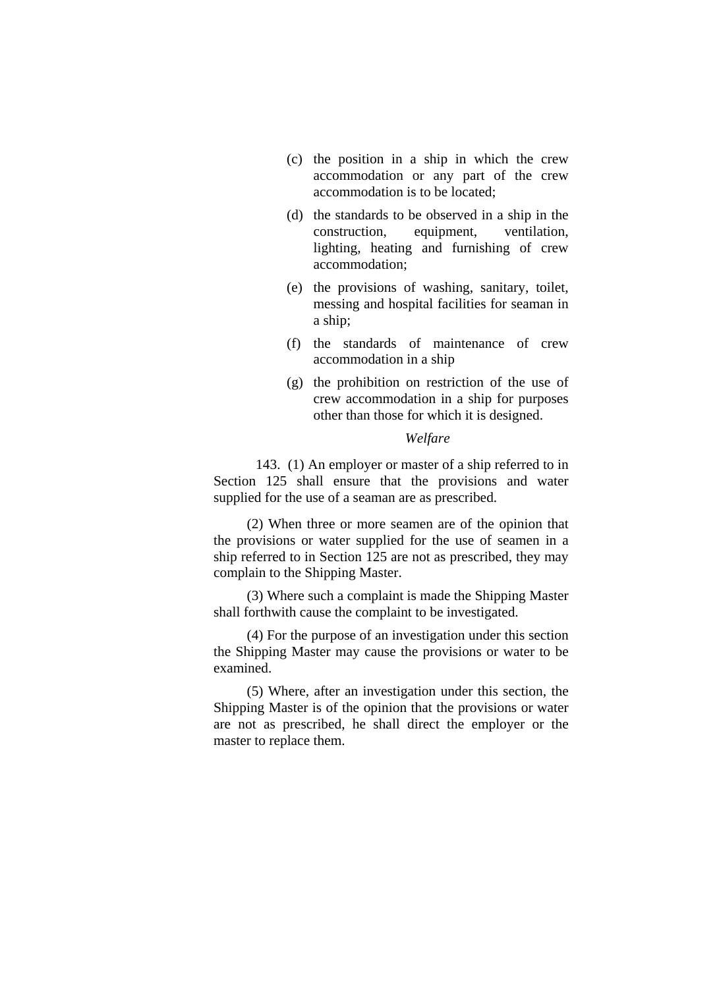- (c) the position in a ship in which the crew accommodation or any part of the crew accommodation is to be located;
- (d) the standards to be observed in a ship in the construction, equipment, ventilation, lighting, heating and furnishing of crew accommodation;
- (e) the provisions of washing, sanitary, toilet, messing and hospital facilities for seaman in a ship;
- (f) the standards of maintenance of crew accommodation in a ship
- (g) the prohibition on restriction of the use of crew accommodation in a ship for purposes other than those for which it is designed.

#### *Welfare*

 143. (1) An employer or master of a ship referred to in Section 125 shall ensure that the provisions and water supplied for the use of a seaman are as prescribed.

(2) When three or more seamen are of the opinion that the provisions or water supplied for the use of seamen in a ship referred to in Section 125 are not as prescribed, they may complain to the Shipping Master.

(3) Where such a complaint is made the Shipping Master shall forthwith cause the complaint to be investigated.

(4) For the purpose of an investigation under this section the Shipping Master may cause the provisions or water to be examined.

(5) Where, after an investigation under this section, the Shipping Master is of the opinion that the provisions or water are not as prescribed, he shall direct the employer or the master to replace them.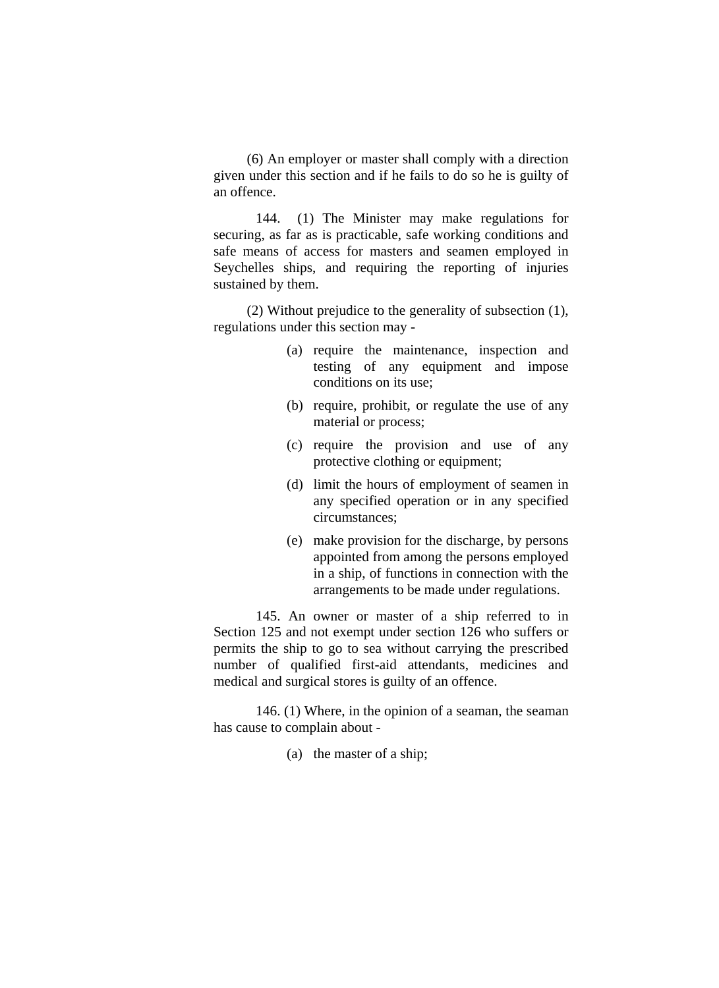(6) An employer or master shall comply with a direction given under this section and if he fails to do so he is guilty of an offence.

 144. (1) The Minister may make regulations for securing, as far as is practicable, safe working conditions and safe means of access for masters and seamen employed in Seychelles ships, and requiring the reporting of injuries sustained by them.

(2) Without prejudice to the generality of subsection (1), regulations under this section may -

- (a) require the maintenance, inspection and testing of any equipment and impose conditions on its use;
- (b) require, prohibit, or regulate the use of any material or process;
- (c) require the provision and use of any protective clothing or equipment;
- (d) limit the hours of employment of seamen in any specified operation or in any specified circumstances;
- (e) make provision for the discharge, by persons appointed from among the persons employed in a ship, of functions in connection with the arrangements to be made under regulations.

 145. An owner or master of a ship referred to in Section 125 and not exempt under section 126 who suffers or permits the ship to go to sea without carrying the prescribed number of qualified first-aid attendants, medicines and medical and surgical stores is guilty of an offence.

 146. (1) Where, in the opinion of a seaman, the seaman has cause to complain about -

(a) the master of a ship;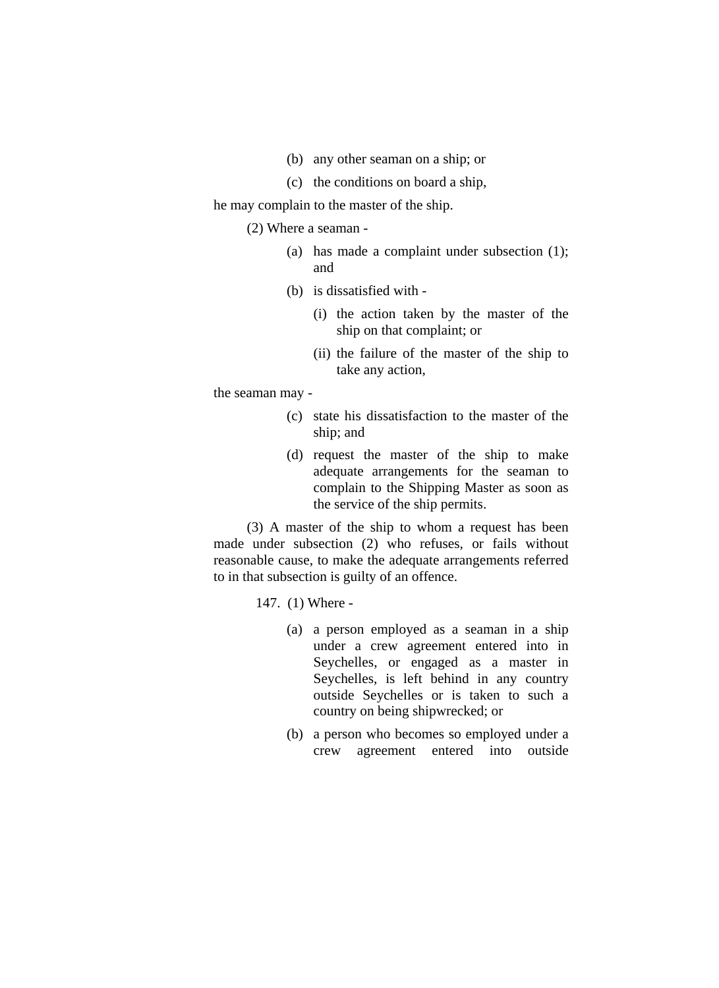- (b) any other seaman on a ship; or
- (c) the conditions on board a ship,

he may complain to the master of the ship.

(2) Where a seaman -

- (a) has made a complaint under subsection (1); and
- (b) is dissatisfied with
	- (i) the action taken by the master of the ship on that complaint; or
	- (ii) the failure of the master of the ship to take any action,

the seaman may -

- (c) state his dissatisfaction to the master of the ship; and
- (d) request the master of the ship to make adequate arrangements for the seaman to complain to the Shipping Master as soon as the service of the ship permits.

(3) A master of the ship to whom a request has been made under subsection (2) who refuses, or fails without reasonable cause, to make the adequate arrangements referred to in that subsection is guilty of an offence.

147. (1) Where -

- (a) a person employed as a seaman in a ship under a crew agreement entered into in Seychelles, or engaged as a master in Seychelles, is left behind in any country outside Seychelles or is taken to such a country on being shipwrecked; or
- (b) a person who becomes so employed under a crew agreement entered into outside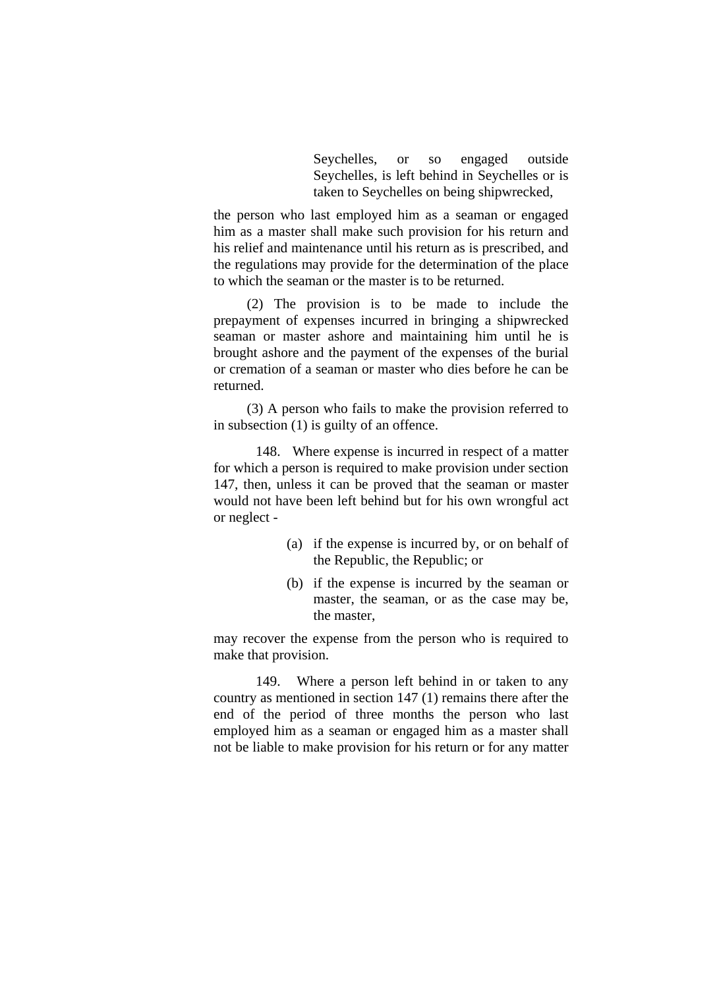Seychelles, or so engaged outside Seychelles, is left behind in Seychelles or is taken to Seychelles on being shipwrecked,

the person who last employed him as a seaman or engaged him as a master shall make such provision for his return and his relief and maintenance until his return as is prescribed, and the regulations may provide for the determination of the place to which the seaman or the master is to be returned.

(2) The provision is to be made to include the prepayment of expenses incurred in bringing a shipwrecked seaman or master ashore and maintaining him until he is brought ashore and the payment of the expenses of the burial or cremation of a seaman or master who dies before he can be returned.

(3) A person who fails to make the provision referred to in subsection (1) is guilty of an offence.

 148. Where expense is incurred in respect of a matter for which a person is required to make provision under section 147, then, unless it can be proved that the seaman or master would not have been left behind but for his own wrongful act or neglect -

- (a) if the expense is incurred by, or on behalf of the Republic, the Republic; or
- (b) if the expense is incurred by the seaman or master, the seaman, or as the case may be, the master,

may recover the expense from the person who is required to make that provision.

 149. Where a person left behind in or taken to any country as mentioned in section 147 (1) remains there after the end of the period of three months the person who last employed him as a seaman or engaged him as a master shall not be liable to make provision for his return or for any matter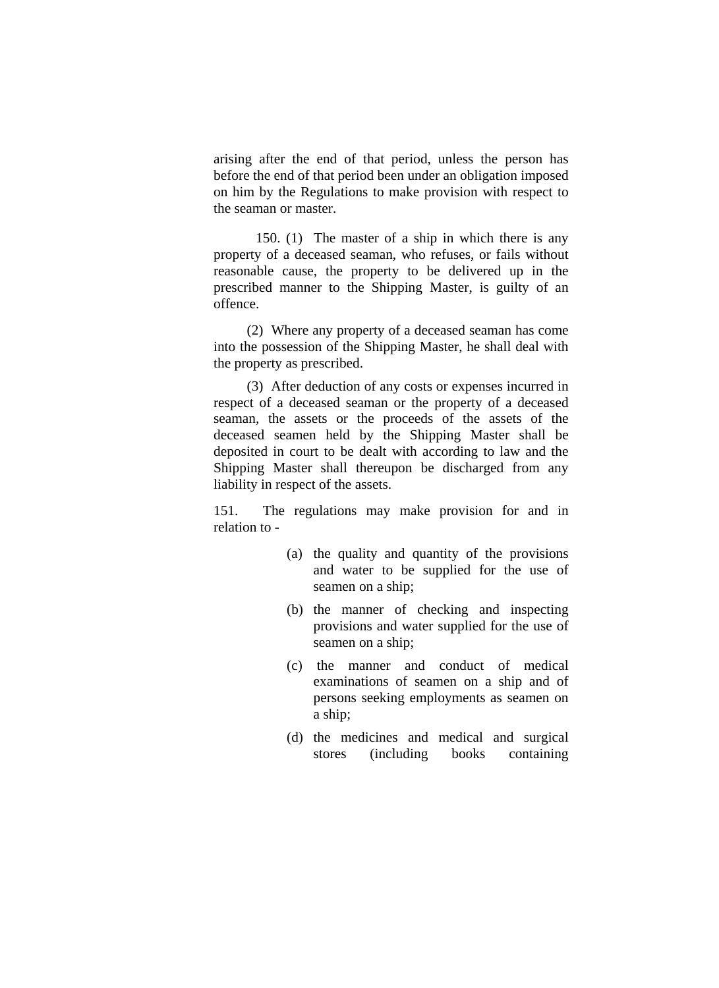arising after the end of that period, unless the person has before the end of that period been under an obligation imposed on him by the Regulations to make provision with respect to the seaman or master.

 150. (1) The master of a ship in which there is any property of a deceased seaman, who refuses, or fails without reasonable cause, the property to be delivered up in the prescribed manner to the Shipping Master, is guilty of an offence.

(2) Where any property of a deceased seaman has come into the possession of the Shipping Master, he shall deal with the property as prescribed.

(3) After deduction of any costs or expenses incurred in respect of a deceased seaman or the property of a deceased seaman, the assets or the proceeds of the assets of the deceased seamen held by the Shipping Master shall be deposited in court to be dealt with according to law and the Shipping Master shall thereupon be discharged from any liability in respect of the assets.

151. The regulations may make provision for and in relation to -

- (a) the quality and quantity of the provisions and water to be supplied for the use of seamen on a ship;
- (b) the manner of checking and inspecting provisions and water supplied for the use of seamen on a ship;
- (c) the manner and conduct of medical examinations of seamen on a ship and of persons seeking employments as seamen on a ship;
- (d) the medicines and medical and surgical stores (including books containing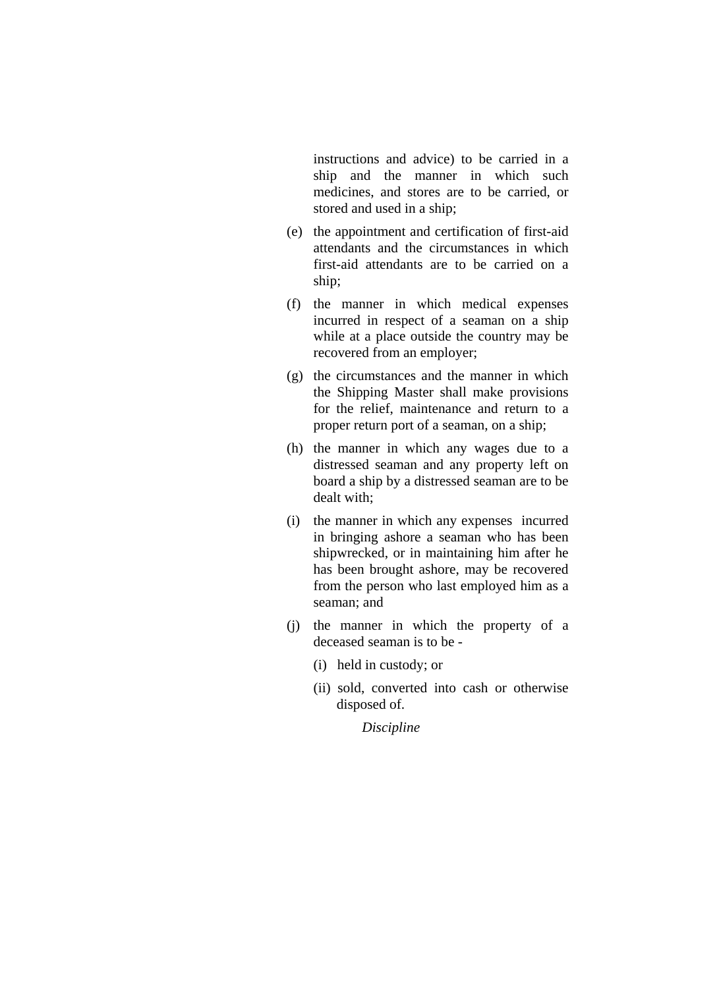instructions and advice) to be carried in a ship and the manner in which such medicines, and stores are to be carried, or stored and used in a ship;

- (e) the appointment and certification of first-aid attendants and the circumstances in which first-aid attendants are to be carried on a ship;
- (f) the manner in which medical expenses incurred in respect of a seaman on a ship while at a place outside the country may be recovered from an employer;
- (g) the circumstances and the manner in which the Shipping Master shall make provisions for the relief, maintenance and return to a proper return port of a seaman, on a ship;
- (h) the manner in which any wages due to a distressed seaman and any property left on board a ship by a distressed seaman are to be dealt with;
- (i) the manner in which any expenses incurred in bringing ashore a seaman who has been shipwrecked, or in maintaining him after he has been brought ashore, may be recovered from the person who last employed him as a seaman; and
- (j) the manner in which the property of a deceased seaman is to be -
	- (i) held in custody; or
	- (ii) sold, converted into cash or otherwise disposed of.

*Discipline*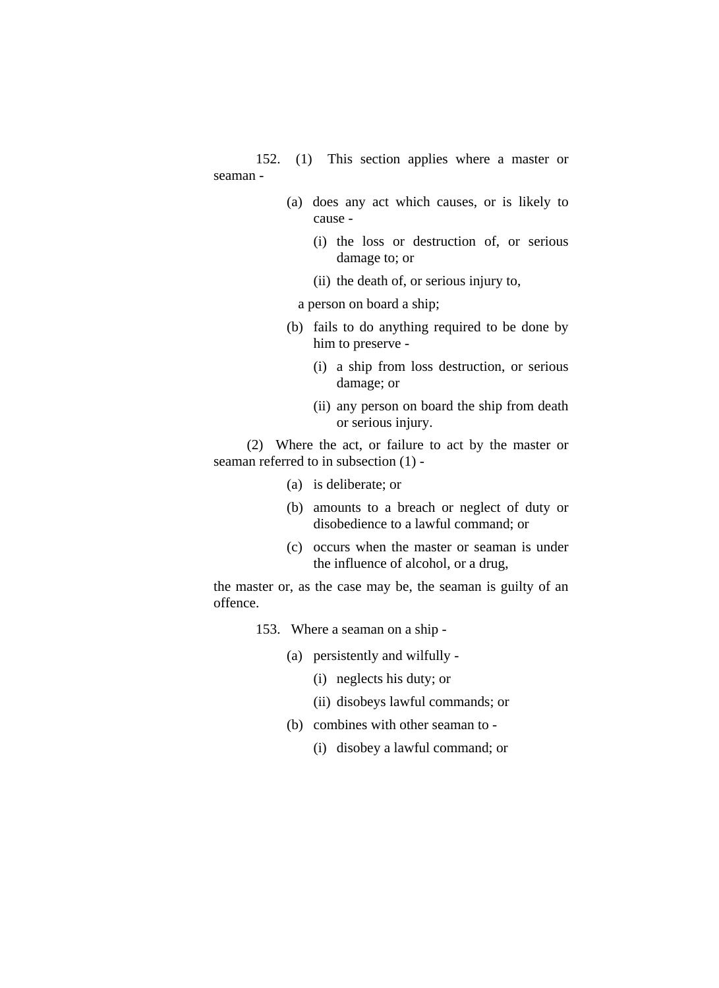152. (1) This section applies where a master or seaman -

- (a) does any act which causes, or is likely to cause -
	- (i) the loss or destruction of, or serious damage to; or
	- (ii) the death of, or serious injury to,

a person on board a ship;

- (b) fails to do anything required to be done by him to preserve -
	- (i) a ship from loss destruction, or serious damage; or
	- (ii) any person on board the ship from death or serious injury.

(2) Where the act, or failure to act by the master or seaman referred to in subsection (1) -

- (a) is deliberate; or
- (b) amounts to a breach or neglect of duty or disobedience to a lawful command; or
- (c) occurs when the master or seaman is under the influence of alcohol, or a drug,

the master or, as the case may be, the seaman is guilty of an offence.

- 153. Where a seaman on a ship
	- (a) persistently and wilfully
		- (i) neglects his duty; or
		- (ii) disobeys lawful commands; or
	- (b) combines with other seaman to
		- (i) disobey a lawful command; or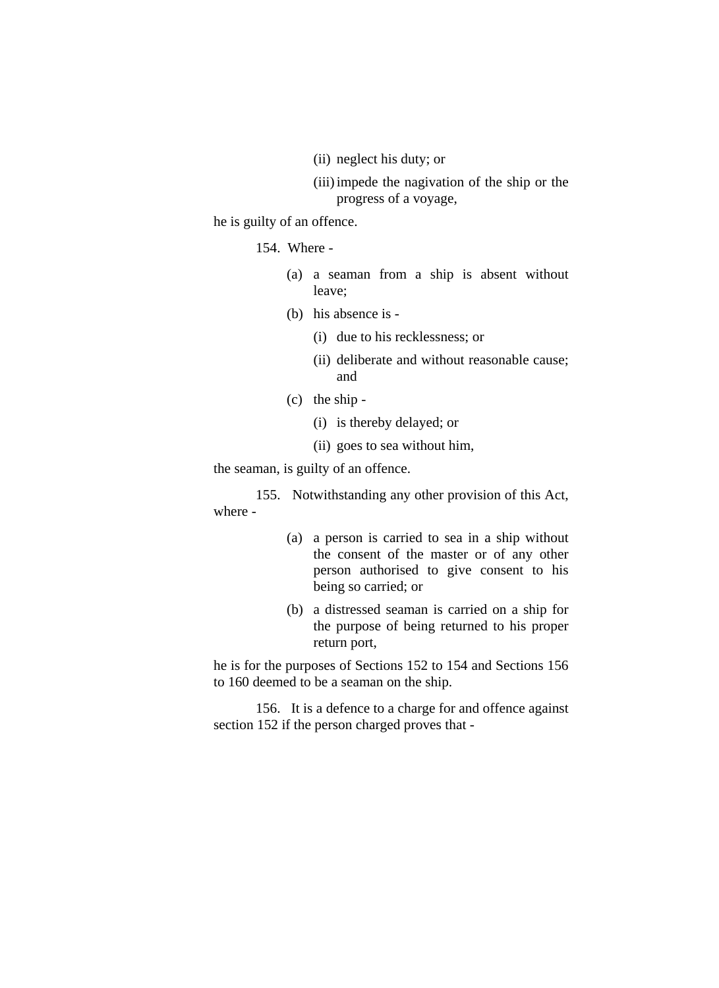(ii) neglect his duty; or

(iii) impede the nagivation of the ship or the progress of a voyage,

he is guilty of an offence.

154. Where -

- (a) a seaman from a ship is absent without leave;
- (b) his absence is
	- (i) due to his recklessness; or
	- (ii) deliberate and without reasonable cause; and
- (c) the ship
	- (i) is thereby delayed; or
	- (ii) goes to sea without him,

the seaman, is guilty of an offence.

 155. Notwithstanding any other provision of this Act, where -

- (a) a person is carried to sea in a ship without the consent of the master or of any other person authorised to give consent to his being so carried; or
- (b) a distressed seaman is carried on a ship for the purpose of being returned to his proper return port,

he is for the purposes of Sections 152 to 154 and Sections 156 to 160 deemed to be a seaman on the ship.

 156. It is a defence to a charge for and offence against section 152 if the person charged proves that -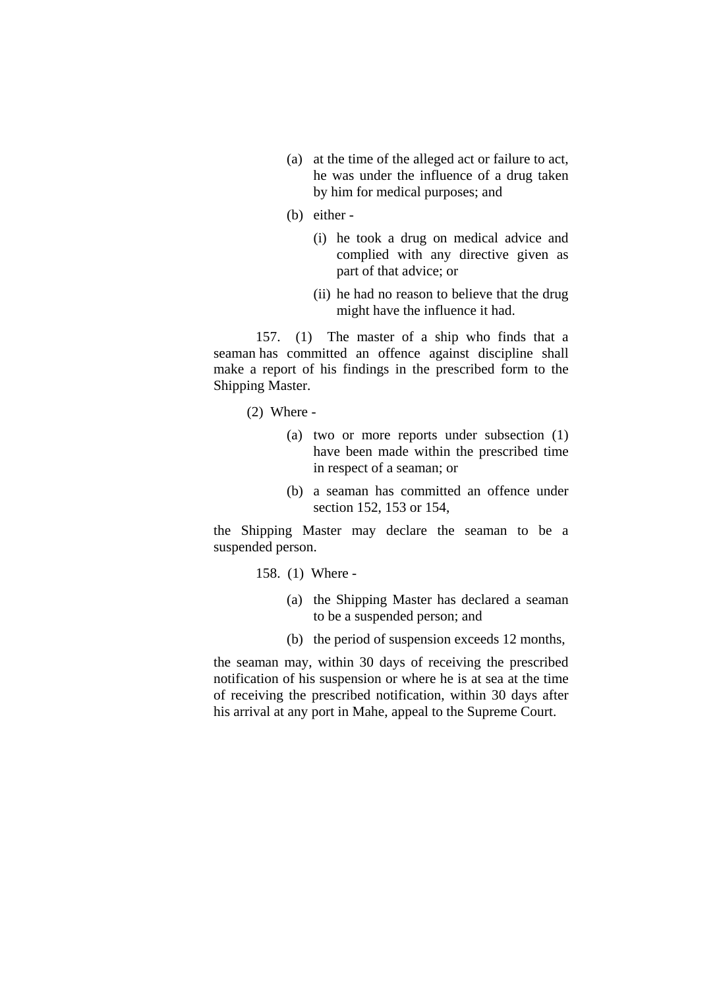- (a) at the time of the alleged act or failure to act, he was under the influence of a drug taken by him for medical purposes; and
- (b) either
	- (i) he took a drug on medical advice and complied with any directive given as part of that advice; or
	- (ii) he had no reason to believe that the drug might have the influence it had.

 157. (1) The master of a ship who finds that a seaman has committed an offence against discipline shall make a report of his findings in the prescribed form to the Shipping Master.

(2) Where -

- (a) two or more reports under subsection (1) have been made within the prescribed time in respect of a seaman; or
- (b) a seaman has committed an offence under section 152, 153 or 154,

the Shipping Master may declare the seaman to be a suspended person.

- 158. (1) Where
	- (a) the Shipping Master has declared a seaman to be a suspended person; and
	- (b) the period of suspension exceeds 12 months,

the seaman may, within 30 days of receiving the prescribed notification of his suspension or where he is at sea at the time of receiving the prescribed notification, within 30 days after his arrival at any port in Mahe, appeal to the Supreme Court.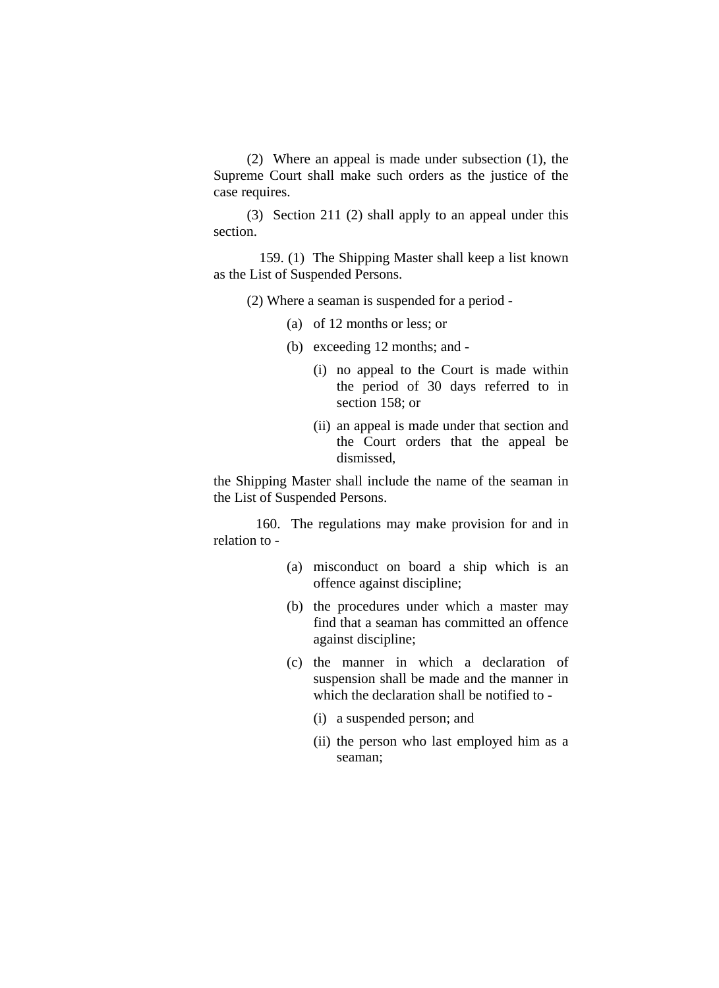(2) Where an appeal is made under subsection (1), the Supreme Court shall make such orders as the justice of the case requires.

(3) Section 211 (2) shall apply to an appeal under this section.

 159. (1) The Shipping Master shall keep a list known as the List of Suspended Persons.

(2) Where a seaman is suspended for a period -

- (a) of 12 months or less; or
- (b) exceeding 12 months; and
	- (i) no appeal to the Court is made within the period of 30 days referred to in section 158; or
	- (ii) an appeal is made under that section and the Court orders that the appeal be dismissed,

the Shipping Master shall include the name of the seaman in the List of Suspended Persons.

 160. The regulations may make provision for and in relation to -

- (a) misconduct on board a ship which is an offence against discipline;
- (b) the procedures under which a master may find that a seaman has committed an offence against discipline;
- (c) the manner in which a declaration of suspension shall be made and the manner in which the declaration shall be notified to -
	- (i) a suspended person; and
	- (ii) the person who last employed him as a seaman;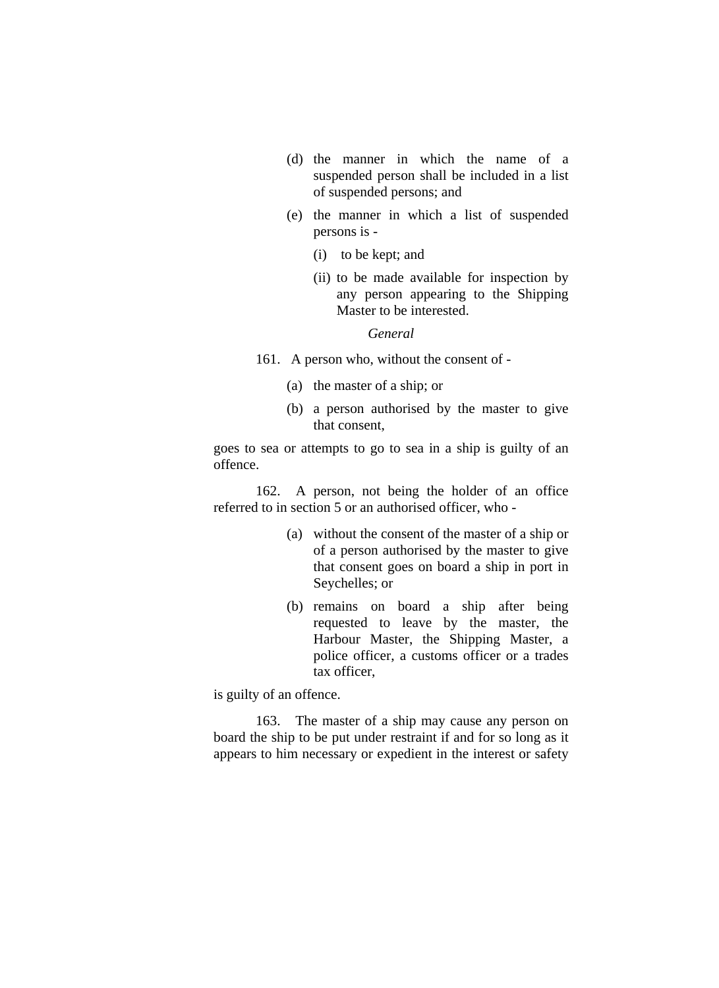- (d) the manner in which the name of a suspended person shall be included in a list of suspended persons; and
- (e) the manner in which a list of suspended persons is -
	- (i) to be kept; and
	- (ii) to be made available for inspection by any person appearing to the Shipping Master to be interested.

*General*

- 161. A person who, without the consent of
	- (a) the master of a ship; or
	- (b) a person authorised by the master to give that consent,

goes to sea or attempts to go to sea in a ship is guilty of an offence.

 162. A person, not being the holder of an office referred to in section 5 or an authorised officer, who -

- (a) without the consent of the master of a ship or of a person authorised by the master to give that consent goes on board a ship in port in Seychelles; or
- (b) remains on board a ship after being requested to leave by the master, the Harbour Master, the Shipping Master, a police officer, a customs officer or a trades tax officer,

is guilty of an offence.

 163. The master of a ship may cause any person on board the ship to be put under restraint if and for so long as it appears to him necessary or expedient in the interest or safety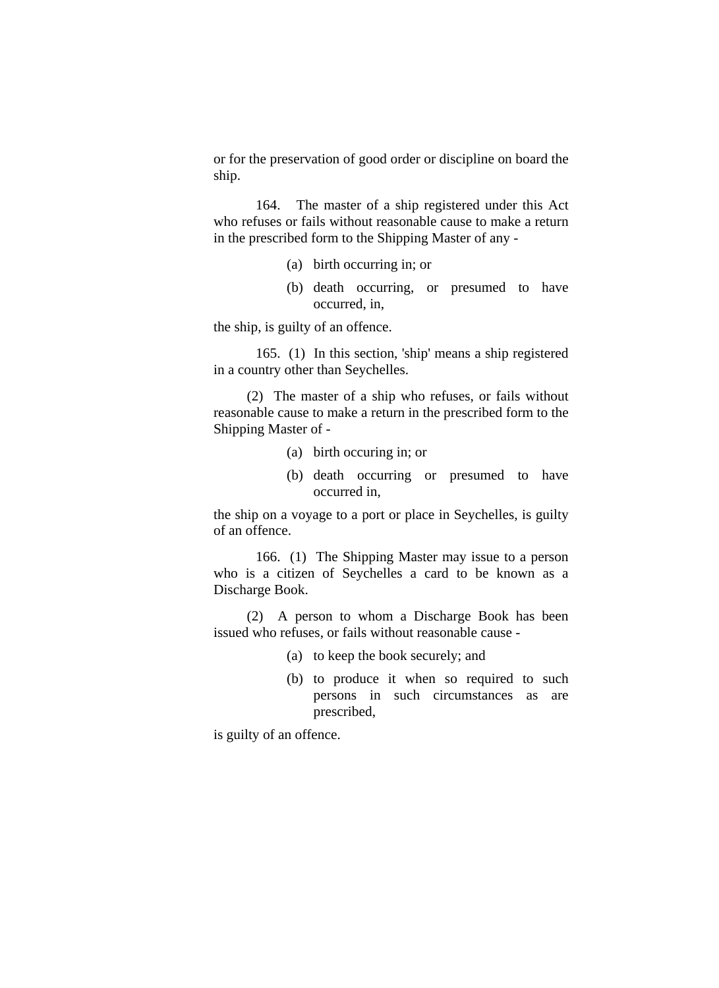or for the preservation of good order or discipline on board the ship.

 164. The master of a ship registered under this Act who refuses or fails without reasonable cause to make a return in the prescribed form to the Shipping Master of any -

- (a) birth occurring in; or
- (b) death occurring, or presumed to have occurred, in,

the ship, is guilty of an offence.

 165. (1) In this section, 'ship' means a ship registered in a country other than Seychelles.

(2) The master of a ship who refuses, or fails without reasonable cause to make a return in the prescribed form to the Shipping Master of -

- (a) birth occuring in; or
- (b) death occurring or presumed to have occurred in,

the ship on a voyage to a port or place in Seychelles, is guilty of an offence.

 166. (1) The Shipping Master may issue to a person who is a citizen of Seychelles a card to be known as a Discharge Book.

(2) A person to whom a Discharge Book has been issued who refuses, or fails without reasonable cause -

- (a) to keep the book securely; and
- (b) to produce it when so required to such persons in such circumstances as are prescribed,

is guilty of an offence.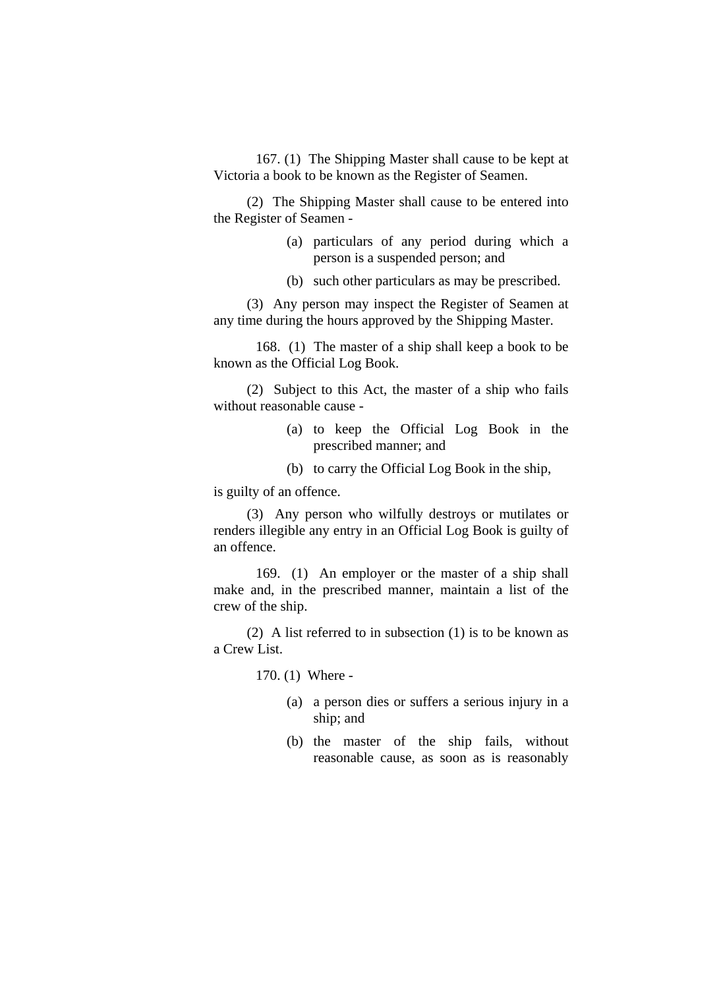167. (1) The Shipping Master shall cause to be kept at Victoria a book to be known as the Register of Seamen.

(2) The Shipping Master shall cause to be entered into the Register of Seamen -

- (a) particulars of any period during which a person is a suspended person; and
- (b) such other particulars as may be prescribed.

(3) Any person may inspect the Register of Seamen at any time during the hours approved by the Shipping Master.

 168. (1) The master of a ship shall keep a book to be known as the Official Log Book.

(2) Subject to this Act, the master of a ship who fails without reasonable cause -

- (a) to keep the Official Log Book in the prescribed manner; and
- (b) to carry the Official Log Book in the ship,

is guilty of an offence.

(3) Any person who wilfully destroys or mutilates or renders illegible any entry in an Official Log Book is guilty of an offence.

 169. (1) An employer or the master of a ship shall make and, in the prescribed manner, maintain a list of the crew of the ship.

(2) A list referred to in subsection (1) is to be known as a Crew List.

170. (1) Where -

- (a) a person dies or suffers a serious injury in a ship; and
- (b) the master of the ship fails, without reasonable cause, as soon as is reasonably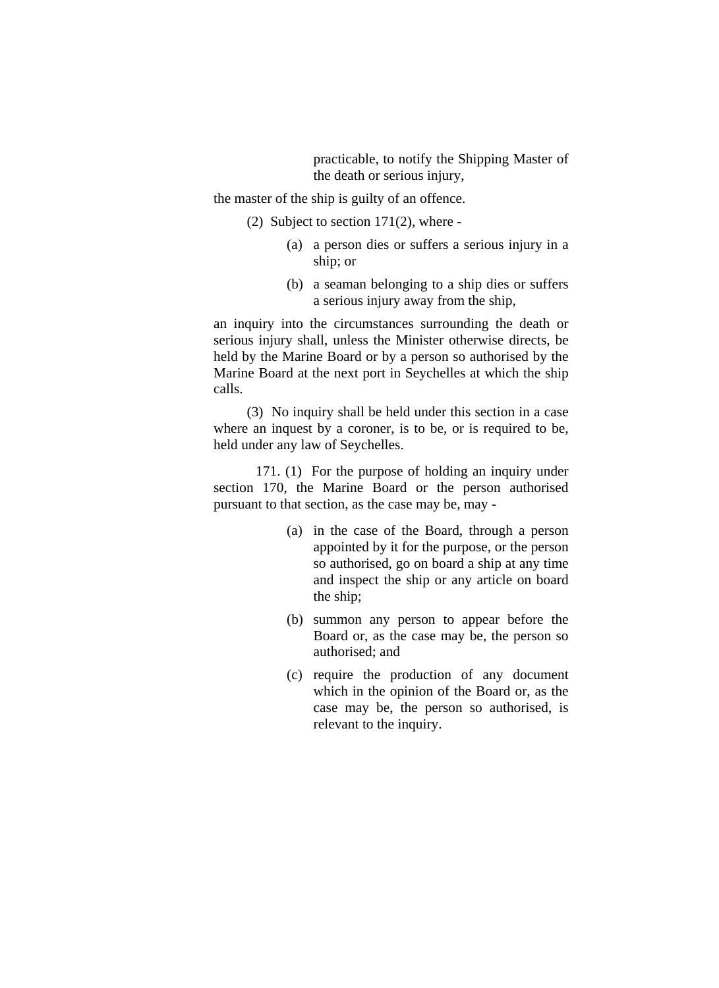practicable, to notify the Shipping Master of the death or serious injury,

the master of the ship is guilty of an offence.

- (2) Subject to section  $171(2)$ , where -
	- (a) a person dies or suffers a serious injury in a ship; or
	- (b) a seaman belonging to a ship dies or suffers a serious injury away from the ship,

an inquiry into the circumstances surrounding the death or serious injury shall, unless the Minister otherwise directs, be held by the Marine Board or by a person so authorised by the Marine Board at the next port in Seychelles at which the ship calls.

(3) No inquiry shall be held under this section in a case where an inquest by a coroner, is to be, or is required to be, held under any law of Seychelles.

 171. (1) For the purpose of holding an inquiry under section 170, the Marine Board or the person authorised pursuant to that section, as the case may be, may -

- (a) in the case of the Board, through a person appointed by it for the purpose, or the person so authorised, go on board a ship at any time and inspect the ship or any article on board the ship;
- (b) summon any person to appear before the Board or, as the case may be, the person so authorised; and
- (c) require the production of any document which in the opinion of the Board or, as the case may be, the person so authorised, is relevant to the inquiry.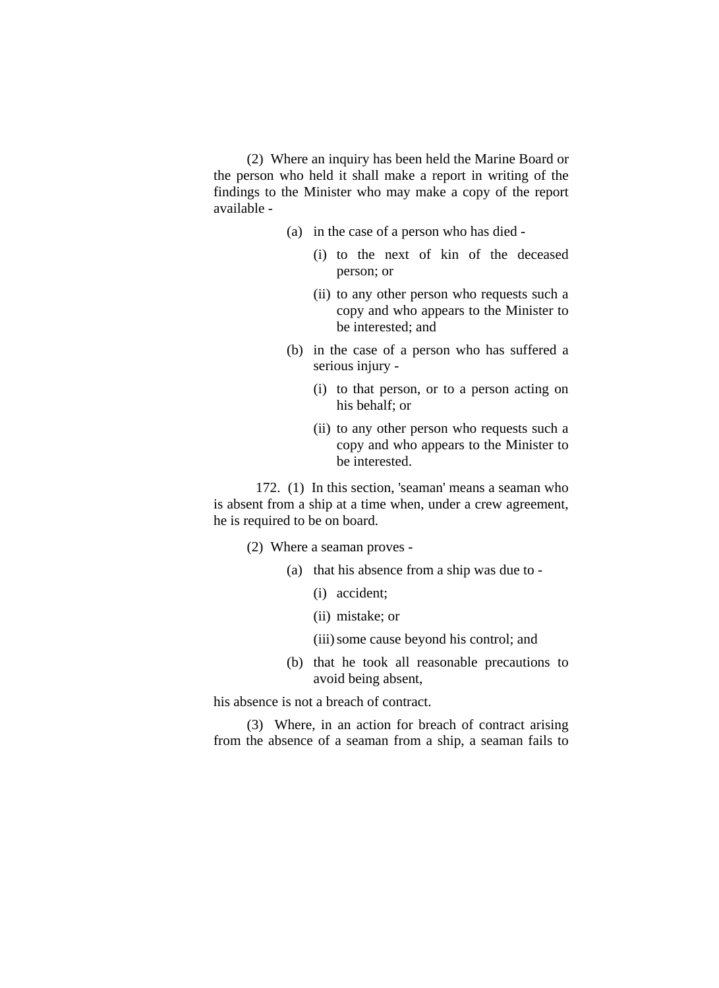(2) Where an inquiry has been held the Marine Board or the person who held it shall make a report in writing of the findings to the Minister who may make a copy of the report available -

- (a) in the case of a person who has died
	- (i) to the next of kin of the deceased person; or
	- (ii) to any other person who requests such a copy and who appears to the Minister to be interested; and
- (b) in the case of a person who has suffered a serious injury -
	- (i) to that person, or to a person acting on his behalf; or
	- (ii) to any other person who requests such a copy and who appears to the Minister to be interested.

 172. (1) In this section, 'seaman' means a seaman who is absent from a ship at a time when, under a crew agreement, he is required to be on board.

- (2) Where a seaman proves
	- (a) that his absence from a ship was due to
		- (i) accident;
		- (ii) mistake; or
		- (iii) some cause beyond his control; and
	- (b) that he took all reasonable precautions to avoid being absent,

his absence is not a breach of contract.

(3) Where, in an action for breach of contract arising from the absence of a seaman from a ship, a seaman fails to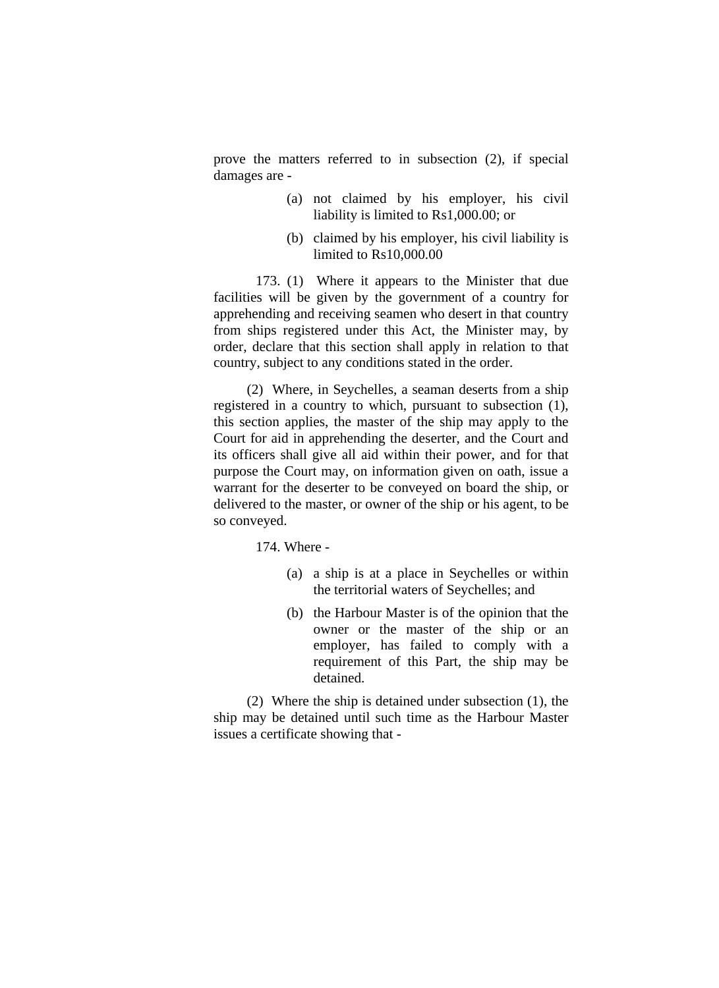prove the matters referred to in subsection (2), if special damages are -

- (a) not claimed by his employer, his civil liability is limited to Rs1,000.00; or
- (b) claimed by his employer, his civil liability is limited to Rs10,000.00

 173. (1) Where it appears to the Minister that due facilities will be given by the government of a country for apprehending and receiving seamen who desert in that country from ships registered under this Act, the Minister may, by order, declare that this section shall apply in relation to that country, subject to any conditions stated in the order.

(2) Where, in Seychelles, a seaman deserts from a ship registered in a country to which, pursuant to subsection (1), this section applies, the master of the ship may apply to the Court for aid in apprehending the deserter, and the Court and its officers shall give all aid within their power, and for that purpose the Court may, on information given on oath, issue a warrant for the deserter to be conveyed on board the ship, or delivered to the master, or owner of the ship or his agent, to be so conveyed.

174. Where -

- (a) a ship is at a place in Seychelles or within the territorial waters of Seychelles; and
- (b) the Harbour Master is of the opinion that the owner or the master of the ship or an employer, has failed to comply with a requirement of this Part, the ship may be detained.

(2) Where the ship is detained under subsection (1), the ship may be detained until such time as the Harbour Master issues a certificate showing that -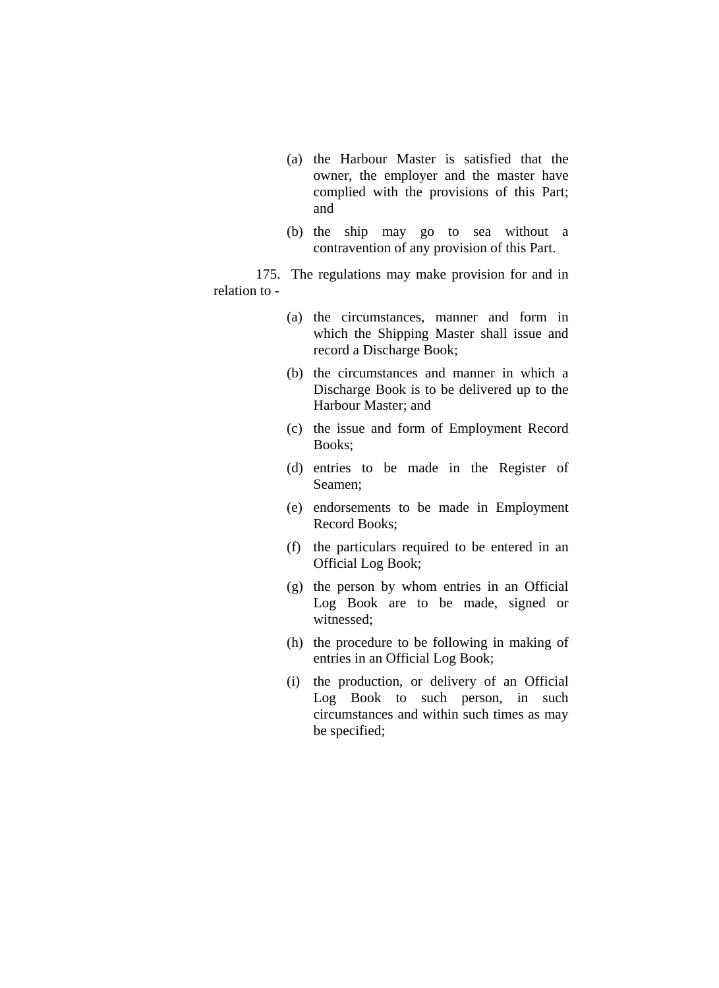- (a) the Harbour Master is satisfied that the owner, the employer and the master have complied with the provisions of this Part; and
- (b) the ship may go to sea without a contravention of any provision of this Part.

 175. The regulations may make provision for and in relation to -

- (a) the circumstances, manner and form in which the Shipping Master shall issue and record a Discharge Book;
- (b) the circumstances and manner in which a Discharge Book is to be delivered up to the Harbour Master; and
- (c) the issue and form of Employment Record Books;
- (d) entries to be made in the Register of Seamen;
- (e) endorsements to be made in Employment Record Books;
- (f) the particulars required to be entered in an Official Log Book;
- (g) the person by whom entries in an Official Log Book are to be made, signed or witnessed;
- (h) the procedure to be following in making of entries in an Official Log Book;
- (i) the production, or delivery of an Official Log Book to such person, in such circumstances and within such times as may be specified;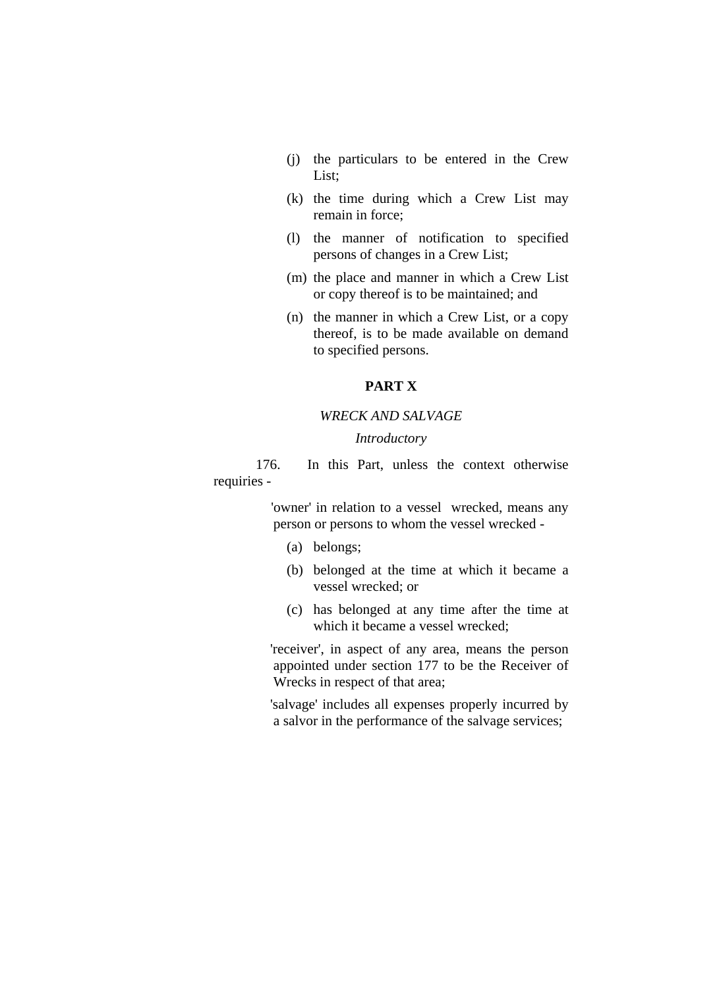- (j) the particulars to be entered in the Crew List;
- (k) the time during which a Crew List may remain in force;
- (l) the manner of notification to specified persons of changes in a Crew List;
- (m) the place and manner in which a Crew List or copy thereof is to be maintained; and
- (n) the manner in which a Crew List, or a copy thereof, is to be made available on demand to specified persons.

## **PART X**

### *WRECK AND SALVAGE*

#### *Introductory*

 176. In this Part, unless the context otherwise requiries -

> 'owner' in relation to a vessel wrecked, means any person or persons to whom the vessel wrecked -

- (a) belongs;
- (b) belonged at the time at which it became a vessel wrecked; or
- (c) has belonged at any time after the time at which it became a vessel wrecked;

 'receiver', in aspect of any area, means the person appointed under section 177 to be the Receiver of Wrecks in respect of that area;

 'salvage' includes all expenses properly incurred by a salvor in the performance of the salvage services;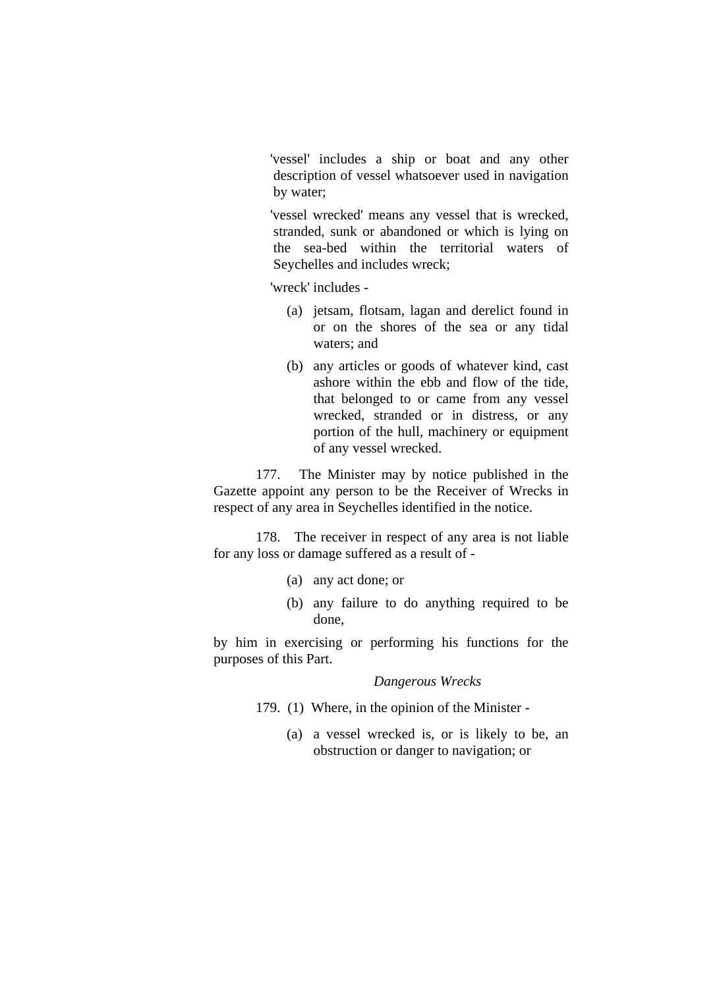'vessel' includes a ship or boat and any other description of vessel whatsoever used in navigation by water;

 'vessel wrecked' means any vessel that is wrecked, stranded, sunk or abandoned or which is lying on the sea-bed within the territorial waters of Seychelles and includes wreck;

'wreck' includes -

- (a) jetsam, flotsam, lagan and derelict found in or on the shores of the sea or any tidal waters; and
- (b) any articles or goods of whatever kind, cast ashore within the ebb and flow of the tide, that belonged to or came from any vessel wrecked, stranded or in distress, or any portion of the hull, machinery or equipment of any vessel wrecked.

 177. The Minister may by notice published in the Gazette appoint any person to be the Receiver of Wrecks in respect of any area in Seychelles identified in the notice.

 178. The receiver in respect of any area is not liable for any loss or damage suffered as a result of -

- (a) any act done; or
- (b) any failure to do anything required to be done,

by him in exercising or performing his functions for the purposes of this Part.

#### *Dangerous Wrecks*

- 179. (1) Where, in the opinion of the Minister
	- (a) a vessel wrecked is, or is likely to be, an obstruction or danger to navigation; or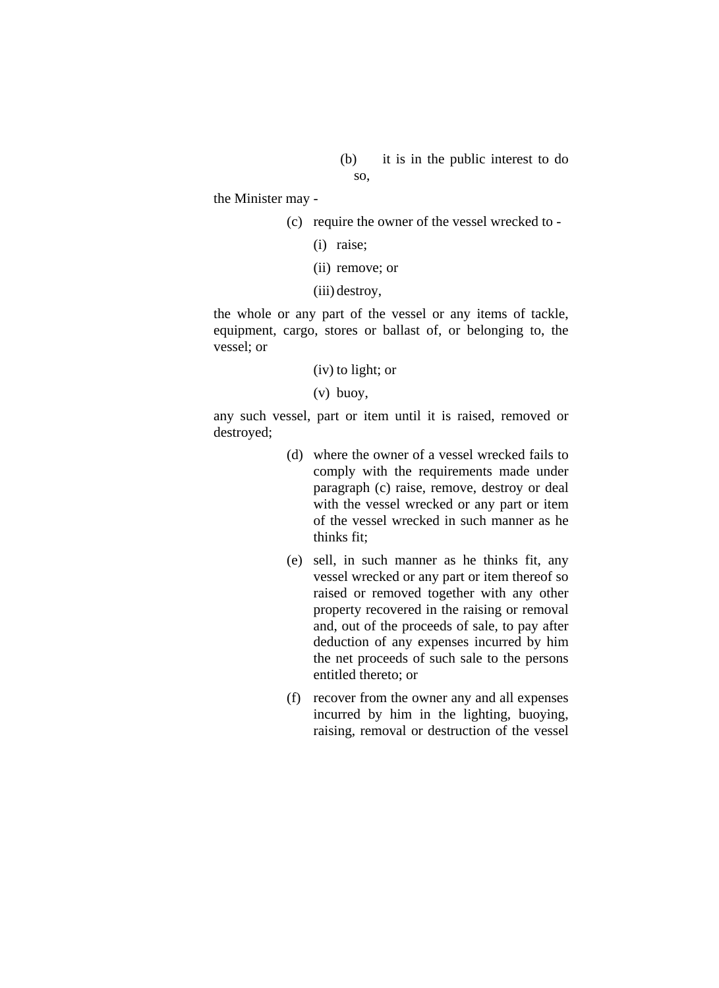(b) it is in the public interest to do so,

the Minister may -

(c) require the owner of the vessel wrecked to -

- (i) raise;
- (ii) remove; or
- (iii) destroy,

the whole or any part of the vessel or any items of tackle, equipment, cargo, stores or ballast of, or belonging to, the vessel; or

(iv) to light; or

(v) buoy,

any such vessel, part or item until it is raised, removed or destroyed;

- (d) where the owner of a vessel wrecked fails to comply with the requirements made under paragraph (c) raise, remove, destroy or deal with the vessel wrecked or any part or item of the vessel wrecked in such manner as he thinks fit;
- (e) sell, in such manner as he thinks fit, any vessel wrecked or any part or item thereof so raised or removed together with any other property recovered in the raising or removal and, out of the proceeds of sale, to pay after deduction of any expenses incurred by him the net proceeds of such sale to the persons entitled thereto; or
- (f) recover from the owner any and all expenses incurred by him in the lighting, buoying, raising, removal or destruction of the vessel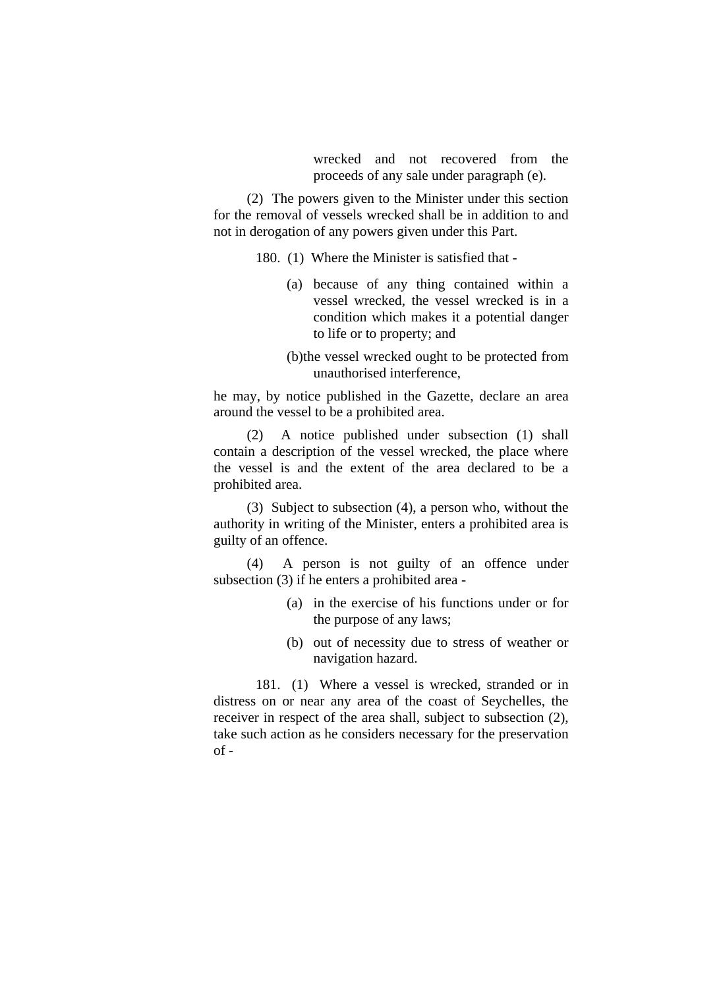wrecked and not recovered from the proceeds of any sale under paragraph (e).

(2) The powers given to the Minister under this section for the removal of vessels wrecked shall be in addition to and not in derogation of any powers given under this Part.

180. (1) Where the Minister is satisfied that -

- (a) because of any thing contained within a vessel wrecked, the vessel wrecked is in a condition which makes it a potential danger to life or to property; and
- (b)the vessel wrecked ought to be protected from unauthorised interference,

he may, by notice published in the Gazette, declare an area around the vessel to be a prohibited area.

(2) A notice published under subsection (1) shall contain a description of the vessel wrecked, the place where the vessel is and the extent of the area declared to be a prohibited area.

(3) Subject to subsection (4), a person who, without the authority in writing of the Minister, enters a prohibited area is guilty of an offence.

(4) A person is not guilty of an offence under subsection (3) if he enters a prohibited area -

- (a) in the exercise of his functions under or for the purpose of any laws;
- (b) out of necessity due to stress of weather or navigation hazard.

 181. (1) Where a vessel is wrecked, stranded or in distress on or near any area of the coast of Seychelles, the receiver in respect of the area shall, subject to subsection (2), take such action as he considers necessary for the preservation  $of -$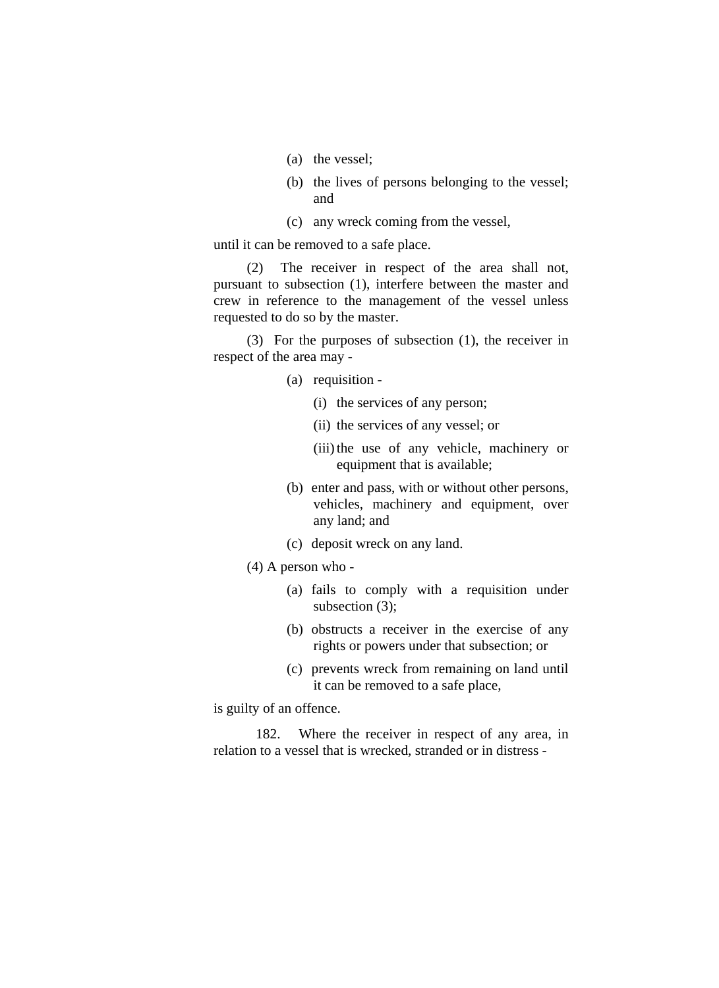- (a) the vessel;
- (b) the lives of persons belonging to the vessel; and
- (c) any wreck coming from the vessel,

until it can be removed to a safe place.

(2) The receiver in respect of the area shall not, pursuant to subsection (1), interfere between the master and crew in reference to the management of the vessel unless requested to do so by the master.

(3) For the purposes of subsection (1), the receiver in respect of the area may -

- (a) requisition
	- (i) the services of any person;
	- (ii) the services of any vessel; or
	- (iii) the use of any vehicle, machinery or equipment that is available;
- (b) enter and pass, with or without other persons, vehicles, machinery and equipment, over any land; and
- (c) deposit wreck on any land.
- (4) A person who
	- (a) fails to comply with a requisition under subsection (3):
	- (b) obstructs a receiver in the exercise of any rights or powers under that subsection; or
	- (c) prevents wreck from remaining on land until it can be removed to a safe place,

is guilty of an offence.

 182. Where the receiver in respect of any area, in relation to a vessel that is wrecked, stranded or in distress -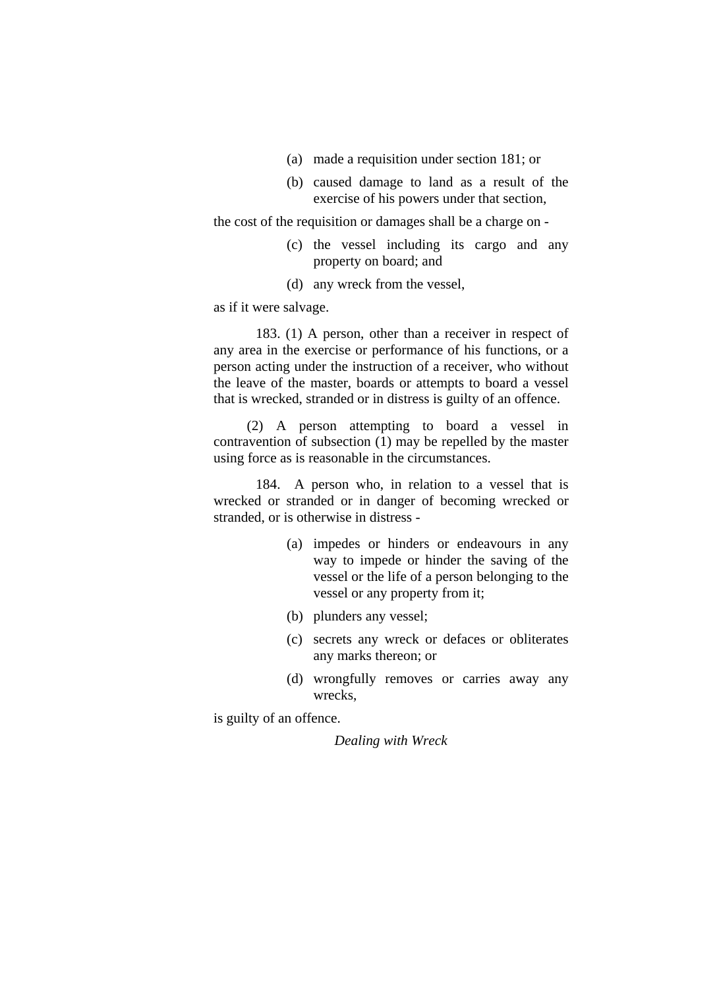- (a) made a requisition under section 181; or
- (b) caused damage to land as a result of the exercise of his powers under that section,

the cost of the requisition or damages shall be a charge on -

- (c) the vessel including its cargo and any property on board; and
- (d) any wreck from the vessel,

as if it were salvage.

 183. (1) A person, other than a receiver in respect of any area in the exercise or performance of his functions, or a person acting under the instruction of a receiver, who without the leave of the master, boards or attempts to board a vessel that is wrecked, stranded or in distress is guilty of an offence.

(2) A person attempting to board a vessel in contravention of subsection (1) may be repelled by the master using force as is reasonable in the circumstances.

 184. A person who, in relation to a vessel that is wrecked or stranded or in danger of becoming wrecked or stranded, or is otherwise in distress -

- (a) impedes or hinders or endeavours in any way to impede or hinder the saving of the vessel or the life of a person belonging to the vessel or any property from it;
- (b) plunders any vessel;
- (c) secrets any wreck or defaces or obliterates any marks thereon; or
- (d) wrongfully removes or carries away any wrecks,

is guilty of an offence.

*Dealing with Wreck*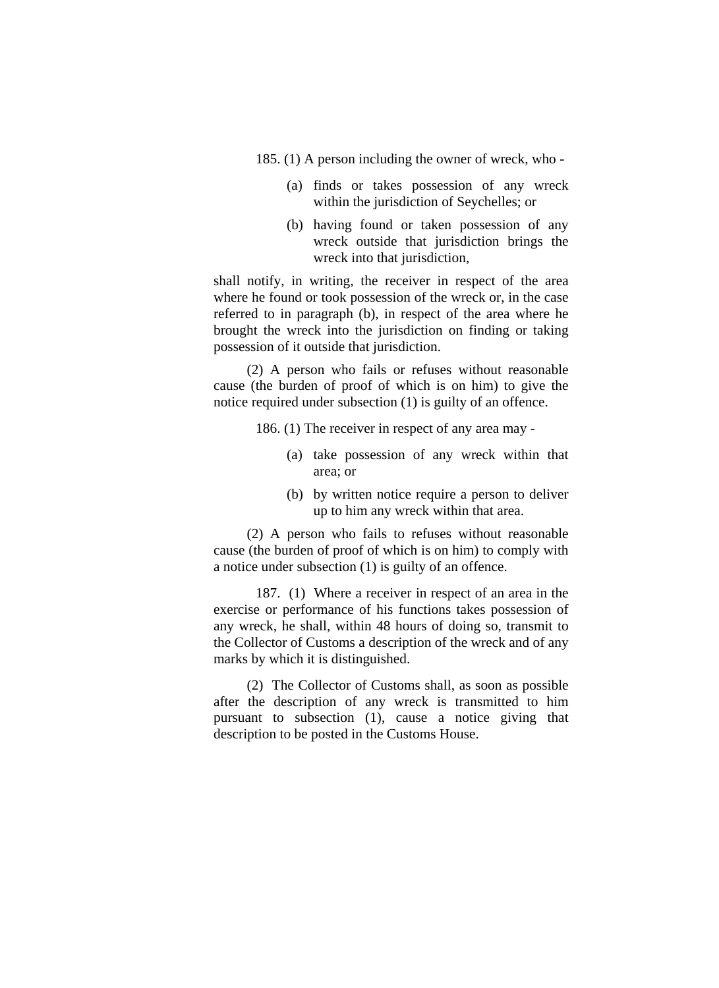185. (1) A person including the owner of wreck, who -

- (a) finds or takes possession of any wreck within the jurisdiction of Seychelles; or
- (b) having found or taken possession of any wreck outside that jurisdiction brings the wreck into that jurisdiction,

shall notify, in writing, the receiver in respect of the area where he found or took possession of the wreck or, in the case referred to in paragraph (b), in respect of the area where he brought the wreck into the jurisdiction on finding or taking possession of it outside that jurisdiction.

(2) A person who fails or refuses without reasonable cause (the burden of proof of which is on him) to give the notice required under subsection (1) is guilty of an offence.

186. (1) The receiver in respect of any area may -

- (a) take possession of any wreck within that area; or
- (b) by written notice require a person to deliver up to him any wreck within that area.

(2) A person who fails to refuses without reasonable cause (the burden of proof of which is on him) to comply with a notice under subsection (1) is guilty of an offence.

 187. (1) Where a receiver in respect of an area in the exercise or performance of his functions takes possession of any wreck, he shall, within 48 hours of doing so, transmit to the Collector of Customs a description of the wreck and of any marks by which it is distinguished.

(2) The Collector of Customs shall, as soon as possible after the description of any wreck is transmitted to him pursuant to subsection (1), cause a notice giving that description to be posted in the Customs House.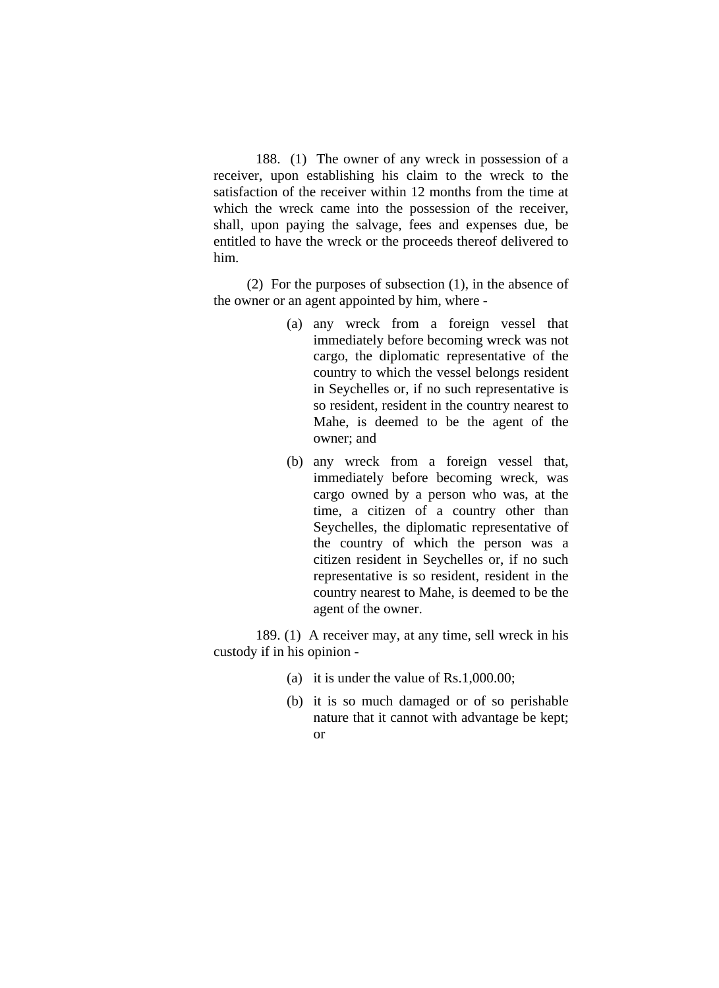188. (1) The owner of any wreck in possession of a receiver, upon establishing his claim to the wreck to the satisfaction of the receiver within 12 months from the time at which the wreck came into the possession of the receiver, shall, upon paying the salvage, fees and expenses due, be entitled to have the wreck or the proceeds thereof delivered to him.

(2) For the purposes of subsection (1), in the absence of the owner or an agent appointed by him, where -

- (a) any wreck from a foreign vessel that immediately before becoming wreck was not cargo, the diplomatic representative of the country to which the vessel belongs resident in Seychelles or, if no such representative is so resident, resident in the country nearest to Mahe, is deemed to be the agent of the owner; and
- (b) any wreck from a foreign vessel that, immediately before becoming wreck, was cargo owned by a person who was, at the time, a citizen of a country other than Seychelles, the diplomatic representative of the country of which the person was a citizen resident in Seychelles or, if no such representative is so resident, resident in the country nearest to Mahe, is deemed to be the agent of the owner.

 189. (1) A receiver may, at any time, sell wreck in his custody if in his opinion -

- (a) it is under the value of Rs.1,000.00;
- (b) it is so much damaged or of so perishable nature that it cannot with advantage be kept; or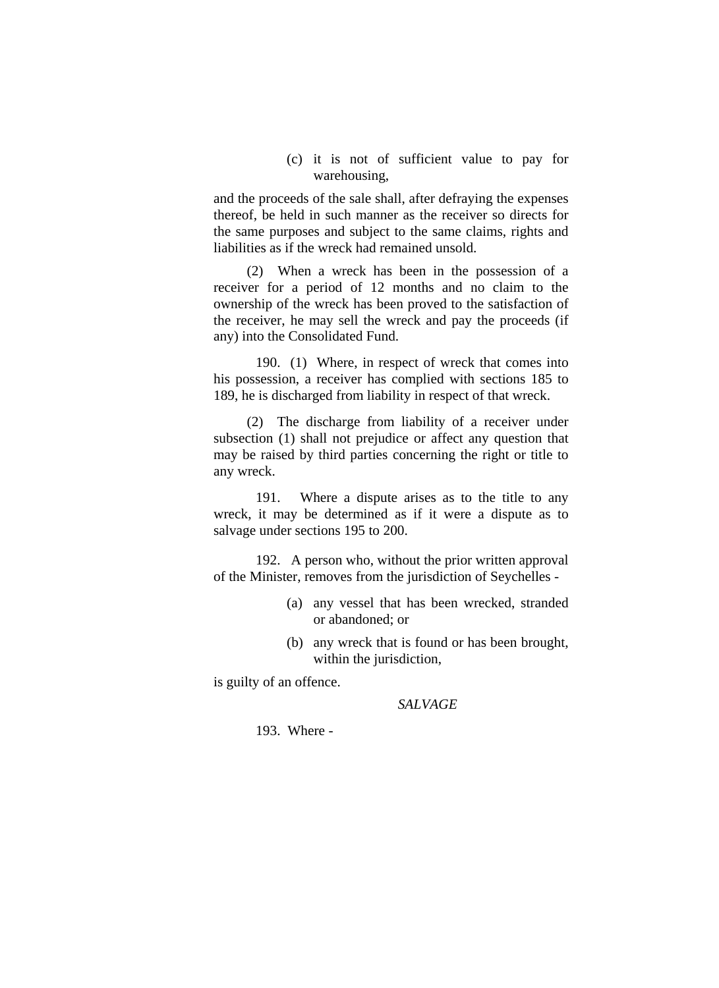(c) it is not of sufficient value to pay for warehousing,

and the proceeds of the sale shall, after defraying the expenses thereof, be held in such manner as the receiver so directs for the same purposes and subject to the same claims, rights and liabilities as if the wreck had remained unsold.

(2) When a wreck has been in the possession of a receiver for a period of 12 months and no claim to the ownership of the wreck has been proved to the satisfaction of the receiver, he may sell the wreck and pay the proceeds (if any) into the Consolidated Fund.

 190. (1) Where, in respect of wreck that comes into his possession, a receiver has complied with sections 185 to 189, he is discharged from liability in respect of that wreck.

(2) The discharge from liability of a receiver under subsection (1) shall not prejudice or affect any question that may be raised by third parties concerning the right or title to any wreck.

 191. Where a dispute arises as to the title to any wreck, it may be determined as if it were a dispute as to salvage under sections 195 to 200.

 192. A person who, without the prior written approval of the Minister, removes from the jurisdiction of Seychelles -

- (a) any vessel that has been wrecked, stranded or abandoned; or
- (b) any wreck that is found or has been brought, within the jurisdiction,

is guilty of an offence.

#### *SALVAGE*

193. Where -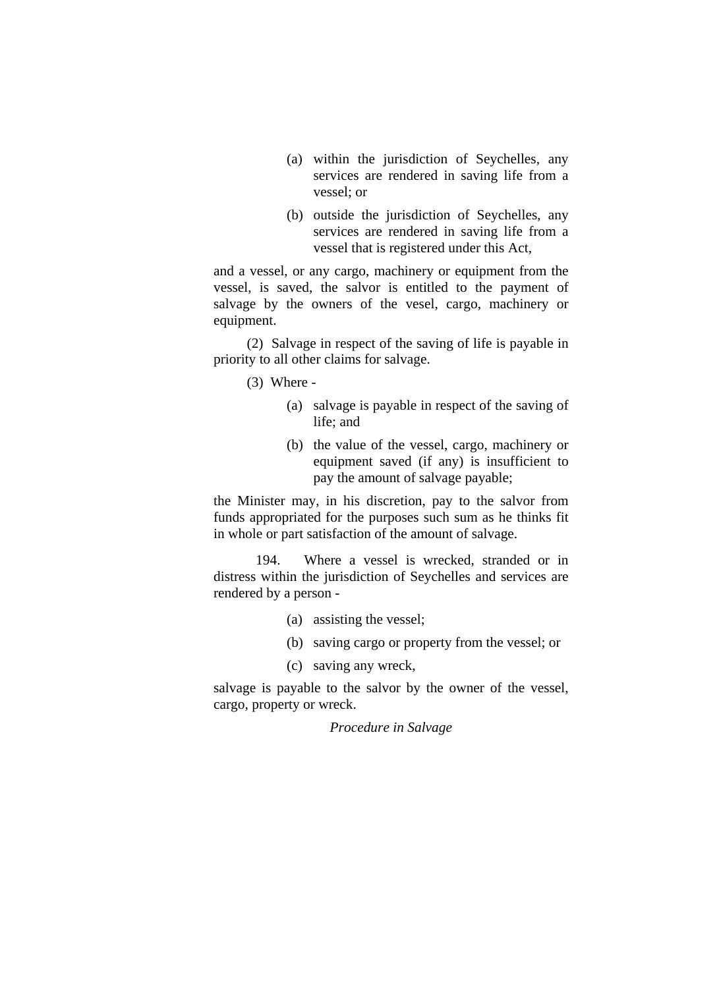- (a) within the jurisdiction of Seychelles, any services are rendered in saving life from a vessel; or
- (b) outside the jurisdiction of Seychelles, any services are rendered in saving life from a vessel that is registered under this Act,

and a vessel, or any cargo, machinery or equipment from the vessel, is saved, the salvor is entitled to the payment of salvage by the owners of the vesel, cargo, machinery or equipment.

(2) Salvage in respect of the saving of life is payable in priority to all other claims for salvage.

(3) Where -

- (a) salvage is payable in respect of the saving of life; and
- (b) the value of the vessel, cargo, machinery or equipment saved (if any) is insufficient to pay the amount of salvage payable;

the Minister may, in his discretion, pay to the salvor from funds appropriated for the purposes such sum as he thinks fit in whole or part satisfaction of the amount of salvage.

 194. Where a vessel is wrecked, stranded or in distress within the jurisdiction of Seychelles and services are rendered by a person -

- (a) assisting the vessel;
- (b) saving cargo or property from the vessel; or
- (c) saving any wreck,

salvage is payable to the salvor by the owner of the vessel, cargo, property or wreck.

*Procedure in Salvage*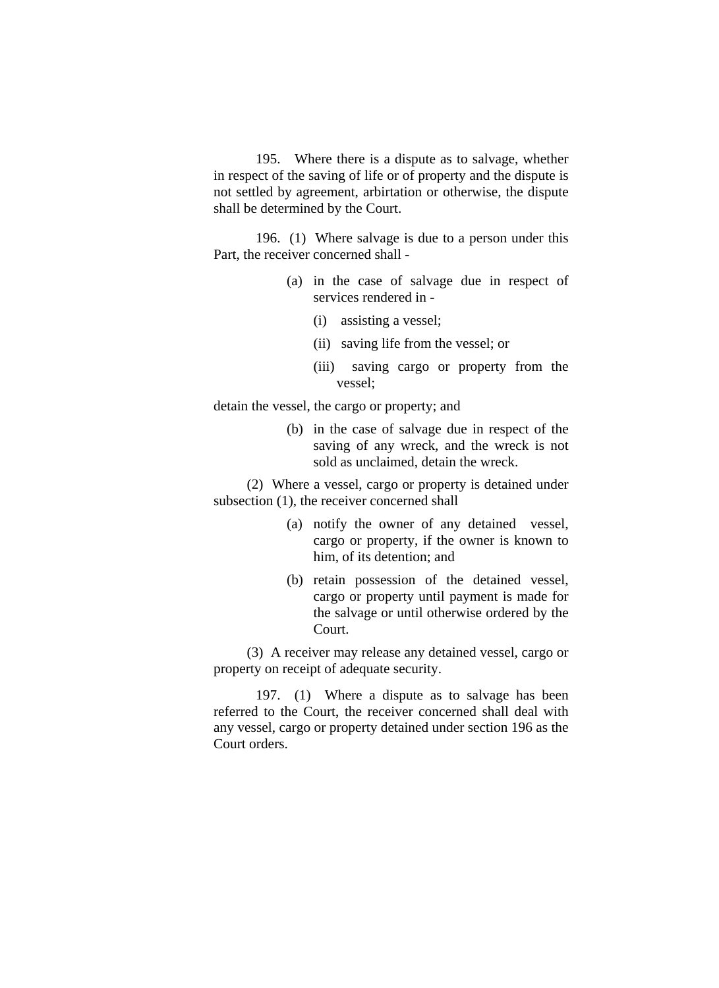195. Where there is a dispute as to salvage, whether in respect of the saving of life or of property and the dispute is not settled by agreement, arbirtation or otherwise, the dispute shall be determined by the Court.

 196. (1) Where salvage is due to a person under this Part, the receiver concerned shall -

- (a) in the case of salvage due in respect of services rendered in -
	- (i) assisting a vessel;
	- (ii) saving life from the vessel; or
	- (iii) saving cargo or property from the vessel;

detain the vessel, the cargo or property; and

(b) in the case of salvage due in respect of the saving of any wreck, and the wreck is not sold as unclaimed, detain the wreck.

(2) Where a vessel, cargo or property is detained under subsection (1), the receiver concerned shall

- (a) notify the owner of any detained vessel, cargo or property, if the owner is known to him, of its detention; and
- (b) retain possession of the detained vessel, cargo or property until payment is made for the salvage or until otherwise ordered by the Court.

(3) A receiver may release any detained vessel, cargo or property on receipt of adequate security.

 197. (1) Where a dispute as to salvage has been referred to the Court, the receiver concerned shall deal with any vessel, cargo or property detained under section 196 as the Court orders.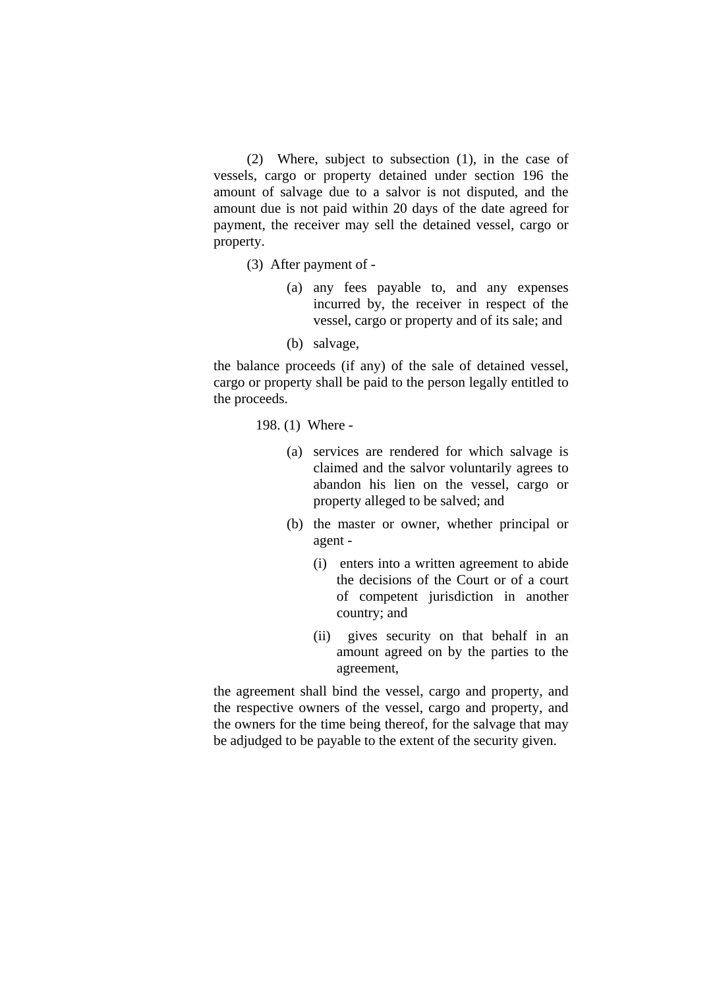(2) Where, subject to subsection (1), in the case of vessels, cargo or property detained under section 196 the amount of salvage due to a salvor is not disputed, and the amount due is not paid within 20 days of the date agreed for payment, the receiver may sell the detained vessel, cargo or property.

- (3) After payment of
	- (a) any fees payable to, and any expenses incurred by, the receiver in respect of the vessel, cargo or property and of its sale; and
	- (b) salvage,

the balance proceeds (if any) of the sale of detained vessel, cargo or property shall be paid to the person legally entitled to the proceeds.

198. (1) Where -

- (a) services are rendered for which salvage is claimed and the salvor voluntarily agrees to abandon his lien on the vessel, cargo or property alleged to be salved; and
- (b) the master or owner, whether principal or agent -
	- (i) enters into a written agreement to abide the decisions of the Court or of a court of competent jurisdiction in another country; and
	- (ii) gives security on that behalf in an amount agreed on by the parties to the agreement,

the agreement shall bind the vessel, cargo and property, and the respective owners of the vessel, cargo and property, and the owners for the time being thereof, for the salvage that may be adjudged to be payable to the extent of the security given.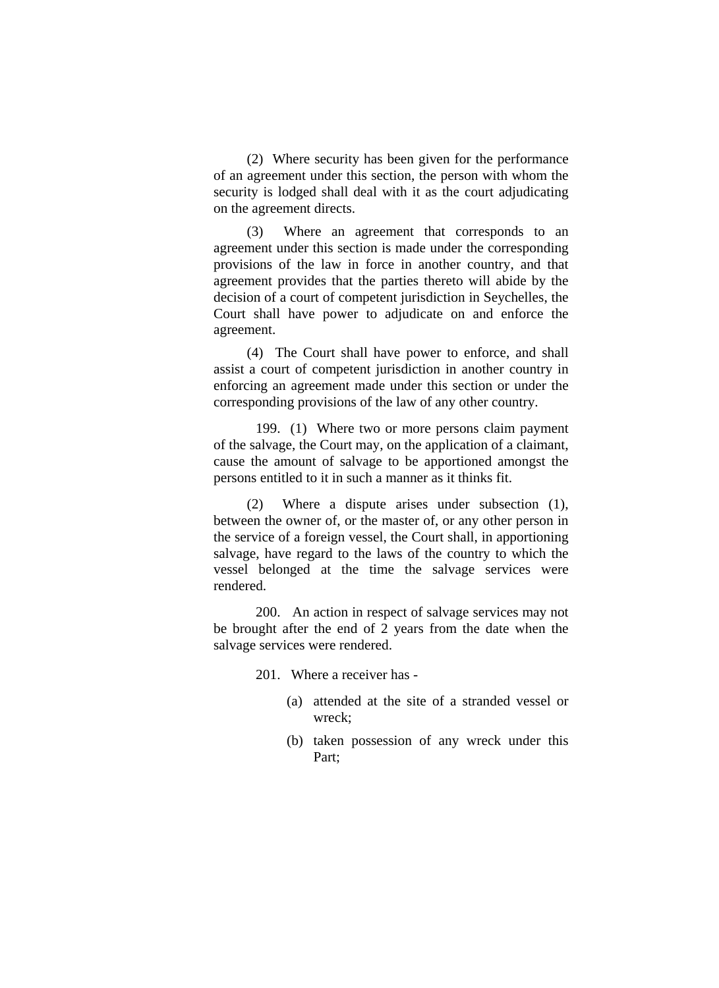(2) Where security has been given for the performance of an agreement under this section, the person with whom the security is lodged shall deal with it as the court adjudicating on the agreement directs.

(3) Where an agreement that corresponds to an agreement under this section is made under the corresponding provisions of the law in force in another country, and that agreement provides that the parties thereto will abide by the decision of a court of competent jurisdiction in Seychelles, the Court shall have power to adjudicate on and enforce the agreement.

(4) The Court shall have power to enforce, and shall assist a court of competent jurisdiction in another country in enforcing an agreement made under this section or under the corresponding provisions of the law of any other country.

 199. (1) Where two or more persons claim payment of the salvage, the Court may, on the application of a claimant, cause the amount of salvage to be apportioned amongst the persons entitled to it in such a manner as it thinks fit.

(2) Where a dispute arises under subsection (1), between the owner of, or the master of, or any other person in the service of a foreign vessel, the Court shall, in apportioning salvage, have regard to the laws of the country to which the vessel belonged at the time the salvage services were rendered.

 200. An action in respect of salvage services may not be brought after the end of 2 years from the date when the salvage services were rendered.

201. Where a receiver has -

- (a) attended at the site of a stranded vessel or wreck;
- (b) taken possession of any wreck under this Part;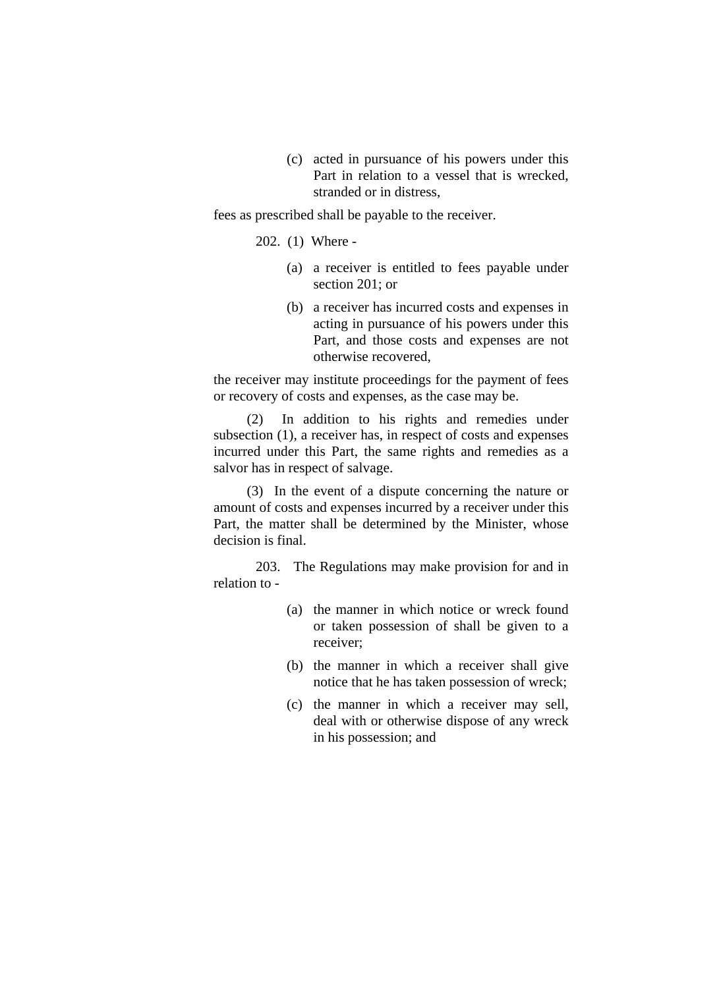(c) acted in pursuance of his powers under this Part in relation to a vessel that is wrecked, stranded or in distress,

fees as prescribed shall be payable to the receiver.

202. (1) Where -

- (a) a receiver is entitled to fees payable under section 201; or
- (b) a receiver has incurred costs and expenses in acting in pursuance of his powers under this Part, and those costs and expenses are not otherwise recovered,

the receiver may institute proceedings for the payment of fees or recovery of costs and expenses, as the case may be.

(2) In addition to his rights and remedies under subsection (1), a receiver has, in respect of costs and expenses incurred under this Part, the same rights and remedies as a salvor has in respect of salvage.

(3) In the event of a dispute concerning the nature or amount of costs and expenses incurred by a receiver under this Part, the matter shall be determined by the Minister, whose decision is final.

 203. The Regulations may make provision for and in relation to -

- (a) the manner in which notice or wreck found or taken possession of shall be given to a receiver;
- (b) the manner in which a receiver shall give notice that he has taken possession of wreck;
- (c) the manner in which a receiver may sell, deal with or otherwise dispose of any wreck in his possession; and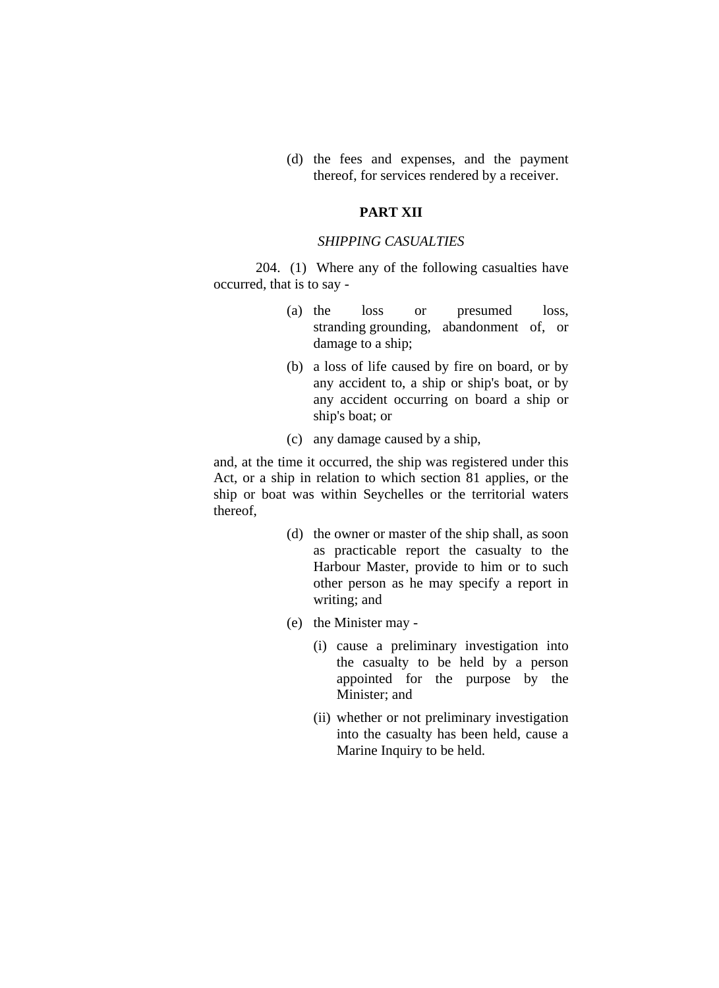(d) the fees and expenses, and the payment thereof, for services rendered by a receiver.

## **PART XII**

## *SHIPPING CASUALTIES*

 204. (1) Where any of the following casualties have occurred, that is to say -

- (a) the loss or presumed loss, stranding grounding, abandonment of, or damage to a ship;
- (b) a loss of life caused by fire on board, or by any accident to, a ship or ship's boat, or by any accident occurring on board a ship or ship's boat; or
- (c) any damage caused by a ship,

and, at the time it occurred, the ship was registered under this Act, or a ship in relation to which section 81 applies, or the ship or boat was within Seychelles or the territorial waters thereof,

- (d) the owner or master of the ship shall, as soon as practicable report the casualty to the Harbour Master, provide to him or to such other person as he may specify a report in writing; and
- (e) the Minister may
	- (i) cause a preliminary investigation into the casualty to be held by a person appointed for the purpose by the Minister; and
	- (ii) whether or not preliminary investigation into the casualty has been held, cause a Marine Inquiry to be held.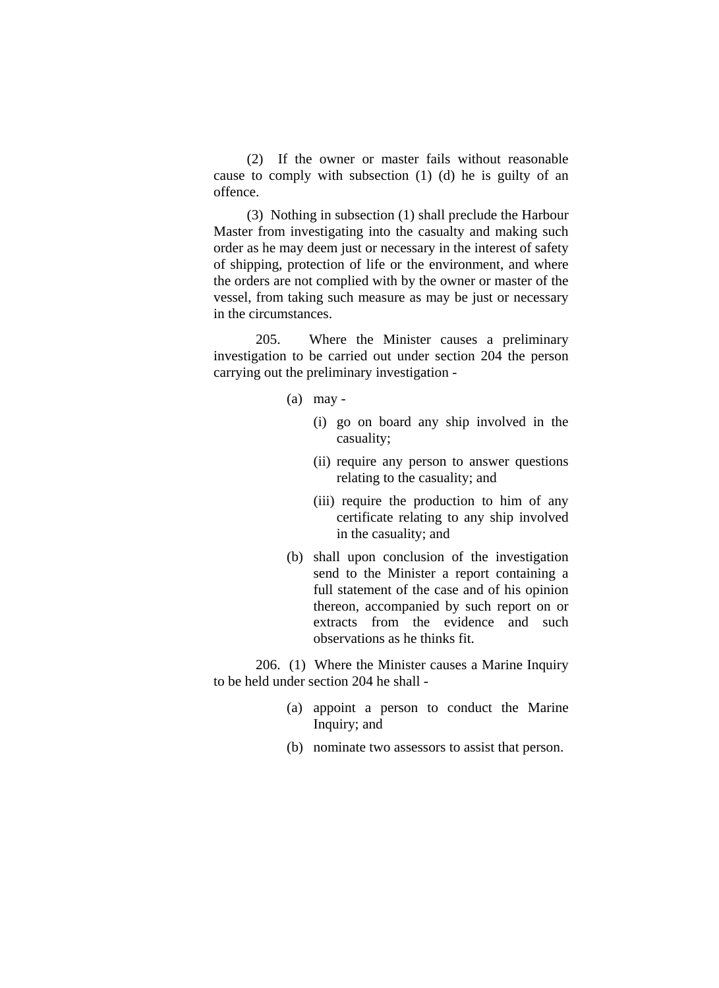(2) If the owner or master fails without reasonable cause to comply with subsection (1) (d) he is guilty of an offence.

(3) Nothing in subsection (1) shall preclude the Harbour Master from investigating into the casualty and making such order as he may deem just or necessary in the interest of safety of shipping, protection of life or the environment, and where the orders are not complied with by the owner or master of the vessel, from taking such measure as may be just or necessary in the circumstances.

 205. Where the Minister causes a preliminary investigation to be carried out under section 204 the person carrying out the preliminary investigation -

- (a) may
	- (i) go on board any ship involved in the casuality;
	- (ii) require any person to answer questions relating to the casuality; and
	- (iii) require the production to him of any certificate relating to any ship involved in the casuality; and
- (b) shall upon conclusion of the investigation send to the Minister a report containing a full statement of the case and of his opinion thereon, accompanied by such report on or extracts from the evidence and such observations as he thinks fit.

 206. (1) Where the Minister causes a Marine Inquiry to be held under section 204 he shall -

- (a) appoint a person to conduct the Marine Inquiry; and
- (b) nominate two assessors to assist that person.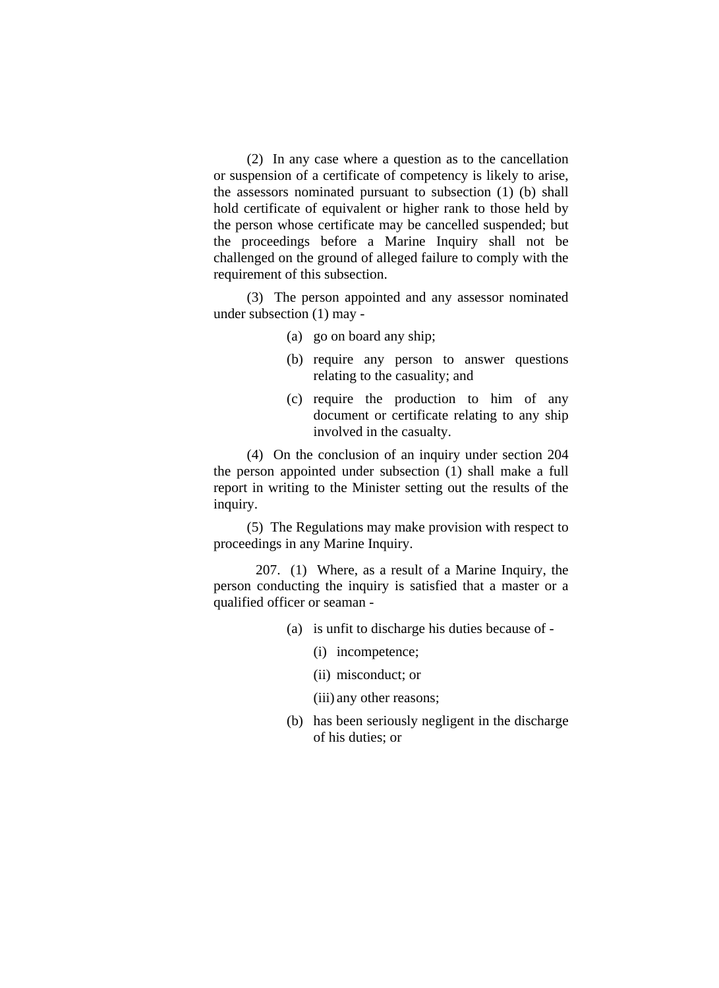(2) In any case where a question as to the cancellation or suspension of a certificate of competency is likely to arise, the assessors nominated pursuant to subsection (1) (b) shall hold certificate of equivalent or higher rank to those held by the person whose certificate may be cancelled suspended; but the proceedings before a Marine Inquiry shall not be challenged on the ground of alleged failure to comply with the requirement of this subsection.

(3) The person appointed and any assessor nominated under subsection (1) may -

- (a) go on board any ship;
- (b) require any person to answer questions relating to the casuality; and
- (c) require the production to him of any document or certificate relating to any ship involved in the casualty.

(4) On the conclusion of an inquiry under section 204 the person appointed under subsection (1) shall make a full report in writing to the Minister setting out the results of the inquiry.

(5) The Regulations may make provision with respect to proceedings in any Marine Inquiry.

 207. (1) Where, as a result of a Marine Inquiry, the person conducting the inquiry is satisfied that a master or a qualified officer or seaman -

- (a) is unfit to discharge his duties because of
	- (i) incompetence;
	- (ii) misconduct; or
	- (iii) any other reasons;
- (b) has been seriously negligent in the discharge of his duties; or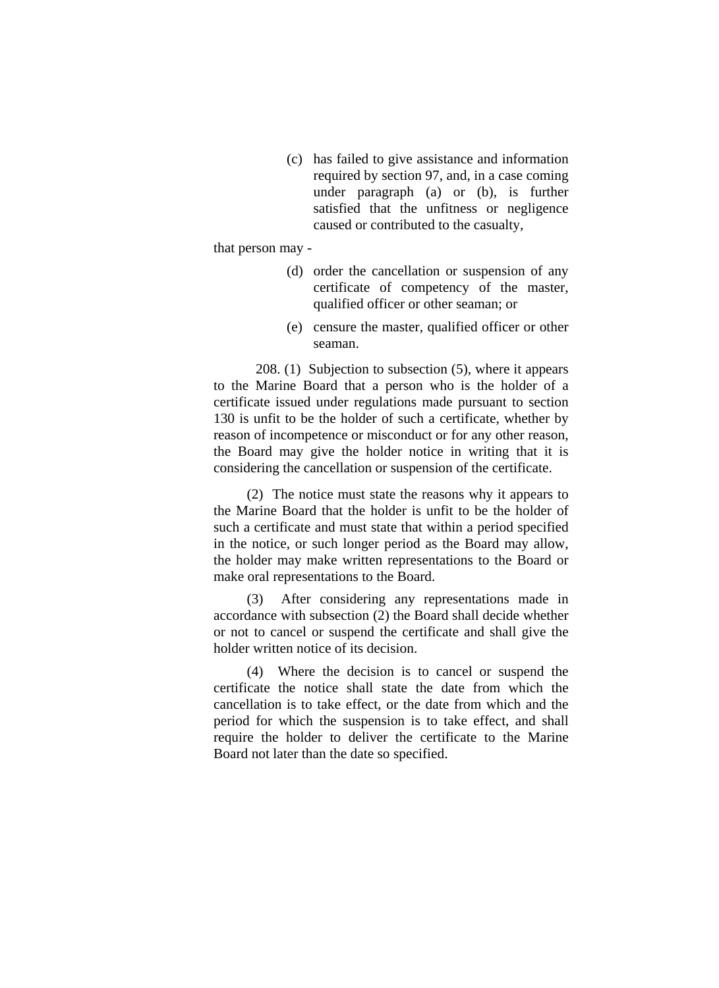(c) has failed to give assistance and information required by section 97, and, in a case coming under paragraph (a) or (b), is further satisfied that the unfitness or negligence caused or contributed to the casualty,

that person may -

- (d) order the cancellation or suspension of any certificate of competency of the master, qualified officer or other seaman; or
- (e) censure the master, qualified officer or other seaman.

 208. (1) Subjection to subsection (5), where it appears to the Marine Board that a person who is the holder of a certificate issued under regulations made pursuant to section 130 is unfit to be the holder of such a certificate, whether by reason of incompetence or misconduct or for any other reason, the Board may give the holder notice in writing that it is considering the cancellation or suspension of the certificate.

(2) The notice must state the reasons why it appears to the Marine Board that the holder is unfit to be the holder of such a certificate and must state that within a period specified in the notice, or such longer period as the Board may allow, the holder may make written representations to the Board or make oral representations to the Board.

(3) After considering any representations made in accordance with subsection (2) the Board shall decide whether or not to cancel or suspend the certificate and shall give the holder written notice of its decision.

(4) Where the decision is to cancel or suspend the certificate the notice shall state the date from which the cancellation is to take effect, or the date from which and the period for which the suspension is to take effect, and shall require the holder to deliver the certificate to the Marine Board not later than the date so specified.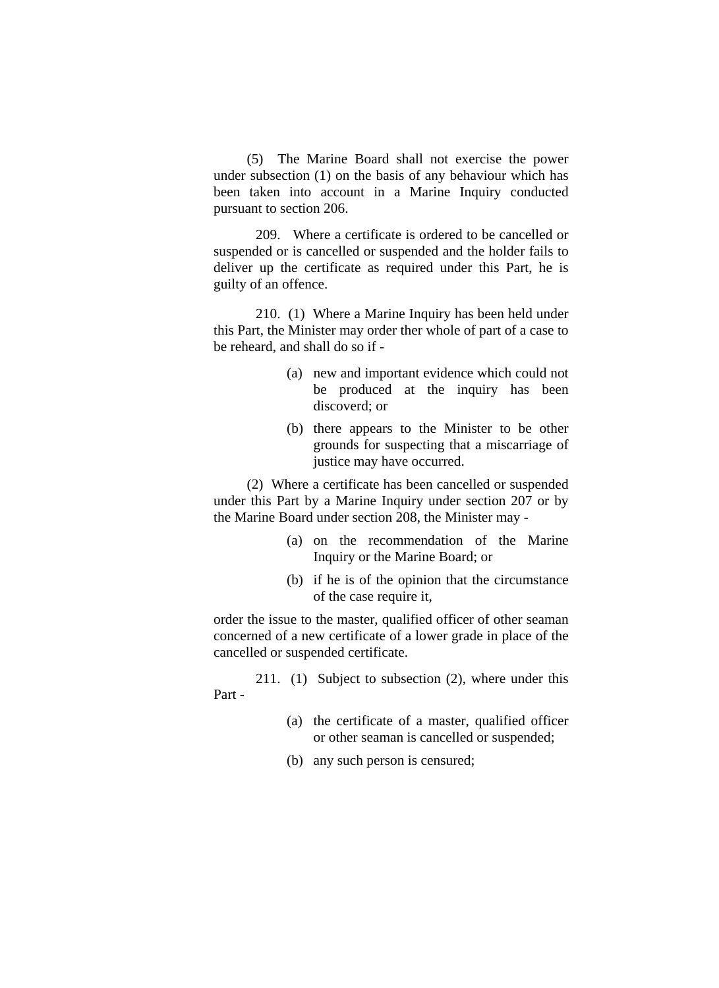(5) The Marine Board shall not exercise the power under subsection (1) on the basis of any behaviour which has been taken into account in a Marine Inquiry conducted pursuant to section 206.

 209. Where a certificate is ordered to be cancelled or suspended or is cancelled or suspended and the holder fails to deliver up the certificate as required under this Part, he is guilty of an offence.

 210. (1) Where a Marine Inquiry has been held under this Part, the Minister may order ther whole of part of a case to be reheard, and shall do so if -

- (a) new and important evidence which could not be produced at the inquiry has been discoverd; or
- (b) there appears to the Minister to be other grounds for suspecting that a miscarriage of justice may have occurred.

(2) Where a certificate has been cancelled or suspended under this Part by a Marine Inquiry under section 207 or by the Marine Board under section 208, the Minister may -

- (a) on the recommendation of the Marine Inquiry or the Marine Board; or
- (b) if he is of the opinion that the circumstance of the case require it,

order the issue to the master, qualified officer of other seaman concerned of a new certificate of a lower grade in place of the cancelled or suspended certificate.

 211. (1) Subject to subsection (2), where under this Part -

- (a) the certificate of a master, qualified officer or other seaman is cancelled or suspended;
- (b) any such person is censured;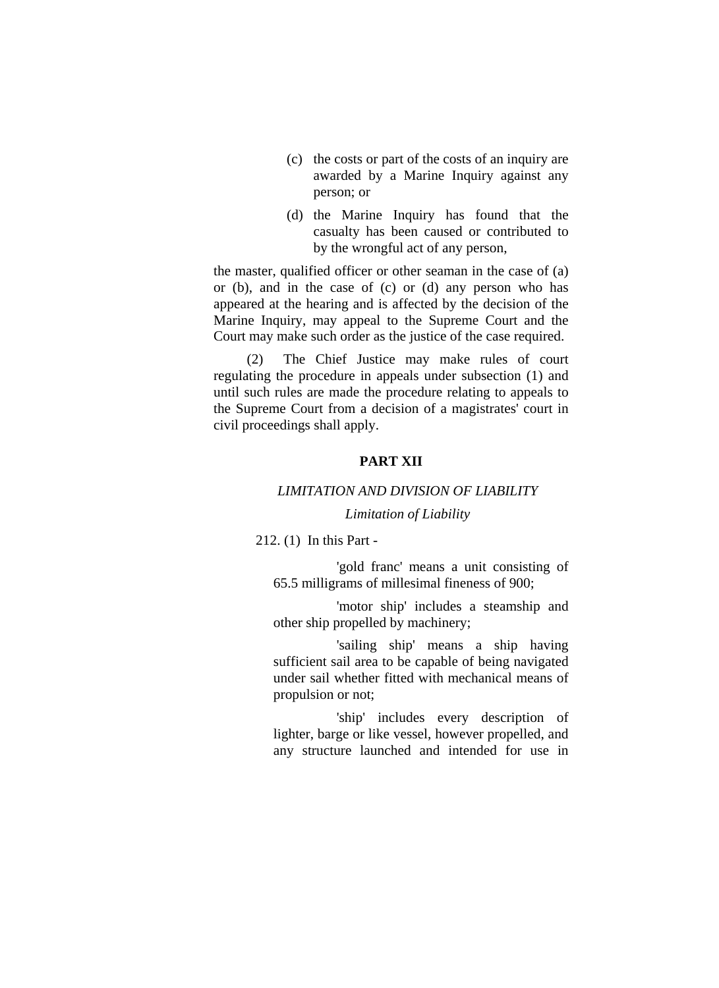- (c) the costs or part of the costs of an inquiry are awarded by a Marine Inquiry against any person; or
- (d) the Marine Inquiry has found that the casualty has been caused or contributed to by the wrongful act of any person,

the master, qualified officer or other seaman in the case of (a) or (b), and in the case of (c) or (d) any person who has appeared at the hearing and is affected by the decision of the Marine Inquiry, may appeal to the Supreme Court and the Court may make such order as the justice of the case required.

(2) The Chief Justice may make rules of court regulating the procedure in appeals under subsection (1) and until such rules are made the procedure relating to appeals to the Supreme Court from a decision of a magistrates' court in civil proceedings shall apply.

## **PART XII**

# *LIMITATION AND DIVISION OF LIABILITY*

## *Limitation of Liability*

212. (1) In this Part -

 'gold franc' means a unit consisting of 65.5 milligrams of millesimal fineness of 900;

 'motor ship' includes a steamship and other ship propelled by machinery;

 'sailing ship' means a ship having sufficient sail area to be capable of being navigated under sail whether fitted with mechanical means of propulsion or not;

 'ship' includes every description of lighter, barge or like vessel, however propelled, and any structure launched and intended for use in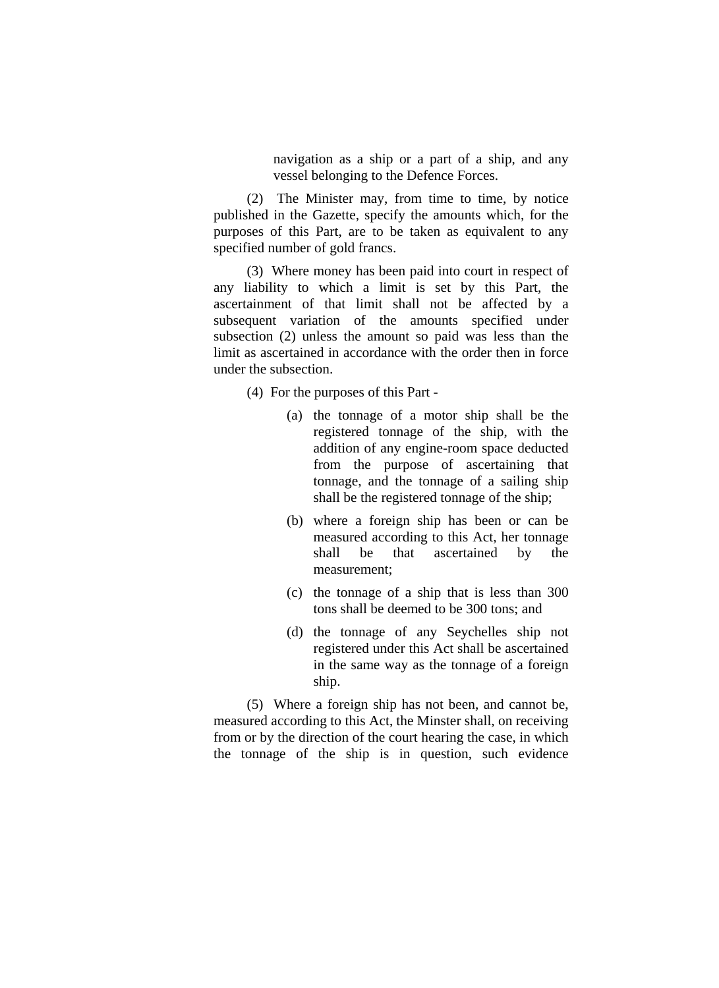navigation as a ship or a part of a ship, and any vessel belonging to the Defence Forces.

(2) The Minister may, from time to time, by notice published in the Gazette, specify the amounts which, for the purposes of this Part, are to be taken as equivalent to any specified number of gold francs.

(3) Where money has been paid into court in respect of any liability to which a limit is set by this Part, the ascertainment of that limit shall not be affected by a subsequent variation of the amounts specified under subsection (2) unless the amount so paid was less than the limit as ascertained in accordance with the order then in force under the subsection.

(4) For the purposes of this Part -

- (a) the tonnage of a motor ship shall be the registered tonnage of the ship, with the addition of any engine-room space deducted from the purpose of ascertaining that tonnage, and the tonnage of a sailing ship shall be the registered tonnage of the ship;
- (b) where a foreign ship has been or can be measured according to this Act, her tonnage shall be that ascertained by the measurement;
- (c) the tonnage of a ship that is less than 300 tons shall be deemed to be 300 tons; and
- (d) the tonnage of any Seychelles ship not registered under this Act shall be ascertained in the same way as the tonnage of a foreign ship.

(5) Where a foreign ship has not been, and cannot be, measured according to this Act, the Minster shall, on receiving from or by the direction of the court hearing the case, in which the tonnage of the ship is in question, such evidence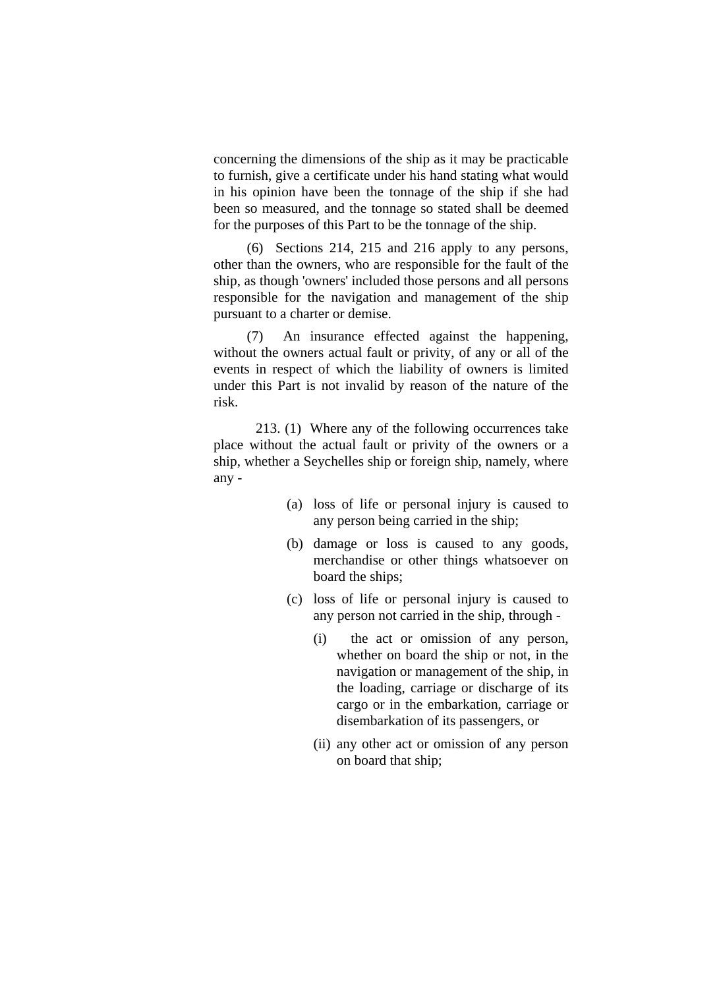concerning the dimensions of the ship as it may be practicable to furnish, give a certificate under his hand stating what would in his opinion have been the tonnage of the ship if she had been so measured, and the tonnage so stated shall be deemed for the purposes of this Part to be the tonnage of the ship.

(6) Sections 214, 215 and 216 apply to any persons, other than the owners, who are responsible for the fault of the ship, as though 'owners' included those persons and all persons responsible for the navigation and management of the ship pursuant to a charter or demise.

(7) An insurance effected against the happening, without the owners actual fault or privity, of any or all of the events in respect of which the liability of owners is limited under this Part is not invalid by reason of the nature of the risk.

 213. (1) Where any of the following occurrences take place without the actual fault or privity of the owners or a ship, whether a Seychelles ship or foreign ship, namely, where any -

- (a) loss of life or personal injury is caused to any person being carried in the ship;
- (b) damage or loss is caused to any goods, merchandise or other things whatsoever on board the ships;
- (c) loss of life or personal injury is caused to any person not carried in the ship, through -
	- (i) the act or omission of any person, whether on board the ship or not, in the navigation or management of the ship, in the loading, carriage or discharge of its cargo or in the embarkation, carriage or disembarkation of its passengers, or
	- (ii) any other act or omission of any person on board that ship;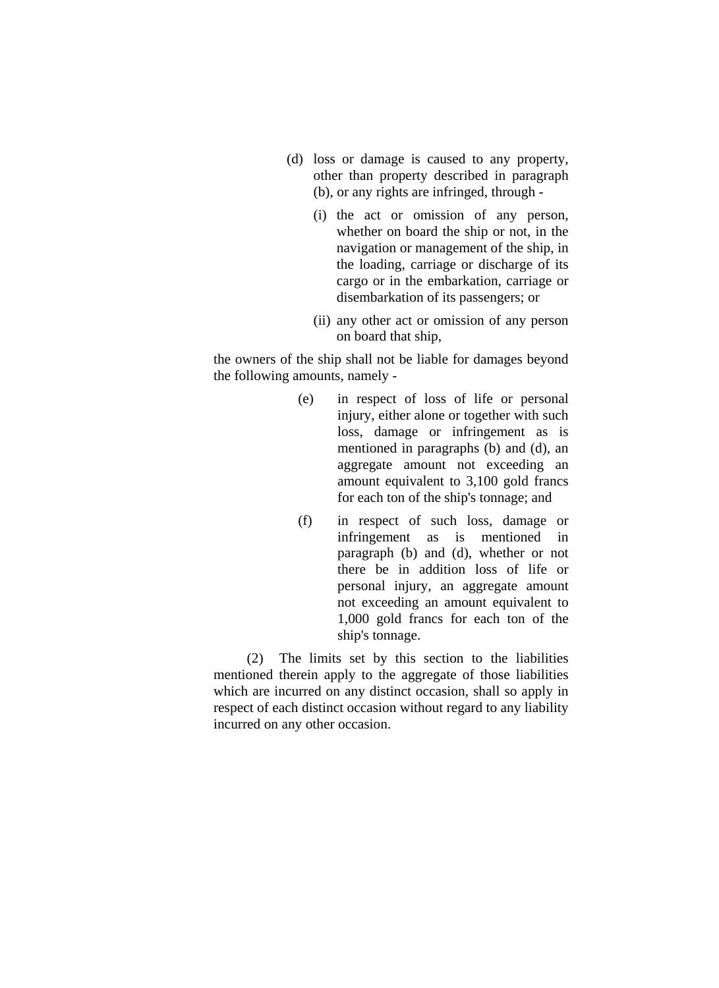- (d) loss or damage is caused to any property, other than property described in paragraph (b), or any rights are infringed, through -
	- (i) the act or omission of any person, whether on board the ship or not, in the navigation or management of the ship, in the loading, carriage or discharge of its cargo or in the embarkation, carriage or disembarkation of its passengers; or
	- (ii) any other act or omission of any person on board that ship,

the owners of the ship shall not be liable for damages beyond the following amounts, namely -

- (e) in respect of loss of life or personal injury, either alone or together with such loss, damage or infringement as is mentioned in paragraphs (b) and (d), an aggregate amount not exceeding an amount equivalent to 3,100 gold francs for each ton of the ship's tonnage; and
- (f) in respect of such loss, damage or infringement as is mentioned in paragraph (b) and (d), whether or not there be in addition loss of life or personal injury, an aggregate amount not exceeding an amount equivalent to 1,000 gold francs for each ton of the ship's tonnage.

(2) The limits set by this section to the liabilities mentioned therein apply to the aggregate of those liabilities which are incurred on any distinct occasion, shall so apply in respect of each distinct occasion without regard to any liability incurred on any other occasion.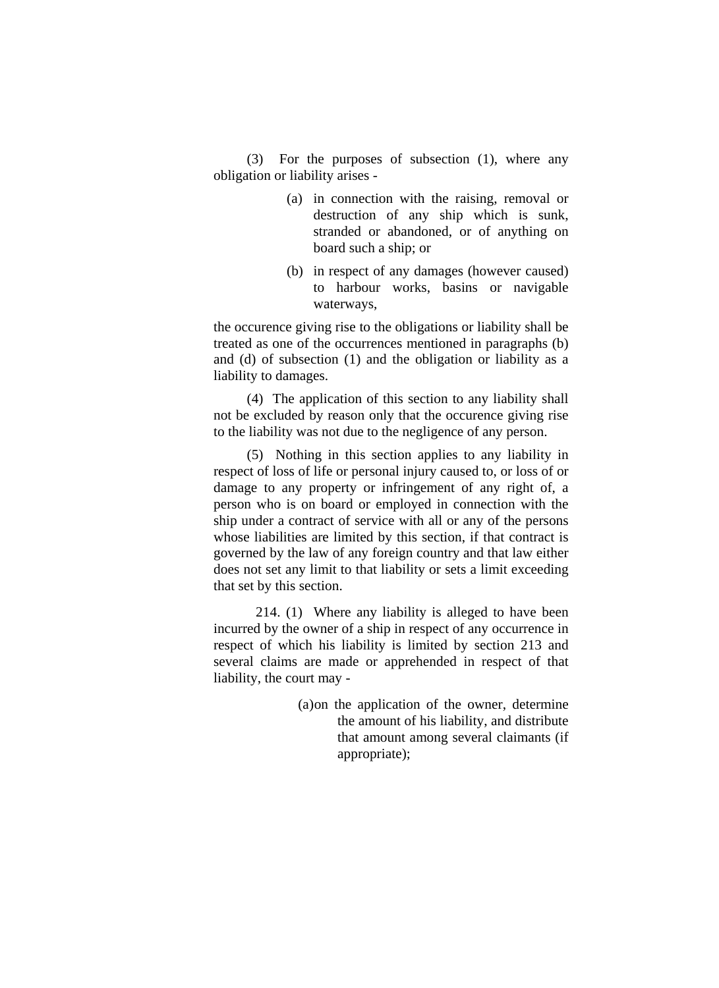(3) For the purposes of subsection (1), where any obligation or liability arises -

- (a) in connection with the raising, removal or destruction of any ship which is sunk, stranded or abandoned, or of anything on board such a ship; or
- (b) in respect of any damages (however caused) to harbour works, basins or navigable waterways,

the occurence giving rise to the obligations or liability shall be treated as one of the occurrences mentioned in paragraphs (b) and (d) of subsection (1) and the obligation or liability as a liability to damages.

(4) The application of this section to any liability shall not be excluded by reason only that the occurence giving rise to the liability was not due to the negligence of any person.

(5) Nothing in this section applies to any liability in respect of loss of life or personal injury caused to, or loss of or damage to any property or infringement of any right of, a person who is on board or employed in connection with the ship under a contract of service with all or any of the persons whose liabilities are limited by this section, if that contract is governed by the law of any foreign country and that law either does not set any limit to that liability or sets a limit exceeding that set by this section.

 214. (1) Where any liability is alleged to have been incurred by the owner of a ship in respect of any occurrence in respect of which his liability is limited by section 213 and several claims are made or apprehended in respect of that liability, the court may -

> (a) on the application of the owner, determine the amount of his liability, and distribute that amount among several claimants (if appropriate);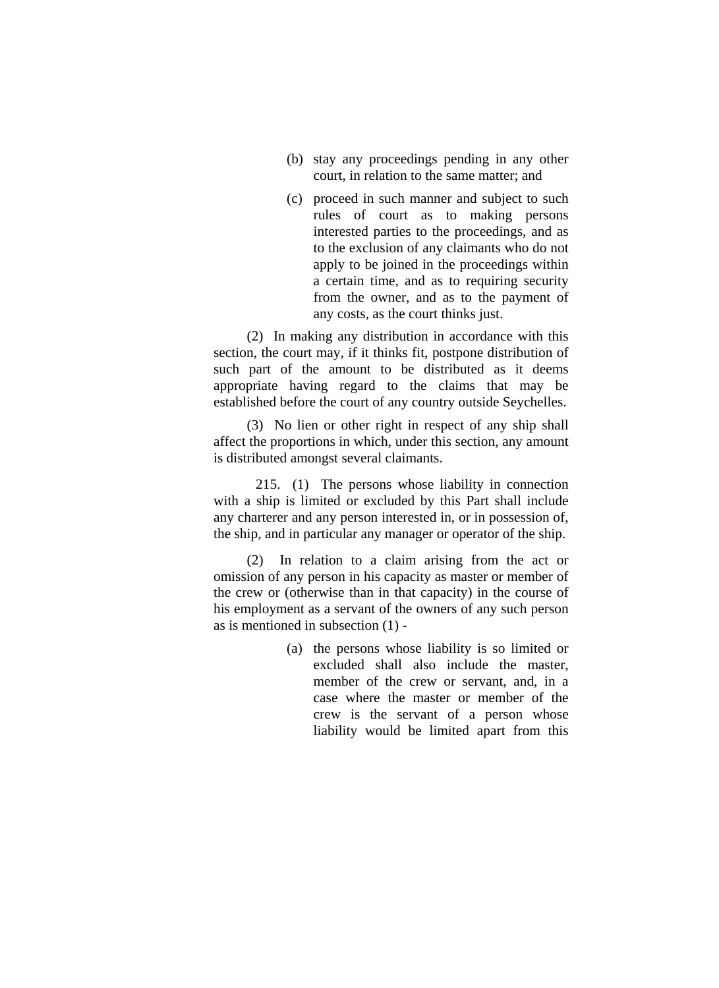- (b) stay any proceedings pending in any other court, in relation to the same matter; and
- (c) proceed in such manner and subject to such rules of court as to making persons interested parties to the proceedings, and as to the exclusion of any claimants who do not apply to be joined in the proceedings within a certain time, and as to requiring security from the owner, and as to the payment of any costs, as the court thinks just.

(2) In making any distribution in accordance with this section, the court may, if it thinks fit, postpone distribution of such part of the amount to be distributed as it deems appropriate having regard to the claims that may be established before the court of any country outside Seychelles.

(3) No lien or other right in respect of any ship shall affect the proportions in which, under this section, any amount is distributed amongst several claimants.

 215. (1) The persons whose liability in connection with a ship is limited or excluded by this Part shall include any charterer and any person interested in, or in possession of, the ship, and in particular any manager or operator of the ship.

(2) In relation to a claim arising from the act or omission of any person in his capacity as master or member of the crew or (otherwise than in that capacity) in the course of his employment as a servant of the owners of any such person as is mentioned in subsection (1) -

> (a) the persons whose liability is so limited or excluded shall also include the master, member of the crew or servant, and, in a case where the master or member of the crew is the servant of a person whose liability would be limited apart from this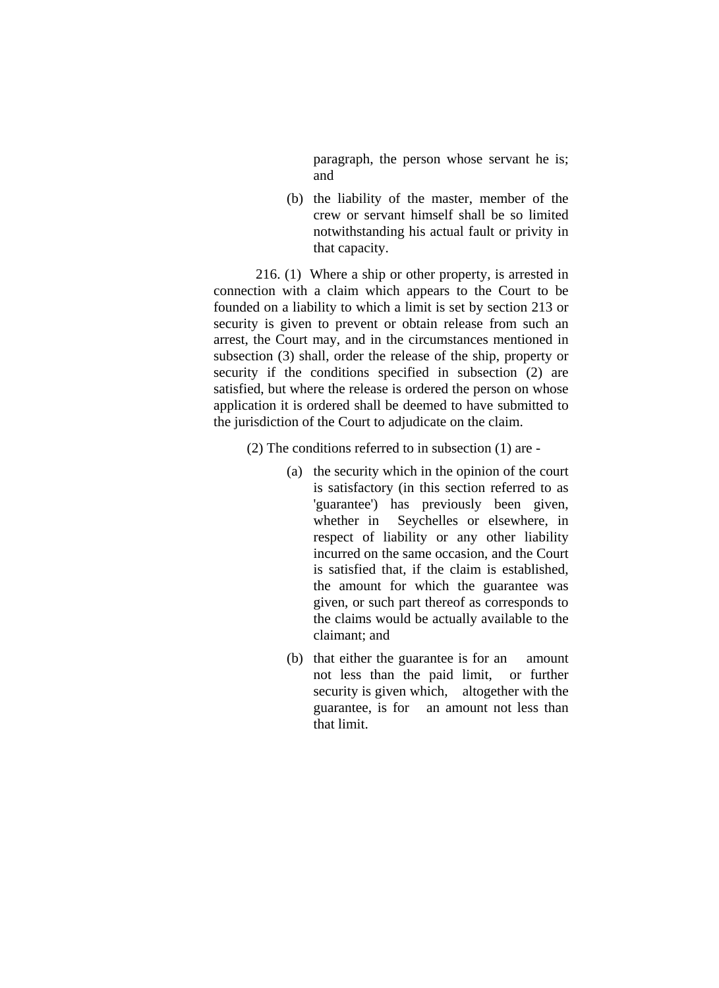paragraph, the person whose servant he is; and

(b) the liability of the master, member of the crew or servant himself shall be so limited notwithstanding his actual fault or privity in that capacity.

 216. (1) Where a ship or other property, is arrested in connection with a claim which appears to the Court to be founded on a liability to which a limit is set by section 213 or security is given to prevent or obtain release from such an arrest, the Court may, and in the circumstances mentioned in subsection (3) shall, order the release of the ship, property or security if the conditions specified in subsection (2) are satisfied, but where the release is ordered the person on whose application it is ordered shall be deemed to have submitted to the jurisdiction of the Court to adjudicate on the claim.

(2) The conditions referred to in subsection (1) are -

- (a) the security which in the opinion of the court is satisfactory (in this section referred to as 'guarantee') has previously been given, whether in Seychelles or elsewhere, in respect of liability or any other liability incurred on the same occasion, and the Court is satisfied that, if the claim is established, the amount for which the guarantee was given, or such part thereof as corresponds to the claims would be actually available to the claimant; and
- (b) that either the guarantee is for an amount not less than the paid limit, or further security is given which, altogether with the guarantee, is for an amount not less than that limit.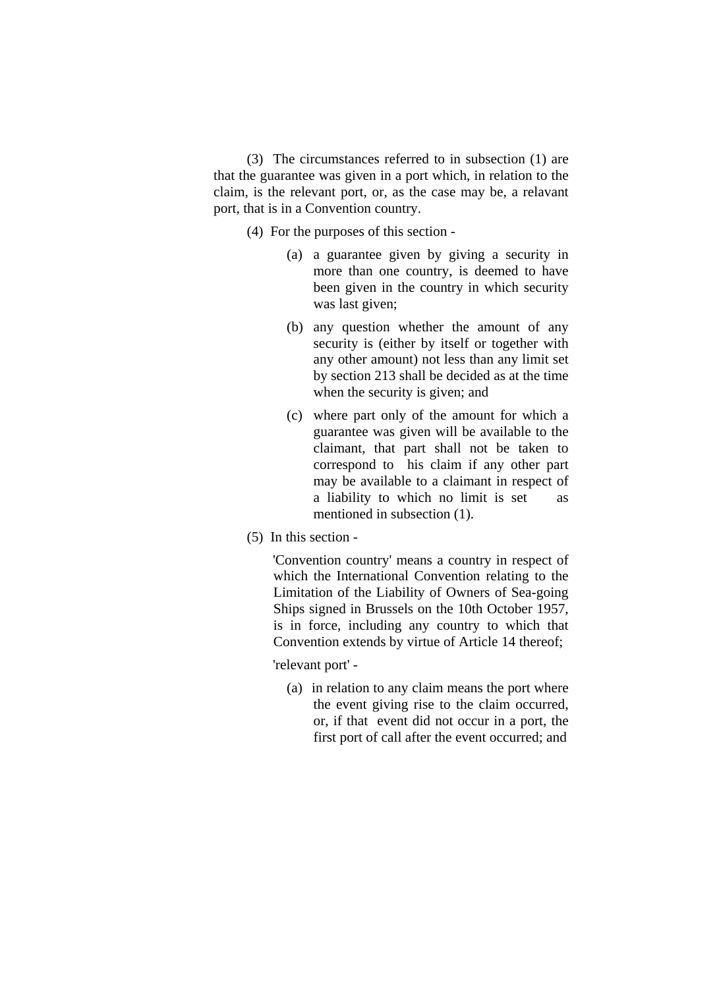(3) The circumstances referred to in subsection (1) are that the guarantee was given in a port which, in relation to the claim, is the relevant port, or, as the case may be, a relavant port, that is in a Convention country.

- (4) For the purposes of this section
	- (a) a guarantee given by giving a security in more than one country, is deemed to have been given in the country in which security was last given;
	- (b) any question whether the amount of any security is (either by itself or together with any other amount) not less than any limit set by section 213 shall be decided as at the time when the security is given; and
	- (c) where part only of the amount for which a guarantee was given will be available to the claimant, that part shall not be taken to correspond to his claim if any other part may be available to a claimant in respect of a liability to which no limit is set as mentioned in subsection (1).
- (5) In this section -

 'Convention country' means a country in respect of which the International Convention relating to the Limitation of the Liability of Owners of Sea-going Ships signed in Brussels on the 10th October 1957, is in force, including any country to which that Convention extends by virtue of Article 14 thereof;

'relevant port' -

(a) in relation to any claim means the port where the event giving rise to the claim occurred, or, if that event did not occur in a port, the first port of call after the event occurred; and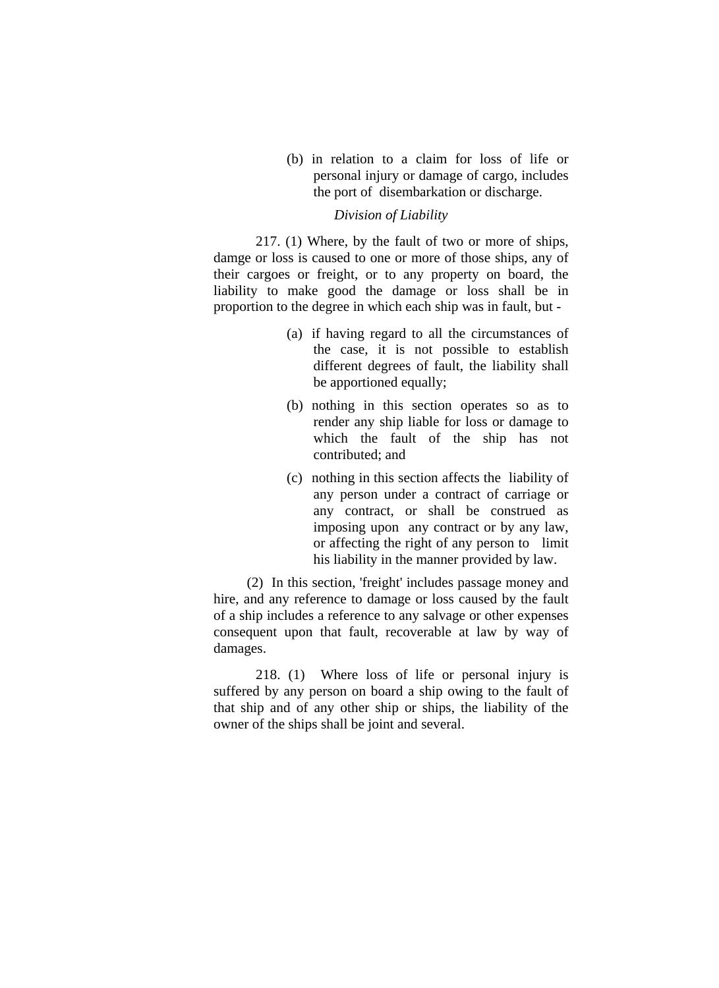(b) in relation to a claim for loss of life or personal injury or damage of cargo, includes the port of disembarkation or discharge.

### *Division of Liability*

 217. (1) Where, by the fault of two or more of ships, damge or loss is caused to one or more of those ships, any of their cargoes or freight, or to any property on board, the liability to make good the damage or loss shall be in proportion to the degree in which each ship was in fault, but -

- (a) if having regard to all the circumstances of the case, it is not possible to establish different degrees of fault, the liability shall be apportioned equally;
- (b) nothing in this section operates so as to render any ship liable for loss or damage to which the fault of the ship has not contributed; and
- (c) nothing in this section affects the liability of any person under a contract of carriage or any contract, or shall be construed as imposing upon any contract or by any law, or affecting the right of any person to limit his liability in the manner provided by law.

(2) In this section, 'freight' includes passage money and hire, and any reference to damage or loss caused by the fault of a ship includes a reference to any salvage or other expenses consequent upon that fault, recoverable at law by way of damages.

 218. (1) Where loss of life or personal injury is suffered by any person on board a ship owing to the fault of that ship and of any other ship or ships, the liability of the owner of the ships shall be joint and several.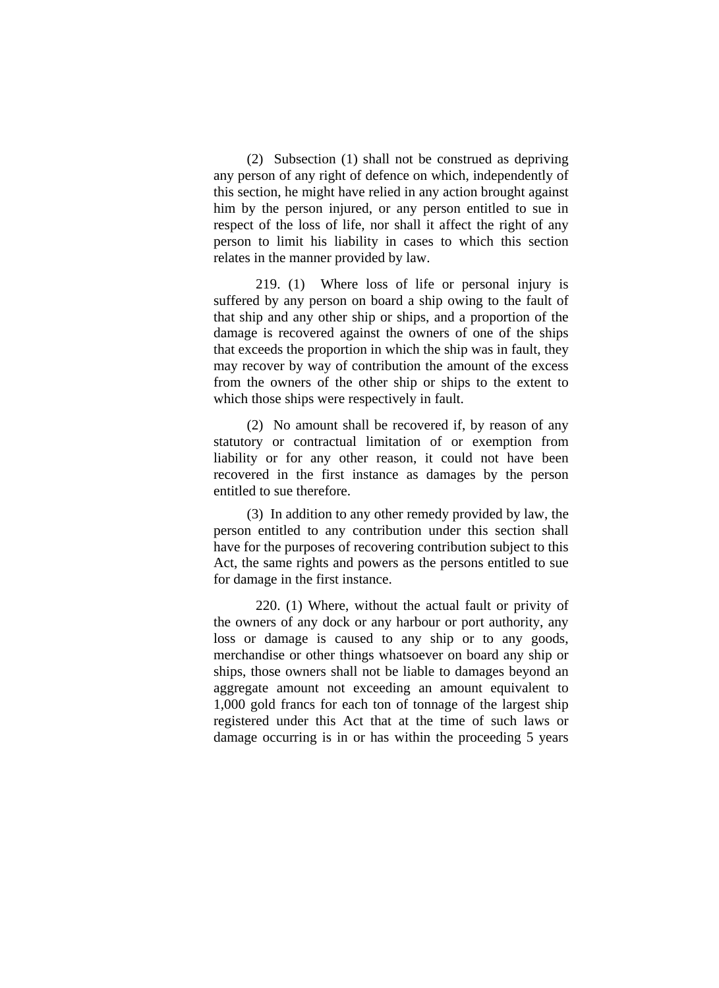(2) Subsection (1) shall not be construed as depriving any person of any right of defence on which, independently of this section, he might have relied in any action brought against him by the person injured, or any person entitled to sue in respect of the loss of life, nor shall it affect the right of any person to limit his liability in cases to which this section relates in the manner provided by law.

 219. (1) Where loss of life or personal injury is suffered by any person on board a ship owing to the fault of that ship and any other ship or ships, and a proportion of the damage is recovered against the owners of one of the ships that exceeds the proportion in which the ship was in fault, they may recover by way of contribution the amount of the excess from the owners of the other ship or ships to the extent to which those ships were respectively in fault.

(2) No amount shall be recovered if, by reason of any statutory or contractual limitation of or exemption from liability or for any other reason, it could not have been recovered in the first instance as damages by the person entitled to sue therefore.

(3) In addition to any other remedy provided by law, the person entitled to any contribution under this section shall have for the purposes of recovering contribution subject to this Act, the same rights and powers as the persons entitled to sue for damage in the first instance.

 220. (1) Where, without the actual fault or privity of the owners of any dock or any harbour or port authority, any loss or damage is caused to any ship or to any goods, merchandise or other things whatsoever on board any ship or ships, those owners shall not be liable to damages beyond an aggregate amount not exceeding an amount equivalent to 1,000 gold francs for each ton of tonnage of the largest ship registered under this Act that at the time of such laws or damage occurring is in or has within the proceeding 5 years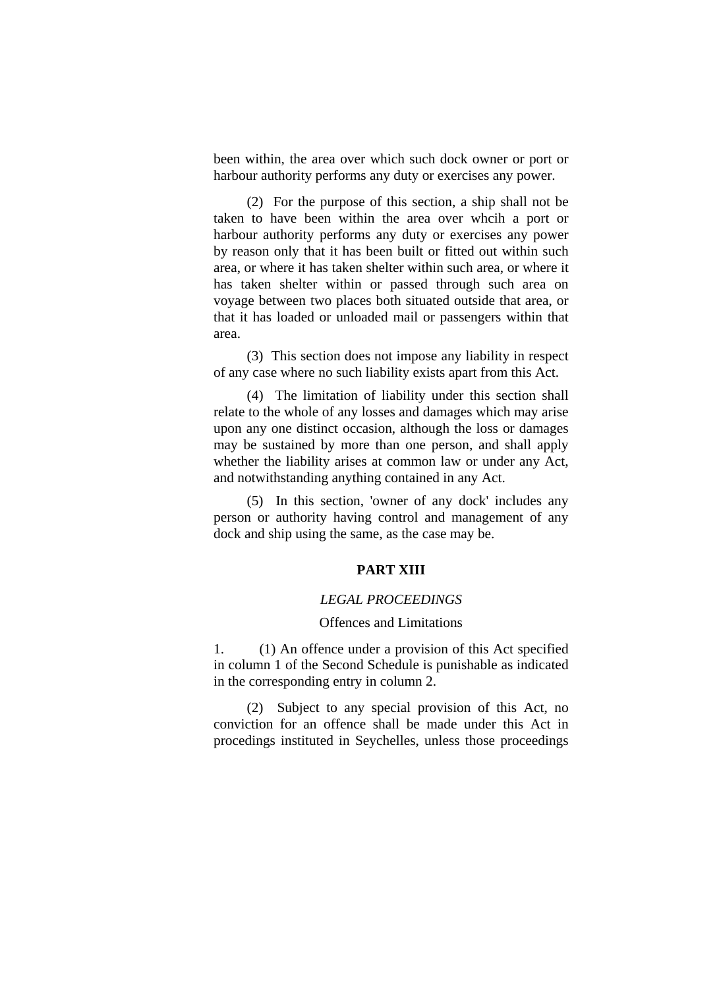been within, the area over which such dock owner or port or harbour authority performs any duty or exercises any power.

(2) For the purpose of this section, a ship shall not be taken to have been within the area over whcih a port or harbour authority performs any duty or exercises any power by reason only that it has been built or fitted out within such area, or where it has taken shelter within such area, or where it has taken shelter within or passed through such area on voyage between two places both situated outside that area, or that it has loaded or unloaded mail or passengers within that area.

(3) This section does not impose any liability in respect of any case where no such liability exists apart from this Act.

(4) The limitation of liability under this section shall relate to the whole of any losses and damages which may arise upon any one distinct occasion, although the loss or damages may be sustained by more than one person, and shall apply whether the liability arises at common law or under any Act, and notwithstanding anything contained in any Act.

(5) In this section, 'owner of any dock' includes any person or authority having control and management of any dock and ship using the same, as the case may be.

## **PART XIII**

#### *LEGAL PROCEEDINGS*

#### Offences and Limitations

1. (1) An offence under a provision of this Act specified in column 1 of the Second Schedule is punishable as indicated in the corresponding entry in column 2.

(2) Subject to any special provision of this Act, no conviction for an offence shall be made under this Act in procedings instituted in Seychelles, unless those proceedings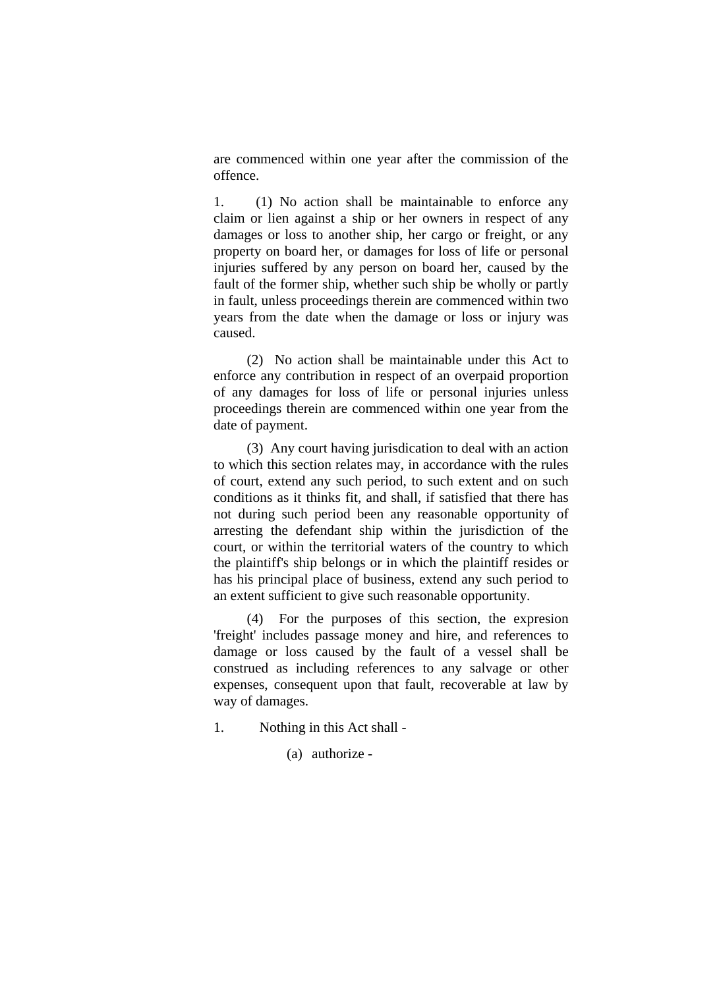are commenced within one year after the commission of the offence.

1. (1) No action shall be maintainable to enforce any claim or lien against a ship or her owners in respect of any damages or loss to another ship, her cargo or freight, or any property on board her, or damages for loss of life or personal injuries suffered by any person on board her, caused by the fault of the former ship, whether such ship be wholly or partly in fault, unless proceedings therein are commenced within two years from the date when the damage or loss or injury was caused.

(2) No action shall be maintainable under this Act to enforce any contribution in respect of an overpaid proportion of any damages for loss of life or personal injuries unless proceedings therein are commenced within one year from the date of payment.

(3) Any court having jurisdication to deal with an action to which this section relates may, in accordance with the rules of court, extend any such period, to such extent and on such conditions as it thinks fit, and shall, if satisfied that there has not during such period been any reasonable opportunity of arresting the defendant ship within the jurisdiction of the court, or within the territorial waters of the country to which the plaintiff's ship belongs or in which the plaintiff resides or has his principal place of business, extend any such period to an extent sufficient to give such reasonable opportunity.

(4) For the purposes of this section, the expresion 'freight' includes passage money and hire, and references to damage or loss caused by the fault of a vessel shall be construed as including references to any salvage or other expenses, consequent upon that fault, recoverable at law by way of damages.

- 1. Nothing in this Act shall
	- (a) authorize -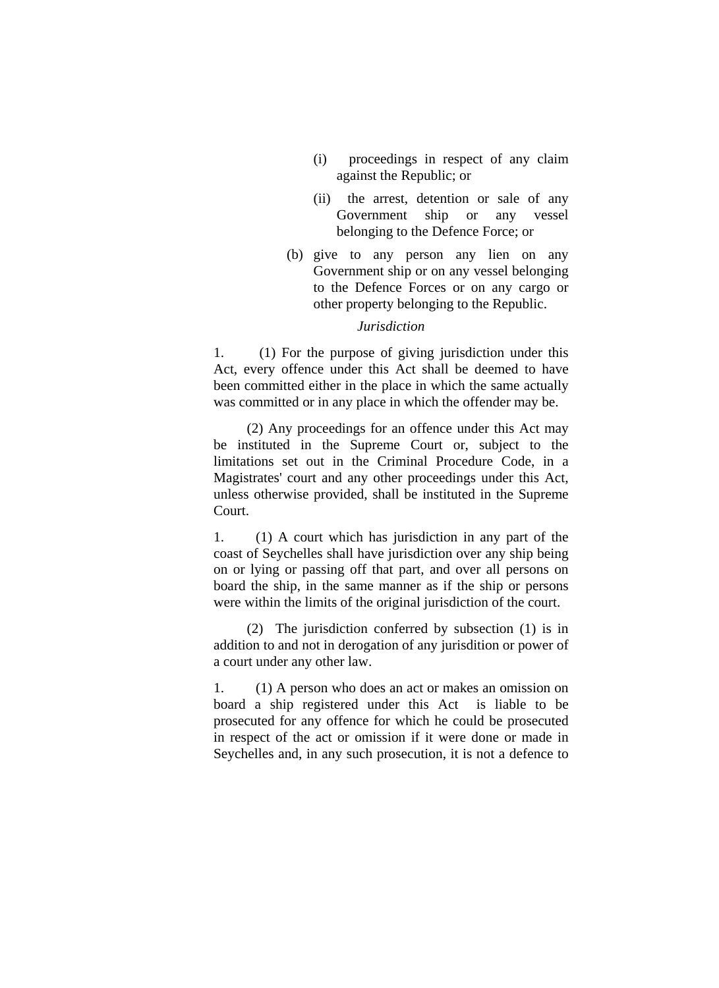- (i) proceedings in respect of any claim against the Republic; or
- (ii) the arrest, detention or sale of any Government ship or any vessel belonging to the Defence Force; or
- (b) give to any person any lien on any Government ship or on any vessel belonging to the Defence Forces or on any cargo or other property belonging to the Republic.

#### *Jurisdiction*

1. (1) For the purpose of giving jurisdiction under this Act, every offence under this Act shall be deemed to have been committed either in the place in which the same actually was committed or in any place in which the offender may be.

(2) Any proceedings for an offence under this Act may be instituted in the Supreme Court or, subject to the limitations set out in the Criminal Procedure Code, in a Magistrates' court and any other proceedings under this Act, unless otherwise provided, shall be instituted in the Supreme Court.

1. (1) A court which has jurisdiction in any part of the coast of Seychelles shall have jurisdiction over any ship being on or lying or passing off that part, and over all persons on board the ship, in the same manner as if the ship or persons were within the limits of the original jurisdiction of the court.

(2) The jurisdiction conferred by subsection (1) is in addition to and not in derogation of any jurisdition or power of a court under any other law.

1. (1) A person who does an act or makes an omission on board a ship registered under this Act is liable to be prosecuted for any offence for which he could be prosecuted in respect of the act or omission if it were done or made in Seychelles and, in any such prosecution, it is not a defence to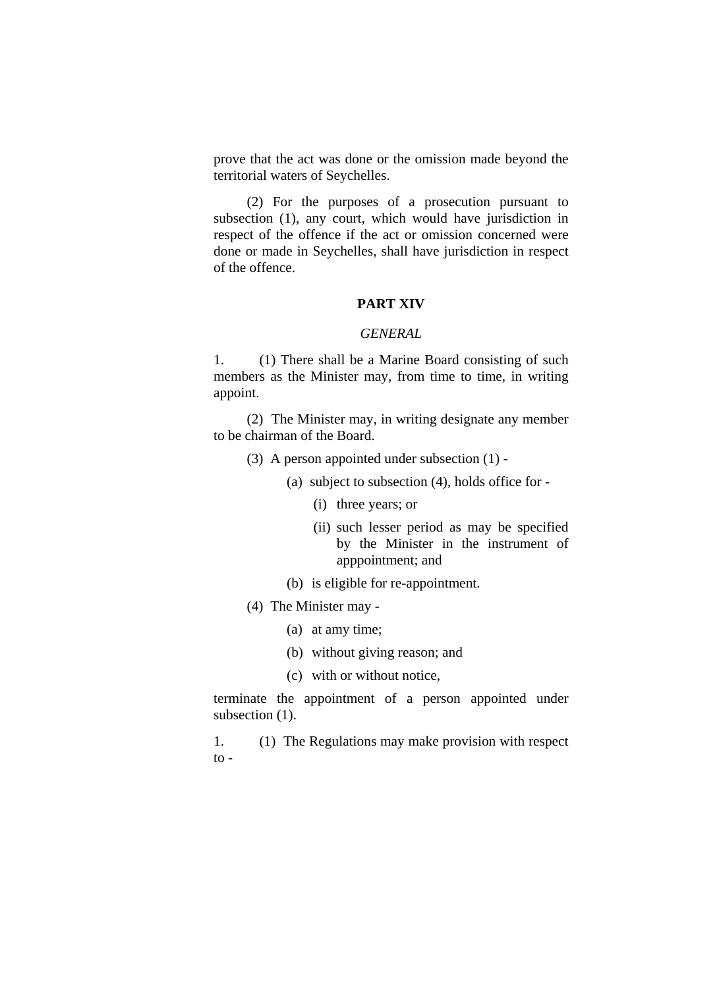prove that the act was done or the omission made beyond the territorial waters of Seychelles.

(2) For the purposes of a prosecution pursuant to subsection (1), any court, which would have jurisdiction in respect of the offence if the act or omission concerned were done or made in Seychelles, shall have jurisdiction in respect of the offence.

#### **PART XIV**

#### *GENERAL*

1. (1) There shall be a Marine Board consisting of such members as the Minister may, from time to time, in writing appoint.

(2) The Minister may, in writing designate any member to be chairman of the Board.

- (3) A person appointed under subsection (1)
	- (a) subject to subsection (4), holds office for
		- (i) three years; or
		- (ii) such lesser period as may be specified by the Minister in the instrument of apppointment; and
	- (b) is eligible for re-appointment.
- (4) The Minister may
	- (a) at amy time;
	- (b) without giving reason; and
	- (c) with or without notice,

terminate the appointment of a person appointed under subsection  $(1)$ .

1. (1) The Regulations may make provision with respect  $\overline{t}$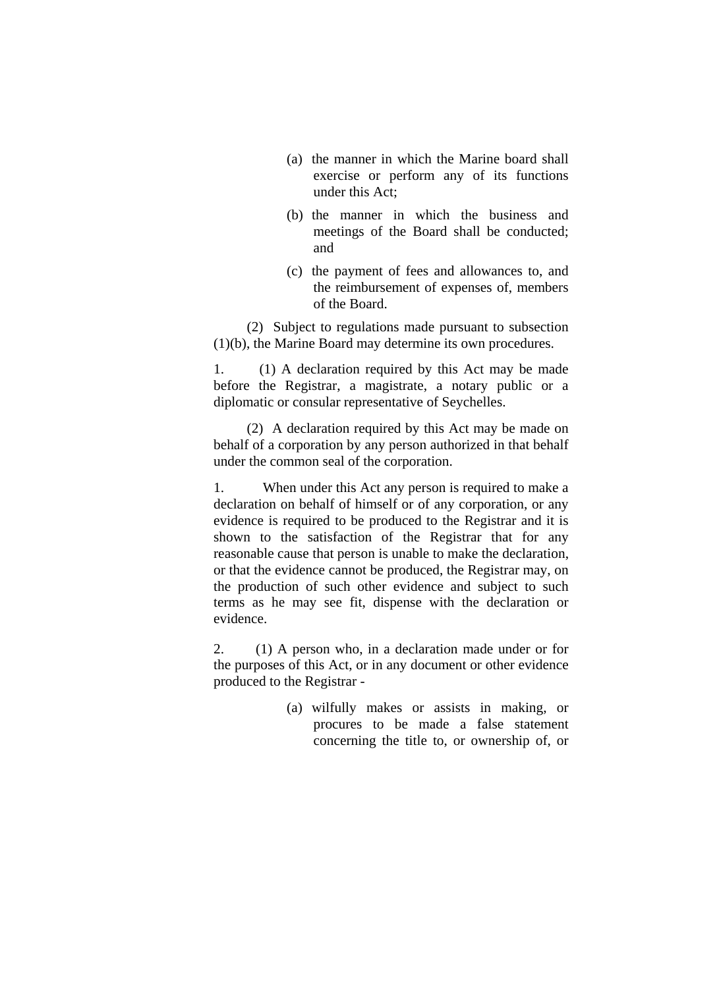- (a) the manner in which the Marine board shall exercise or perform any of its functions under this Act;
- (b) the manner in which the business and meetings of the Board shall be conducted; and
- (c) the payment of fees and allowances to, and the reimbursement of expenses of, members of the Board.

(2) Subject to regulations made pursuant to subsection (1)(b), the Marine Board may determine its own procedures.

1. (1) A declaration required by this Act may be made before the Registrar, a magistrate, a notary public or a diplomatic or consular representative of Seychelles.

(2) A declaration required by this Act may be made on behalf of a corporation by any person authorized in that behalf under the common seal of the corporation.

1. When under this Act any person is required to make a declaration on behalf of himself or of any corporation, or any evidence is required to be produced to the Registrar and it is shown to the satisfaction of the Registrar that for any reasonable cause that person is unable to make the declaration, or that the evidence cannot be produced, the Registrar may, on the production of such other evidence and subject to such terms as he may see fit, dispense with the declaration or evidence.

2. (1) A person who, in a declaration made under or for the purposes of this Act, or in any document or other evidence produced to the Registrar -

> (a) wilfully makes or assists in making, or procures to be made a false statement concerning the title to, or ownership of, or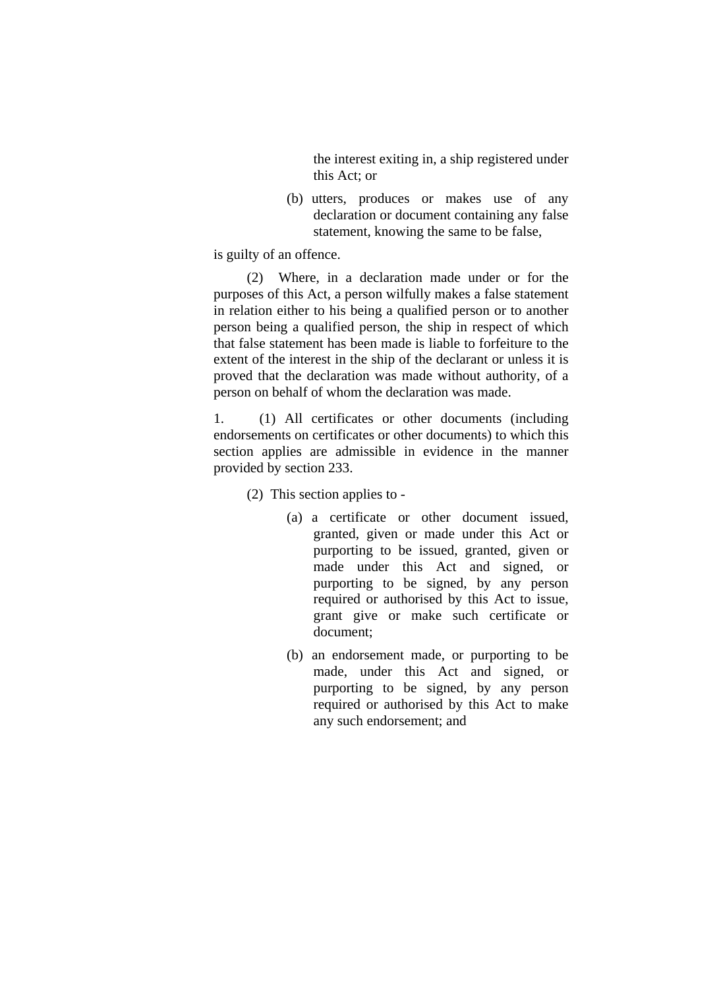the interest exiting in, a ship registered under this Act; or

(b) utters, produces or makes use of any declaration or document containing any false statement, knowing the same to be false,

is guilty of an offence.

(2) Where, in a declaration made under or for the purposes of this Act, a person wilfully makes a false statement in relation either to his being a qualified person or to another person being a qualified person, the ship in respect of which that false statement has been made is liable to forfeiture to the extent of the interest in the ship of the declarant or unless it is proved that the declaration was made without authority, of a person on behalf of whom the declaration was made.

1. (1) All certificates or other documents (including endorsements on certificates or other documents) to which this section applies are admissible in evidence in the manner provided by section 233.

(2) This section applies to -

- (a) a certificate or other document issued, granted, given or made under this Act or purporting to be issued, granted, given or made under this Act and signed, or purporting to be signed, by any person required or authorised by this Act to issue, grant give or make such certificate or document;
- (b) an endorsement made, or purporting to be made, under this Act and signed, or purporting to be signed, by any person required or authorised by this Act to make any such endorsement; and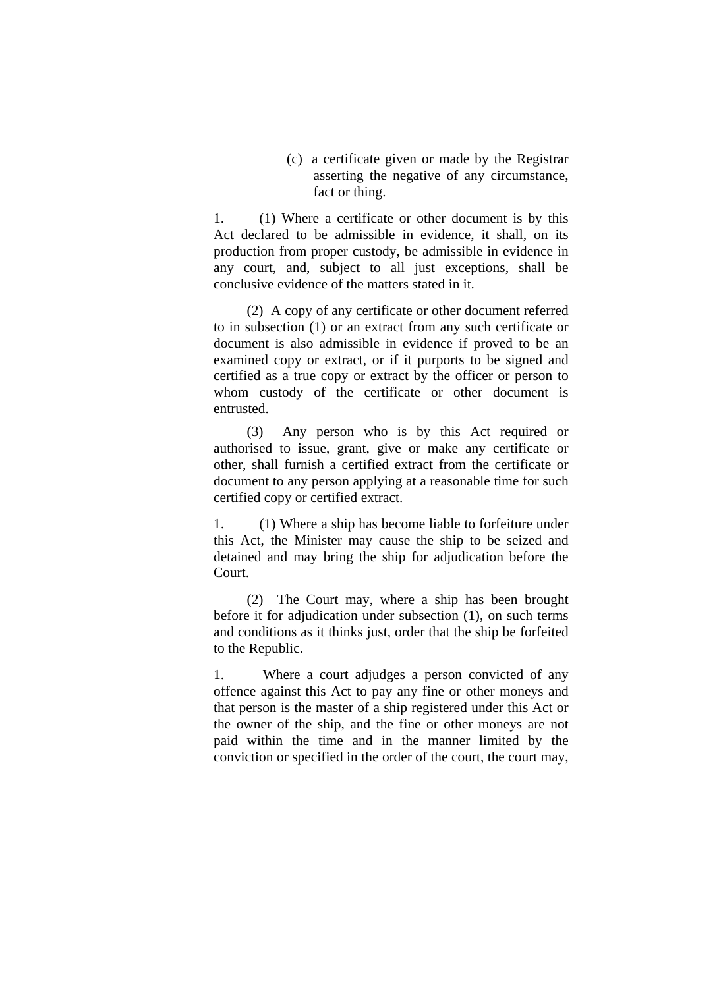(c) a certificate given or made by the Registrar asserting the negative of any circumstance, fact or thing.

1. (1) Where a certificate or other document is by this Act declared to be admissible in evidence, it shall, on its production from proper custody, be admissible in evidence in any court, and, subject to all just exceptions, shall be conclusive evidence of the matters stated in it.

(2) A copy of any certificate or other document referred to in subsection (1) or an extract from any such certificate or document is also admissible in evidence if proved to be an examined copy or extract, or if it purports to be signed and certified as a true copy or extract by the officer or person to whom custody of the certificate or other document is entrusted.

(3) Any person who is by this Act required or authorised to issue, grant, give or make any certificate or other, shall furnish a certified extract from the certificate or document to any person applying at a reasonable time for such certified copy or certified extract.

1. (1) Where a ship has become liable to forfeiture under this Act, the Minister may cause the ship to be seized and detained and may bring the ship for adjudication before the Court.

(2) The Court may, where a ship has been brought before it for adjudication under subsection (1), on such terms and conditions as it thinks just, order that the ship be forfeited to the Republic.

1. Where a court adjudges a person convicted of any offence against this Act to pay any fine or other moneys and that person is the master of a ship registered under this Act or the owner of the ship, and the fine or other moneys are not paid within the time and in the manner limited by the conviction or specified in the order of the court, the court may,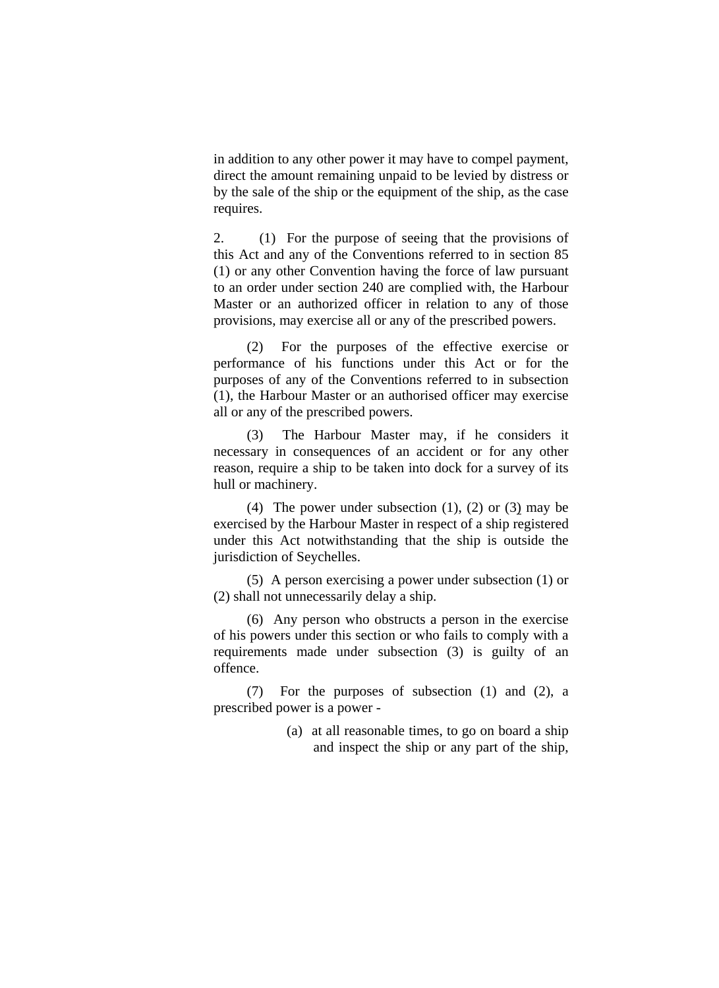in addition to any other power it may have to compel payment, direct the amount remaining unpaid to be levied by distress or by the sale of the ship or the equipment of the ship, as the case requires.

2. (1) For the purpose of seeing that the provisions of this Act and any of the Conventions referred to in section 85 (1) or any other Convention having the force of law pursuant to an order under section 240 are complied with, the Harbour Master or an authorized officer in relation to any of those provisions, may exercise all or any of the prescribed powers.

(2) For the purposes of the effective exercise or performance of his functions under this Act or for the purposes of any of the Conventions referred to in subsection (1), the Harbour Master or an authorised officer may exercise all or any of the prescribed powers.

(3) The Harbour Master may, if he considers it necessary in consequences of an accident or for any other reason, require a ship to be taken into dock for a survey of its hull or machinery.

(4) The power under subsection  $(1)$ ,  $(2)$  or  $(3)$  may be exercised by the Harbour Master in respect of a ship registered under this Act notwithstanding that the ship is outside the jurisdiction of Seychelles.

(5) A person exercising a power under subsection (1) or (2) shall not unnecessarily delay a ship.

(6) Any person who obstructs a person in the exercise of his powers under this section or who fails to comply with a requirements made under subsection (3) is guilty of an offence.

(7) For the purposes of subsection (1) and (2), a prescribed power is a power -

> (a) at all reasonable times, to go on board a ship and inspect the ship or any part of the ship,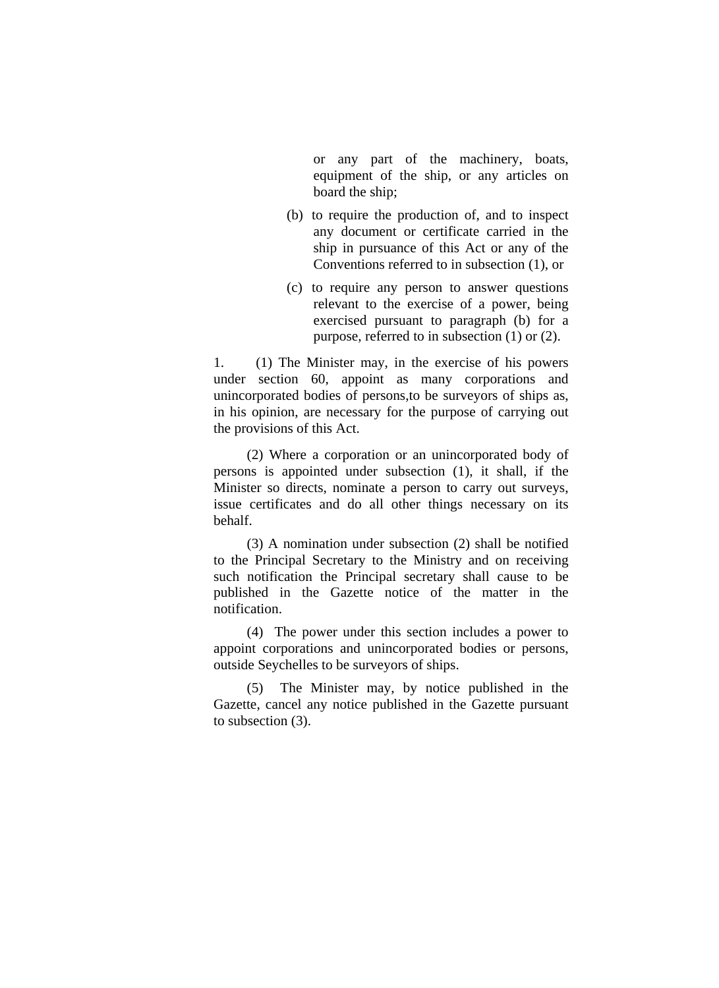or any part of the machinery, boats, equipment of the ship, or any articles on board the ship;

- (b) to require the production of, and to inspect any document or certificate carried in the ship in pursuance of this Act or any of the Conventions referred to in subsection (1), or
- (c) to require any person to answer questions relevant to the exercise of a power, being exercised pursuant to paragraph (b) for a purpose, referred to in subsection (1) or (2).

1. (1) The Minister may, in the exercise of his powers under section 60, appoint as many corporations and unincorporated bodies of persons,to be surveyors of ships as, in his opinion, are necessary for the purpose of carrying out the provisions of this Act.

(2) Where a corporation or an unincorporated body of persons is appointed under subsection (1), it shall, if the Minister so directs, nominate a person to carry out surveys, issue certificates and do all other things necessary on its behalf.

(3) A nomination under subsection (2) shall be notified to the Principal Secretary to the Ministry and on receiving such notification the Principal secretary shall cause to be published in the Gazette notice of the matter in the notification.

(4) The power under this section includes a power to appoint corporations and unincorporated bodies or persons, outside Seychelles to be surveyors of ships.

(5) The Minister may, by notice published in the Gazette, cancel any notice published in the Gazette pursuant to subsection (3).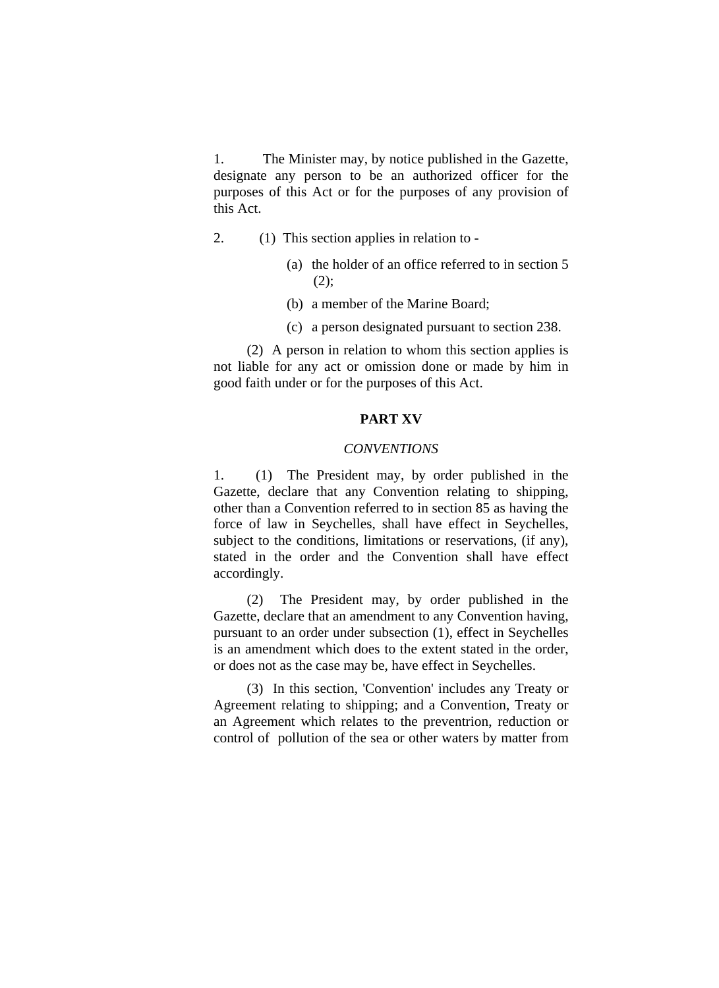1. The Minister may, by notice published in the Gazette, designate any person to be an authorized officer for the purposes of this Act or for the purposes of any provision of this Act.

- 2. (1) This section applies in relation to
	- (a) the holder of an office referred to in section 5  $(2)$ ;
	- (b) a member of the Marine Board;
	- (c) a person designated pursuant to section 238.

(2) A person in relation to whom this section applies is not liable for any act or omission done or made by him in good faith under or for the purposes of this Act.

## **PART XV**

#### *CONVENTIONS*

1. (1) The President may, by order published in the Gazette, declare that any Convention relating to shipping, other than a Convention referred to in section 85 as having the force of law in Seychelles, shall have effect in Seychelles, subject to the conditions, limitations or reservations, (if any), stated in the order and the Convention shall have effect accordingly.

(2) The President may, by order published in the Gazette, declare that an amendment to any Convention having, pursuant to an order under subsection (1), effect in Seychelles is an amendment which does to the extent stated in the order, or does not as the case may be, have effect in Seychelles.

(3) In this section, 'Convention' includes any Treaty or Agreement relating to shipping; and a Convention, Treaty or an Agreement which relates to the preventrion, reduction or control of pollution of the sea or other waters by matter from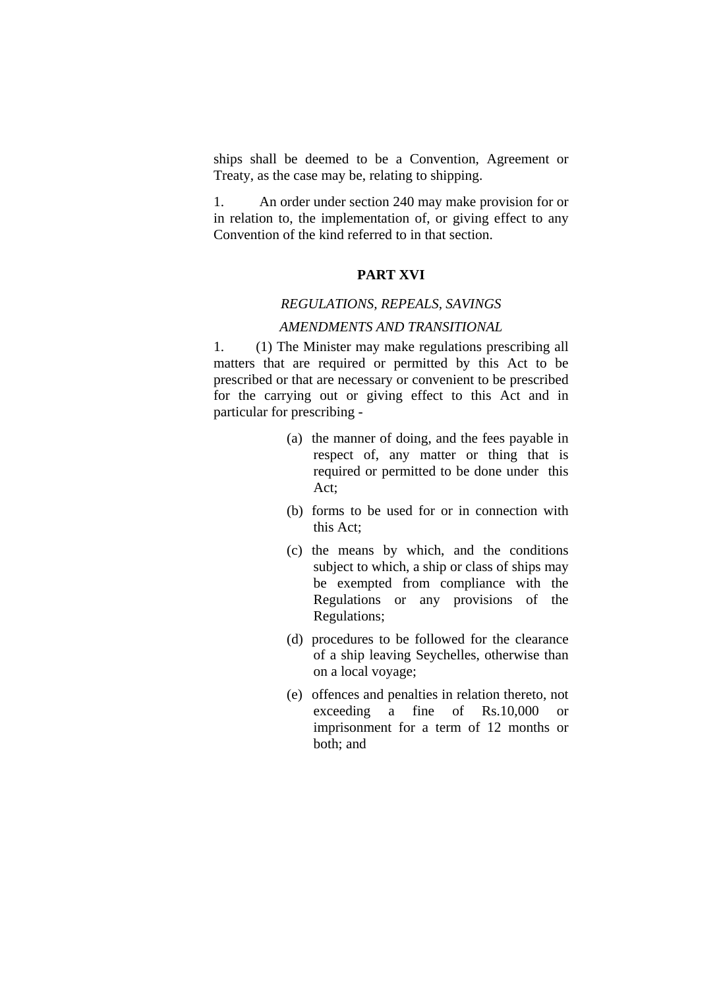ships shall be deemed to be a Convention, Agreement or Treaty, as the case may be, relating to shipping.

1. An order under section 240 may make provision for or in relation to, the implementation of, or giving effect to any Convention of the kind referred to in that section.

#### **PART XVI**

### *REGULATIONS, REPEALS, SAVINGS*

#### *AMENDMENTS AND TRANSITIONAL*

1. (1) The Minister may make regulations prescribing all matters that are required or permitted by this Act to be prescribed or that are necessary or convenient to be prescribed for the carrying out or giving effect to this Act and in particular for prescribing -

- (a) the manner of doing, and the fees payable in respect of, any matter or thing that is required or permitted to be done under this Act;
- (b) forms to be used for or in connection with this Act;
- (c) the means by which, and the conditions subject to which, a ship or class of ships may be exempted from compliance with the Regulations or any provisions of the Regulations;
- (d) procedures to be followed for the clearance of a ship leaving Seychelles, otherwise than on a local voyage;
- (e) offences and penalties in relation thereto, not exceeding a fine of Rs.10,000 or imprisonment for a term of 12 months or both; and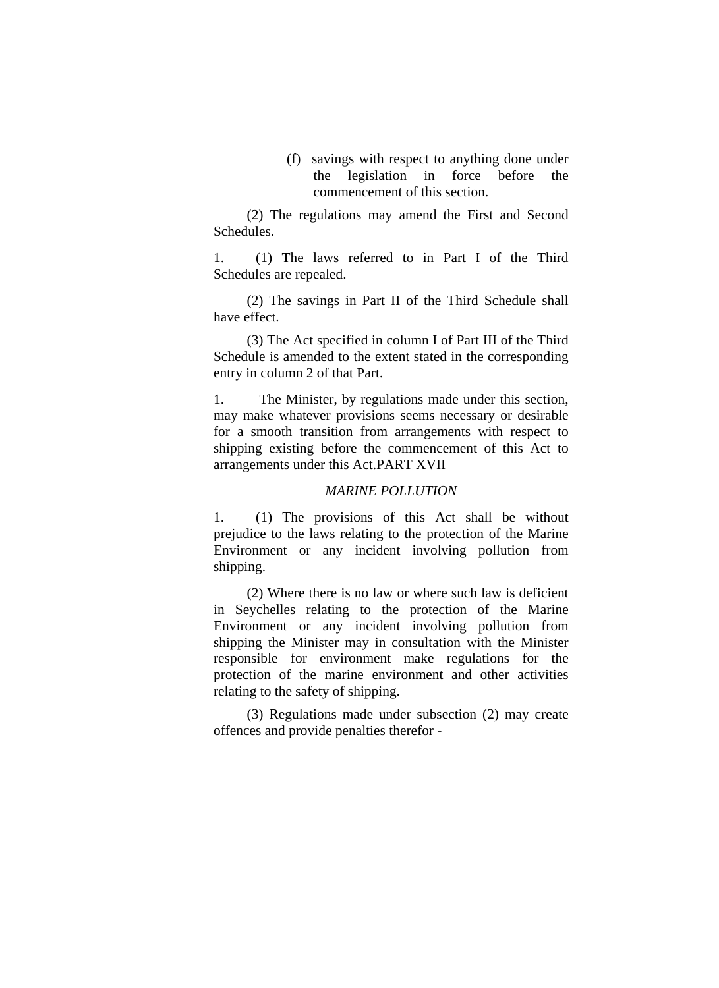(f) savings with respect to anything done under the legislation in force before the commencement of this section.

(2) The regulations may amend the First and Second Schedules.

1. (1) The laws referred to in Part I of the Third Schedules are repealed.

(2) The savings in Part II of the Third Schedule shall have effect.

(3) The Act specified in column I of Part III of the Third Schedule is amended to the extent stated in the corresponding entry in column 2 of that Part.

1. The Minister, by regulations made under this section, may make whatever provisions seems necessary or desirable for a smooth transition from arrangements with respect to shipping existing before the commencement of this Act to arrangements under this Act.PART XVII

#### *MARINE POLLUTION*

1. (1) The provisions of this Act shall be without prejudice to the laws relating to the protection of the Marine Environment or any incident involving pollution from shipping.

(2) Where there is no law or where such law is deficient in Seychelles relating to the protection of the Marine Environment or any incident involving pollution from shipping the Minister may in consultation with the Minister responsible for environment make regulations for the protection of the marine environment and other activities relating to the safety of shipping.

(3) Regulations made under subsection (2) may create offences and provide penalties therefor -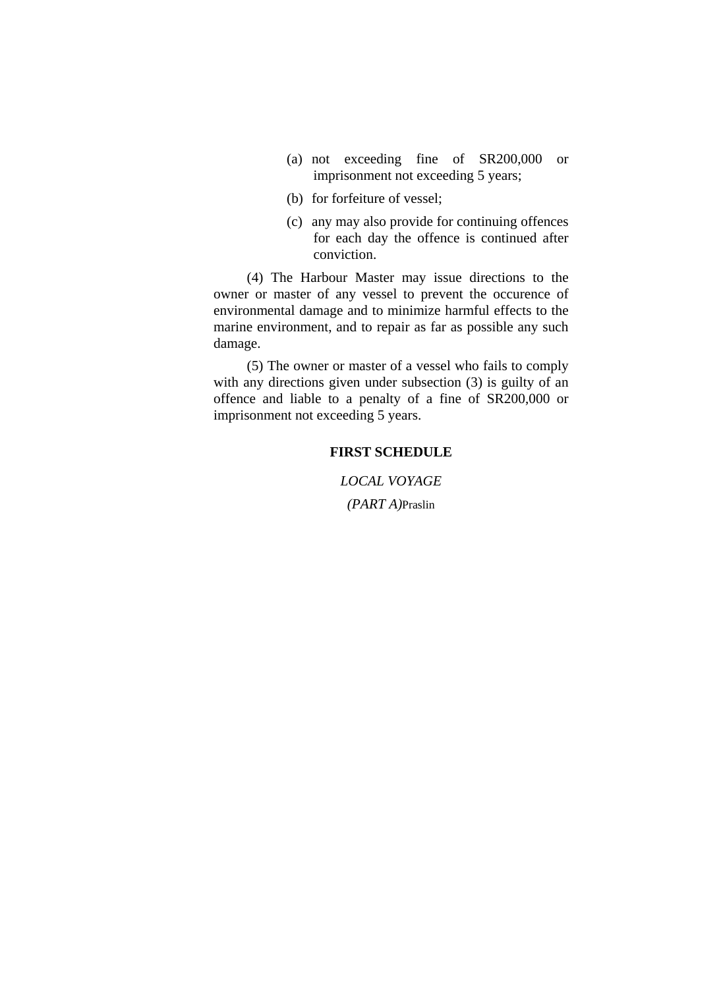- (a) not exceeding fine of SR200,000 or imprisonment not exceeding 5 years;
- (b) for forfeiture of vessel;
- (c) any may also provide for continuing offences for each day the offence is continued after conviction.

(4) The Harbour Master may issue directions to the owner or master of any vessel to prevent the occurence of environmental damage and to minimize harmful effects to the marine environment, and to repair as far as possible any such damage.

(5) The owner or master of a vessel who fails to comply with any directions given under subsection (3) is guilty of an offence and liable to a penalty of a fine of SR200,000 or imprisonment not exceeding 5 years.

#### **FIRST SCHEDULE**

*LOCAL VOYAGE (PART A)*Praslin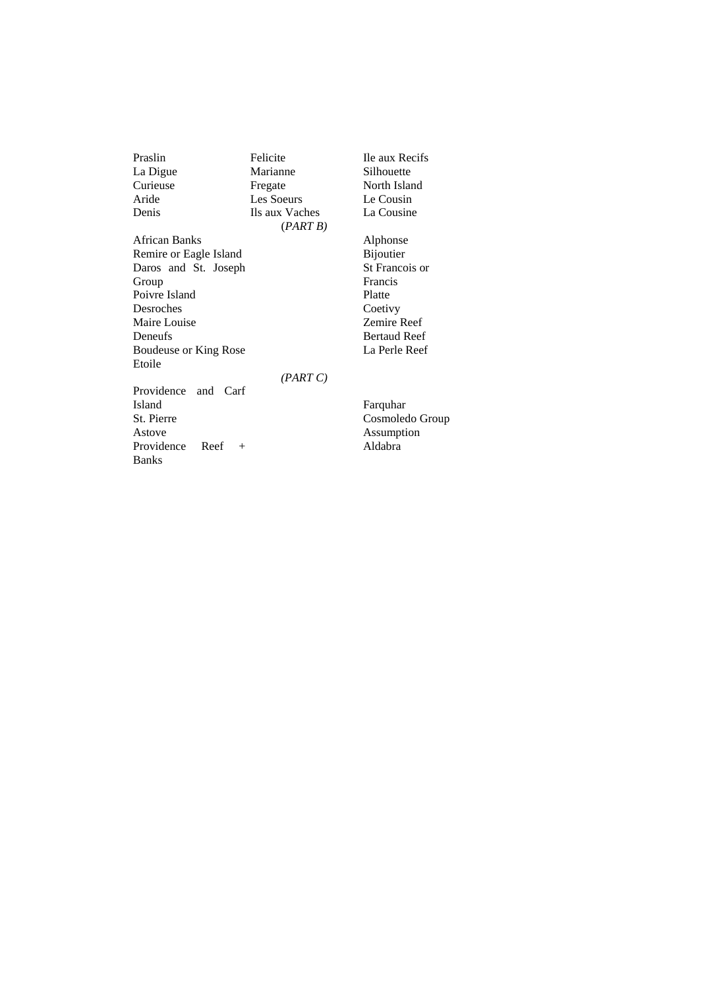Praslin La Digue Curieuse Aride Denis African Banks Remire or Eagle Island Daros and St. Joseph Group Poivre Island Desroches Maire Louise Deneufs Boudeuse or King Rose Etoile Providence and Carf Island St. Pierre Felicite Marianne Fregate Les Soeurs Ils aux Vaches (*PART B) (PART C)* Ile aux Recifs Silhouette North Island Le Cousin La Cousine Alphonse Bijoutier St Francois or Francis Platte Coetivy Zemire Reef Bertaud Reef La Perle Reef Farquhar

Astove

Banks

Providence Reef +

Cosmoledo Group Assumption Aldabra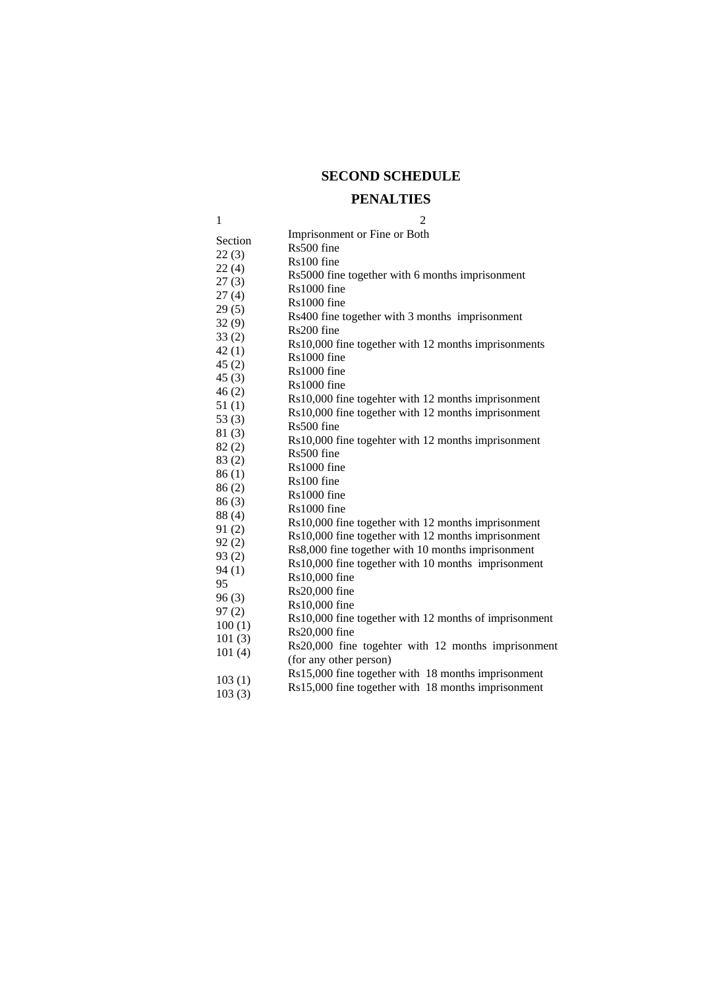## **SECOND SCHEDULE**

## **PENALTIES**

| 1              | $\overline{2}$                                        |  |  |  |  |
|----------------|-------------------------------------------------------|--|--|--|--|
| Section        | Imprisonment or Fine or Both                          |  |  |  |  |
| 22(3)          | Rs500 fine                                            |  |  |  |  |
| 22(4)          | Rs100 fine                                            |  |  |  |  |
| 27(3)          | Rs5000 fine together with 6 months imprisonment       |  |  |  |  |
| 27(4)          | Rs1000 fine                                           |  |  |  |  |
| 29(5)          | $Rs1000$ fine                                         |  |  |  |  |
| 32(9)          | Rs400 fine together with 3 months imprisonment        |  |  |  |  |
| 33(2)          | Rs200 fine                                            |  |  |  |  |
| 42(1)          | Rs10,000 fine together with 12 months imprisonments   |  |  |  |  |
| 45 (2)         | Rs1000 fine                                           |  |  |  |  |
| 45(3)          | $Rs1000$ fine<br>Rs1000 fine                          |  |  |  |  |
| 46(2)          | Rs10,000 fine togehter with 12 months imprisonment    |  |  |  |  |
| 51(1)          | Rs10,000 fine together with 12 months imprisonment    |  |  |  |  |
| 53(3)          | Rs500 fine                                            |  |  |  |  |
| 81(3)          | Rs10,000 fine togehter with 12 months imprisonment    |  |  |  |  |
| 82(2)          | Rs500 fine                                            |  |  |  |  |
| 83(2)          | Rs1000 fine                                           |  |  |  |  |
| 86(1)          | Rs100 fine                                            |  |  |  |  |
| 86(2)          | Rs1000 fine                                           |  |  |  |  |
| 86(3)          | Rs1000 fine                                           |  |  |  |  |
| 88(4)          | Rs10,000 fine together with 12 months imprisonment    |  |  |  |  |
| 91(2)<br>92(2) | Rs10,000 fine together with 12 months imprisonment    |  |  |  |  |
| 93(2)          | Rs8,000 fine together with 10 months imprisonment     |  |  |  |  |
| 94(1)          | Rs10,000 fine together with 10 months imprisonment    |  |  |  |  |
| 95             | Rs10,000 fine                                         |  |  |  |  |
| 96(3)          | Rs20,000 fine                                         |  |  |  |  |
| 97(2)          | Rs10,000 fine                                         |  |  |  |  |
| 100(1)         | Rs10,000 fine together with 12 months of imprisonment |  |  |  |  |
| 101(3)         | Rs20,000 fine                                         |  |  |  |  |
| 101(4)         | Rs20,000 fine togehter with 12 months imprisonment    |  |  |  |  |
|                | (for any other person)                                |  |  |  |  |
| 103(1)         | Rs15,000 fine together with 18 months imprisonment    |  |  |  |  |
| 103(3)         | Rs15,000 fine together with 18 months imprisonment    |  |  |  |  |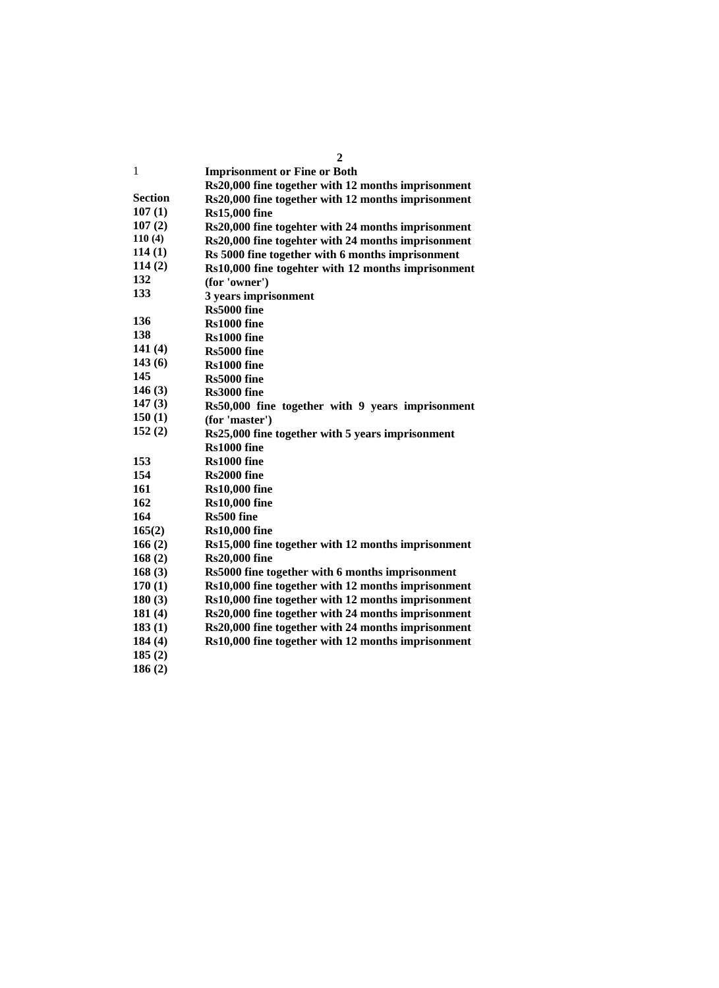|                | 2                                                  |  |  |  |
|----------------|----------------------------------------------------|--|--|--|
| 1              | <b>Imprisonment or Fine or Both</b>                |  |  |  |
|                | Rs20,000 fine together with 12 months imprisonment |  |  |  |
| <b>Section</b> | Rs20,000 fine together with 12 months imprisonment |  |  |  |
| 107(1)         | <b>Rs15,000 fine</b>                               |  |  |  |
| 107(2)         | Rs20,000 fine togehter with 24 months imprisonment |  |  |  |
| 110(4)         | Rs20,000 fine togehter with 24 months imprisonment |  |  |  |
| 114(1)         | Rs 5000 fine together with 6 months imprisonment   |  |  |  |
| 114(2)         | Rs10,000 fine togehter with 12 months imprisonment |  |  |  |
| 132            | (for 'owner')                                      |  |  |  |
| 133            | 3 years imprisonment                               |  |  |  |
|                | Rs5000 fine                                        |  |  |  |
| 136            | Rs1000 fine                                        |  |  |  |
| 138            | Rs1000 fine                                        |  |  |  |
| 141(4)         | Rs5000 fine                                        |  |  |  |
| 143(6)         | Rs1000 fine                                        |  |  |  |
| 145            | Rs5000 fine                                        |  |  |  |
| 146(3)         | Rs3000 fine                                        |  |  |  |
| 147(3)         | Rs50,000 fine together with 9 years imprisonment   |  |  |  |
| 150(1)         | (for 'master')                                     |  |  |  |
| 152(2)         | Rs25,000 fine together with 5 years imprisonment   |  |  |  |
|                | Rs1000 fine                                        |  |  |  |
| 153            | Rs1000 fine                                        |  |  |  |
| 154            | Rs2000 fine                                        |  |  |  |
| 161            | <b>Rs10,000 fine</b>                               |  |  |  |
| 162            | <b>Rs10,000 fine</b>                               |  |  |  |
| 164            | Rs500 fine                                         |  |  |  |
| 165(2)         | <b>Rs10,000 fine</b>                               |  |  |  |
| 166(2)         | Rs15,000 fine together with 12 months imprisonment |  |  |  |
| 168(2)         | <b>Rs20,000 fine</b>                               |  |  |  |
| 168(3)         | Rs5000 fine together with 6 months imprisonment    |  |  |  |
| 170(1)         | Rs10,000 fine together with 12 months imprisonment |  |  |  |
| 180(3)         | Rs10,000 fine together with 12 months imprisonment |  |  |  |
| 181(4)         | Rs20,000 fine together with 24 months imprisonment |  |  |  |
| 183(1)         | Rs20,000 fine together with 24 months imprisonment |  |  |  |
| 184(4)         | Rs10,000 fine together with 12 months imprisonment |  |  |  |
| 185(2)         |                                                    |  |  |  |
| 186(2)         |                                                    |  |  |  |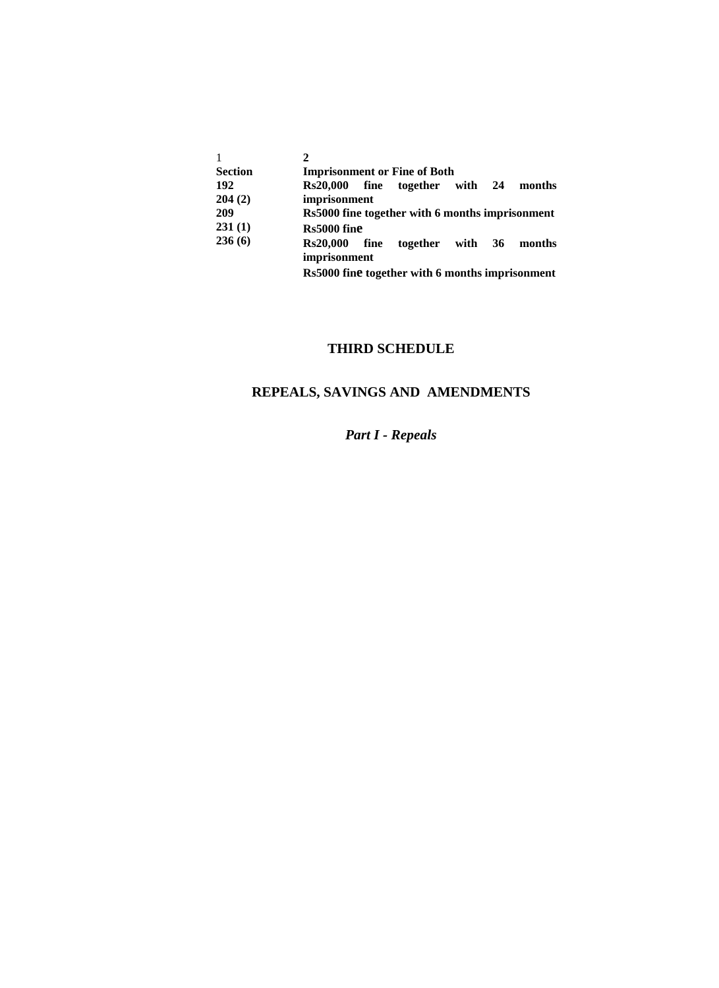| $\mathbf{1}$   |                                                 |      |                                |  |  |        |  |  |
|----------------|-------------------------------------------------|------|--------------------------------|--|--|--------|--|--|
| <b>Section</b> | <b>Imprisonment or Fine of Both</b>             |      |                                |  |  |        |  |  |
| 192            |                                                 |      | Rs20,000 fine together with 24 |  |  | months |  |  |
| 204(2)         | imprisonment                                    |      |                                |  |  |        |  |  |
| 209            | Rs5000 fine together with 6 months imprisonment |      |                                |  |  |        |  |  |
| 231(1)         | Rs5000 fine                                     |      |                                |  |  |        |  |  |
| 236(6)         | <b>Rs20.000</b>                                 | fine | together with 36               |  |  | months |  |  |
|                | imprisonment                                    |      |                                |  |  |        |  |  |
|                |                                                 |      |                                |  |  |        |  |  |

**Rs5000 fine together with 6 months imprisonment**

# **THIRD SCHEDULE**

## **REPEALS, SAVINGS AND AMENDMENTS**

# *Part I - Repeals*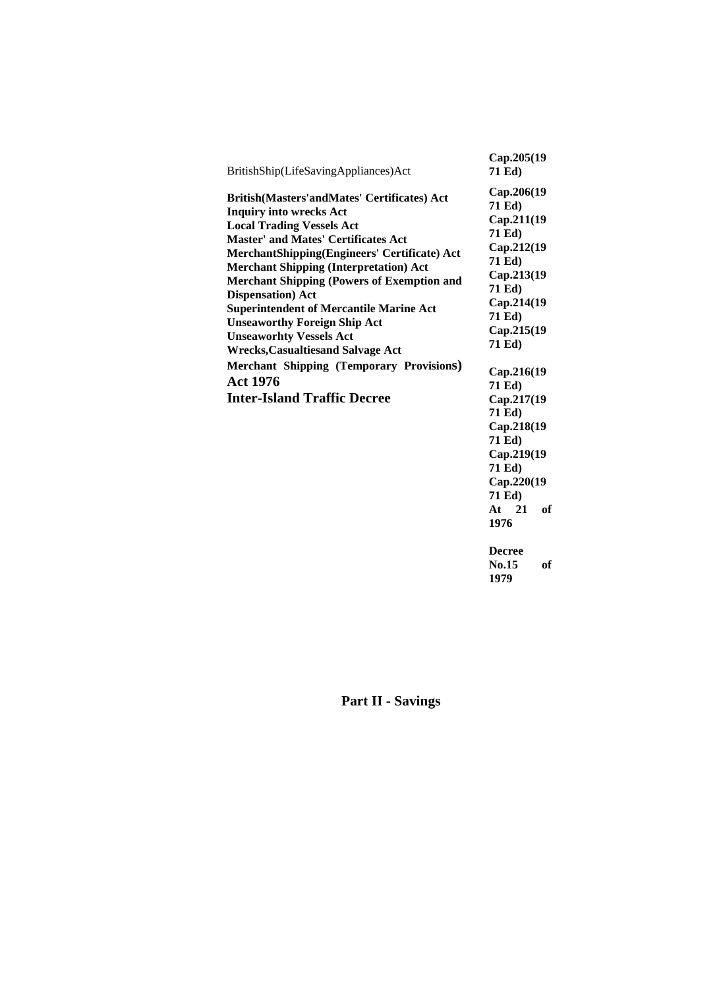| BritishShip(LifeSavingAppliances)Act                                                                                                                                                                                                                                                                                                                                                                                                                                                                                                                                                                                                  | Cap.205(19<br>71 Ed)                                                                                                                                                                                                                                                                                                                         |
|---------------------------------------------------------------------------------------------------------------------------------------------------------------------------------------------------------------------------------------------------------------------------------------------------------------------------------------------------------------------------------------------------------------------------------------------------------------------------------------------------------------------------------------------------------------------------------------------------------------------------------------|----------------------------------------------------------------------------------------------------------------------------------------------------------------------------------------------------------------------------------------------------------------------------------------------------------------------------------------------|
| British(Masters'andMates' Certificates) Act<br><b>Inquiry into wrecks Act</b><br><b>Local Trading Vessels Act</b><br><b>Master' and Mates' Certificates Act</b><br>MerchantShipping(Engineers' Certificate) Act<br><b>Merchant Shipping (Interpretation) Act</b><br><b>Merchant Shipping (Powers of Exemption and</b><br><b>Dispensation</b> ) Act<br><b>Superintendent of Mercantile Marine Act</b><br><b>Unseaworthy Foreign Ship Act</b><br><b>Unseaworhty Vessels Act</b><br><b>Wrecks, Casualtiesand Salvage Act</b><br><b>Merchant Shipping (Temporary Provisions)</b><br><b>Act 1976</b><br><b>Inter-Island Traffic Decree</b> | Cap.206(19<br>71 Ed)<br>Cap.211(19<br>71 Ed)<br>Cap.212(19<br>71 Ed)<br>Cap.213(19<br>71 Ed)<br>Cap.214(19<br>71 Ed)<br>Cap.215(19<br>71 Ed)<br>Cap.216(19<br>71 Ed)<br>Cap.217(19<br>71 Ed)<br>Cap.218(19<br>71 Ed)<br>Cap.219(19<br>71 Ed)<br>Cap.220(19<br>71 Ed)<br>of<br>At $21$<br>1976<br><b>Decree</b><br><b>No.15</b><br>of<br>1979 |

**Part II - Savings**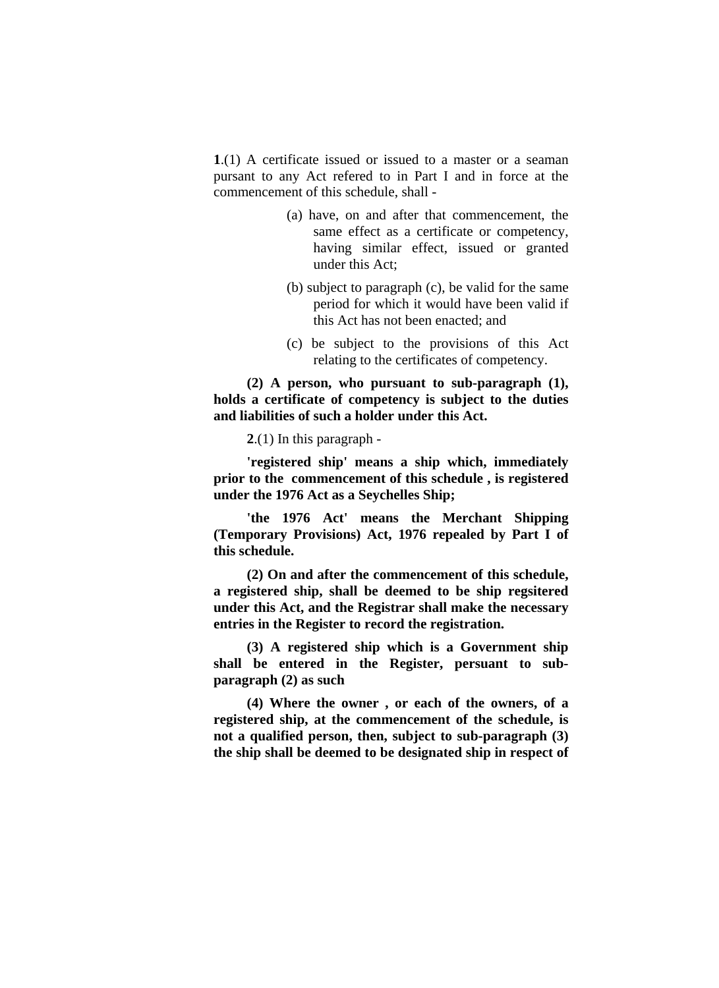**1**.(1) A certificate issued or issued to a master or a seaman pursant to any Act refered to in Part I and in force at the commencement of this schedule, shall -

- (a) have, on and after that commencement, the same effect as a certificate or competency, having similar effect, issued or granted under this Act;
- (b) subject to paragraph (c), be valid for the same period for which it would have been valid if this Act has not been enacted; and
- (c) be subject to the provisions of this Act relating to the certificates of competency.

**(2) A person, who pursuant to sub-paragraph (1), holds a certificate of competency is subject to the duties and liabilities of such a holder under this Act.** 

**2**.(1) In this paragraph -

**'registered ship' means a ship which, immediately prior to the commencement of this schedule , is registered under the 1976 Act as a Seychelles Ship;** 

**'the 1976 Act' means the Merchant Shipping (Temporary Provisions) Act, 1976 repealed by Part I of this schedule.** 

**(2) On and after the commencement of this schedule, a registered ship, shall be deemed to be ship regsitered under this Act, and the Registrar shall make the necessary entries in the Register to record the registration.** 

**(3) A registered ship which is a Government ship shall be entered in the Register, persuant to subparagraph (2) as such** 

**(4) Where the owner , or each of the owners, of a registered ship, at the commencement of the schedule, is not a qualified person, then, subject to sub-paragraph (3) the ship shall be deemed to be designated ship in respect of**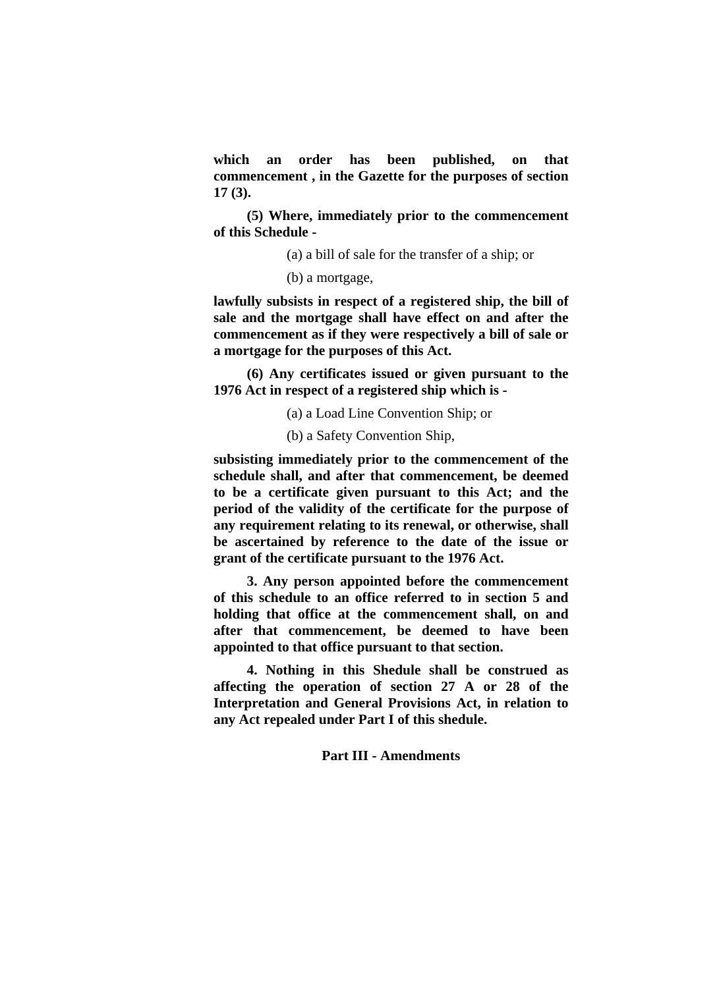**which an order has been published, on that commencement , in the Gazette for the purposes of section 17 (3).** 

**(5) Where, immediately prior to the commencement of this Schedule -** 

(a) a bill of sale for the transfer of a ship; or

(b) a mortgage,

**lawfully subsists in respect of a registered ship, the bill of sale and the mortgage shall have effect on and after the commencement as if they were respectively a bill of sale or a mortgage for the purposes of this Act.** 

**(6) Any certificates issued or given pursuant to the 1976 Act in respect of a registered ship which is -** 

(a) a Load Line Convention Ship; or

(b) a Safety Convention Ship,

**subsisting immediately prior to the commencement of the schedule shall, and after that commencement, be deemed to be a certificate given pursuant to this Act; and the period of the validity of the certificate for the purpose of any requirement relating to its renewal, or otherwise, shall be ascertained by reference to the date of the issue or grant of the certificate pursuant to the 1976 Act.** 

**3. Any person appointed before the commencement of this schedule to an office referred to in section 5 and holding that office at the commencement shall, on and after that commencement, be deemed to have been appointed to that office pursuant to that section.** 

**4. Nothing in this Shedule shall be construed as affecting the operation of section 27 A or 28 of the Interpretation and General Provisions Act, in relation to any Act repealed under Part I of this shedule.** 

## **Part III - Amendments**